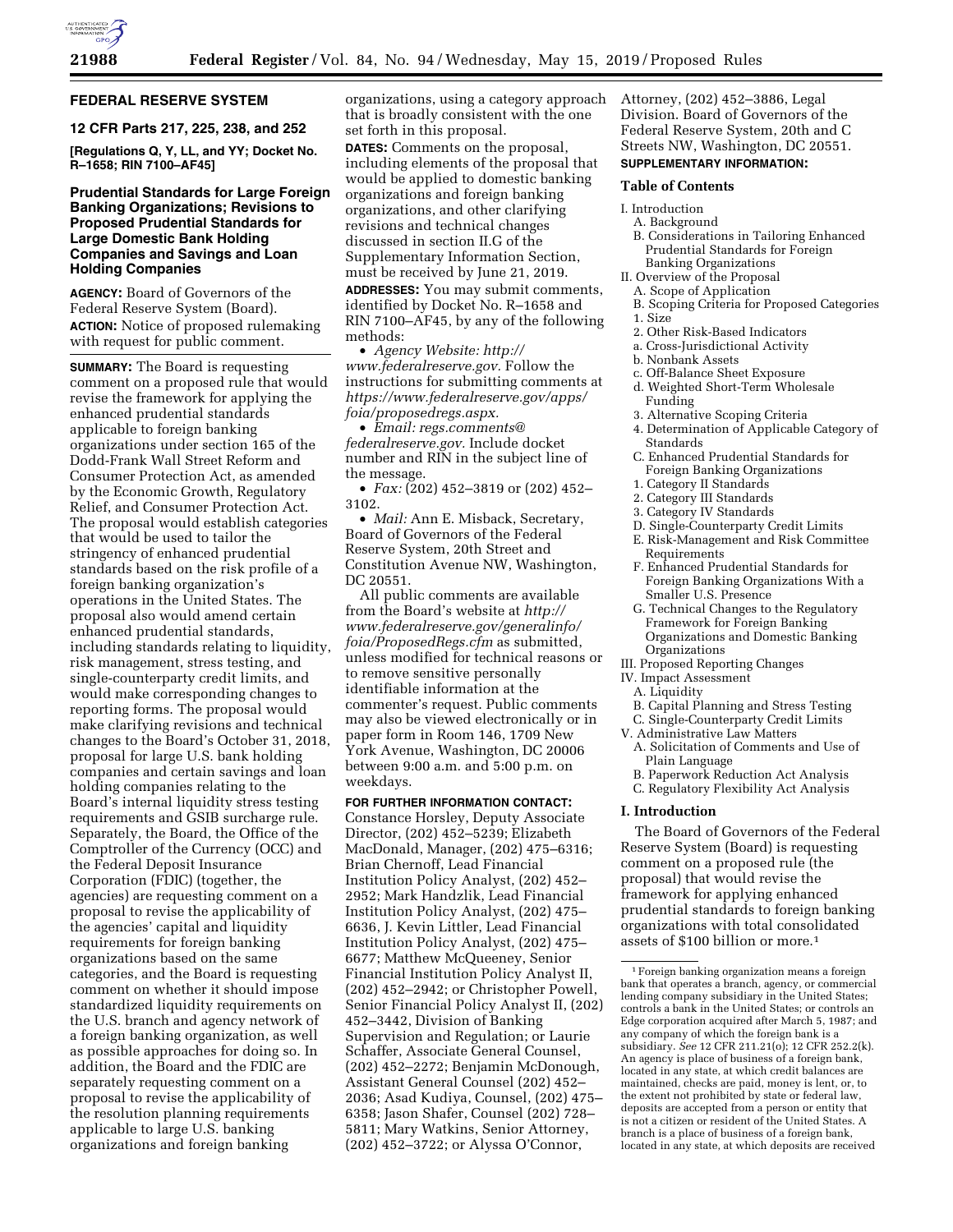

# **FEDERAL RESERVE SYSTEM**

## **12 CFR Parts 217, 225, 238, and 252**

**[Regulations Q, Y, LL, and YY; Docket No. R–1658; RIN 7100–AF45]** 

## **Prudential Standards for Large Foreign Banking Organizations; Revisions to Proposed Prudential Standards for Large Domestic Bank Holding Companies and Savings and Loan Holding Companies**

**AGENCY:** Board of Governors of the Federal Reserve System (Board). **ACTION:** Notice of proposed rulemaking with request for public comment.

**SUMMARY:** The Board is requesting comment on a proposed rule that would revise the framework for applying the enhanced prudential standards applicable to foreign banking organizations under section 165 of the Dodd-Frank Wall Street Reform and Consumer Protection Act, as amended by the Economic Growth, Regulatory Relief, and Consumer Protection Act. The proposal would establish categories that would be used to tailor the stringency of enhanced prudential standards based on the risk profile of a foreign banking organization's operations in the United States. The proposal also would amend certain enhanced prudential standards, including standards relating to liquidity, risk management, stress testing, and single-counterparty credit limits, and would make corresponding changes to reporting forms. The proposal would make clarifying revisions and technical changes to the Board's October 31, 2018, proposal for large U.S. bank holding companies and certain savings and loan holding companies relating to the Board's internal liquidity stress testing requirements and GSIB surcharge rule. Separately, the Board, the Office of the Comptroller of the Currency (OCC) and the Federal Deposit Insurance Corporation (FDIC) (together, the agencies) are requesting comment on a proposal to revise the applicability of the agencies' capital and liquidity requirements for foreign banking organizations based on the same categories, and the Board is requesting comment on whether it should impose standardized liquidity requirements on the U.S. branch and agency network of a foreign banking organization, as well as possible approaches for doing so. In addition, the Board and the FDIC are separately requesting comment on a proposal to revise the applicability of the resolution planning requirements applicable to large U.S. banking organizations and foreign banking

organizations, using a category approach that is broadly consistent with the one set forth in this proposal.

**DATES:** Comments on the proposal, including elements of the proposal that would be applied to domestic banking organizations and foreign banking organizations, and other clarifying revisions and technical changes discussed in section II.G of the Supplementary Information Section, must be received by June 21, 2019. **ADDRESSES:** You may submit comments, identified by Docket No. R–1658 and RIN 7100–AF45, by any of the following methods:

• *Agency Website: [http://](http://www.federalreserve.gov) [www.federalreserve.gov.](http://www.federalreserve.gov)* Follow the instructions for submitting comments at *[https://www.federalreserve.gov/apps/](https://www.federalreserve.gov/apps/foia/proposedregs.aspx) [foia/proposedregs.aspx.](https://www.federalreserve.gov/apps/foia/proposedregs.aspx)* 

• *Email: [regs.comments@](mailto:regs.comments@federalreserve.gov) [federalreserve.gov.](mailto:regs.comments@federalreserve.gov)* Include docket number and RIN in the subject line of the message.

• *Fax:* (202) 452–3819 or (202) 452– 3102.

• *Mail:* Ann E. Misback, Secretary, Board of Governors of the Federal Reserve System, 20th Street and Constitution Avenue NW, Washington, DC 20551.

All public comments are available from the Board's website at *[http://](http://www.federalreserve.gov/generalinfo/foia/ProposedRegs.cfm) [www.federalreserve.gov/generalinfo/](http://www.federalreserve.gov/generalinfo/foia/ProposedRegs.cfm) [foia/ProposedRegs.cfm](http://www.federalreserve.gov/generalinfo/foia/ProposedRegs.cfm)* as submitted, unless modified for technical reasons or to remove sensitive personally identifiable information at the commenter's request. Public comments may also be viewed electronically or in paper form in Room 146, 1709 New York Avenue, Washington, DC 20006 between 9:00 a.m. and 5:00 p.m. on weekdays.

### **FOR FURTHER INFORMATION CONTACT:**

Constance Horsley, Deputy Associate Director, (202) 452–5239; Elizabeth MacDonald, Manager, (202) 475–6316; Brian Chernoff, Lead Financial Institution Policy Analyst, (202) 452– 2952; Mark Handzlik, Lead Financial Institution Policy Analyst, (202) 475– 6636, J. Kevin Littler, Lead Financial Institution Policy Analyst, (202) 475– 6677; Matthew McQueeney, Senior Financial Institution Policy Analyst II, (202) 452–2942; or Christopher Powell, Senior Financial Policy Analyst II, (202) 452–3442, Division of Banking Supervision and Regulation; or Laurie Schaffer, Associate General Counsel, (202) 452–2272; Benjamin McDonough, Assistant General Counsel (202) 452– 2036; Asad Kudiya, Counsel, (202) 475– 6358; Jason Shafer, Counsel (202) 728– 5811; Mary Watkins, Senior Attorney, (202) 452–3722; or Alyssa O'Connor,

Attorney, (202) 452–3886, Legal Division. Board of Governors of the Federal Reserve System, 20th and C Streets NW, Washington, DC 20551. **SUPPLEMENTARY INFORMATION:** 

#### **Table of Contents**

# I. Introduction

- A. Background
- B. Considerations in Tailoring Enhanced Prudential Standards for Foreign Banking Organizations
- II. Overview of the Proposal
- A. Scope of Application
- B. Scoping Criteria for Proposed Categories
- 1. Size
- 2. Other Risk-Based Indicators
- a. Cross-Jurisdictional Activity
- b. Nonbank Assets
- c. Off-Balance Sheet Exposure
- d. Weighted Short-Term Wholesale Funding
- 3. Alternative Scoping Criteria
- 4. Determination of Applicable Category of Standards
- C. Enhanced Prudential Standards for Foreign Banking Organizations
- 1. Category II Standards
- 2. Category III Standards
- 3. Category IV Standards
- D. Single-Counterparty Credit Limits
- E. Risk-Management and Risk Committee Requirements
- F. Enhanced Prudential Standards for Foreign Banking Organizations With a Smaller U.S. Presence
- G. Technical Changes to the Regulatory Framework for Foreign Banking Organizations and Domestic Banking Organizations
- III. Proposed Reporting Changes
- IV. Impact Assessment
	- A. Liquidity
	- B. Capital Planning and Stress Testing
- C. Single-Counterparty Credit Limits
- V. Administrative Law Matters
	- A. Solicitation of Comments and Use of Plain Language
	- B. Paperwork Reduction Act Analysis
	- C. Regulatory Flexibility Act Analysis

### **I. Introduction**

The Board of Governors of the Federal Reserve System (Board) is requesting comment on a proposed rule (the proposal) that would revise the framework for applying enhanced prudential standards to foreign banking organizations with total consolidated assets of \$100 billion or more.1

<sup>1</sup>Foreign banking organization means a foreign bank that operates a branch, agency, or commercial lending company subsidiary in the United States; controls a bank in the United States; or controls an Edge corporation acquired after March 5, 1987; and any company of which the foreign bank is a subsidiary. *See* 12 CFR 211.21(o); 12 CFR 252.2(k). An agency is place of business of a foreign bank, located in any state, at which credit balances are maintained, checks are paid, money is lent, or, to the extent not prohibited by state or federal law, deposits are accepted from a person or entity that is not a citizen or resident of the United States. A branch is a place of business of a foreign bank, located in any state, at which deposits are received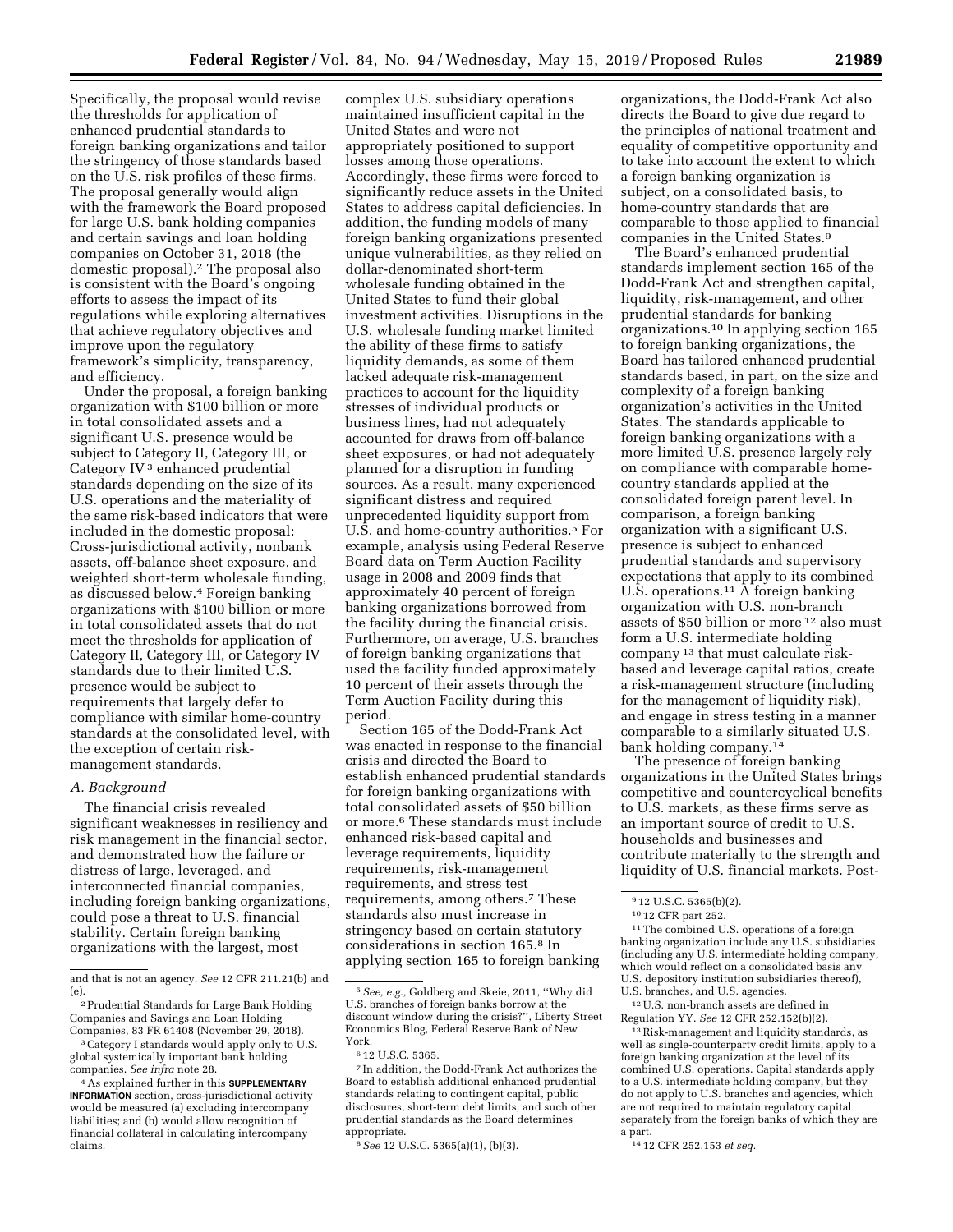Specifically, the proposal would revise the thresholds for application of enhanced prudential standards to foreign banking organizations and tailor the stringency of those standards based on the U.S. risk profiles of these firms. The proposal generally would align with the framework the Board proposed for large U.S. bank holding companies and certain savings and loan holding companies on October 31, 2018 (the domestic proposal).2 The proposal also is consistent with the Board's ongoing efforts to assess the impact of its regulations while exploring alternatives that achieve regulatory objectives and improve upon the regulatory framework's simplicity, transparency, and efficiency.

Under the proposal, a foreign banking organization with \$100 billion or more in total consolidated assets and a significant U.S. presence would be subject to Category II, Category III, or Category IV 3 enhanced prudential standards depending on the size of its U.S. operations and the materiality of the same risk-based indicators that were included in the domestic proposal: Cross-jurisdictional activity, nonbank assets, off-balance sheet exposure, and weighted short-term wholesale funding, as discussed below.4 Foreign banking organizations with \$100 billion or more in total consolidated assets that do not meet the thresholds for application of Category II, Category III, or Category IV standards due to their limited U.S. presence would be subject to requirements that largely defer to compliance with similar home-country standards at the consolidated level, with the exception of certain riskmanagement standards.

### *A. Background*

The financial crisis revealed significant weaknesses in resiliency and risk management in the financial sector, and demonstrated how the failure or distress of large, leveraged, and interconnected financial companies, including foreign banking organizations, could pose a threat to U.S. financial stability. Certain foreign banking organizations with the largest, most

complex U.S. subsidiary operations maintained insufficient capital in the United States and were not appropriately positioned to support losses among those operations. Accordingly, these firms were forced to significantly reduce assets in the United States to address capital deficiencies. In addition, the funding models of many foreign banking organizations presented unique vulnerabilities, as they relied on dollar-denominated short-term wholesale funding obtained in the United States to fund their global investment activities. Disruptions in the U.S. wholesale funding market limited the ability of these firms to satisfy liquidity demands, as some of them lacked adequate risk-management practices to account for the liquidity stresses of individual products or business lines, had not adequately accounted for draws from off-balance sheet exposures, or had not adequately planned for a disruption in funding sources. As a result, many experienced significant distress and required unprecedented liquidity support from U.S. and home-country authorities.5 For example, analysis using Federal Reserve Board data on Term Auction Facility usage in 2008 and 2009 finds that approximately 40 percent of foreign banking organizations borrowed from the facility during the financial crisis. Furthermore, on average, U.S. branches of foreign banking organizations that used the facility funded approximately 10 percent of their assets through the Term Auction Facility during this period.

Section 165 of the Dodd-Frank Act was enacted in response to the financial crisis and directed the Board to establish enhanced prudential standards for foreign banking organizations with total consolidated assets of \$50 billion or more.6 These standards must include enhanced risk-based capital and leverage requirements, liquidity requirements, risk-management requirements, and stress test requirements, among others.7 These standards also must increase in stringency based on certain statutory considerations in section 165.8 In applying section 165 to foreign banking

7 In addition, the Dodd-Frank Act authorizes the Board to establish additional enhanced prudential standards relating to contingent capital, public disclosures, short-term debt limits, and such other prudential standards as the Board determines appropriate.

organizations, the Dodd-Frank Act also directs the Board to give due regard to the principles of national treatment and equality of competitive opportunity and to take into account the extent to which a foreign banking organization is subject, on a consolidated basis, to home-country standards that are comparable to those applied to financial companies in the United States.9

The Board's enhanced prudential standards implement section 165 of the Dodd-Frank Act and strengthen capital, liquidity, risk-management, and other prudential standards for banking organizations.10 In applying section 165 to foreign banking organizations, the Board has tailored enhanced prudential standards based, in part, on the size and complexity of a foreign banking organization's activities in the United States. The standards applicable to foreign banking organizations with a more limited U.S. presence largely rely on compliance with comparable homecountry standards applied at the consolidated foreign parent level. In comparison, a foreign banking organization with a significant U.S. presence is subject to enhanced prudential standards and supervisory expectations that apply to its combined U.S. operations.11 A foreign banking organization with U.S. non-branch assets of \$50 billion or more 12 also must form a U.S. intermediate holding company 13 that must calculate riskbased and leverage capital ratios, create a risk-management structure (including for the management of liquidity risk), and engage in stress testing in a manner comparable to a similarly situated U.S. bank holding company.14

The presence of foreign banking organizations in the United States brings competitive and countercyclical benefits to U.S. markets, as these firms serve as an important source of credit to U.S. households and businesses and contribute materially to the strength and liquidity of U.S. financial markets. Post-

<sup>11</sup>The combined U.S. operations of a foreign banking organization include any U.S. subsidiaries (including any U.S. intermediate holding company, which would reflect on a consolidated basis any U.S. depository institution subsidiaries thereof), U.S. branches, and U.S. agencies.

12U.S. non-branch assets are defined in Regulation YY. *See* 12 CFR 252.152(b)(2).

 $^{\rm 13}\!$  Risk-management and liquidity standards, as well as single-counterparty credit limits, apply to a foreign banking organization at the level of its combined U.S. operations. Capital standards apply to a U.S. intermediate holding company, but they do not apply to U.S. branches and agencies, which are not required to maintain regulatory capital separately from the foreign banks of which they are a part.

14 12 CFR 252.153 *et seq.* 

and that is not an agency. *See* 12 CFR 211.21(b) and (e).

<sup>2</sup>Prudential Standards for Large Bank Holding Companies and Savings and Loan Holding Companies, 83 FR 61408 (November 29, 2018).

<sup>3</sup>Category I standards would apply only to U.S. global systemically important bank holding companies. *See infra* note 28.

<sup>4</sup>As explained further in this **SUPPLEMENTARY INFORMATION** section, cross-jurisdictional activity would be measured (a) excluding intercompany liabilities; and (b) would allow recognition of financial collateral in calculating intercompany claims.

<sup>5</sup>*See, e.g.,* Goldberg and Skeie, 2011, ''Why did U.S. branches of foreign banks borrow at the discount window during the crisis?'', Liberty Street Economics Blog, Federal Reserve Bank of New York.

<sup>6</sup> 12 U.S.C. 5365.

<sup>8</sup>*See* 12 U.S.C. 5365(a)(1), (b)(3).

<sup>9</sup> 12 U.S.C. 5365(b)(2).

<sup>10</sup> 12 CFR part 252.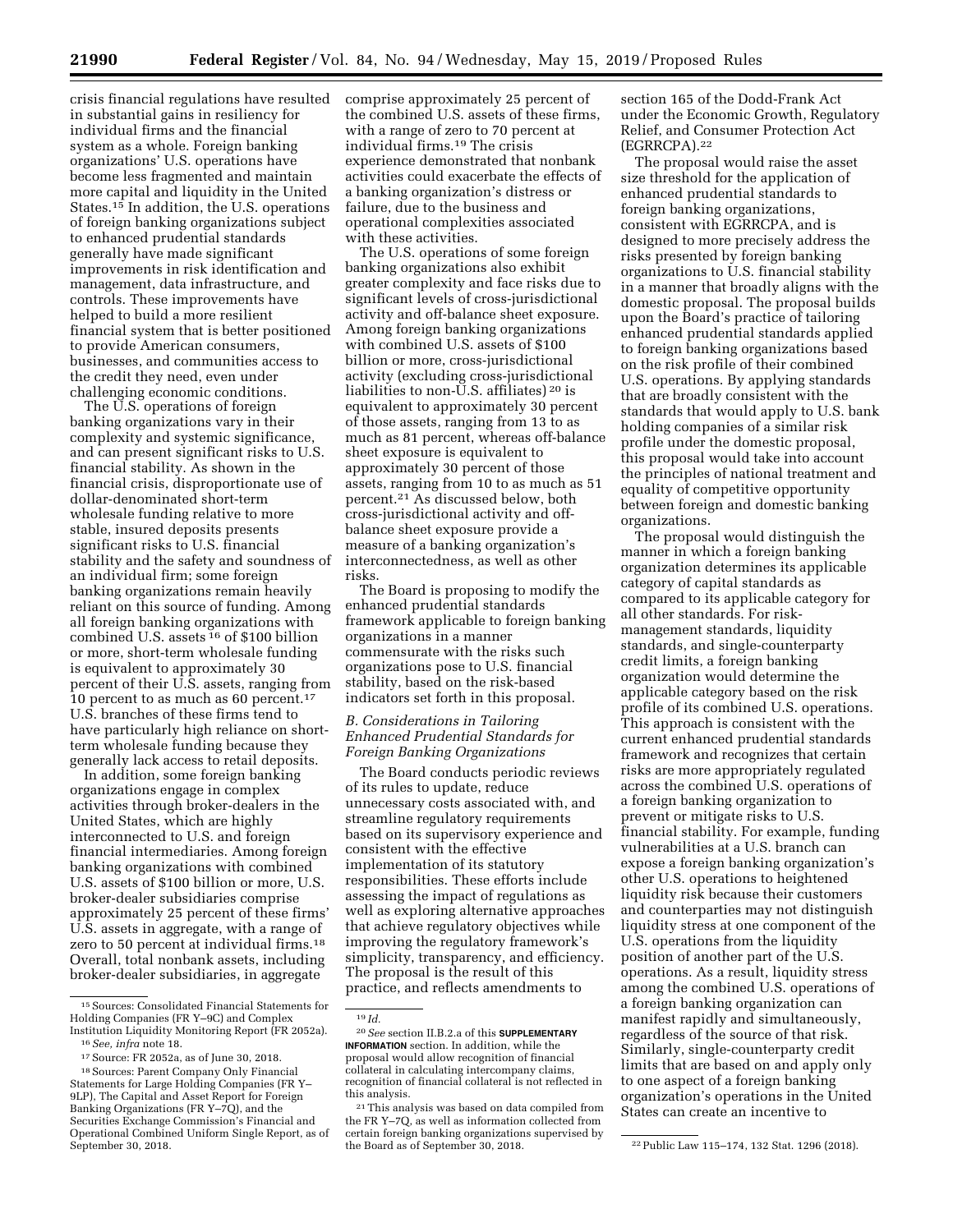crisis financial regulations have resulted in substantial gains in resiliency for individual firms and the financial system as a whole. Foreign banking organizations' U.S. operations have become less fragmented and maintain more capital and liquidity in the United States.15 In addition, the U.S. operations of foreign banking organizations subject to enhanced prudential standards generally have made significant improvements in risk identification and management, data infrastructure, and controls. These improvements have helped to build a more resilient financial system that is better positioned to provide American consumers, businesses, and communities access to the credit they need, even under challenging economic conditions.

The U.S. operations of foreign banking organizations vary in their complexity and systemic significance, and can present significant risks to U.S. financial stability. As shown in the financial crisis, disproportionate use of dollar-denominated short-term wholesale funding relative to more stable, insured deposits presents significant risks to U.S. financial stability and the safety and soundness of an individual firm; some foreign banking organizations remain heavily reliant on this source of funding. Among all foreign banking organizations with combined U.S. assets 16 of \$100 billion or more, short-term wholesale funding is equivalent to approximately 30 percent of their U.S. assets, ranging from 10 percent to as much as 60 percent.<sup>17</sup> U.S. branches of these firms tend to have particularly high reliance on shortterm wholesale funding because they generally lack access to retail deposits.

In addition, some foreign banking organizations engage in complex activities through broker-dealers in the United States, which are highly interconnected to U.S. and foreign financial intermediaries. Among foreign banking organizations with combined U.S. assets of \$100 billion or more, U.S. broker-dealer subsidiaries comprise approximately 25 percent of these firms' U.S. assets in aggregate, with a range of zero to 50 percent at individual firms.18 Overall, total nonbank assets, including broker-dealer subsidiaries, in aggregate

comprise approximately 25 percent of the combined U.S. assets of these firms, with a range of zero to 70 percent at individual firms.19 The crisis experience demonstrated that nonbank activities could exacerbate the effects of a banking organization's distress or failure, due to the business and operational complexities associated with these activities.

The U.S. operations of some foreign banking organizations also exhibit greater complexity and face risks due to significant levels of cross-jurisdictional activity and off-balance sheet exposure. Among foreign banking organizations with combined U.S. assets of \$100 billion or more, cross-jurisdictional activity (excluding cross-jurisdictional liabilities to non- $\overline{U}.S$ . affiliates) <sup>20</sup> is equivalent to approximately 30 percent of those assets, ranging from 13 to as much as 81 percent, whereas off-balance sheet exposure is equivalent to approximately 30 percent of those assets, ranging from 10 to as much as 51 percent.21 As discussed below, both cross-jurisdictional activity and offbalance sheet exposure provide a measure of a banking organization's interconnectedness, as well as other risks.

The Board is proposing to modify the enhanced prudential standards framework applicable to foreign banking organizations in a manner commensurate with the risks such organizations pose to U.S. financial stability, based on the risk-based indicators set forth in this proposal.

## *B. Considerations in Tailoring Enhanced Prudential Standards for Foreign Banking Organizations*

The Board conducts periodic reviews of its rules to update, reduce unnecessary costs associated with, and streamline regulatory requirements based on its supervisory experience and consistent with the effective implementation of its statutory responsibilities. These efforts include assessing the impact of regulations as well as exploring alternative approaches that achieve regulatory objectives while improving the regulatory framework's simplicity, transparency, and efficiency. The proposal is the result of this practice, and reflects amendments to

19 *Id.* 

section 165 of the Dodd-Frank Act under the Economic Growth, Regulatory Relief, and Consumer Protection Act (EGRRCPA).22

The proposal would raise the asset size threshold for the application of enhanced prudential standards to foreign banking organizations, consistent with EGRRCPA, and is designed to more precisely address the risks presented by foreign banking organizations to U.S. financial stability in a manner that broadly aligns with the domestic proposal. The proposal builds upon the Board's practice of tailoring enhanced prudential standards applied to foreign banking organizations based on the risk profile of their combined U.S. operations. By applying standards that are broadly consistent with the standards that would apply to U.S. bank holding companies of a similar risk profile under the domestic proposal, this proposal would take into account the principles of national treatment and equality of competitive opportunity between foreign and domestic banking organizations.

The proposal would distinguish the manner in which a foreign banking organization determines its applicable category of capital standards as compared to its applicable category for all other standards. For riskmanagement standards, liquidity standards, and single-counterparty credit limits, a foreign banking organization would determine the applicable category based on the risk profile of its combined U.S. operations. This approach is consistent with the current enhanced prudential standards framework and recognizes that certain risks are more appropriately regulated across the combined U.S. operations of a foreign banking organization to prevent or mitigate risks to U.S. financial stability. For example, funding vulnerabilities at a U.S. branch can expose a foreign banking organization's other U.S. operations to heightened liquidity risk because their customers and counterparties may not distinguish liquidity stress at one component of the U.S. operations from the liquidity position of another part of the U.S. operations. As a result, liquidity stress among the combined U.S. operations of a foreign banking organization can manifest rapidly and simultaneously, regardless of the source of that risk. Similarly, single-counterparty credit limits that are based on and apply only to one aspect of a foreign banking organization's operations in the United States can create an incentive to

<sup>15</sup>Sources: Consolidated Financial Statements for Holding Companies (FR Y–9C) and Complex Institution Liquidity Monitoring Report (FR 2052a). 16*See, infra* note 18.

<sup>17</sup>Source: FR 2052a, as of June 30, 2018.

<sup>18</sup>Sources: Parent Company Only Financial Statements for Large Holding Companies (FR Y– 9LP), The Capital and Asset Report for Foreign Banking Organizations (FR Y–7Q), and the Securities Exchange Commission's Financial and Operational Combined Uniform Single Report, as of September 30, 2018.

<sup>20</sup>*See* section II.B.2.a of this **SUPPLEMENTARY INFORMATION** section. In addition, while the proposal would allow recognition of financial collateral in calculating intercompany claims, recognition of financial collateral is not reflected in this analysis.

<sup>21</sup>This analysis was based on data compiled from the FR Y–7Q, as well as information collected from certain foreign banking organizations supervised by

<sup>&</sup>lt;sup>22</sup> Public Law 115–174, 132 Stat. 1296 (2018).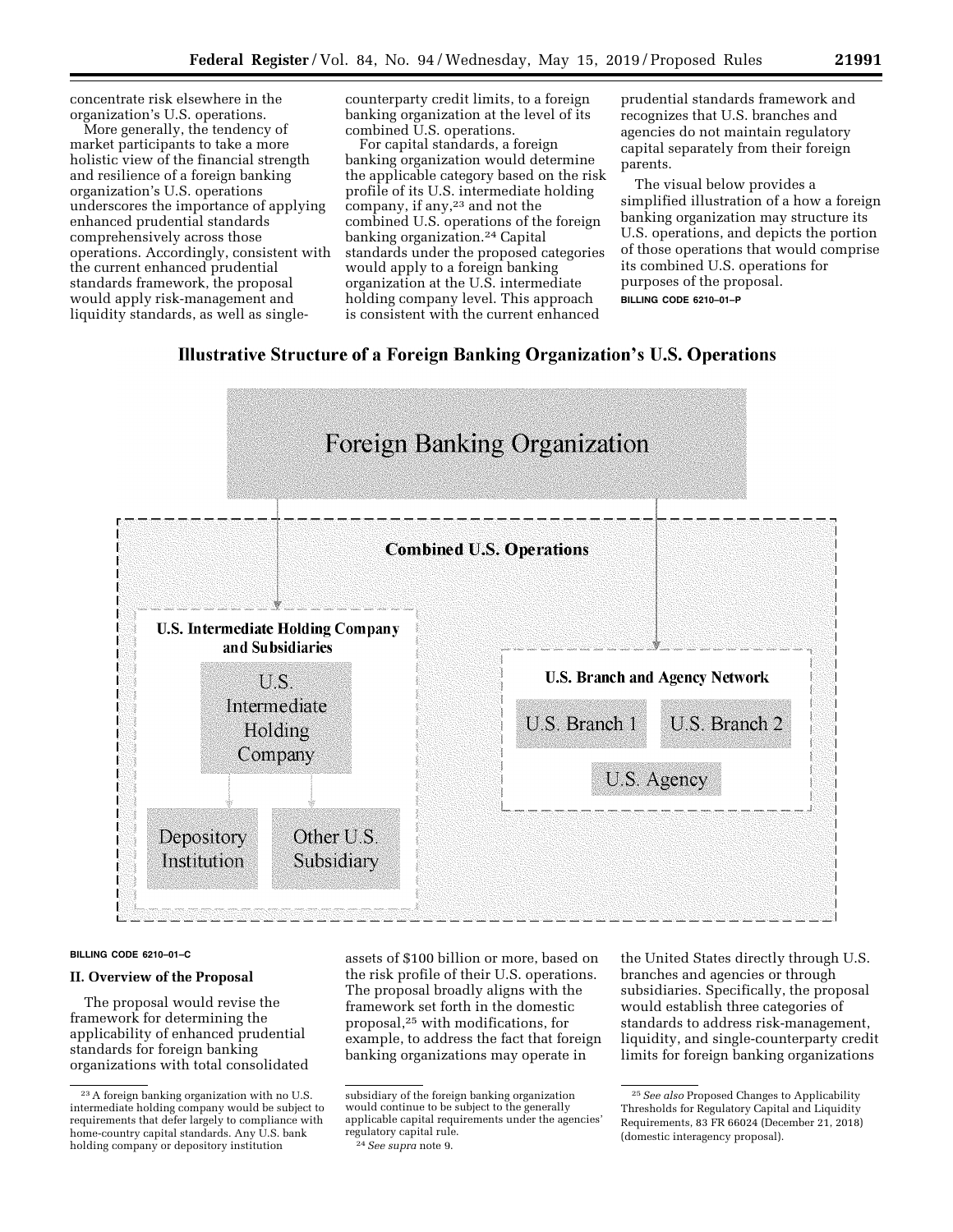concentrate risk elsewhere in the organization's U.S. operations.

More generally, the tendency of market participants to take a more holistic view of the financial strength and resilience of a foreign banking organization's U.S. operations underscores the importance of applying enhanced prudential standards comprehensively across those operations. Accordingly, consistent with the current enhanced prudential standards framework, the proposal would apply risk-management and liquidity standards, as well as singlecounterparty credit limits, to a foreign banking organization at the level of its combined U.S. operations.

For capital standards, a foreign banking organization would determine the applicable category based on the risk profile of its U.S. intermediate holding company, if any,<sup>23</sup> and not the combined U.S. operations of the foreign banking organization.24 Capital standards under the proposed categories would apply to a foreign banking organization at the U.S. intermediate holding company level. This approach is consistent with the current enhanced

prudential standards framework and recognizes that U.S. branches and agencies do not maintain regulatory capital separately from their foreign parents.

The visual below provides a simplified illustration of a how a foreign banking organization may structure its U.S. operations, and depicts the portion of those operations that would comprise its combined U.S. operations for purposes of the proposal. **BILLING CODE 6210–01–P** 

# Illustrative Structure of a Foreign Banking Organization's U.S. Operations



#### **BILLING CODE 6210–01–C**

## **II. Overview of the Proposal**

The proposal would revise the framework for determining the applicability of enhanced prudential standards for foreign banking organizations with total consolidated assets of \$100 billion or more, based on the risk profile of their U.S. operations. The proposal broadly aligns with the framework set forth in the domestic proposal,25 with modifications, for example, to address the fact that foreign banking organizations may operate in

the United States directly through U.S. branches and agencies or through subsidiaries. Specifically, the proposal would establish three categories of standards to address risk-management, liquidity, and single-counterparty credit limits for foreign banking organizations

<sup>23</sup>A foreign banking organization with no U.S. intermediate holding company would be subject to requirements that defer largely to compliance with home-country capital standards. Any U.S. bank holding company or depository institution

subsidiary of the foreign banking organization would continue to be subject to the generally applicable capital requirements under the agencies' regulatory capital rule. 24*See supra* note 9.

<sup>25</sup>*See also* Proposed Changes to Applicability Thresholds for Regulatory Capital and Liquidity Requirements, 83 FR 66024 (December 21, 2018) (domestic interagency proposal).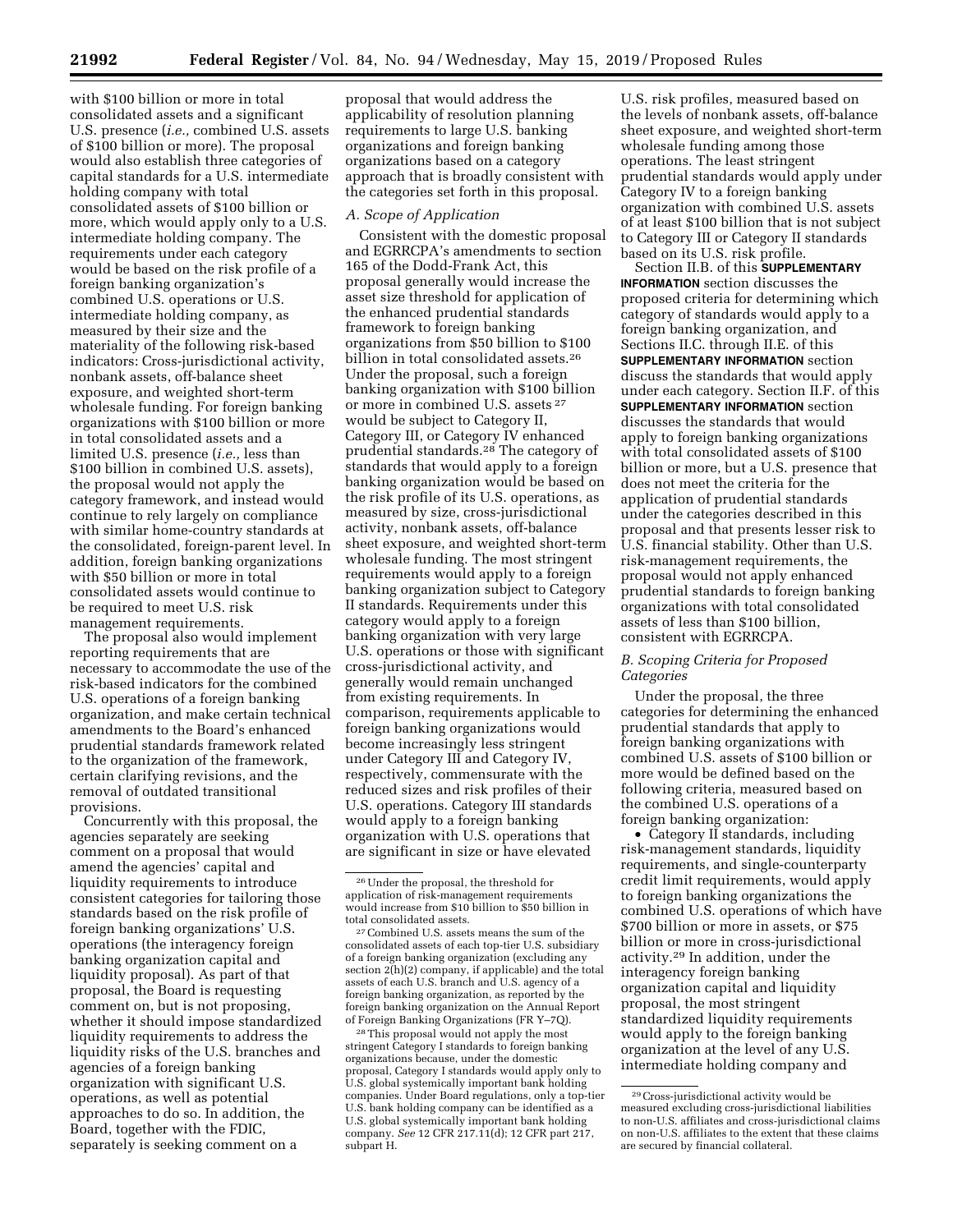with \$100 billion or more in total consolidated assets and a significant U.S. presence (*i.e.,* combined U.S. assets of \$100 billion or more). The proposal would also establish three categories of capital standards for a U.S. intermediate holding company with total consolidated assets of \$100 billion or more, which would apply only to a U.S. intermediate holding company. The requirements under each category would be based on the risk profile of a foreign banking organization's combined U.S. operations or U.S. intermediate holding company, as measured by their size and the materiality of the following risk-based indicators: Cross-jurisdictional activity, nonbank assets, off-balance sheet exposure, and weighted short-term wholesale funding. For foreign banking organizations with \$100 billion or more in total consolidated assets and a limited U.S. presence (*i.e.,* less than \$100 billion in combined U.S. assets), the proposal would not apply the category framework, and instead would continue to rely largely on compliance with similar home-country standards at the consolidated, foreign-parent level. In addition, foreign banking organizations with \$50 billion or more in total consolidated assets would continue to be required to meet U.S. risk management requirements.

The proposal also would implement reporting requirements that are necessary to accommodate the use of the risk-based indicators for the combined U.S. operations of a foreign banking organization, and make certain technical amendments to the Board's enhanced prudential standards framework related to the organization of the framework, certain clarifying revisions, and the removal of outdated transitional provisions.

Concurrently with this proposal, the agencies separately are seeking comment on a proposal that would amend the agencies' capital and liquidity requirements to introduce consistent categories for tailoring those standards based on the risk profile of foreign banking organizations' U.S. operations (the interagency foreign banking organization capital and liquidity proposal). As part of that proposal, the Board is requesting comment on, but is not proposing, whether it should impose standardized liquidity requirements to address the liquidity risks of the U.S. branches and agencies of a foreign banking organization with significant U.S. operations, as well as potential approaches to do so. In addition, the Board, together with the FDIC, separately is seeking comment on a

proposal that would address the applicability of resolution planning requirements to large U.S. banking organizations and foreign banking organizations based on a category approach that is broadly consistent with the categories set forth in this proposal.

### *A. Scope of Application*

Consistent with the domestic proposal and EGRRCPA's amendments to section 165 of the Dodd-Frank Act, this proposal generally would increase the asset size threshold for application of the enhanced prudential standards framework to foreign banking organizations from \$50 billion to \$100 billion in total consolidated assets.26 Under the proposal, such a foreign banking organization with \$100 billion or more in combined U.S. assets 27 would be subject to Category II, Category III, or Category IV enhanced prudential standards.28 The category of standards that would apply to a foreign banking organization would be based on the risk profile of its U.S. operations, as measured by size, cross-jurisdictional activity, nonbank assets, off-balance sheet exposure, and weighted short-term wholesale funding. The most stringent requirements would apply to a foreign banking organization subject to Category II standards. Requirements under this category would apply to a foreign banking organization with very large U.S. operations or those with significant cross-jurisdictional activity, and generally would remain unchanged from existing requirements. In comparison, requirements applicable to foreign banking organizations would become increasingly less stringent under Category III and Category IV, respectively, commensurate with the reduced sizes and risk profiles of their U.S. operations. Category III standards would apply to a foreign banking organization with U.S. operations that are significant in size or have elevated

28This proposal would not apply the most stringent Category I standards to foreign banking organizations because, under the domestic proposal, Category I standards would apply only to U.S. global systemically important bank holding companies. Under Board regulations, only a top-tier U.S. bank holding company can be identified as a U.S. global systemically important bank holding company. *See* 12 CFR 217.11(d); 12 CFR part 217, subpart H.

U.S. risk profiles, measured based on the levels of nonbank assets, off-balance sheet exposure, and weighted short-term wholesale funding among those operations. The least stringent prudential standards would apply under Category IV to a foreign banking organization with combined U.S. assets of at least \$100 billion that is not subject to Category III or Category II standards based on its U.S. risk profile.

Section II.B. of this **SUPPLEMENTARY INFORMATION** section discusses the proposed criteria for determining which category of standards would apply to a foreign banking organization, and Sections II.C. through II.E. of this **SUPPLEMENTARY INFORMATION** section discuss the standards that would apply under each category. Section II.F. of this **SUPPLEMENTARY INFORMATION** section discusses the standards that would apply to foreign banking organizations with total consolidated assets of \$100 billion or more, but a U.S. presence that does not meet the criteria for the application of prudential standards under the categories described in this proposal and that presents lesser risk to U.S. financial stability. Other than U.S. risk-management requirements, the proposal would not apply enhanced prudential standards to foreign banking organizations with total consolidated assets of less than \$100 billion, consistent with EGRRCPA.

## *B. Scoping Criteria for Proposed Categories*

Under the proposal, the three categories for determining the enhanced prudential standards that apply to foreign banking organizations with combined U.S. assets of \$100 billion or more would be defined based on the following criteria, measured based on the combined U.S. operations of a foreign banking organization:

• Category II standards, including risk-management standards, liquidity requirements, and single-counterparty credit limit requirements, would apply to foreign banking organizations the combined U.S. operations of which have \$700 billion or more in assets, or \$75 billion or more in cross-jurisdictional activity.29 In addition, under the interagency foreign banking organization capital and liquidity proposal, the most stringent standardized liquidity requirements would apply to the foreign banking organization at the level of any U.S. intermediate holding company and

<sup>26</sup>Under the proposal, the threshold for application of risk-management requirements would increase from \$10 billion to \$50 billion in total consolidated assets.

<sup>27</sup>Combined U.S. assets means the sum of the consolidated assets of each top-tier U.S. subsidiary of a foreign banking organization (excluding any section 2(h)(2) company, if applicable) and the total assets of each U.S. branch and U.S. agency of a foreign banking organization, as reported by the foreign banking organization on the Annual Report of Foreign Banking Organizations (FR Y–7Q).

<sup>29</sup>Cross-jurisdictional activity would be measured excluding cross-jurisdictional liabilities to non-U.S. affiliates and cross-jurisdictional claims on non-U.S. affiliates to the extent that these claims are secured by financial collateral.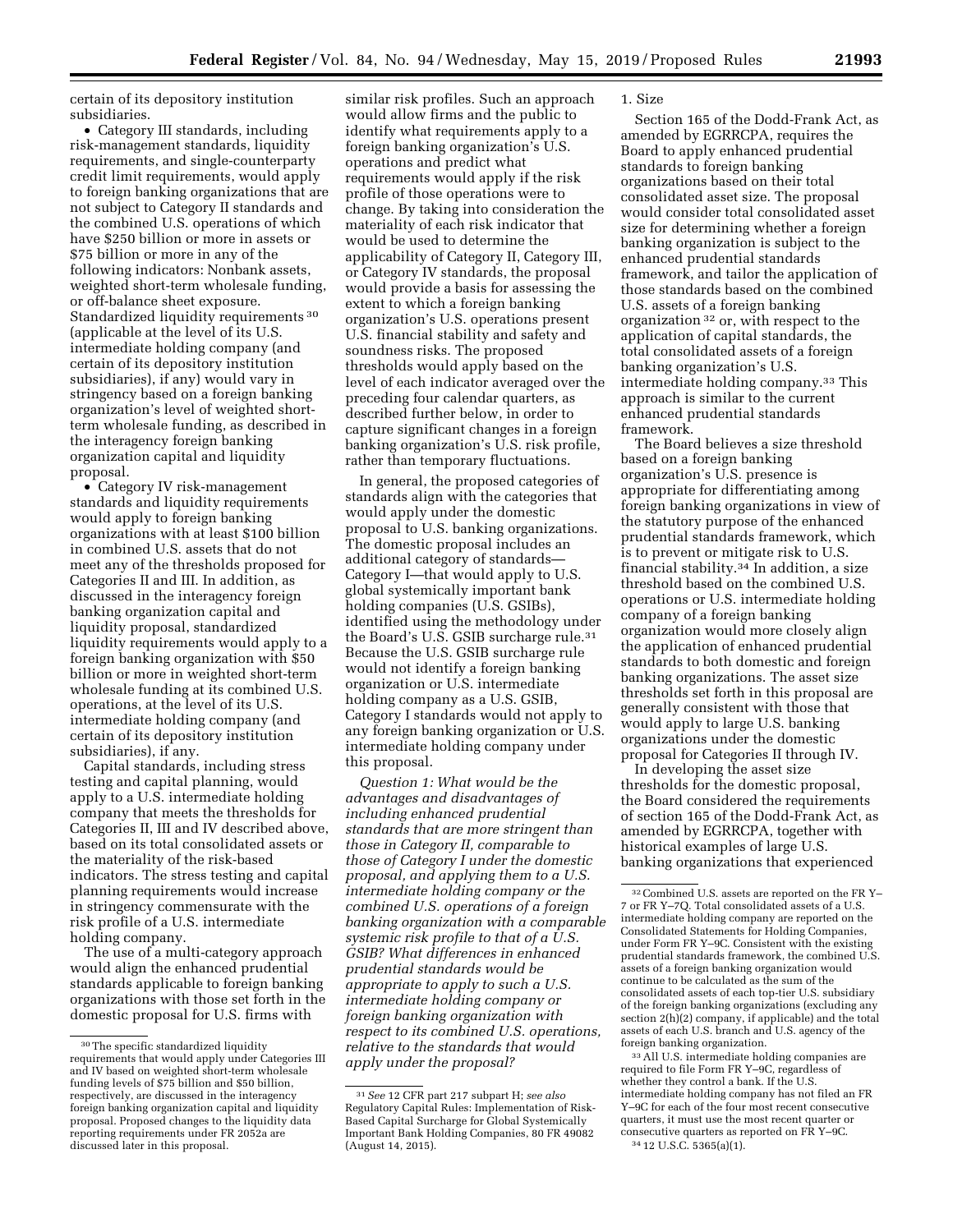certain of its depository institution subsidiaries.

• Category III standards, including risk-management standards, liquidity requirements, and single-counterparty credit limit requirements, would apply to foreign banking organizations that are not subject to Category II standards and the combined U.S. operations of which have \$250 billion or more in assets or \$75 billion or more in any of the following indicators: Nonbank assets, weighted short-term wholesale funding, or off-balance sheet exposure. Standardized liquidity requirements 30 (applicable at the level of its U.S. intermediate holding company (and certain of its depository institution subsidiaries), if any) would vary in stringency based on a foreign banking organization's level of weighted shortterm wholesale funding, as described in the interagency foreign banking organization capital and liquidity proposal.

• Category IV risk-management standards and liquidity requirements would apply to foreign banking organizations with at least \$100 billion in combined U.S. assets that do not meet any of the thresholds proposed for Categories II and III. In addition, as discussed in the interagency foreign banking organization capital and liquidity proposal, standardized liquidity requirements would apply to a foreign banking organization with \$50 billion or more in weighted short-term wholesale funding at its combined U.S. operations, at the level of its U.S. intermediate holding company (and certain of its depository institution subsidiaries), if any.

Capital standards, including stress testing and capital planning, would apply to a U.S. intermediate holding company that meets the thresholds for Categories II, III and IV described above, based on its total consolidated assets or the materiality of the risk-based indicators. The stress testing and capital planning requirements would increase in stringency commensurate with the risk profile of a U.S. intermediate holding company.

The use of a multi-category approach would align the enhanced prudential standards applicable to foreign banking organizations with those set forth in the domestic proposal for U.S. firms with

similar risk profiles. Such an approach would allow firms and the public to identify what requirements apply to a foreign banking organization's U.S. operations and predict what requirements would apply if the risk profile of those operations were to change. By taking into consideration the materiality of each risk indicator that would be used to determine the applicability of Category II, Category III, or Category IV standards, the proposal would provide a basis for assessing the extent to which a foreign banking organization's U.S. operations present U.S. financial stability and safety and soundness risks. The proposed thresholds would apply based on the level of each indicator averaged over the preceding four calendar quarters, as described further below, in order to capture significant changes in a foreign banking organization's U.S. risk profile, rather than temporary fluctuations.

In general, the proposed categories of standards align with the categories that would apply under the domestic proposal to U.S. banking organizations. The domestic proposal includes an additional category of standards— Category I—that would apply to U.S. global systemically important bank holding companies (U.S. GSIBs), identified using the methodology under the Board's U.S. GSIB surcharge rule.31 Because the U.S. GSIB surcharge rule would not identify a foreign banking organization or U.S. intermediate holding company as a U.S. GSIB, Category I standards would not apply to any foreign banking organization or U.S. intermediate holding company under this proposal.

*Question 1: What would be the advantages and disadvantages of including enhanced prudential standards that are more stringent than those in Category II, comparable to those of Category I under the domestic proposal, and applying them to a U.S. intermediate holding company or the combined U.S. operations of a foreign banking organization with a comparable systemic risk profile to that of a U.S. GSIB? What differences in enhanced prudential standards would be appropriate to apply to such a U.S. intermediate holding company or foreign banking organization with respect to its combined U.S. operations, relative to the standards that would apply under the proposal?* 

### 1. Size

Section 165 of the Dodd-Frank Act, as amended by EGRRCPA, requires the Board to apply enhanced prudential standards to foreign banking organizations based on their total consolidated asset size. The proposal would consider total consolidated asset size for determining whether a foreign banking organization is subject to the enhanced prudential standards framework, and tailor the application of those standards based on the combined U.S. assets of a foreign banking organization 32 or, with respect to the application of capital standards, the total consolidated assets of a foreign banking organization's U.S. intermediate holding company.33 This approach is similar to the current enhanced prudential standards framework.

The Board believes a size threshold based on a foreign banking organization's U.S. presence is appropriate for differentiating among foreign banking organizations in view of the statutory purpose of the enhanced prudential standards framework, which is to prevent or mitigate risk to U.S. financial stability.34 In addition, a size threshold based on the combined U.S. operations or U.S. intermediate holding company of a foreign banking organization would more closely align the application of enhanced prudential standards to both domestic and foreign banking organizations. The asset size thresholds set forth in this proposal are generally consistent with those that would apply to large U.S. banking organizations under the domestic proposal for Categories II through IV.

In developing the asset size thresholds for the domestic proposal, the Board considered the requirements of section 165 of the Dodd-Frank Act, as amended by EGRRCPA, together with historical examples of large U.S. banking organizations that experienced

<sup>33</sup> All U.S. intermediate holding companies are required to file Form FR Y–9C, regardless of whether they control a bank. If the U.S. intermediate holding company has not filed an FR Y–9C for each of the four most recent consecutive quarters, it must use the most recent quarter or consecutive quarters as reported on FR Y–9C. 34 12 U.S.C. 5365(a)(1).

<sup>30</sup>The specific standardized liquidity requirements that would apply under Categories III and IV based on weighted short-term wholesale funding levels of \$75 billion and \$50 billion, respectively, are discussed in the interagency foreign banking organization capital and liquidity proposal. Proposed changes to the liquidity data reporting requirements under FR 2052a are discussed later in this proposal.

<sup>31</sup>*See* 12 CFR part 217 subpart H; *see also*  Regulatory Capital Rules: Implementation of Risk-Based Capital Surcharge for Global Systemically Important Bank Holding Companies, 80 FR 49082 (August 14, 2015).

<sup>32</sup>Combined U.S. assets are reported on the FR Y– 7 or FR Y–7Q. Total consolidated assets of a U.S. intermediate holding company are reported on the Consolidated Statements for Holding Companies, under Form FR Y–9C. Consistent with the existing prudential standards framework, the combined U.S. assets of a foreign banking organization would continue to be calculated as the sum of the consolidated assets of each top-tier U.S. subsidiary of the foreign banking organizations (excluding any section 2(h)(2) company, if applicable) and the total assets of each U.S. branch and U.S. agency of the foreign banking organization.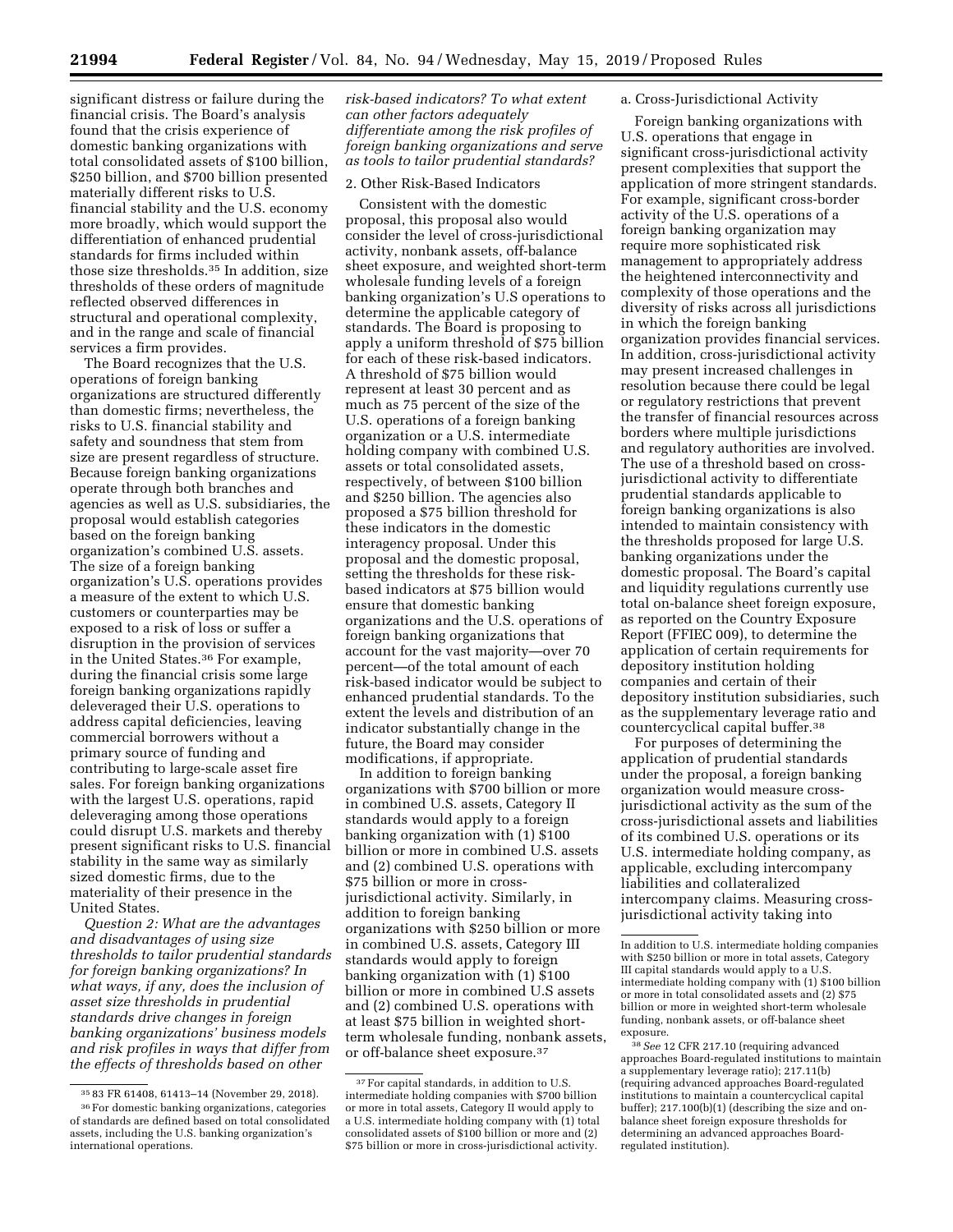significant distress or failure during the financial crisis. The Board's analysis found that the crisis experience of domestic banking organizations with total consolidated assets of \$100 billion, \$250 billion, and \$700 billion presented materially different risks to U.S. financial stability and the U.S. economy more broadly, which would support the differentiation of enhanced prudential standards for firms included within those size thresholds.35 In addition, size thresholds of these orders of magnitude reflected observed differences in structural and operational complexity, and in the range and scale of financial

services a firm provides. The Board recognizes that the U.S. operations of foreign banking organizations are structured differently than domestic firms; nevertheless, the risks to U.S. financial stability and safety and soundness that stem from size are present regardless of structure. Because foreign banking organizations operate through both branches and agencies as well as U.S. subsidiaries, the proposal would establish categories based on the foreign banking organization's combined U.S. assets. The size of a foreign banking organization's U.S. operations provides a measure of the extent to which U.S. customers or counterparties may be exposed to a risk of loss or suffer a disruption in the provision of services in the United States.36 For example, during the financial crisis some large foreign banking organizations rapidly deleveraged their U.S. operations to address capital deficiencies, leaving commercial borrowers without a primary source of funding and contributing to large-scale asset fire sales. For foreign banking organizations with the largest U.S. operations, rapid deleveraging among those operations could disrupt U.S. markets and thereby present significant risks to U.S. financial stability in the same way as similarly sized domestic firms, due to the materiality of their presence in the United States.

*Question 2: What are the advantages and disadvantages of using size thresholds to tailor prudential standards for foreign banking organizations? In what ways, if any, does the inclusion of asset size thresholds in prudential standards drive changes in foreign banking organizations' business models and risk profiles in ways that differ from the effects of thresholds based on other* 

*risk-based indicators? To what extent can other factors adequately differentiate among the risk profiles of foreign banking organizations and serve as tools to tailor prudential standards?* 

# 2. Other Risk-Based Indicators

Consistent with the domestic proposal, this proposal also would consider the level of cross-jurisdictional activity, nonbank assets, off-balance sheet exposure, and weighted short-term wholesale funding levels of a foreign banking organization's U.S operations to determine the applicable category of standards. The Board is proposing to apply a uniform threshold of \$75 billion for each of these risk-based indicators. A threshold of \$75 billion would represent at least 30 percent and as much as 75 percent of the size of the U.S. operations of a foreign banking organization or a U.S. intermediate holding company with combined U.S. assets or total consolidated assets, respectively, of between \$100 billion and \$250 billion. The agencies also proposed a \$75 billion threshold for these indicators in the domestic interagency proposal. Under this proposal and the domestic proposal, setting the thresholds for these riskbased indicators at \$75 billion would ensure that domestic banking organizations and the U.S. operations of foreign banking organizations that account for the vast majority—over 70 percent—of the total amount of each risk-based indicator would be subject to enhanced prudential standards. To the extent the levels and distribution of an indicator substantially change in the future, the Board may consider modifications, if appropriate.

In addition to foreign banking organizations with \$700 billion or more in combined U.S. assets, Category II standards would apply to a foreign banking organization with (1) \$100 billion or more in combined U.S. assets and (2) combined U.S. operations with \$75 billion or more in crossjurisdictional activity. Similarly, in addition to foreign banking organizations with \$250 billion or more in combined U.S. assets, Category III standards would apply to foreign banking organization with (1) \$100 billion or more in combined U.S assets and (2) combined U.S. operations with at least \$75 billion in weighted shortterm wholesale funding, nonbank assets, or off-balance sheet exposure.37

### a. Cross-Jurisdictional Activity

Foreign banking organizations with U.S. operations that engage in significant cross-jurisdictional activity present complexities that support the application of more stringent standards. For example, significant cross-border activity of the U.S. operations of a foreign banking organization may require more sophisticated risk management to appropriately address the heightened interconnectivity and complexity of those operations and the diversity of risks across all jurisdictions in which the foreign banking organization provides financial services. In addition, cross-jurisdictional activity may present increased challenges in resolution because there could be legal or regulatory restrictions that prevent the transfer of financial resources across borders where multiple jurisdictions and regulatory authorities are involved. The use of a threshold based on crossjurisdictional activity to differentiate prudential standards applicable to foreign banking organizations is also intended to maintain consistency with the thresholds proposed for large U.S. banking organizations under the domestic proposal. The Board's capital and liquidity regulations currently use total on-balance sheet foreign exposure, as reported on the Country Exposure Report (FFIEC 009), to determine the application of certain requirements for depository institution holding companies and certain of their depository institution subsidiaries, such as the supplementary leverage ratio and countercyclical capital buffer.38

For purposes of determining the application of prudential standards under the proposal, a foreign banking organization would measure crossjurisdictional activity as the sum of the cross-jurisdictional assets and liabilities of its combined U.S. operations or its U.S. intermediate holding company, as applicable, excluding intercompany liabilities and collateralized intercompany claims. Measuring crossjurisdictional activity taking into

<sup>35</sup> 83 FR 61408, 61413–14 (November 29, 2018).

<sup>36</sup>For domestic banking organizations, categories of standards are defined based on total consolidated assets, including the U.S. banking organization's international operations.

<sup>&</sup>lt;sup>37</sup> For capital standards, in addition to U.S. intermediate holding companies with \$700 billion or more in total assets, Category II would apply to a U.S. intermediate holding company with (1) total consolidated assets of \$100 billion or more and (2) \$75 billion or more in cross-jurisdictional activity.

In addition to U.S. intermediate holding companies with \$250 billion or more in total assets, Category III capital standards would apply to a U.S. intermediate holding company with (1) \$100 billion or more in total consolidated assets and (2) \$75 billion or more in weighted short-term wholesale funding, nonbank assets, or off-balance sheet exposure.

<sup>38</sup>*See* 12 CFR 217.10 (requiring advanced approaches Board-regulated institutions to maintain a supplementary leverage ratio); 217.11(b) (requiring advanced approaches Board-regulated institutions to maintain a countercyclical capital buffer); 217.100(b)(1) (describing the size and onbalance sheet foreign exposure thresholds for determining an advanced approaches Boardregulated institution).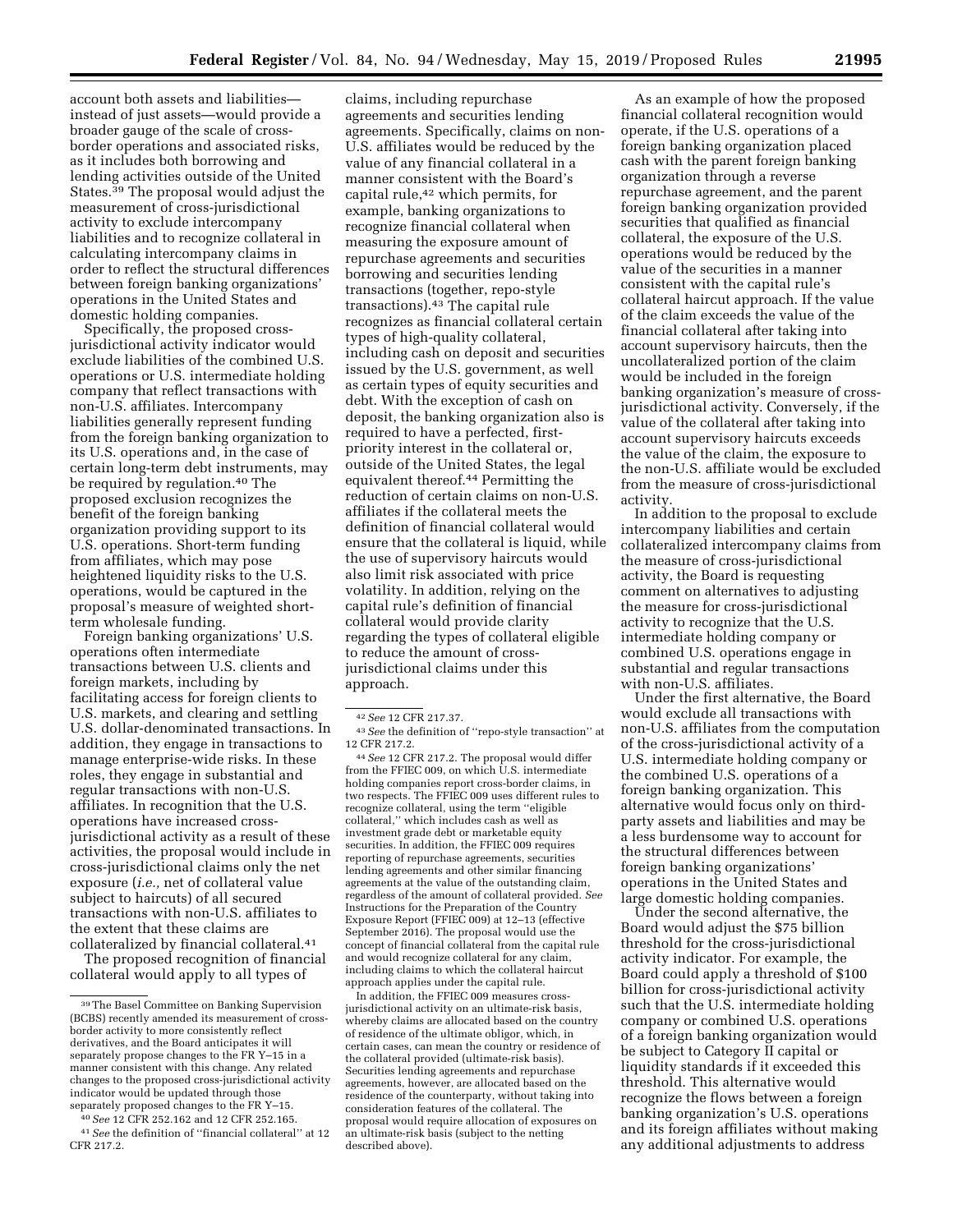account both assets and liabilities instead of just assets—would provide a broader gauge of the scale of crossborder operations and associated risks, as it includes both borrowing and lending activities outside of the United States.39 The proposal would adjust the measurement of cross-jurisdictional activity to exclude intercompany liabilities and to recognize collateral in calculating intercompany claims in order to reflect the structural differences between foreign banking organizations' operations in the United States and domestic holding companies.

Specifically, the proposed crossjurisdictional activity indicator would exclude liabilities of the combined U.S. operations or U.S. intermediate holding company that reflect transactions with non-U.S. affiliates. Intercompany liabilities generally represent funding from the foreign banking organization to its U.S. operations and, in the case of certain long-term debt instruments, may be required by regulation.40 The proposed exclusion recognizes the benefit of the foreign banking organization providing support to its U.S. operations. Short-term funding from affiliates, which may pose heightened liquidity risks to the U.S. operations, would be captured in the proposal's measure of weighted shortterm wholesale funding.

Foreign banking organizations' U.S. operations often intermediate transactions between U.S. clients and foreign markets, including by facilitating access for foreign clients to U.S. markets, and clearing and settling U.S. dollar-denominated transactions. In addition, they engage in transactions to manage enterprise-wide risks. In these roles, they engage in substantial and regular transactions with non-U.S. affiliates. In recognition that the U.S. operations have increased crossjurisdictional activity as a result of these activities, the proposal would include in cross-jurisdictional claims only the net exposure (*i.e.,* net of collateral value subject to haircuts) of all secured transactions with non-U.S. affiliates to the extent that these claims are collateralized by financial collateral.41

The proposed recognition of financial collateral would apply to all types of

40*See* 12 CFR 252.162 and 12 CFR 252.165.

claims, including repurchase agreements and securities lending agreements. Specifically, claims on non-U.S. affiliates would be reduced by the value of any financial collateral in a manner consistent with the Board's capital rule,42 which permits, for example, banking organizations to recognize financial collateral when measuring the exposure amount of repurchase agreements and securities borrowing and securities lending transactions (together, repo-style transactions).43 The capital rule recognizes as financial collateral certain types of high-quality collateral, including cash on deposit and securities issued by the U.S. government, as well as certain types of equity securities and debt. With the exception of cash on deposit, the banking organization also is required to have a perfected, firstpriority interest in the collateral or, outside of the United States, the legal equivalent thereof.44 Permitting the reduction of certain claims on non-U.S. affiliates if the collateral meets the definition of financial collateral would ensure that the collateral is liquid, while the use of supervisory haircuts would also limit risk associated with price volatility. In addition, relying on the capital rule's definition of financial collateral would provide clarity regarding the types of collateral eligible to reduce the amount of crossjurisdictional claims under this approach.

43*See* the definition of ''repo-style transaction'' at 12 CFR 217.2.

44*See* 12 CFR 217.2. The proposal would differ from the FFIEC 009, on which U.S. intermediate holding companies report cross-border claims, in two respects. The FFIEC 009 uses different rules to recognize collateral, using the term ''eligible collateral,'' which includes cash as well as investment grade debt or marketable equity securities. In addition, the FFIEC 009 requires reporting of repurchase agreements, securities lending agreements and other similar financing agreements at the value of the outstanding claim, regardless of the amount of collateral provided. *See*  Instructions for the Preparation of the Country Exposure Report (FFIEC 009) at 12–13 (effective September 2016). The proposal would use the concept of financial collateral from the capital rule and would recognize collateral for any claim, including claims to which the collateral haircut approach applies under the capital rule.

In addition, the FFIEC 009 measures crossjurisdictional activity on an ultimate-risk basis, whereby claims are allocated based on the country of residence of the ultimate obligor, which, in certain cases, can mean the country or residence of the collateral provided (ultimate-risk basis). Securities lending agreements and repurchase agreements, however, are allocated based on the residence of the counterparty, without taking into consideration features of the collateral. The proposal would require allocation of exposures on an ultimate-risk basis (subject to the netting described above).

As an example of how the proposed financial collateral recognition would operate, if the U.S. operations of a foreign banking organization placed cash with the parent foreign banking organization through a reverse repurchase agreement, and the parent foreign banking organization provided securities that qualified as financial collateral, the exposure of the U.S. operations would be reduced by the value of the securities in a manner consistent with the capital rule's collateral haircut approach. If the value of the claim exceeds the value of the financial collateral after taking into account supervisory haircuts, then the uncollateralized portion of the claim would be included in the foreign banking organization's measure of crossjurisdictional activity. Conversely, if the value of the collateral after taking into account supervisory haircuts exceeds the value of the claim, the exposure to the non-U.S. affiliate would be excluded from the measure of cross-jurisdictional activity.

In addition to the proposal to exclude intercompany liabilities and certain collateralized intercompany claims from the measure of cross-jurisdictional activity, the Board is requesting comment on alternatives to adjusting the measure for cross-jurisdictional activity to recognize that the U.S. intermediate holding company or combined U.S. operations engage in substantial and regular transactions with non-U.S. affiliates.

Under the first alternative, the Board would exclude all transactions with non-U.S. affiliates from the computation of the cross-jurisdictional activity of a U.S. intermediate holding company or the combined U.S. operations of a foreign banking organization. This alternative would focus only on thirdparty assets and liabilities and may be a less burdensome way to account for the structural differences between foreign banking organizations' operations in the United States and large domestic holding companies.

Under the second alternative, the Board would adjust the \$75 billion threshold for the cross-jurisdictional activity indicator. For example, the Board could apply a threshold of \$100 billion for cross-jurisdictional activity such that the U.S. intermediate holding company or combined U.S. operations of a foreign banking organization would be subject to Category II capital or liquidity standards if it exceeded this threshold. This alternative would recognize the flows between a foreign banking organization's U.S. operations and its foreign affiliates without making any additional adjustments to address

<sup>39</sup>The Basel Committee on Banking Supervision (BCBS) recently amended its measurement of crossborder activity to more consistently reflect derivatives, and the Board anticipates it will separately propose changes to the FR Y–15 in a manner consistent with this change. Any related changes to the proposed cross-jurisdictional activity indicator would be updated through those separately proposed changes to the FR Y–15.

<sup>41</sup>*See* the definition of ''financial collateral'' at 12 CFR 217.2.

<sup>42</sup>*See* 12 CFR 217.37.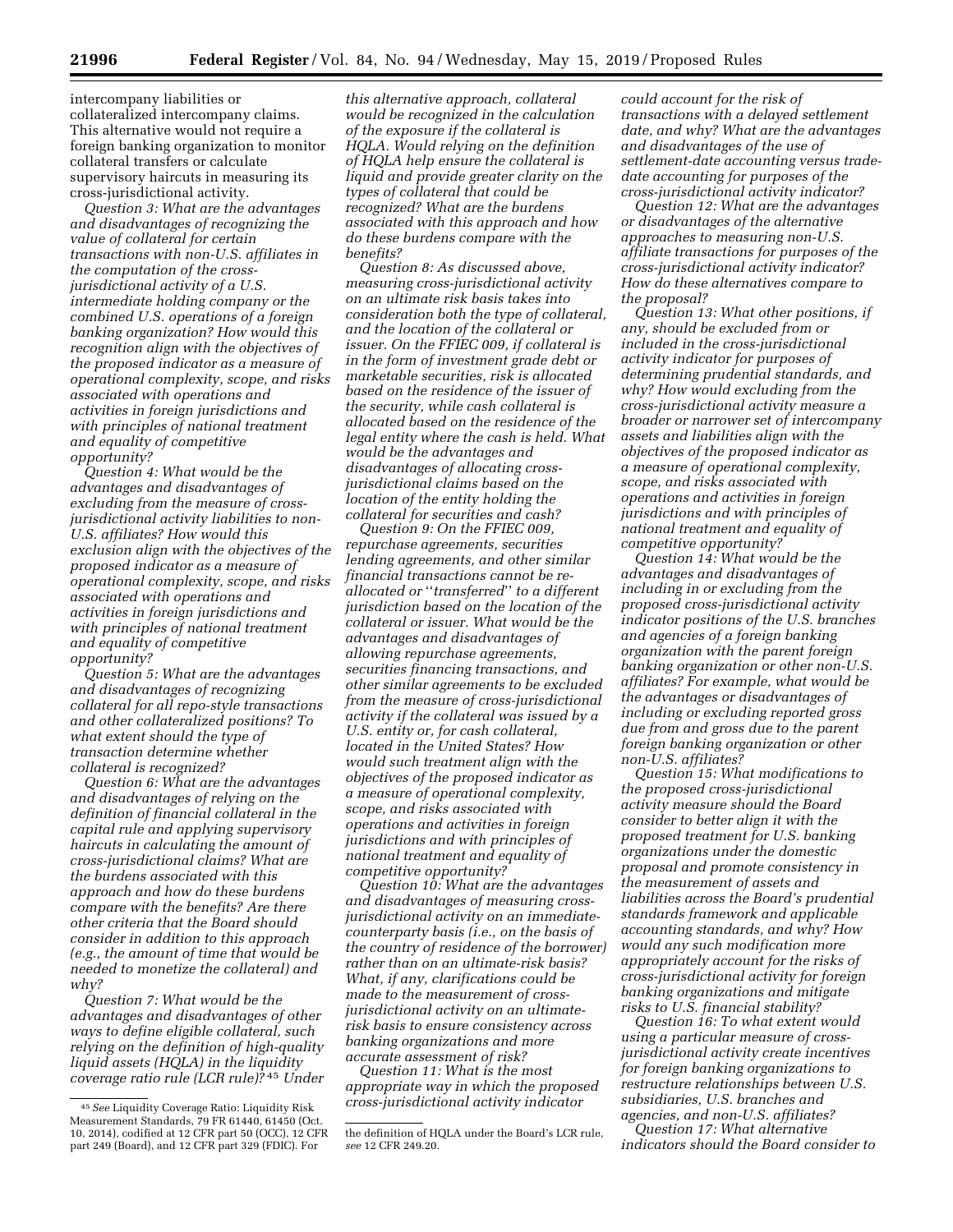intercompany liabilities or collateralized intercompany claims. This alternative would not require a foreign banking organization to monitor collateral transfers or calculate

supervisory haircuts in measuring its

cross-jurisdictional activity. *Question 3: What are the advantages and disadvantages of recognizing the value of collateral for certain transactions with non-U.S. affiliates in the computation of the crossjurisdictional activity of a U.S. intermediate holding company or the combined U.S. operations of a foreign banking organization? How would this recognition align with the objectives of the proposed indicator as a measure of operational complexity, scope, and risks associated with operations and activities in foreign jurisdictions and with principles of national treatment and equality of competitive opportunity?* 

*Question 4: What would be the advantages and disadvantages of excluding from the measure of crossjurisdictional activity liabilities to non-U.S. affiliates? How would this exclusion align with the objectives of the proposed indicator as a measure of operational complexity, scope, and risks associated with operations and activities in foreign jurisdictions and with principles of national treatment and equality of competitive opportunity?* 

*Question 5: What are the advantages and disadvantages of recognizing collateral for all repo-style transactions and other collateralized positions? To what extent should the type of transaction determine whether collateral is recognized?* 

*Question 6: What are the advantages and disadvantages of relying on the definition of financial collateral in the capital rule and applying supervisory haircuts in calculating the amount of cross-jurisdictional claims? What are the burdens associated with this approach and how do these burdens compare with the benefits? Are there other criteria that the Board should consider in addition to this approach (e.g., the amount of time that would be needed to monetize the collateral) and why?* 

*Question 7: What would be the advantages and disadvantages of other ways to define eligible collateral, such relying on the definition of high-quality liquid assets (HQLA) in the liquidity coverage ratio rule (LCR rule)?* 45 *Under* 

*this alternative approach, collateral would be recognized in the calculation of the exposure if the collateral is HQLA. Would relying on the definition of HQLA help ensure the collateral is liquid and provide greater clarity on the types of collateral that could be recognized? What are the burdens associated with this approach and how do these burdens compare with the benefits?* 

*Question 8: As discussed above, measuring cross-jurisdictional activity on an ultimate risk basis takes into consideration both the type of collateral, and the location of the collateral or issuer. On the FFIEC 009, if collateral is in the form of investment grade debt or marketable securities, risk is allocated based on the residence of the issuer of the security, while cash collateral is allocated based on the residence of the legal entity where the cash is held. What would be the advantages and disadvantages of allocating crossjurisdictional claims based on the location of the entity holding the collateral for securities and cash?* 

*Question 9: On the FFIEC 009, repurchase agreements, securities lending agreements, and other similar financial transactions cannot be reallocated or* ''*transferred*'' *to a different jurisdiction based on the location of the collateral or issuer. What would be the advantages and disadvantages of allowing repurchase agreements, securities financing transactions, and other similar agreements to be excluded from the measure of cross-jurisdictional activity if the collateral was issued by a U.S. entity or, for cash collateral, located in the United States? How would such treatment align with the objectives of the proposed indicator as a measure of operational complexity, scope, and risks associated with operations and activities in foreign jurisdictions and with principles of national treatment and equality of competitive opportunity?* 

*Question 10: What are the advantages and disadvantages of measuring crossjurisdictional activity on an immediatecounterparty basis (i.e., on the basis of the country of residence of the borrower) rather than on an ultimate-risk basis? What, if any, clarifications could be made to the measurement of crossjurisdictional activity on an ultimaterisk basis to ensure consistency across banking organizations and more accurate assessment of risk?* 

*Question 11: What is the most appropriate way in which the proposed cross-jurisdictional activity indicator* 

*could account for the risk of transactions with a delayed settlement date, and why? What are the advantages and disadvantages of the use of settlement-date accounting versus tradedate accounting for purposes of the cross-jurisdictional activity indicator?* 

*Question 12: What are the advantages or disadvantages of the alternative approaches to measuring non-U.S. affiliate transactions for purposes of the cross-jurisdictional activity indicator? How do these alternatives compare to the proposal?* 

*Question 13: What other positions, if any, should be excluded from or included in the cross-jurisdictional activity indicator for purposes of determining prudential standards, and why? How would excluding from the cross-jurisdictional activity measure a broader or narrower set of intercompany assets and liabilities align with the objectives of the proposed indicator as a measure of operational complexity, scope, and risks associated with operations and activities in foreign jurisdictions and with principles of national treatment and equality of competitive opportunity?* 

*Question 14: What would be the advantages and disadvantages of including in or excluding from the proposed cross-jurisdictional activity indicator positions of the U.S. branches and agencies of a foreign banking organization with the parent foreign banking organization or other non-U.S. affiliates? For example, what would be the advantages or disadvantages of including or excluding reported gross due from and gross due to the parent foreign banking organization or other non-U.S. affiliates?* 

*Question 15: What modifications to the proposed cross-jurisdictional activity measure should the Board consider to better align it with the proposed treatment for U.S. banking organizations under the domestic proposal and promote consistency in the measurement of assets and liabilities across the Board's prudential standards framework and applicable accounting standards, and why? How would any such modification more appropriately account for the risks of cross-jurisdictional activity for foreign banking organizations and mitigate risks to U.S. financial stability?* 

*Question 16: To what extent would using a particular measure of crossjurisdictional activity create incentives for foreign banking organizations to restructure relationships between U.S. subsidiaries, U.S. branches and agencies, and non-U.S. affiliates? Question 17: What alternative* 

*indicators should the Board consider to* 

<sup>45</sup>*See* Liquidity Coverage Ratio: Liquidity Risk Measurement Standards, 79 FR 61440, 61450 (Oct. 10, 2014), codified at 12 CFR part 50 (OCC), 12 CFR part 249 (Board), and 12 CFR part 329 (FDIC). For

the definition of HQLA under the Board's LCR rule, *see* 12 CFR 249.20.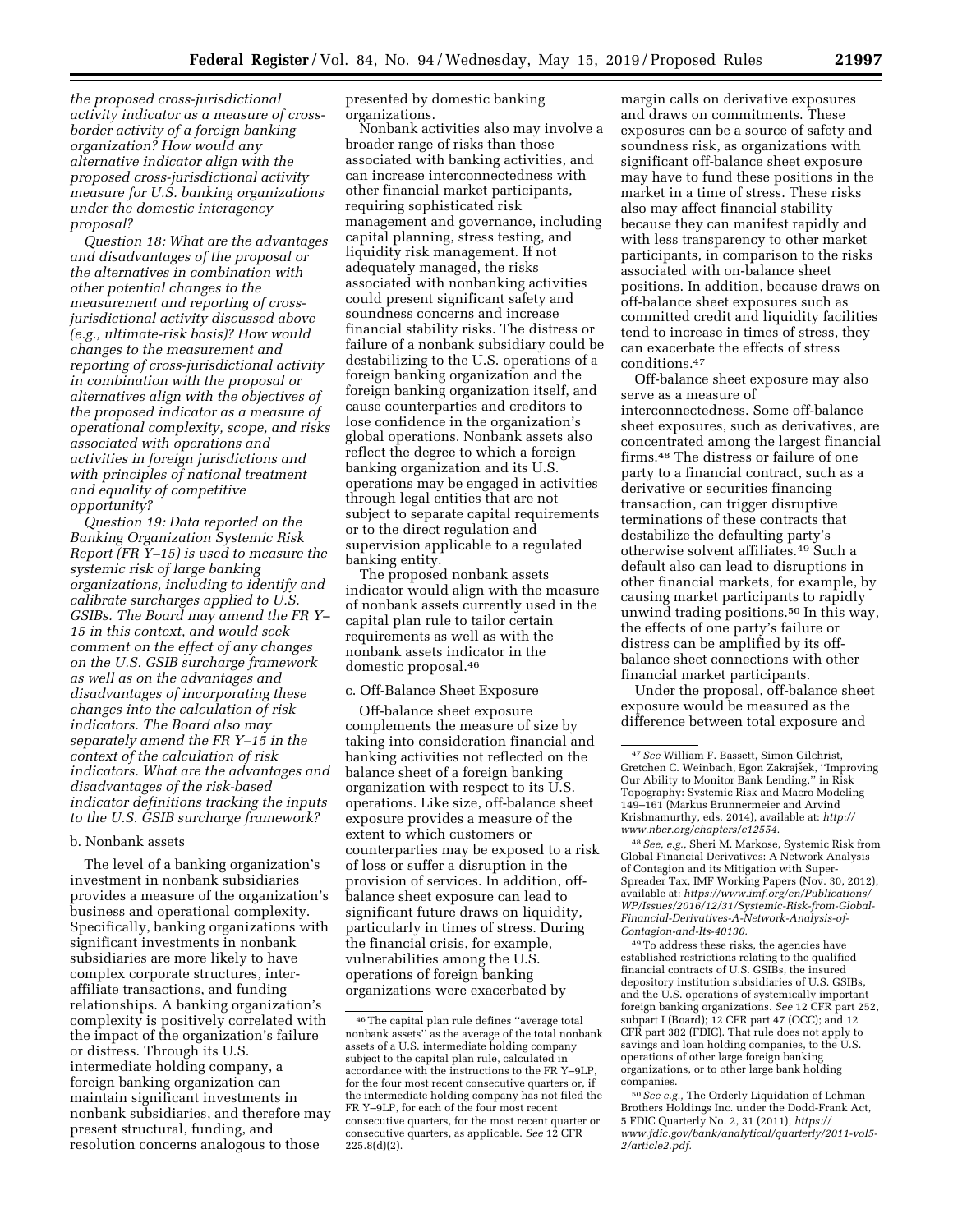*the proposed cross-jurisdictional activity indicator as a measure of crossborder activity of a foreign banking organization? How would any alternative indicator align with the proposed cross-jurisdictional activity measure for U.S. banking organizations under the domestic interagency proposal?* 

*Question 18: What are the advantages and disadvantages of the proposal or the alternatives in combination with other potential changes to the measurement and reporting of crossjurisdictional activity discussed above (e.g., ultimate-risk basis)? How would changes to the measurement and reporting of cross-jurisdictional activity in combination with the proposal or alternatives align with the objectives of the proposed indicator as a measure of operational complexity, scope, and risks associated with operations and activities in foreign jurisdictions and with principles of national treatment and equality of competitive opportunity?* 

*Question 19: Data reported on the Banking Organization Systemic Risk Report (FR Y–15) is used to measure the systemic risk of large banking organizations, including to identify and calibrate surcharges applied to U.S. GSIBs. The Board may amend the FR Y– 15 in this context, and would seek comment on the effect of any changes on the U.S. GSIB surcharge framework as well as on the advantages and disadvantages of incorporating these changes into the calculation of risk indicators. The Board also may separately amend the FR Y–15 in the context of the calculation of risk indicators. What are the advantages and disadvantages of the risk-based indicator definitions tracking the inputs to the U.S. GSIB surcharge framework?* 

### b. Nonbank assets

The level of a banking organization's investment in nonbank subsidiaries provides a measure of the organization's business and operational complexity. Specifically, banking organizations with significant investments in nonbank subsidiaries are more likely to have complex corporate structures, interaffiliate transactions, and funding relationships. A banking organization's complexity is positively correlated with the impact of the organization's failure or distress. Through its U.S. intermediate holding company, a foreign banking organization can maintain significant investments in nonbank subsidiaries, and therefore may present structural, funding, and resolution concerns analogous to those

presented by domestic banking organizations.

Nonbank activities also may involve a broader range of risks than those associated with banking activities, and can increase interconnectedness with other financial market participants, requiring sophisticated risk management and governance, including capital planning, stress testing, and liquidity risk management. If not adequately managed, the risks associated with nonbanking activities could present significant safety and soundness concerns and increase financial stability risks. The distress or failure of a nonbank subsidiary could be destabilizing to the U.S. operations of a foreign banking organization and the foreign banking organization itself, and cause counterparties and creditors to lose confidence in the organization's global operations. Nonbank assets also reflect the degree to which a foreign banking organization and its U.S. operations may be engaged in activities through legal entities that are not subject to separate capital requirements or to the direct regulation and supervision applicable to a regulated banking entity.

The proposed nonbank assets indicator would align with the measure of nonbank assets currently used in the capital plan rule to tailor certain requirements as well as with the nonbank assets indicator in the domestic proposal.46

## c. Off-Balance Sheet Exposure

Off-balance sheet exposure complements the measure of size by taking into consideration financial and banking activities not reflected on the balance sheet of a foreign banking organization with respect to its U.S. operations. Like size, off-balance sheet exposure provides a measure of the extent to which customers or counterparties may be exposed to a risk of loss or suffer a disruption in the provision of services. In addition, offbalance sheet exposure can lead to significant future draws on liquidity, particularly in times of stress. During the financial crisis, for example, vulnerabilities among the U.S. operations of foreign banking organizations were exacerbated by

margin calls on derivative exposures and draws on commitments. These exposures can be a source of safety and soundness risk, as organizations with significant off-balance sheet exposure may have to fund these positions in the market in a time of stress. These risks also may affect financial stability because they can manifest rapidly and with less transparency to other market participants, in comparison to the risks associated with on-balance sheet positions. In addition, because draws on off-balance sheet exposures such as committed credit and liquidity facilities tend to increase in times of stress, they can exacerbate the effects of stress conditions.47

Off-balance sheet exposure may also serve as a measure of interconnectedness. Some off-balance sheet exposures, such as derivatives, are concentrated among the largest financial firms.48 The distress or failure of one party to a financial contract, such as a derivative or securities financing transaction, can trigger disruptive terminations of these contracts that destabilize the defaulting party's otherwise solvent affiliates.49 Such a default also can lead to disruptions in other financial markets, for example, by causing market participants to rapidly unwind trading positions.50 In this way, the effects of one party's failure or distress can be amplified by its offbalance sheet connections with other financial market participants.

Under the proposal, off-balance sheet exposure would be measured as the difference between total exposure and

48*See, e.g.,* Sheri M. Markose, Systemic Risk from Global Financial Derivatives: A Network Analysis of Contagion and its Mitigation with Super-Spreader Tax, IMF Working Papers (Nov. 30, 2012), available at: *[https://www.imf.org/en/Publications/](https://www.imf.org/en/Publications/WP/Issues/2016/12/31/Systemic-Risk-from-Global-Financial-Derivatives-A-Network-Analysis-of-Contagion-and-Its-40130)  [WP/Issues/2016/12/31/Systemic-Risk-from-Global-](https://www.imf.org/en/Publications/WP/Issues/2016/12/31/Systemic-Risk-from-Global-Financial-Derivatives-A-Network-Analysis-of-Contagion-and-Its-40130)[Financial-Derivatives-A-Network-Analysis-of-](https://www.imf.org/en/Publications/WP/Issues/2016/12/31/Systemic-Risk-from-Global-Financial-Derivatives-A-Network-Analysis-of-Contagion-and-Its-40130)[Contagion-and-Its-40130.](https://www.imf.org/en/Publications/WP/Issues/2016/12/31/Systemic-Risk-from-Global-Financial-Derivatives-A-Network-Analysis-of-Contagion-and-Its-40130)* 

49To address these risks, the agencies have established restrictions relating to the qualified financial contracts of U.S. GSIBs, the insured depository institution subsidiaries of U.S. GSIBs, and the U.S. operations of systemically important foreign banking organizations. *See* 12 CFR part 252, subpart I (Board); 12 CFR part 47 (OCC); and 12 CFR part 382 (FDIC). That rule does not apply to savings and loan holding companies, to the U.S. operations of other large foreign banking organizations, or to other large bank holding companies.

<sup>46</sup>The capital plan rule defines ''average total nonbank assets'' as the average of the total nonbank assets of a U.S. intermediate holding company subject to the capital plan rule, calculated in accordance with the instructions to the FR Y–9LP, for the four most recent consecutive quarters or, if the intermediate holding company has not filed the FR Y–9LP, for each of the four most recent consecutive quarters, for the most recent quarter or consecutive quarters, as applicable. *See* 12 CFR 225.8(d)(2).

<sup>47</sup>*See* William F. Bassett, Simon Gilchrist, Gretchen C. Weinbach, Egon Zakrajšek, "Improving Our Ability to Monitor Bank Lending,'' in Risk Topography: Systemic Risk and Macro Modeling 149–161 (Markus Brunnermeier and Arvind Krishnamurthy, eds. 2014), available at: *[http://](http://www.nber.org/chapters/c12554) [www.nber.org/chapters/c12554.](http://www.nber.org/chapters/c12554)* 

<sup>50</sup>*See e.g.,* The Orderly Liquidation of Lehman Brothers Holdings Inc. under the Dodd-Frank Act, 5 FDIC Quarterly No. 2, 31 (2011), *[https://](https://www.fdic.gov/bank/analytical/quarterly/2011-vol5-2/article2.pdf) [www.fdic.gov/bank/analytical/quarterly/2011-vol5-](https://www.fdic.gov/bank/analytical/quarterly/2011-vol5-2/article2.pdf)  [2/article2.pdf.](https://www.fdic.gov/bank/analytical/quarterly/2011-vol5-2/article2.pdf)*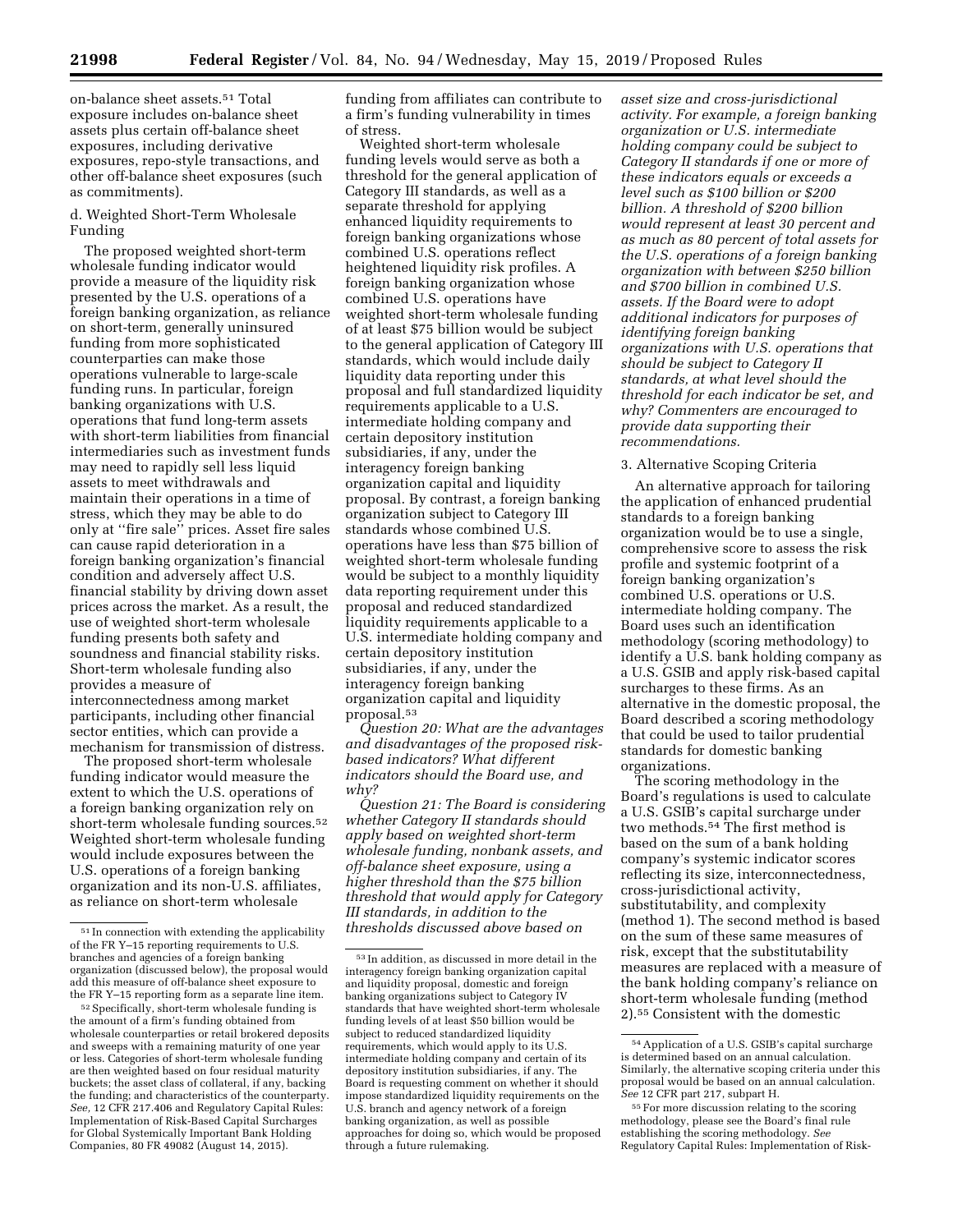on-balance sheet assets.51 Total exposure includes on-balance sheet assets plus certain off-balance sheet exposures, including derivative exposures, repo-style transactions, and other off-balance sheet exposures (such as commitments).

d. Weighted Short-Term Wholesale Funding

The proposed weighted short-term wholesale funding indicator would provide a measure of the liquidity risk presented by the U.S. operations of a foreign banking organization, as reliance on short-term, generally uninsured funding from more sophisticated counterparties can make those operations vulnerable to large-scale funding runs. In particular, foreign banking organizations with U.S. operations that fund long-term assets with short-term liabilities from financial intermediaries such as investment funds may need to rapidly sell less liquid assets to meet withdrawals and maintain their operations in a time of stress, which they may be able to do only at ''fire sale'' prices. Asset fire sales can cause rapid deterioration in a foreign banking organization's financial condition and adversely affect U.S. financial stability by driving down asset prices across the market. As a result, the use of weighted short-term wholesale funding presents both safety and soundness and financial stability risks. Short-term wholesale funding also provides a measure of interconnectedness among market participants, including other financial sector entities, which can provide a mechanism for transmission of distress.

The proposed short-term wholesale funding indicator would measure the extent to which the U.S. operations of a foreign banking organization rely on short-term wholesale funding sources.52 Weighted short-term wholesale funding would include exposures between the U.S. operations of a foreign banking organization and its non-U.S. affiliates, as reliance on short-term wholesale

funding from affiliates can contribute to a firm's funding vulnerability in times of stress.

Weighted short-term wholesale funding levels would serve as both a threshold for the general application of Category III standards, as well as a separate threshold for applying enhanced liquidity requirements to foreign banking organizations whose combined U.S. operations reflect heightened liquidity risk profiles. A foreign banking organization whose combined U.S. operations have weighted short-term wholesale funding of at least \$75 billion would be subject to the general application of Category III standards, which would include daily liquidity data reporting under this proposal and full standardized liquidity requirements applicable to a U.S. intermediate holding company and certain depository institution subsidiaries, if any, under the interagency foreign banking organization capital and liquidity proposal. By contrast, a foreign banking organization subject to Category III standards whose combined U.S. operations have less than \$75 billion of weighted short-term wholesale funding would be subject to a monthly liquidity data reporting requirement under this proposal and reduced standardized liquidity requirements applicable to a U.S. intermediate holding company and certain depository institution subsidiaries, if any, under the interagency foreign banking organization capital and liquidity proposal.53

*Question 20: What are the advantages and disadvantages of the proposed riskbased indicators? What different indicators should the Board use, and why?* 

*Question 21: The Board is considering whether Category II standards should apply based on weighted short-term wholesale funding, nonbank assets, and off-balance sheet exposure, using a higher threshold than the \$75 billion threshold that would apply for Category III standards, in addition to the thresholds discussed above based on* 

*asset size and cross-jurisdictional activity. For example, a foreign banking organization or U.S. intermediate holding company could be subject to Category II standards if one or more of these indicators equals or exceeds a level such as \$100 billion or \$200 billion. A threshold of \$200 billion would represent at least 30 percent and as much as 80 percent of total assets for the U.S. operations of a foreign banking organization with between \$250 billion and \$700 billion in combined U.S. assets. If the Board were to adopt additional indicators for purposes of identifying foreign banking organizations with U.S. operations that should be subject to Category II standards, at what level should the threshold for each indicator be set, and why? Commenters are encouraged to provide data supporting their recommendations.* 

### 3. Alternative Scoping Criteria

An alternative approach for tailoring the application of enhanced prudential standards to a foreign banking organization would be to use a single, comprehensive score to assess the risk profile and systemic footprint of a foreign banking organization's combined U.S. operations or U.S. intermediate holding company. The Board uses such an identification methodology (scoring methodology) to identify a U.S. bank holding company as a U.S. GSIB and apply risk-based capital surcharges to these firms. As an alternative in the domestic proposal, the Board described a scoring methodology that could be used to tailor prudential standards for domestic banking organizations.

The scoring methodology in the Board's regulations is used to calculate a U.S. GSIB's capital surcharge under two methods.54 The first method is based on the sum of a bank holding company's systemic indicator scores reflecting its size, interconnectedness, cross-jurisdictional activity, substitutability, and complexity (method 1). The second method is based on the sum of these same measures of risk, except that the substitutability measures are replaced with a measure of the bank holding company's reliance on short-term wholesale funding (method 2).55 Consistent with the domestic

<sup>51</sup> In connection with extending the applicability of the FR Y–15 reporting requirements to U.S. branches and agencies of a foreign banking organization (discussed below), the proposal would add this measure of off-balance sheet exposure to the FR Y–15 reporting form as a separate line item.

<sup>52</sup>Specifically, short-term wholesale funding is the amount of a firm's funding obtained from wholesale counterparties or retail brokered deposits and sweeps with a remaining maturity of one year or less. Categories of short-term wholesale funding are then weighted based on four residual maturity buckets; the asset class of collateral, if any, backing the funding; and characteristics of the counterparty. *See,* 12 CFR 217.406 and Regulatory Capital Rules: Implementation of Risk-Based Capital Surcharges for Global Systemically Important Bank Holding Companies, 80 FR 49082 (August 14, 2015).

<sup>53</sup> In addition, as discussed in more detail in the interagency foreign banking organization capital and liquidity proposal, domestic and foreign banking organizations subject to Category IV standards that have weighted short-term wholesale funding levels of at least \$50 billion would be subject to reduced standardized liquidity requirements, which would apply to its U.S. intermediate holding company and certain of its depository institution subsidiaries, if any. The Board is requesting comment on whether it should impose standardized liquidity requirements on the U.S. branch and agency network of a foreign banking organization, as well as possible approaches for doing so, which would be proposed through a future rulemaking.

<sup>54</sup>Application of a U.S. GSIB's capital surcharge is determined based on an annual calculation. Similarly, the alternative scoping criteria under this proposal would be based on an annual calculation. *See* 12 CFR part 217, subpart H.

<sup>55</sup>For more discussion relating to the scoring methodology, please see the Board's final rule establishing the scoring methodology. *See*  Regulatory Capital Rules: Implementation of Risk-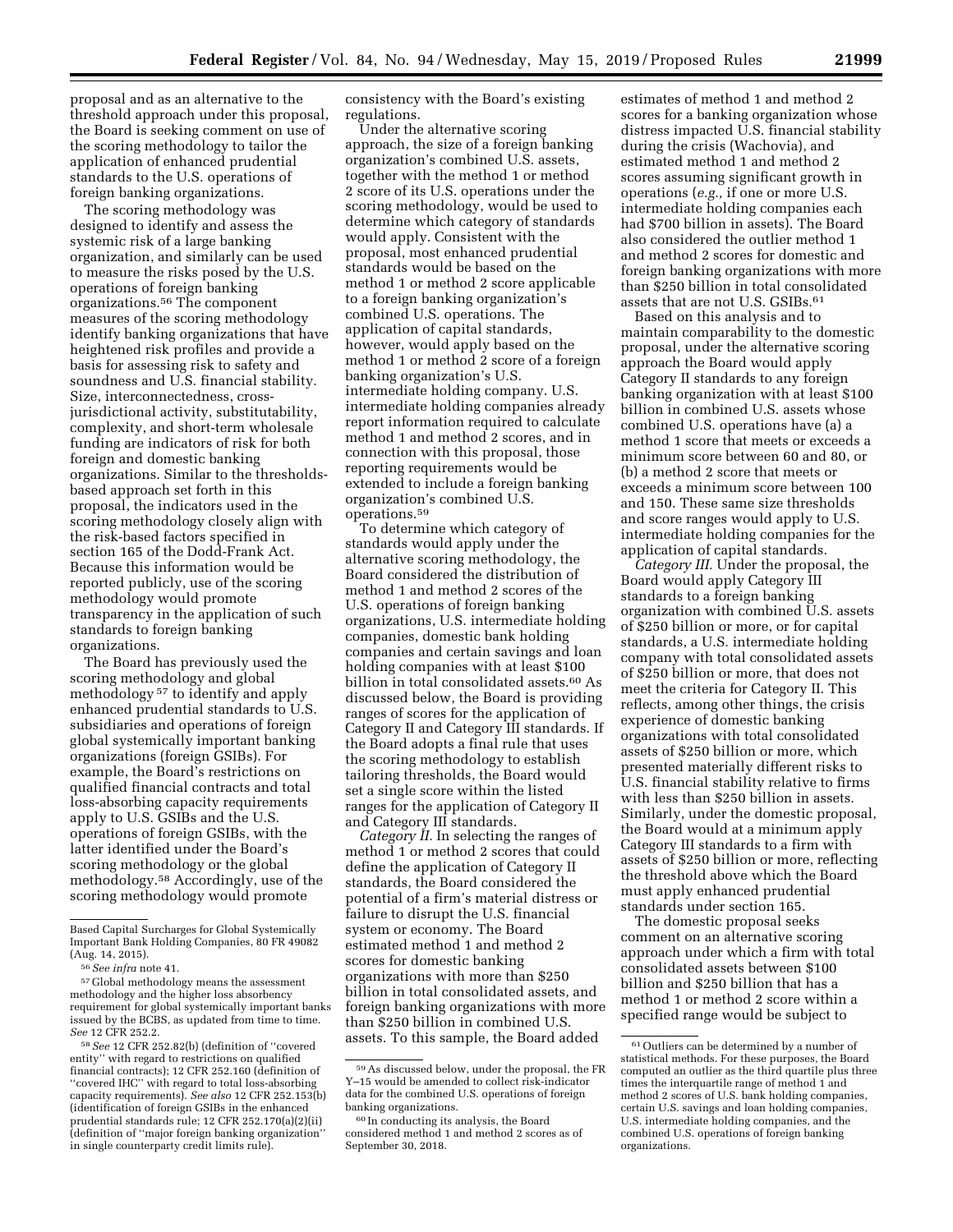proposal and as an alternative to the threshold approach under this proposal, the Board is seeking comment on use of the scoring methodology to tailor the application of enhanced prudential standards to the U.S. operations of foreign banking organizations.

The scoring methodology was designed to identify and assess the systemic risk of a large banking organization, and similarly can be used to measure the risks posed by the U.S. operations of foreign banking organizations.56 The component measures of the scoring methodology identify banking organizations that have heightened risk profiles and provide a basis for assessing risk to safety and soundness and U.S. financial stability. Size, interconnectedness, crossjurisdictional activity, substitutability, complexity, and short-term wholesale funding are indicators of risk for both foreign and domestic banking organizations. Similar to the thresholdsbased approach set forth in this proposal, the indicators used in the scoring methodology closely align with the risk-based factors specified in section 165 of the Dodd-Frank Act. Because this information would be reported publicly, use of the scoring methodology would promote transparency in the application of such standards to foreign banking organizations.

The Board has previously used the scoring methodology and global methodology 57 to identify and apply enhanced prudential standards to U.S. subsidiaries and operations of foreign global systemically important banking organizations (foreign GSIBs). For example, the Board's restrictions on qualified financial contracts and total loss-absorbing capacity requirements apply to U.S. GSIBs and the U.S. operations of foreign GSIBs, with the latter identified under the Board's scoring methodology or the global methodology.58 Accordingly, use of the scoring methodology would promote

consistency with the Board's existing regulations.

Under the alternative scoring approach, the size of a foreign banking organization's combined U.S. assets, together with the method 1 or method 2 score of its U.S. operations under the scoring methodology, would be used to determine which category of standards would apply. Consistent with the proposal, most enhanced prudential standards would be based on the method 1 or method 2 score applicable to a foreign banking organization's combined U.S. operations. The application of capital standards, however, would apply based on the method 1 or method 2 score of a foreign banking organization's U.S. intermediate holding company. U.S. intermediate holding companies already report information required to calculate method 1 and method 2 scores, and in connection with this proposal, those reporting requirements would be extended to include a foreign banking organization's combined U.S. operations.59

To determine which category of standards would apply under the alternative scoring methodology, the Board considered the distribution of method 1 and method 2 scores of the U.S. operations of foreign banking organizations, U.S. intermediate holding companies, domestic bank holding companies and certain savings and loan holding companies with at least \$100 billion in total consolidated assets.60 As discussed below, the Board is providing ranges of scores for the application of Category II and Category III standards. If the Board adopts a final rule that uses the scoring methodology to establish tailoring thresholds, the Board would set a single score within the listed ranges for the application of Category II and Category III standards.

*Category II.* In selecting the ranges of method 1 or method 2 scores that could define the application of Category II standards, the Board considered the potential of a firm's material distress or failure to disrupt the U.S. financial system or economy. The Board estimated method 1 and method 2 scores for domestic banking organizations with more than \$250 billion in total consolidated assets, and foreign banking organizations with more than \$250 billion in combined U.S. assets. To this sample, the Board added

estimates of method 1 and method 2 scores for a banking organization whose distress impacted U.S. financial stability during the crisis (Wachovia), and estimated method 1 and method 2 scores assuming significant growth in operations (*e.g.,* if one or more U.S. intermediate holding companies each had \$700 billion in assets). The Board also considered the outlier method 1 and method 2 scores for domestic and foreign banking organizations with more than \$250 billion in total consolidated assets that are not U.S. GSIBs.61

Based on this analysis and to maintain comparability to the domestic proposal, under the alternative scoring approach the Board would apply Category II standards to any foreign banking organization with at least \$100 billion in combined U.S. assets whose combined U.S. operations have (a) a method 1 score that meets or exceeds a minimum score between 60 and 80, or (b) a method 2 score that meets or exceeds a minimum score between 100 and 150. These same size thresholds and score ranges would apply to U.S. intermediate holding companies for the application of capital standards.

*Category III.* Under the proposal, the Board would apply Category III standards to a foreign banking organization with combined U.S. assets of \$250 billion or more, or for capital standards, a U.S. intermediate holding company with total consolidated assets of \$250 billion or more, that does not meet the criteria for Category II. This reflects, among other things, the crisis experience of domestic banking organizations with total consolidated assets of \$250 billion or more, which presented materially different risks to U.S. financial stability relative to firms with less than \$250 billion in assets. Similarly, under the domestic proposal, the Board would at a minimum apply Category III standards to a firm with assets of \$250 billion or more, reflecting the threshold above which the Board must apply enhanced prudential standards under section 165.

The domestic proposal seeks comment on an alternative scoring approach under which a firm with total consolidated assets between \$100 billion and \$250 billion that has a method 1 or method 2 score within a specified range would be subject to

Based Capital Surcharges for Global Systemically Important Bank Holding Companies, 80 FR 49082 (Aug. 14, 2015).

<sup>56</sup>*See infra* note 41.

<sup>57</sup> Global methodology means the assessment methodology and the higher loss absorbency requirement for global systemically important banks issued by the BCBS, as updated from time to time. *See* 12 CFR 252.2.

<sup>58</sup>*See* 12 CFR 252.82(b) (definition of ''covered entity'' with regard to restrictions on qualified financial contracts); 12 CFR 252.160 (definition of ''covered IHC'' with regard to total loss-absorbing capacity requirements). *See also* 12 CFR 252.153(b) (identification of foreign GSIBs in the enhanced prudential standards rule; 12 CFR 252.170(a)(2)(ii) (definition of ''major foreign banking organization'' in single counterparty credit limits rule).

<sup>59</sup>As discussed below, under the proposal, the FR Y–15 would be amended to collect risk-indicator data for the combined U.S. operations of foreign banking organizations.

<sup>60</sup> In conducting its analysis, the Board considered method 1 and method 2 scores as of September 30, 2018.

<sup>61</sup>Outliers can be determined by a number of statistical methods. For these purposes, the Board computed an outlier as the third quartile plus three times the interquartile range of method 1 and method 2 scores of U.S. bank holding companies, certain U.S. savings and loan holding companies, U.S. intermediate holding companies, and the combined U.S. operations of foreign banking organizations.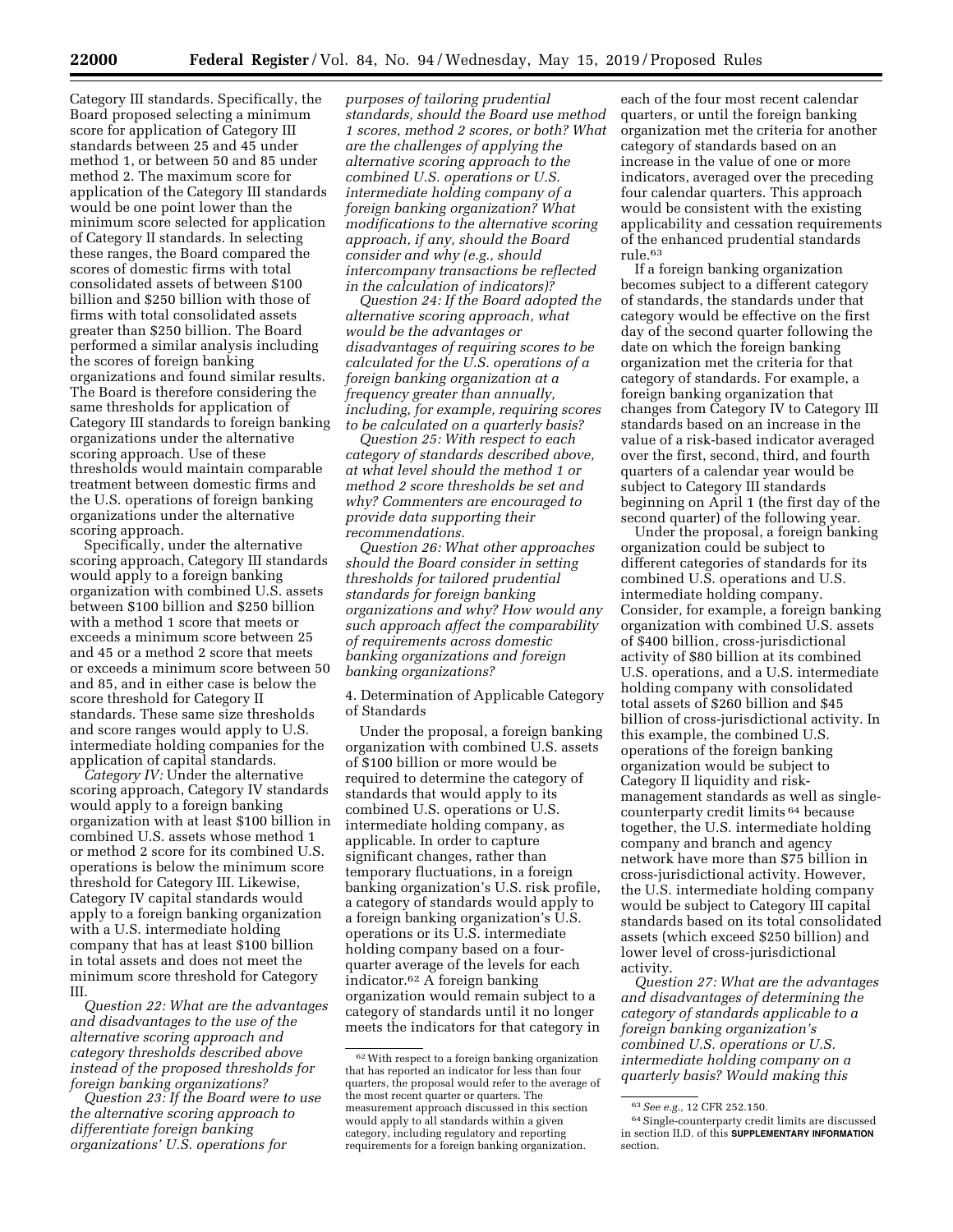Category III standards. Specifically, the Board proposed selecting a minimum score for application of Category III standards between 25 and 45 under method 1, or between 50 and 85 under method 2. The maximum score for application of the Category III standards would be one point lower than the minimum score selected for application of Category II standards. In selecting these ranges, the Board compared the scores of domestic firms with total consolidated assets of between \$100 billion and \$250 billion with those of firms with total consolidated assets greater than \$250 billion. The Board performed a similar analysis including the scores of foreign banking organizations and found similar results. The Board is therefore considering the same thresholds for application of Category III standards to foreign banking organizations under the alternative scoring approach. Use of these thresholds would maintain comparable treatment between domestic firms and the U.S. operations of foreign banking organizations under the alternative scoring approach.

Specifically, under the alternative scoring approach, Category III standards would apply to a foreign banking organization with combined U.S. assets between \$100 billion and \$250 billion with a method 1 score that meets or exceeds a minimum score between 25 and 45 or a method 2 score that meets or exceeds a minimum score between 50 and 85, and in either case is below the score threshold for Category II standards. These same size thresholds and score ranges would apply to U.S. intermediate holding companies for the application of capital standards.

*Category IV:* Under the alternative scoring approach, Category IV standards would apply to a foreign banking organization with at least \$100 billion in combined U.S. assets whose method 1 or method 2 score for its combined U.S. operations is below the minimum score threshold for Category III. Likewise, Category IV capital standards would apply to a foreign banking organization with a U.S. intermediate holding company that has at least \$100 billion in total assets and does not meet the minimum score threshold for Category  $_{\rm III}$ 

*Question 22: What are the advantages and disadvantages to the use of the alternative scoring approach and category thresholds described above instead of the proposed thresholds for foreign banking organizations?* 

*Question 23: If the Board were to use the alternative scoring approach to differentiate foreign banking organizations' U.S. operations for* 

*purposes of tailoring prudential standards, should the Board use method 1 scores, method 2 scores, or both? What are the challenges of applying the alternative scoring approach to the combined U.S. operations or U.S. intermediate holding company of a foreign banking organization? What modifications to the alternative scoring approach, if any, should the Board consider and why (e.g., should intercompany transactions be reflected in the calculation of indicators)?* 

*Question 24: If the Board adopted the alternative scoring approach, what would be the advantages or disadvantages of requiring scores to be calculated for the U.S. operations of a foreign banking organization at a frequency greater than annually, including, for example, requiring scores to be calculated on a quarterly basis?* 

*Question 25: With respect to each category of standards described above, at what level should the method 1 or method 2 score thresholds be set and why? Commenters are encouraged to provide data supporting their recommendations.* 

*Question 26: What other approaches should the Board consider in setting thresholds for tailored prudential standards for foreign banking organizations and why? How would any such approach affect the comparability of requirements across domestic banking organizations and foreign banking organizations?* 

4. Determination of Applicable Category of Standards

Under the proposal, a foreign banking organization with combined U.S. assets of \$100 billion or more would be required to determine the category of standards that would apply to its combined U.S. operations or U.S. intermediate holding company, as applicable. In order to capture significant changes, rather than temporary fluctuations, in a foreign banking organization's U.S. risk profile, a category of standards would apply to a foreign banking organization's U.S. operations or its U.S. intermediate holding company based on a fourquarter average of the levels for each indicator.62 A foreign banking organization would remain subject to a category of standards until it no longer meets the indicators for that category in

each of the four most recent calendar quarters, or until the foreign banking organization met the criteria for another category of standards based on an increase in the value of one or more indicators, averaged over the preceding four calendar quarters. This approach would be consistent with the existing applicability and cessation requirements of the enhanced prudential standards rule.63

If a foreign banking organization becomes subject to a different category of standards, the standards under that category would be effective on the first day of the second quarter following the date on which the foreign banking organization met the criteria for that category of standards. For example, a foreign banking organization that changes from Category IV to Category III standards based on an increase in the value of a risk-based indicator averaged over the first, second, third, and fourth quarters of a calendar year would be subject to Category III standards beginning on April 1 (the first day of the second quarter) of the following year.

Under the proposal, a foreign banking organization could be subject to different categories of standards for its combined U.S. operations and U.S. intermediate holding company. Consider, for example, a foreign banking organization with combined U.S. assets of \$400 billion, cross-jurisdictional activity of \$80 billion at its combined U.S. operations, and a U.S. intermediate holding company with consolidated total assets of \$260 billion and \$45 billion of cross-jurisdictional activity. In this example, the combined U.S. operations of the foreign banking organization would be subject to Category II liquidity and riskmanagement standards as well as singlecounterparty credit limits 64 because together, the U.S. intermediate holding company and branch and agency network have more than \$75 billion in cross-jurisdictional activity. However, the U.S. intermediate holding company would be subject to Category III capital standards based on its total consolidated assets (which exceed \$250 billion) and lower level of cross-jurisdictional activity.

*Question 27: What are the advantages and disadvantages of determining the category of standards applicable to a foreign banking organization's combined U.S. operations or U.S. intermediate holding company on a quarterly basis? Would making this* 

<sup>62</sup>With respect to a foreign banking organization that has reported an indicator for less than four quarters, the proposal would refer to the average of the most recent quarter or quarters. The measurement approach discussed in this section would apply to all standards within a given category, including regulatory and reporting requirements for a foreign banking organization.

<sup>63</sup>*See e.g.,* 12 CFR 252.150.

<sup>64</sup>Single-counterparty credit limits are discussed in section II.D. of this **SUPPLEMENTARY INFORMATION** section.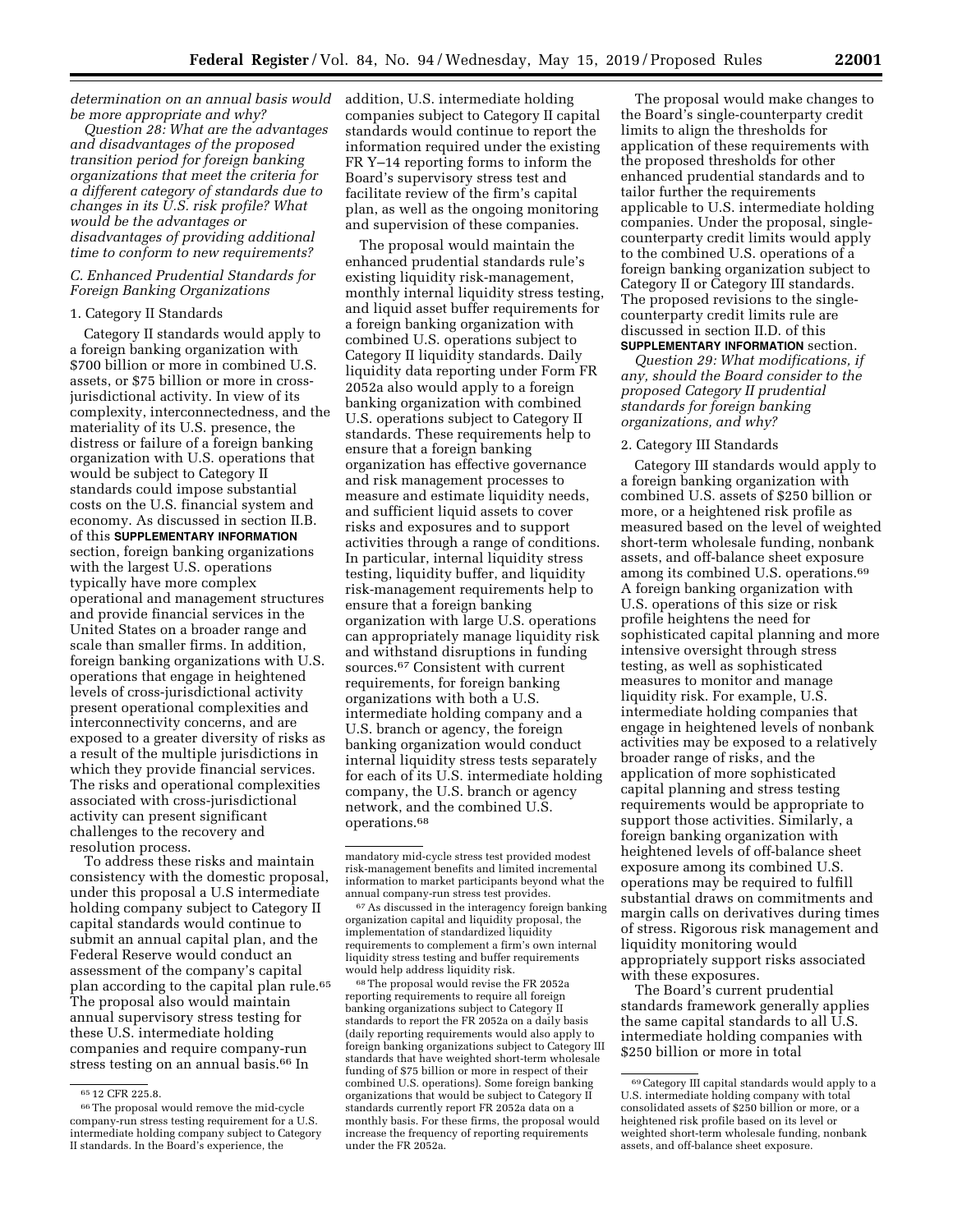*determination on an annual basis would*  addition, U.S. intermediate holding *be more appropriate and why?* 

*Question 28: What are the advantages and disadvantages of the proposed transition period for foreign banking organizations that meet the criteria for a different category of standards due to changes in its U.S. risk profile? What would be the advantages or disadvantages of providing additional time to conform to new requirements?* 

## *C. Enhanced Prudential Standards for Foreign Banking Organizations*

## 1. Category II Standards

Category II standards would apply to a foreign banking organization with \$700 billion or more in combined U.S. assets, or \$75 billion or more in crossjurisdictional activity. In view of its complexity, interconnectedness, and the materiality of its U.S. presence, the distress or failure of a foreign banking organization with U.S. operations that would be subject to Category II standards could impose substantial costs on the U.S. financial system and economy. As discussed in section II.B. of this **SUPPLEMENTARY INFORMATION** section, foreign banking organizations with the largest U.S. operations typically have more complex operational and management structures and provide financial services in the United States on a broader range and scale than smaller firms. In addition, foreign banking organizations with U.S. operations that engage in heightened levels of cross-jurisdictional activity present operational complexities and interconnectivity concerns, and are exposed to a greater diversity of risks as a result of the multiple jurisdictions in which they provide financial services. The risks and operational complexities associated with cross-jurisdictional activity can present significant challenges to the recovery and resolution process.

To address these risks and maintain consistency with the domestic proposal, under this proposal a U.S intermediate holding company subject to Category II capital standards would continue to submit an annual capital plan, and the Federal Reserve would conduct an assessment of the company's capital plan according to the capital plan rule.<sup>65</sup> The proposal also would maintain annual supervisory stress testing for these U.S. intermediate holding companies and require company-run stress testing on an annual basis.66 In

companies subject to Category II capital standards would continue to report the information required under the existing FR Y–14 reporting forms to inform the Board's supervisory stress test and facilitate review of the firm's capital plan, as well as the ongoing monitoring and supervision of these companies.

The proposal would maintain the enhanced prudential standards rule's existing liquidity risk-management, monthly internal liquidity stress testing, and liquid asset buffer requirements for a foreign banking organization with combined U.S. operations subject to Category II liquidity standards. Daily liquidity data reporting under Form FR 2052a also would apply to a foreign banking organization with combined U.S. operations subject to Category II standards. These requirements help to ensure that a foreign banking organization has effective governance and risk management processes to measure and estimate liquidity needs, and sufficient liquid assets to cover risks and exposures and to support activities through a range of conditions. In particular, internal liquidity stress testing, liquidity buffer, and liquidity risk-management requirements help to ensure that a foreign banking organization with large U.S. operations can appropriately manage liquidity risk and withstand disruptions in funding sources.67 Consistent with current requirements, for foreign banking organizations with both a U.S. intermediate holding company and a U.S. branch or agency, the foreign banking organization would conduct internal liquidity stress tests separately for each of its U.S. intermediate holding company, the U.S. branch or agency network, and the combined U.S. operations.68

67As discussed in the interagency foreign banking organization capital and liquidity proposal, the implementation of standardized liquidity requirements to complement a firm's own internal liquidity stress testing and buffer requirements would help address liquidity risk.

68The proposal would revise the FR 2052a reporting requirements to require all foreign banking organizations subject to Category II standards to report the FR 2052a on a daily basis (daily reporting requirements would also apply to foreign banking organizations subject to Category III standards that have weighted short-term wholesale funding of \$75 billion or more in respect of their combined U.S. operations). Some foreign banking organizations that would be subject to Category II standards currently report FR 2052a data on a monthly basis. For these firms, the proposal would increase the frequency of reporting requirements under the FR 2052a.

The proposal would make changes to the Board's single-counterparty credit limits to align the thresholds for application of these requirements with the proposed thresholds for other enhanced prudential standards and to tailor further the requirements applicable to U.S. intermediate holding companies. Under the proposal, singlecounterparty credit limits would apply to the combined U.S. operations of a foreign banking organization subject to Category II or Category III standards. The proposed revisions to the singlecounterparty credit limits rule are discussed in section II.D. of this

# **SUPPLEMENTARY INFORMATION** section.

*Question 29: What modifications, if any, should the Board consider to the proposed Category II prudential standards for foreign banking organizations, and why?* 

### 2. Category III Standards

Category III standards would apply to a foreign banking organization with combined U.S. assets of \$250 billion or more, or a heightened risk profile as measured based on the level of weighted short-term wholesale funding, nonbank assets, and off-balance sheet exposure among its combined U.S. operations.69 A foreign banking organization with U.S. operations of this size or risk profile heightens the need for sophisticated capital planning and more intensive oversight through stress testing, as well as sophisticated measures to monitor and manage liquidity risk. For example, U.S. intermediate holding companies that engage in heightened levels of nonbank activities may be exposed to a relatively broader range of risks, and the application of more sophisticated capital planning and stress testing requirements would be appropriate to support those activities. Similarly, a foreign banking organization with heightened levels of off-balance sheet exposure among its combined U.S. operations may be required to fulfill substantial draws on commitments and margin calls on derivatives during times of stress. Rigorous risk management and liquidity monitoring would appropriately support risks associated with these exposures.

The Board's current prudential standards framework generally applies the same capital standards to all U.S. intermediate holding companies with \$250 billion or more in total

<sup>65</sup> 12 CFR 225.8.

<sup>66</sup>The proposal would remove the mid-cycle company-run stress testing requirement for a U.S. intermediate holding company subject to Category II standards. In the Board's experience, the

mandatory mid-cycle stress test provided modest risk-management benefits and limited incremental information to market participants beyond what the annual company-run stress test provides.

<sup>69</sup>Category III capital standards would apply to a U.S. intermediate holding company with total consolidated assets of \$250 billion or more, or a heightened risk profile based on its level or weighted short-term wholesale funding, nonbank assets, and off-balance sheet exposure.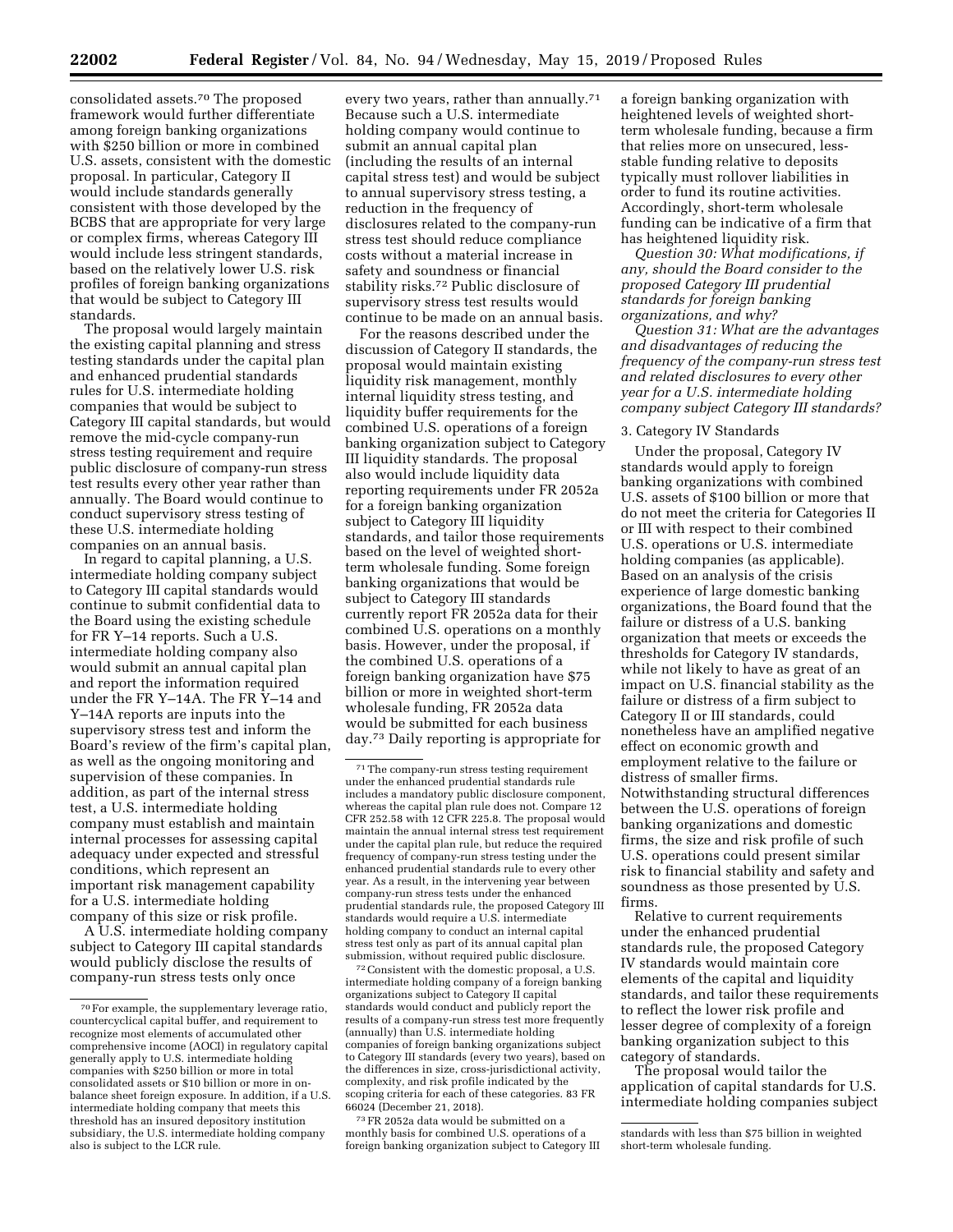consolidated assets.70 The proposed framework would further differentiate among foreign banking organizations with \$250 billion or more in combined U.S. assets, consistent with the domestic proposal. In particular, Category II would include standards generally consistent with those developed by the BCBS that are appropriate for very large or complex firms, whereas Category III would include less stringent standards, based on the relatively lower U.S. risk profiles of foreign banking organizations that would be subject to Category III standards.

The proposal would largely maintain the existing capital planning and stress testing standards under the capital plan and enhanced prudential standards rules for U.S. intermediate holding companies that would be subject to Category III capital standards, but would remove the mid-cycle company-run stress testing requirement and require public disclosure of company-run stress test results every other year rather than annually. The Board would continue to conduct supervisory stress testing of these U.S. intermediate holding companies on an annual basis.

In regard to capital planning, a U.S. intermediate holding company subject to Category III capital standards would continue to submit confidential data to the Board using the existing schedule for FR Y–14 reports. Such a U.S. intermediate holding company also would submit an annual capital plan and report the information required under the FR Y–14A. The FR Y–14 and Y–14A reports are inputs into the supervisory stress test and inform the Board's review of the firm's capital plan, as well as the ongoing monitoring and supervision of these companies. In addition, as part of the internal stress test, a U.S. intermediate holding company must establish and maintain internal processes for assessing capital adequacy under expected and stressful conditions, which represent an important risk management capability for a U.S. intermediate holding company of this size or risk profile.

A U.S. intermediate holding company subject to Category III capital standards would publicly disclose the results of company-run stress tests only once

every two years, rather than annually.71 Because such a U.S. intermediate holding company would continue to submit an annual capital plan (including the results of an internal capital stress test) and would be subject to annual supervisory stress testing, a reduction in the frequency of disclosures related to the company-run stress test should reduce compliance costs without a material increase in safety and soundness or financial stability risks.72 Public disclosure of supervisory stress test results would continue to be made on an annual basis.

For the reasons described under the discussion of Category II standards, the proposal would maintain existing liquidity risk management, monthly internal liquidity stress testing, and liquidity buffer requirements for the combined U.S. operations of a foreign banking organization subject to Category III liquidity standards. The proposal also would include liquidity data reporting requirements under FR 2052a for a foreign banking organization subject to Category III liquidity standards, and tailor those requirements based on the level of weighted shortterm wholesale funding. Some foreign banking organizations that would be subject to Category III standards currently report FR 2052a data for their combined U.S. operations on a monthly basis. However, under the proposal, if the combined U.S. operations of a foreign banking organization have \$75 billion or more in weighted short-term wholesale funding, FR 2052a data would be submitted for each business day.73 Daily reporting is appropriate for

72Consistent with the domestic proposal, a U.S. intermediate holding company of a foreign banking organizations subject to Category II capital standards would conduct and publicly report the results of a company-run stress test more frequently (annually) than U.S. intermediate holding companies of foreign banking organizations subject to Category III standards (every two years), based on the differences in size, cross-jurisdictional activity, complexity, and risk profile indicated by the scoping criteria for each of these categories. 83 FR 66024 (December 21, 2018).

73FR 2052a data would be submitted on a monthly basis for combined U.S. operations of a foreign banking organization subject to Category III a foreign banking organization with heightened levels of weighted shortterm wholesale funding, because a firm that relies more on unsecured, lessstable funding relative to deposits typically must rollover liabilities in order to fund its routine activities. Accordingly, short-term wholesale funding can be indicative of a firm that has heightened liquidity risk.

*Question 30: What modifications, if any, should the Board consider to the proposed Category III prudential standards for foreign banking organizations, and why?* 

*Question 31: What are the advantages and disadvantages of reducing the frequency of the company-run stress test and related disclosures to every other year for a U.S. intermediate holding company subject Category III standards?* 

## 3. Category IV Standards

Under the proposal, Category IV standards would apply to foreign banking organizations with combined U.S. assets of \$100 billion or more that do not meet the criteria for Categories II or III with respect to their combined U.S. operations or U.S. intermediate holding companies (as applicable). Based on an analysis of the crisis experience of large domestic banking organizations, the Board found that the failure or distress of a U.S. banking organization that meets or exceeds the thresholds for Category IV standards, while not likely to have as great of an impact on U.S. financial stability as the failure or distress of a firm subject to Category II or III standards, could nonetheless have an amplified negative effect on economic growth and employment relative to the failure or distress of smaller firms. Notwithstanding structural differences between the U.S. operations of foreign banking organizations and domestic firms, the size and risk profile of such U.S. operations could present similar risk to financial stability and safety and soundness as those presented by U.S. firms.

Relative to current requirements under the enhanced prudential standards rule, the proposed Category IV standards would maintain core elements of the capital and liquidity standards, and tailor these requirements to reflect the lower risk profile and lesser degree of complexity of a foreign banking organization subject to this category of standards.

The proposal would tailor the application of capital standards for U.S. intermediate holding companies subject

<sup>70</sup>For example, the supplementary leverage ratio, countercyclical capital buffer, and requirement to recognize most elements of accumulated other comprehensive income (AOCI) in regulatory capital generally apply to U.S. intermediate holding companies with \$250 billion or more in total consolidated assets or \$10 billion or more in onbalance sheet foreign exposure. In addition, if a U.S. intermediate holding company that meets this threshold has an insured depository institution subsidiary, the U.S. intermediate holding company also is subject to the LCR rule.

 $^{\mathrm{71}}$  The company-run stress testing requirement under the enhanced prudential standards rule includes a mandatory public disclosure component, whereas the capital plan rule does not. Compare 12 CFR 252.58 with 12 CFR 225.8. The proposal would maintain the annual internal stress test requirement under the capital plan rule, but reduce the required frequency of company-run stress testing under the enhanced prudential standards rule to every other year. As a result, in the intervening year between company-run stress tests under the enhanced prudential standards rule, the proposed Category III standards would require a U.S. intermediate holding company to conduct an internal capital stress test only as part of its annual capital plan submission, without required public disclosure.

standards with less than \$75 billion in weighted short-term wholesale funding.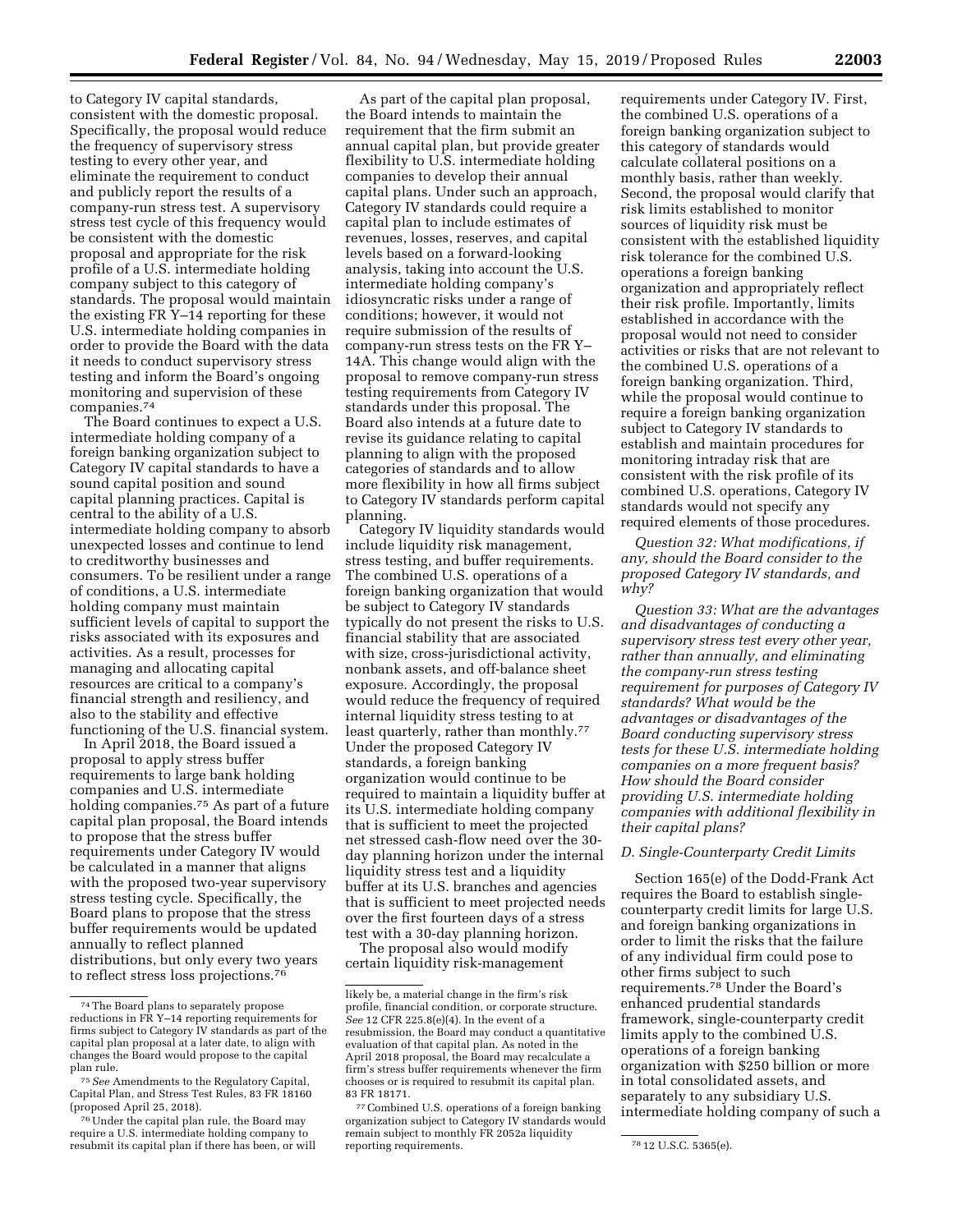to Category IV capital standards, consistent with the domestic proposal. Specifically, the proposal would reduce the frequency of supervisory stress testing to every other year, and eliminate the requirement to conduct and publicly report the results of a company-run stress test. A supervisory stress test cycle of this frequency would be consistent with the domestic proposal and appropriate for the risk profile of a U.S. intermediate holding company subject to this category of standards. The proposal would maintain the existing FR Y–14 reporting for these U.S. intermediate holding companies in order to provide the Board with the data it needs to conduct supervisory stress testing and inform the Board's ongoing monitoring and supervision of these companies.74

The Board continues to expect a U.S. intermediate holding company of a foreign banking organization subject to Category IV capital standards to have a sound capital position and sound capital planning practices. Capital is central to the ability of a U.S. intermediate holding company to absorb unexpected losses and continue to lend to creditworthy businesses and consumers. To be resilient under a range of conditions, a U.S. intermediate holding company must maintain sufficient levels of capital to support the risks associated with its exposures and activities. As a result, processes for managing and allocating capital resources are critical to a company's financial strength and resiliency, and also to the stability and effective functioning of the U.S. financial system.

In April 2018, the Board issued a proposal to apply stress buffer requirements to large bank holding companies and U.S. intermediate holding companies.75 As part of a future capital plan proposal, the Board intends to propose that the stress buffer requirements under Category IV would be calculated in a manner that aligns with the proposed two-year supervisory stress testing cycle. Specifically, the Board plans to propose that the stress buffer requirements would be updated annually to reflect planned distributions, but only every two years to reflect stress loss projections.76

As part of the capital plan proposal, the Board intends to maintain the requirement that the firm submit an annual capital plan, but provide greater flexibility to U.S. intermediate holding companies to develop their annual capital plans. Under such an approach, Category IV standards could require a capital plan to include estimates of revenues, losses, reserves, and capital levels based on a forward-looking analysis, taking into account the U.S. intermediate holding company's idiosyncratic risks under a range of conditions; however, it would not require submission of the results of company-run stress tests on the FR Y– 14A. This change would align with the proposal to remove company-run stress testing requirements from Category IV standards under this proposal. The Board also intends at a future date to revise its guidance relating to capital planning to align with the proposed categories of standards and to allow more flexibility in how all firms subject to Category IV standards perform capital planning.

Category IV liquidity standards would include liquidity risk management, stress testing, and buffer requirements. The combined U.S. operations of a foreign banking organization that would be subject to Category IV standards typically do not present the risks to U.S. financial stability that are associated with size, cross-jurisdictional activity, nonbank assets, and off-balance sheet exposure. Accordingly, the proposal would reduce the frequency of required internal liquidity stress testing to at least quarterly, rather than monthly.<sup>77</sup> Under the proposed Category IV standards, a foreign banking organization would continue to be required to maintain a liquidity buffer at its U.S. intermediate holding company that is sufficient to meet the projected net stressed cash-flow need over the 30 day planning horizon under the internal liquidity stress test and a liquidity buffer at its U.S. branches and agencies that is sufficient to meet projected needs over the first fourteen days of a stress test with a 30-day planning horizon.

The proposal also would modify certain liquidity risk-management

requirements under Category IV. First, the combined U.S. operations of a foreign banking organization subject to this category of standards would calculate collateral positions on a monthly basis, rather than weekly. Second, the proposal would clarify that risk limits established to monitor sources of liquidity risk must be consistent with the established liquidity risk tolerance for the combined U.S. operations a foreign banking organization and appropriately reflect their risk profile. Importantly, limits established in accordance with the proposal would not need to consider activities or risks that are not relevant to the combined U.S. operations of a foreign banking organization. Third, while the proposal would continue to require a foreign banking organization subject to Category IV standards to establish and maintain procedures for monitoring intraday risk that are consistent with the risk profile of its combined U.S. operations, Category IV standards would not specify any required elements of those procedures.

*Question 32: What modifications, if any, should the Board consider to the proposed Category IV standards, and why?* 

*Question 33: What are the advantages and disadvantages of conducting a supervisory stress test every other year, rather than annually, and eliminating the company-run stress testing requirement for purposes of Category IV standards? What would be the advantages or disadvantages of the Board conducting supervisory stress tests for these U.S. intermediate holding companies on a more frequent basis? How should the Board consider providing U.S. intermediate holding companies with additional flexibility in their capital plans?* 

### *D. Single-Counterparty Credit Limits*

Section 165(e) of the Dodd-Frank Act requires the Board to establish singlecounterparty credit limits for large U.S. and foreign banking organizations in order to limit the risks that the failure of any individual firm could pose to other firms subject to such requirements.78 Under the Board's enhanced prudential standards framework, single-counterparty credit limits apply to the combined U.S. operations of a foreign banking organization with \$250 billion or more in total consolidated assets, and separately to any subsidiary U.S. intermediate holding company of such a

<sup>74</sup>The Board plans to separately propose reductions in FR Y–14 reporting requirements for firms subject to Category IV standards as part of the capital plan proposal at a later date, to align with changes the Board would propose to the capital plan rule.

<sup>75</sup>*See* Amendments to the Regulatory Capital, Capital Plan, and Stress Test Rules, 83 FR 18160 (proposed April 25, 2018).

<sup>76</sup>Under the capital plan rule, the Board may require a U.S. intermediate holding company to resubmit its capital plan if there has been, or will

likely be, a material change in the firm's risk profile, financial condition, or corporate structure. *See* 12 CFR 225.8(e)(4). In the event of a resubmission, the Board may conduct a quantitative evaluation of that capital plan. As noted in the April 2018 proposal, the Board may recalculate a firm's stress buffer requirements whenever the firm chooses or is required to resubmit its capital plan. 83 FR 18171.

<sup>77</sup>Combined U.S. operations of a foreign banking organization subject to Category IV standards would remain subject to monthly FR 2052a liquidity reporting requirements. The mass of the state of  $^{78}$  12 U.S.C. 5365(e).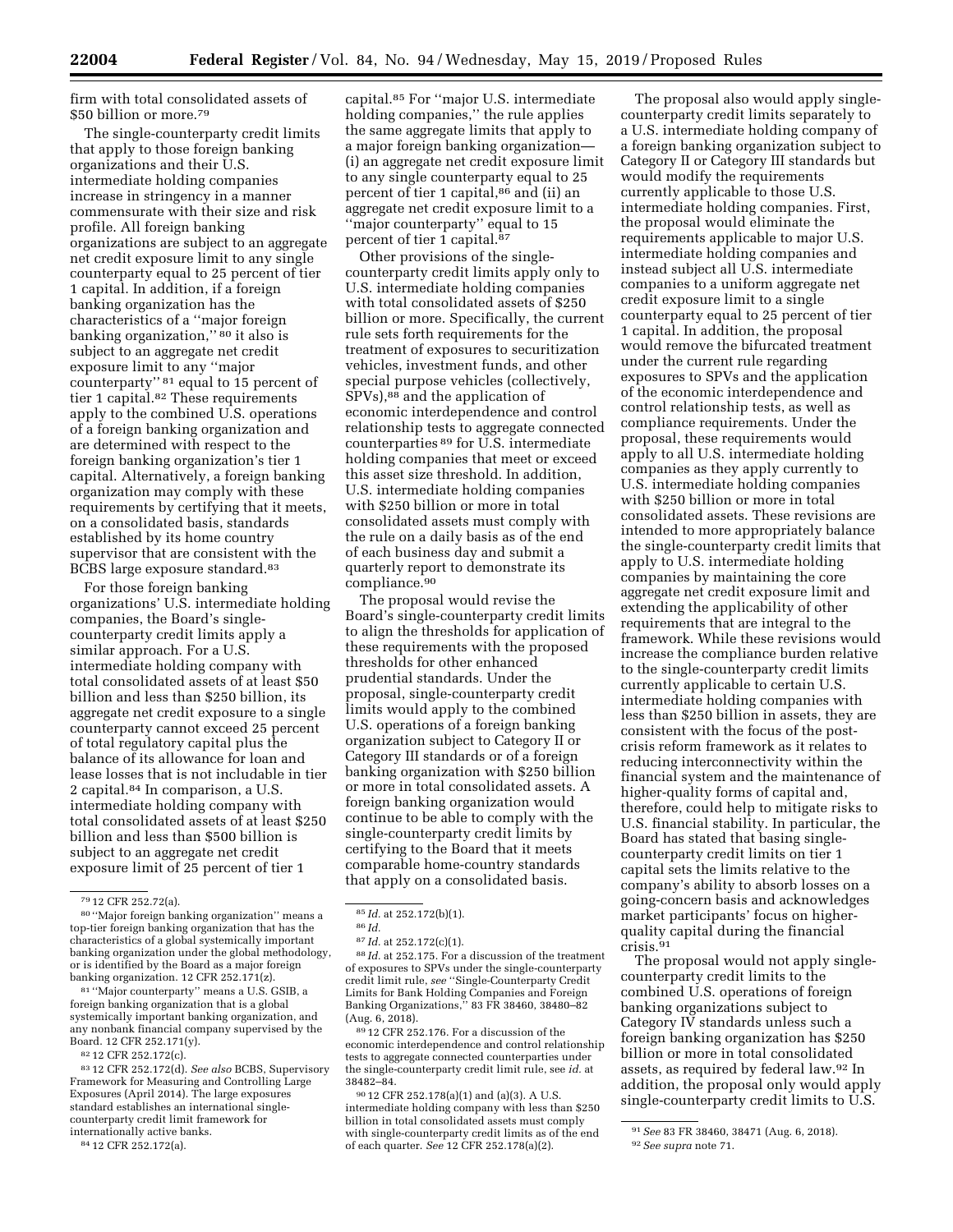firm with total consolidated assets of \$50 billion or more.79

The single-counterparty credit limits that apply to those foreign banking organizations and their U.S. intermediate holding companies increase in stringency in a manner commensurate with their size and risk profile. All foreign banking organizations are subject to an aggregate net credit exposure limit to any single counterparty equal to 25 percent of tier 1 capital. In addition, if a foreign banking organization has the characteristics of a ''major foreign banking organization," <sup>80</sup> it also is subject to an aggregate net credit exposure limit to any ''major counterparty'' 81 equal to 15 percent of tier 1 capital.<sup>82</sup> These requirements apply to the combined U.S. operations of a foreign banking organization and are determined with respect to the foreign banking organization's tier 1 capital. Alternatively, a foreign banking organization may comply with these requirements by certifying that it meets, on a consolidated basis, standards established by its home country supervisor that are consistent with the BCBS large exposure standard.83

For those foreign banking organizations' U.S. intermediate holding companies, the Board's singlecounterparty credit limits apply a similar approach. For a U.S. intermediate holding company with total consolidated assets of at least \$50 billion and less than \$250 billion, its aggregate net credit exposure to a single counterparty cannot exceed 25 percent of total regulatory capital plus the balance of its allowance for loan and lease losses that is not includable in tier 2 capital.84 In comparison, a U.S. intermediate holding company with total consolidated assets of at least \$250 billion and less than \$500 billion is subject to an aggregate net credit exposure limit of 25 percent of tier 1

81 ''Major counterparty'' means a U.S. GSIB, a foreign banking organization that is a global systemically important banking organization, and any nonbank financial company supervised by the Board. 12 CFR 252.171(y).

82 12 CFR 252.172(c).

83 12 CFR 252.172(d). *See also* BCBS, Supervisory Framework for Measuring and Controlling Large Exposures (April 2014). The large exposures standard establishes an international singlecounterparty credit limit framework for internationally active banks.

84 12 CFR 252.172(a).

capital.85 For ''major U.S. intermediate holding companies,'' the rule applies the same aggregate limits that apply to a major foreign banking organization— (i) an aggregate net credit exposure limit to any single counterparty equal to 25 percent of tier 1 capital,86 and (ii) an aggregate net credit exposure limit to a ''major counterparty'' equal to 15 percent of tier 1 capital.<sup>87</sup>

Other provisions of the singlecounterparty credit limits apply only to U.S. intermediate holding companies with total consolidated assets of \$250 billion or more. Specifically, the current rule sets forth requirements for the treatment of exposures to securitization vehicles, investment funds, and other special purpose vehicles (collectively, SPVs),88 and the application of economic interdependence and control relationship tests to aggregate connected counterparties 89 for U.S. intermediate holding companies that meet or exceed this asset size threshold. In addition, U.S. intermediate holding companies with \$250 billion or more in total consolidated assets must comply with the rule on a daily basis as of the end of each business day and submit a quarterly report to demonstrate its compliance.90

The proposal would revise the Board's single-counterparty credit limits to align the thresholds for application of these requirements with the proposed thresholds for other enhanced prudential standards. Under the proposal, single-counterparty credit limits would apply to the combined U.S. operations of a foreign banking organization subject to Category II or Category III standards or of a foreign banking organization with \$250 billion or more in total consolidated assets. A foreign banking organization would continue to be able to comply with the single-counterparty credit limits by certifying to the Board that it meets comparable home-country standards that apply on a consolidated basis.

86 *Id.* 

88 *Id.* at 252.175. For a discussion of the treatment of exposures to SPVs under the single-counterparty credit limit rule, *see* ''Single-Counterparty Credit Limits for Bank Holding Companies and Foreign Banking Organizations,'' 83 FR 38460, 38480–82 (Aug. 6, 2018).

89 12 CFR 252.176. For a discussion of the economic interdependence and control relationship tests to aggregate connected counterparties under the single-counterparty credit limit rule, see *id.* at 38482–84.

90 12 CFR 252.178(a)(1) and (a)(3). A U.S. intermediate holding company with less than \$250 billion in total consolidated assets must comply with single-counterparty credit limits as of the end of each quarter. *See* 12 CFR 252.178(a)(2).

The proposal also would apply singlecounterparty credit limits separately to a U.S. intermediate holding company of a foreign banking organization subject to Category II or Category III standards but would modify the requirements currently applicable to those U.S. intermediate holding companies. First, the proposal would eliminate the requirements applicable to major U.S. intermediate holding companies and instead subject all U.S. intermediate companies to a uniform aggregate net credit exposure limit to a single counterparty equal to 25 percent of tier 1 capital. In addition, the proposal would remove the bifurcated treatment under the current rule regarding exposures to SPVs and the application of the economic interdependence and control relationship tests, as well as compliance requirements. Under the proposal, these requirements would apply to all U.S. intermediate holding companies as they apply currently to U.S. intermediate holding companies with \$250 billion or more in total consolidated assets. These revisions are intended to more appropriately balance the single-counterparty credit limits that apply to U.S. intermediate holding companies by maintaining the core aggregate net credit exposure limit and extending the applicability of other requirements that are integral to the framework. While these revisions would increase the compliance burden relative to the single-counterparty credit limits currently applicable to certain U.S. intermediate holding companies with less than \$250 billion in assets, they are consistent with the focus of the postcrisis reform framework as it relates to reducing interconnectivity within the financial system and the maintenance of higher-quality forms of capital and, therefore, could help to mitigate risks to U.S. financial stability. In particular, the Board has stated that basing singlecounterparty credit limits on tier 1 capital sets the limits relative to the company's ability to absorb losses on a going-concern basis and acknowledges market participants' focus on higherquality capital during the financial crisis.91

The proposal would not apply singlecounterparty credit limits to the combined U.S. operations of foreign banking organizations subject to Category IV standards unless such a foreign banking organization has \$250 billion or more in total consolidated assets, as required by federal law.92 In addition, the proposal only would apply single-counterparty credit limits to U.S.

<sup>79</sup> 12 CFR 252.72(a).

<sup>80</sup> ''Major foreign banking organization'' means a top-tier foreign banking organization that has the characteristics of a global systemically important banking organization under the global methodology, or is identified by the Board as a major foreign banking organization. 12 CFR 252.171(z).

<sup>85</sup> *Id.* at 252.172(b)(1).

<sup>87</sup> *Id.* at 252.172(c)(1).

<sup>91</sup>*See* 83 FR 38460, 38471 (Aug. 6, 2018). 92*See supra* note 71.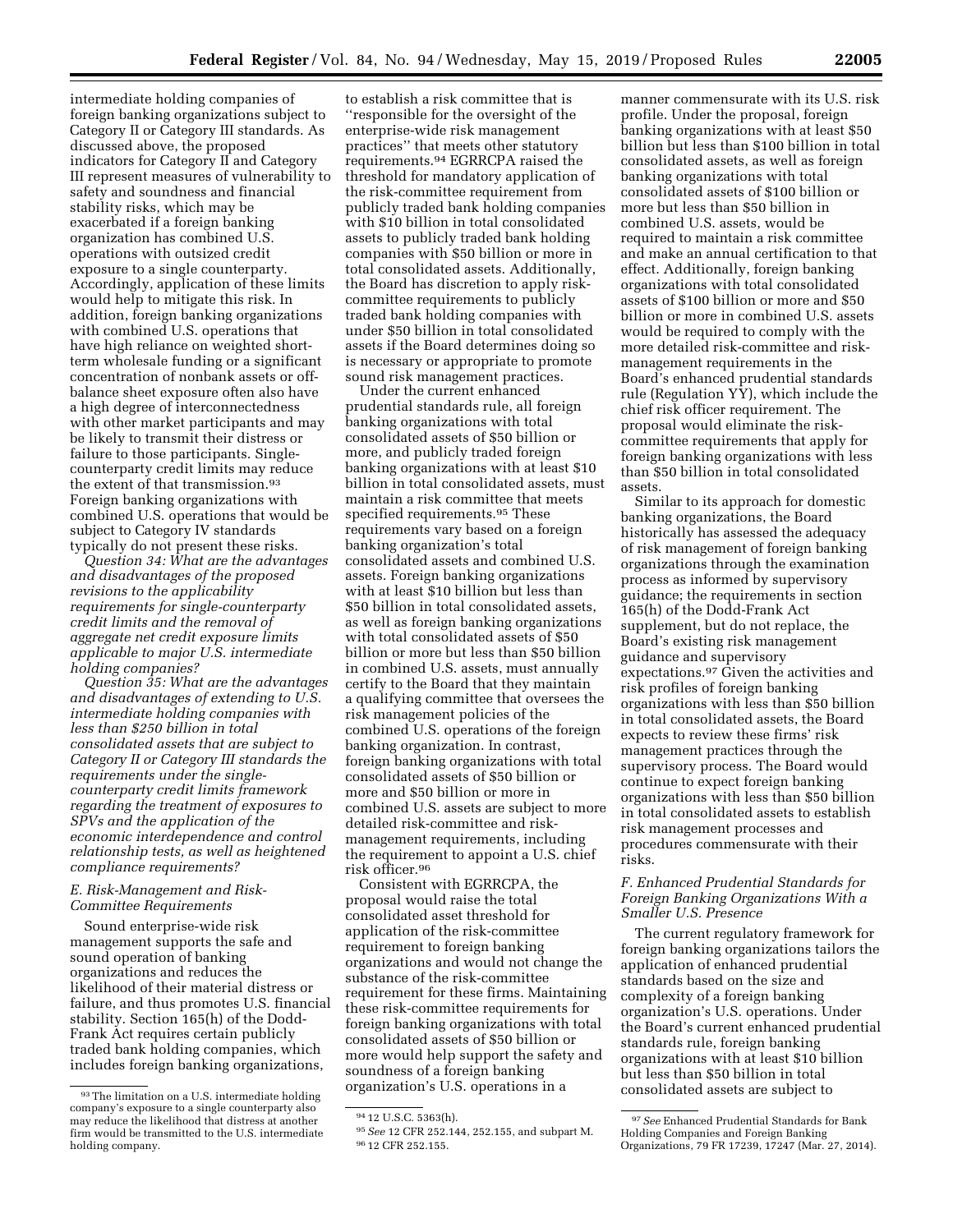intermediate holding companies of foreign banking organizations subject to Category II or Category III standards. As discussed above, the proposed indicators for Category II and Category III represent measures of vulnerability to safety and soundness and financial stability risks, which may be exacerbated if a foreign banking organization has combined U.S. operations with outsized credit exposure to a single counterparty. Accordingly, application of these limits would help to mitigate this risk. In addition, foreign banking organizations with combined U.S. operations that have high reliance on weighted shortterm wholesale funding or a significant concentration of nonbank assets or offbalance sheet exposure often also have a high degree of interconnectedness with other market participants and may be likely to transmit their distress or failure to those participants. Singlecounterparty credit limits may reduce the extent of that transmission.<sup>93</sup> Foreign banking organizations with combined U.S. operations that would be subject to Category IV standards typically do not present these risks.

*Question 34: What are the advantages and disadvantages of the proposed revisions to the applicability requirements for single-counterparty credit limits and the removal of aggregate net credit exposure limits applicable to major U.S. intermediate holding companies?* 

*Question 35: What are the advantages and disadvantages of extending to U.S. intermediate holding companies with less than \$250 billion in total consolidated assets that are subject to Category II or Category III standards the requirements under the singlecounterparty credit limits framework regarding the treatment of exposures to SPVs and the application of the economic interdependence and control relationship tests, as well as heightened compliance requirements?* 

## *E. Risk-Management and Risk-Committee Requirements*

Sound enterprise-wide risk management supports the safe and sound operation of banking organizations and reduces the likelihood of their material distress or failure, and thus promotes U.S. financial stability. Section 165(h) of the Dodd-Frank Act requires certain publicly traded bank holding companies, which includes foreign banking organizations,

to establish a risk committee that is ''responsible for the oversight of the enterprise-wide risk management practices'' that meets other statutory requirements.94 EGRRCPA raised the threshold for mandatory application of the risk-committee requirement from publicly traded bank holding companies with \$10 billion in total consolidated assets to publicly traded bank holding companies with \$50 billion or more in total consolidated assets. Additionally, the Board has discretion to apply riskcommittee requirements to publicly traded bank holding companies with under \$50 billion in total consolidated assets if the Board determines doing so is necessary or appropriate to promote sound risk management practices.

Under the current enhanced prudential standards rule, all foreign banking organizations with total consolidated assets of \$50 billion or more, and publicly traded foreign banking organizations with at least \$10 billion in total consolidated assets, must maintain a risk committee that meets specified requirements.95 These requirements vary based on a foreign banking organization's total consolidated assets and combined U.S. assets. Foreign banking organizations with at least \$10 billion but less than \$50 billion in total consolidated assets, as well as foreign banking organizations with total consolidated assets of \$50 billion or more but less than \$50 billion in combined U.S. assets, must annually certify to the Board that they maintain a qualifying committee that oversees the risk management policies of the combined U.S. operations of the foreign banking organization. In contrast, foreign banking organizations with total consolidated assets of \$50 billion or more and \$50 billion or more in combined U.S. assets are subject to more detailed risk-committee and riskmanagement requirements, including the requirement to appoint a U.S. chief risk officer.96

Consistent with EGRRCPA, the proposal would raise the total consolidated asset threshold for application of the risk-committee requirement to foreign banking organizations and would not change the substance of the risk-committee requirement for these firms. Maintaining these risk-committee requirements for foreign banking organizations with total consolidated assets of \$50 billion or more would help support the safety and soundness of a foreign banking organization's U.S. operations in a

manner commensurate with its U.S. risk profile. Under the proposal, foreign banking organizations with at least \$50 billion but less than \$100 billion in total consolidated assets, as well as foreign banking organizations with total consolidated assets of \$100 billion or more but less than \$50 billion in combined U.S. assets, would be required to maintain a risk committee and make an annual certification to that effect. Additionally, foreign banking organizations with total consolidated assets of \$100 billion or more and \$50 billion or more in combined U.S. assets would be required to comply with the more detailed risk-committee and riskmanagement requirements in the Board's enhanced prudential standards rule (Regulation YY), which include the chief risk officer requirement. The proposal would eliminate the riskcommittee requirements that apply for foreign banking organizations with less than \$50 billion in total consolidated assets.

Similar to its approach for domestic banking organizations, the Board historically has assessed the adequacy of risk management of foreign banking organizations through the examination process as informed by supervisory guidance; the requirements in section 165(h) of the Dodd-Frank Act supplement, but do not replace, the Board's existing risk management guidance and supervisory expectations.97 Given the activities and risk profiles of foreign banking organizations with less than \$50 billion in total consolidated assets, the Board expects to review these firms' risk management practices through the supervisory process. The Board would continue to expect foreign banking organizations with less than \$50 billion in total consolidated assets to establish risk management processes and procedures commensurate with their risks.

# *F. Enhanced Prudential Standards for Foreign Banking Organizations With a Smaller U.S. Presence*

The current regulatory framework for foreign banking organizations tailors the application of enhanced prudential standards based on the size and complexity of a foreign banking organization's U.S. operations. Under the Board's current enhanced prudential standards rule, foreign banking organizations with at least \$10 billion but less than \$50 billion in total consolidated assets are subject to

<sup>93</sup>The limitation on a U.S. intermediate holding company's exposure to a single counterparty also may reduce the likelihood that distress at another firm would be transmitted to the U.S. intermediate holding company.

<sup>94</sup> 12 U.S.C. 5363(h).

<sup>95</sup>*See* 12 CFR 252.144, 252.155, and subpart M. 96 12 CFR 252.155.

<sup>97</sup>*See* Enhanced Prudential Standards for Bank Holding Companies and Foreign Banking Organizations, 79 FR 17239, 17247 (Mar. 27, 2014).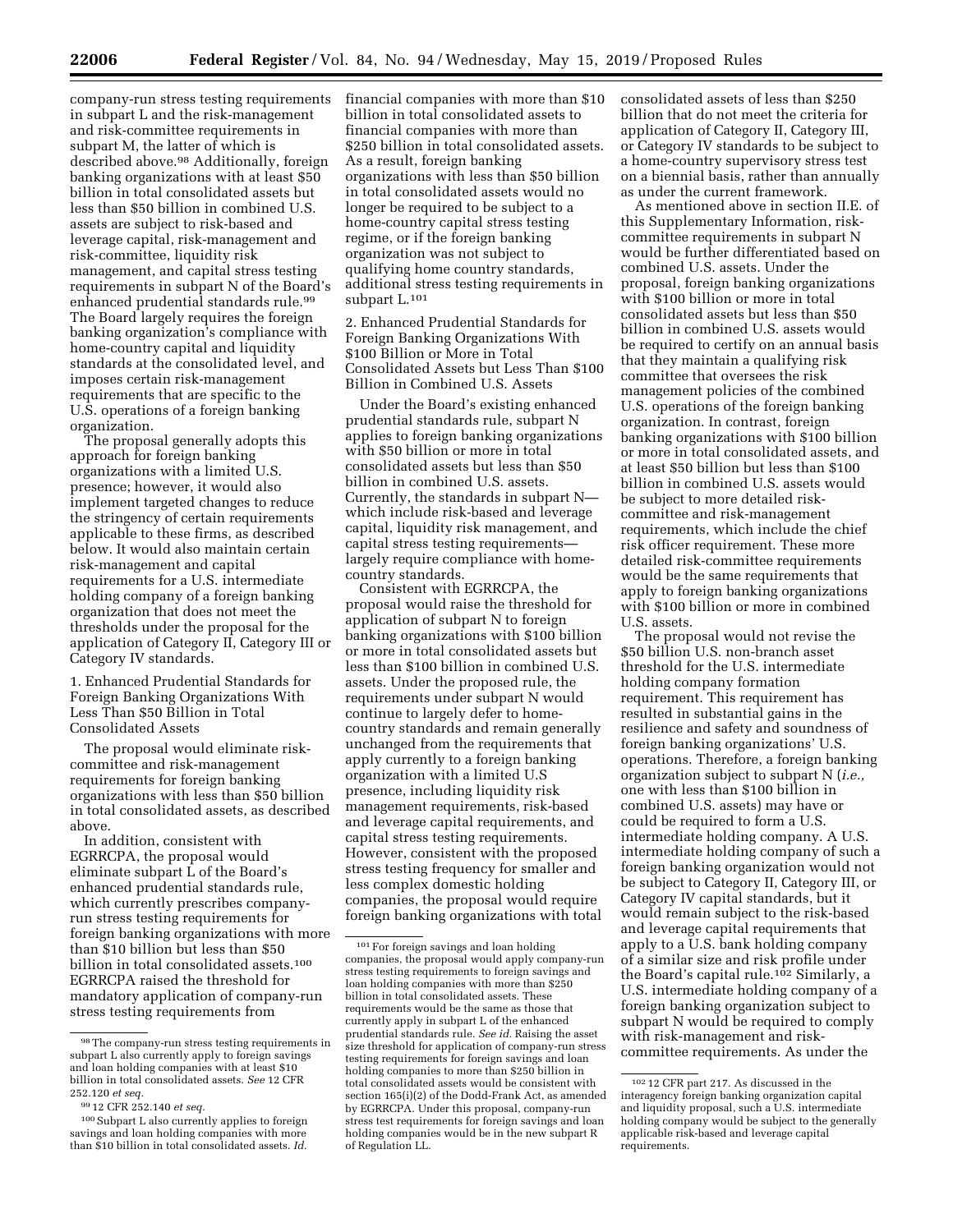company-run stress testing requirements in subpart L and the risk-management and risk-committee requirements in subpart M, the latter of which is described above.98 Additionally, foreign banking organizations with at least \$50 billion in total consolidated assets but less than \$50 billion in combined U.S. assets are subject to risk-based and leverage capital, risk-management and risk-committee, liquidity risk management, and capital stress testing requirements in subpart N of the Board's enhanced prudential standards rule.99 The Board largely requires the foreign banking organization's compliance with home-country capital and liquidity standards at the consolidated level, and imposes certain risk-management requirements that are specific to the U.S. operations of a foreign banking organization.

The proposal generally adopts this approach for foreign banking organizations with a limited U.S. presence; however, it would also implement targeted changes to reduce the stringency of certain requirements applicable to these firms, as described below. It would also maintain certain risk-management and capital requirements for a U.S. intermediate holding company of a foreign banking organization that does not meet the thresholds under the proposal for the application of Category II, Category III or Category IV standards.

1. Enhanced Prudential Standards for Foreign Banking Organizations With Less Than \$50 Billion in Total Consolidated Assets

The proposal would eliminate riskcommittee and risk-management requirements for foreign banking organizations with less than \$50 billion in total consolidated assets, as described above.

In addition, consistent with EGRRCPA, the proposal would eliminate subpart L of the Board's enhanced prudential standards rule, which currently prescribes companyrun stress testing requirements for foreign banking organizations with more than \$10 billion but less than \$50 billion in total consolidated assets.<sup>100</sup> EGRRCPA raised the threshold for mandatory application of company-run stress testing requirements from

financial companies with more than \$10 billion in total consolidated assets to financial companies with more than \$250 billion in total consolidated assets. As a result, foreign banking organizations with less than \$50 billion in total consolidated assets would no longer be required to be subject to a home-country capital stress testing regime, or if the foreign banking organization was not subject to qualifying home country standards, additional stress testing requirements in subpart L.101

2. Enhanced Prudential Standards for Foreign Banking Organizations With \$100 Billion or More in Total Consolidated Assets but Less Than \$100 Billion in Combined U.S. Assets

Under the Board's existing enhanced prudential standards rule, subpart N applies to foreign banking organizations with \$50 billion or more in total consolidated assets but less than \$50 billion in combined U.S. assets. Currently, the standards in subpart N which include risk-based and leverage capital, liquidity risk management, and capital stress testing requirements largely require compliance with homecountry standards.

Consistent with EGRRCPA, the proposal would raise the threshold for application of subpart N to foreign banking organizations with \$100 billion or more in total consolidated assets but less than \$100 billion in combined U.S. assets. Under the proposed rule, the requirements under subpart N would continue to largely defer to homecountry standards and remain generally unchanged from the requirements that apply currently to a foreign banking organization with a limited U.S presence, including liquidity risk management requirements, risk-based and leverage capital requirements, and capital stress testing requirements. However, consistent with the proposed stress testing frequency for smaller and less complex domestic holding companies, the proposal would require foreign banking organizations with total consolidated assets of less than \$250 billion that do not meet the criteria for application of Category II, Category III, or Category IV standards to be subject to a home-country supervisory stress test on a biennial basis, rather than annually as under the current framework.

As mentioned above in section II.E. of this Supplementary Information, riskcommittee requirements in subpart N would be further differentiated based on combined U.S. assets. Under the proposal, foreign banking organizations with \$100 billion or more in total consolidated assets but less than \$50 billion in combined U.S. assets would be required to certify on an annual basis that they maintain a qualifying risk committee that oversees the risk management policies of the combined U.S. operations of the foreign banking organization. In contrast, foreign banking organizations with \$100 billion or more in total consolidated assets, and at least \$50 billion but less than \$100 billion in combined U.S. assets would be subject to more detailed riskcommittee and risk-management requirements, which include the chief risk officer requirement. These more detailed risk-committee requirements would be the same requirements that apply to foreign banking organizations with \$100 billion or more in combined U.S. assets.

The proposal would not revise the \$50 billion U.S. non-branch asset threshold for the U.S. intermediate holding company formation requirement. This requirement has resulted in substantial gains in the resilience and safety and soundness of foreign banking organizations' U.S. operations. Therefore, a foreign banking organization subject to subpart N (*i.e.,*  one with less than \$100 billion in combined U.S. assets) may have or could be required to form a U.S. intermediate holding company. A U.S. intermediate holding company of such a foreign banking organization would not be subject to Category II, Category III, or Category IV capital standards, but it would remain subject to the risk-based and leverage capital requirements that apply to a U.S. bank holding company of a similar size and risk profile under the Board's capital rule.102 Similarly, a U.S. intermediate holding company of a foreign banking organization subject to subpart N would be required to comply with risk-management and riskcommittee requirements. As under the

<sup>98</sup>The company-run stress testing requirements in subpart L also currently apply to foreign savings and loan holding companies with at least \$10 billion in total consolidated assets. *See* 12 CFR 252.120 *et seq.* 

<sup>99</sup> 12 CFR 252.140 *et seq.* 

<sup>100</sup>Subpart L also currently applies to foreign savings and loan holding companies with more than \$10 billion in total consolidated assets. *Id.* 

 $^{\rm 101}$  For foreign savings and loan holding companies, the proposal would apply company-run stress testing requirements to foreign savings and loan holding companies with more than \$250 billion in total consolidated assets. These requirements would be the same as those that currently apply in subpart L of the enhanced prudential standards rule. *See id.* Raising the asset size threshold for application of company-run stress testing requirements for foreign savings and loan holding companies to more than \$250 billion in total consolidated assets would be consistent with section 165(i)(2) of the Dodd-Frank Act, as amended by EGRRCPA. Under this proposal, company-run stress test requirements for foreign savings and loan holding companies would be in the new subpart R of Regulation LL.

<sup>102</sup> 12 CFR part 217. As discussed in the interagency foreign banking organization capital and liquidity proposal, such a U.S. intermediate holding company would be subject to the generally applicable risk-based and leverage capital requirements.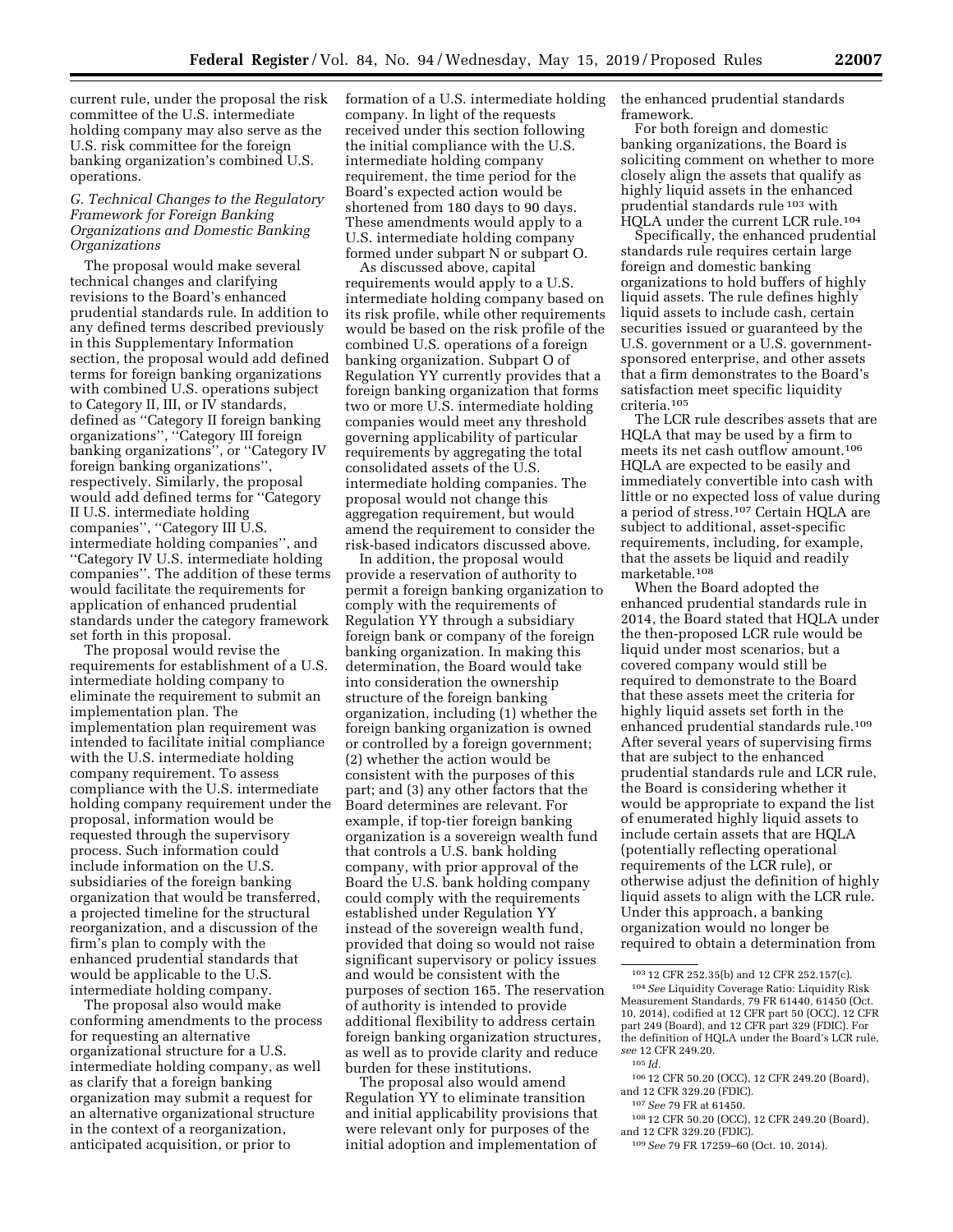current rule, under the proposal the risk committee of the U.S. intermediate holding company may also serve as the U.S. risk committee for the foreign banking organization's combined U.S. operations.

## *G. Technical Changes to the Regulatory Framework for Foreign Banking Organizations and Domestic Banking Organizations*

The proposal would make several technical changes and clarifying revisions to the Board's enhanced prudential standards rule. In addition to any defined terms described previously in this Supplementary Information section, the proposal would add defined terms for foreign banking organizations with combined U.S. operations subject to Category II, III, or IV standards, defined as ''Category II foreign banking organizations'', ''Category III foreign banking organizations'', or ''Category IV foreign banking organizations'', respectively. Similarly, the proposal would add defined terms for ''Category II U.S. intermediate holding companies", "Category III U.S. intermediate holding companies'', and ''Category IV U.S. intermediate holding companies''. The addition of these terms would facilitate the requirements for application of enhanced prudential standards under the category framework set forth in this proposal.

The proposal would revise the requirements for establishment of a U.S. intermediate holding company to eliminate the requirement to submit an implementation plan. The implementation plan requirement was intended to facilitate initial compliance with the U.S. intermediate holding company requirement. To assess compliance with the U.S. intermediate holding company requirement under the proposal, information would be requested through the supervisory process. Such information could include information on the U.S. subsidiaries of the foreign banking organization that would be transferred, a projected timeline for the structural reorganization, and a discussion of the firm's plan to comply with the enhanced prudential standards that would be applicable to the U.S. intermediate holding company.

The proposal also would make conforming amendments to the process for requesting an alternative organizational structure for a U.S. intermediate holding company, as well as clarify that a foreign banking organization may submit a request for an alternative organizational structure in the context of a reorganization, anticipated acquisition, or prior to

formation of a U.S. intermediate holding company. In light of the requests received under this section following the initial compliance with the U.S. intermediate holding company requirement, the time period for the Board's expected action would be shortened from 180 days to 90 days. These amendments would apply to a U.S. intermediate holding company formed under subpart N or subpart O.

As discussed above, capital requirements would apply to a U.S. intermediate holding company based on its risk profile, while other requirements would be based on the risk profile of the combined U.S. operations of a foreign banking organization. Subpart O of Regulation YY currently provides that a foreign banking organization that forms two or more U.S. intermediate holding companies would meet any threshold governing applicability of particular requirements by aggregating the total consolidated assets of the U.S. intermediate holding companies. The proposal would not change this aggregation requirement, but would amend the requirement to consider the risk-based indicators discussed above.

In addition, the proposal would provide a reservation of authority to permit a foreign banking organization to comply with the requirements of Regulation YY through a subsidiary foreign bank or company of the foreign banking organization. In making this determination, the Board would take into consideration the ownership structure of the foreign banking organization, including (1) whether the foreign banking organization is owned or controlled by a foreign government; (2) whether the action would be consistent with the purposes of this part; and (3) any other factors that the Board determines are relevant. For example, if top-tier foreign banking organization is a sovereign wealth fund that controls a U.S. bank holding company, with prior approval of the Board the U.S. bank holding company could comply with the requirements established under Regulation YY instead of the sovereign wealth fund, provided that doing so would not raise significant supervisory or policy issues and would be consistent with the purposes of section 165. The reservation of authority is intended to provide additional flexibility to address certain foreign banking organization structures, as well as to provide clarity and reduce burden for these institutions.

The proposal also would amend Regulation YY to eliminate transition and initial applicability provisions that were relevant only for purposes of the initial adoption and implementation of

the enhanced prudential standards framework.

For both foreign and domestic banking organizations, the Board is soliciting comment on whether to more closely align the assets that qualify as highly liquid assets in the enhanced prudential standards rule 103 with HQLA under the current LCR rule.104

Specifically, the enhanced prudential standards rule requires certain large foreign and domestic banking organizations to hold buffers of highly liquid assets. The rule defines highly liquid assets to include cash, certain securities issued or guaranteed by the U.S. government or a U.S. governmentsponsored enterprise, and other assets that a firm demonstrates to the Board's satisfaction meet specific liquidity criteria.105

The LCR rule describes assets that are HQLA that may be used by a firm to meets its net cash outflow amount.106 HQLA are expected to be easily and immediately convertible into cash with little or no expected loss of value during a period of stress.107 Certain HQLA are subject to additional, asset-specific requirements, including, for example, that the assets be liquid and readily marketable.108

When the Board adopted the enhanced prudential standards rule in 2014, the Board stated that HQLA under the then-proposed LCR rule would be liquid under most scenarios, but a covered company would still be required to demonstrate to the Board that these assets meet the criteria for highly liquid assets set forth in the enhanced prudential standards rule.109 After several years of supervising firms that are subject to the enhanced prudential standards rule and LCR rule, the Board is considering whether it would be appropriate to expand the list of enumerated highly liquid assets to include certain assets that are HQLA (potentially reflecting operational requirements of the LCR rule), or otherwise adjust the definition of highly liquid assets to align with the LCR rule. Under this approach, a banking organization would no longer be required to obtain a determination from

- 106 12 CFR 50.20 (OCC), 12 CFR 249.20 (Board), and 12 CFR 329.20 (FDIC).
	- 107*See* 79 FR at 61450.
- 108 12 CFR 50.20 (OCC), 12 CFR 249.20 (Board), and 12 CFR 329.20 (FDIC).

<sup>103</sup> 12 CFR 252.35(b) and 12 CFR 252.157(c). 104*See* Liquidity Coverage Ratio: Liquidity Risk Measurement Standards, 79 FR 61440, 61450 (Oct. 10, 2014), codified at 12 CFR part 50 (OCC), 12 CFR part 249 (Board), and 12 CFR part 329 (FDIC). For the definition of HQLA under the Board's LCR rule, *see* 12 CFR 249.20.

 $105$  *Id.* 

<sup>109</sup>*See* 79 FR 17259–60 (Oct. 10, 2014).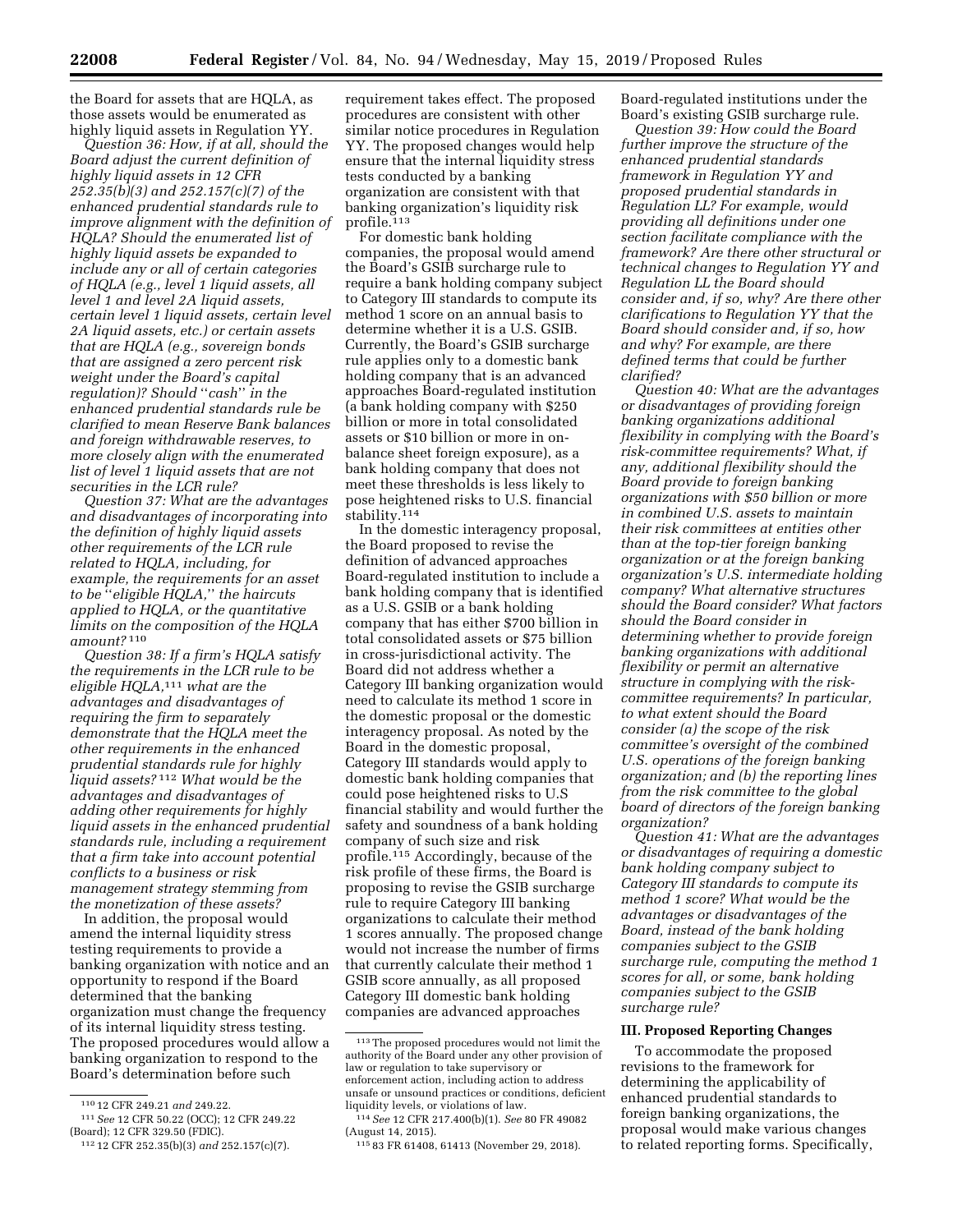the Board for assets that are HQLA, as those assets would be enumerated as highly liquid assets in Regulation YY.

*Question 36: How, if at all, should the Board adjust the current definition of highly liquid assets in 12 CFR 252.35(b)(3) and 252.157(c)(7) of the enhanced prudential standards rule to improve alignment with the definition of HQLA? Should the enumerated list of highly liquid assets be expanded to include any or all of certain categories of HQLA (e.g., level 1 liquid assets, all level 1 and level 2A liquid assets, certain level 1 liquid assets, certain level 2A liquid assets, etc.) or certain assets that are HQLA (e.g., sovereign bonds that are assigned a zero percent risk weight under the Board's capital regulation)? Should* ''*cash*'' *in the enhanced prudential standards rule be clarified to mean Reserve Bank balances and foreign withdrawable reserves, to more closely align with the enumerated list of level 1 liquid assets that are not securities in the LCR rule?* 

*Question 37: What are the advantages and disadvantages of incorporating into the definition of highly liquid assets other requirements of the LCR rule related to HQLA, including, for example, the requirements for an asset to be* ''*eligible HQLA,*'' *the haircuts applied to HQLA, or the quantitative limits on the composition of the HQLA amount?* 110

*Question 38: If a firm's HQLA satisfy the requirements in the LCR rule to be eligible HQLA,*111 *what are the advantages and disadvantages of requiring the firm to separately demonstrate that the HQLA meet the other requirements in the enhanced prudential standards rule for highly liquid assets?* 112 *What would be the advantages and disadvantages of adding other requirements for highly liquid assets in the enhanced prudential standards rule, including a requirement that a firm take into account potential conflicts to a business or risk management strategy stemming from the monetization of these assets?* 

In addition, the proposal would amend the internal liquidity stress testing requirements to provide a banking organization with notice and an opportunity to respond if the Board determined that the banking organization must change the frequency of its internal liquidity stress testing. The proposed procedures would allow a banking organization to respond to the Board's determination before such

requirement takes effect. The proposed procedures are consistent with other similar notice procedures in Regulation YY. The proposed changes would help ensure that the internal liquidity stress tests conducted by a banking organization are consistent with that banking organization's liquidity risk profile.113

For domestic bank holding companies, the proposal would amend the Board's GSIB surcharge rule to require a bank holding company subject to Category III standards to compute its method 1 score on an annual basis to determine whether it is a U.S. GSIB. Currently, the Board's GSIB surcharge rule applies only to a domestic bank holding company that is an advanced approaches Board-regulated institution (a bank holding company with \$250 billion or more in total consolidated assets or \$10 billion or more in onbalance sheet foreign exposure), as a bank holding company that does not meet these thresholds is less likely to pose heightened risks to U.S. financial stability.114

In the domestic interagency proposal, the Board proposed to revise the definition of advanced approaches Board-regulated institution to include a bank holding company that is identified as a U.S. GSIB or a bank holding company that has either \$700 billion in total consolidated assets or \$75 billion in cross-jurisdictional activity. The Board did not address whether a Category III banking organization would need to calculate its method 1 score in the domestic proposal or the domestic interagency proposal. As noted by the Board in the domestic proposal, Category III standards would apply to domestic bank holding companies that could pose heightened risks to U.S financial stability and would further the safety and soundness of a bank holding company of such size and risk profile.115 Accordingly, because of the risk profile of these firms, the Board is proposing to revise the GSIB surcharge rule to require Category III banking organizations to calculate their method 1 scores annually. The proposed change would not increase the number of firms that currently calculate their method 1 GSIB score annually, as all proposed Category III domestic bank holding companies are advanced approaches

Board-regulated institutions under the Board's existing GSIB surcharge rule.

*Question 39: How could the Board further improve the structure of the enhanced prudential standards framework in Regulation YY and proposed prudential standards in Regulation LL? For example, would providing all definitions under one section facilitate compliance with the framework? Are there other structural or technical changes to Regulation YY and Regulation LL the Board should consider and, if so, why? Are there other clarifications to Regulation YY that the Board should consider and, if so, how and why? For example, are there defined terms that could be further clarified?* 

*Question 40: What are the advantages or disadvantages of providing foreign banking organizations additional flexibility in complying with the Board's risk-committee requirements? What, if any, additional flexibility should the Board provide to foreign banking organizations with \$50 billion or more in combined U.S. assets to maintain their risk committees at entities other than at the top-tier foreign banking organization or at the foreign banking organization's U.S. intermediate holding company? What alternative structures should the Board consider? What factors should the Board consider in determining whether to provide foreign banking organizations with additional flexibility or permit an alternative structure in complying with the riskcommittee requirements? In particular, to what extent should the Board consider (a) the scope of the risk committee's oversight of the combined U.S. operations of the foreign banking organization; and (b) the reporting lines from the risk committee to the global board of directors of the foreign banking organization?* 

*Question 41: What are the advantages or disadvantages of requiring a domestic bank holding company subject to Category III standards to compute its method 1 score? What would be the advantages or disadvantages of the Board, instead of the bank holding companies subject to the GSIB surcharge rule, computing the method 1 scores for all, or some, bank holding companies subject to the GSIB surcharge rule?* 

#### **III. Proposed Reporting Changes**

To accommodate the proposed revisions to the framework for determining the applicability of enhanced prudential standards to foreign banking organizations, the proposal would make various changes to related reporting forms. Specifically,

<sup>110</sup> 12 CFR 249.21 *and* 249.22.

<sup>111</sup>*See* 12 CFR 50.22 (OCC); 12 CFR 249.22 (Board); 12 CFR 329.50 (FDIC).

<sup>112</sup> 12 CFR 252.35(b)(3) *and* 252.157(c)(7).

<sup>113</sup>The proposed procedures would not limit the authority of the Board under any other provision of law or regulation to take supervisory or enforcement action, including action to address unsafe or unsound practices or conditions, deficient liquidity levels, or violations of law.

<sup>114</sup>*See* 12 CFR 217.400(b)(1). *See* 80 FR 49082 (August 14, 2015).

<sup>115</sup> 83 FR 61408, 61413 (November 29, 2018).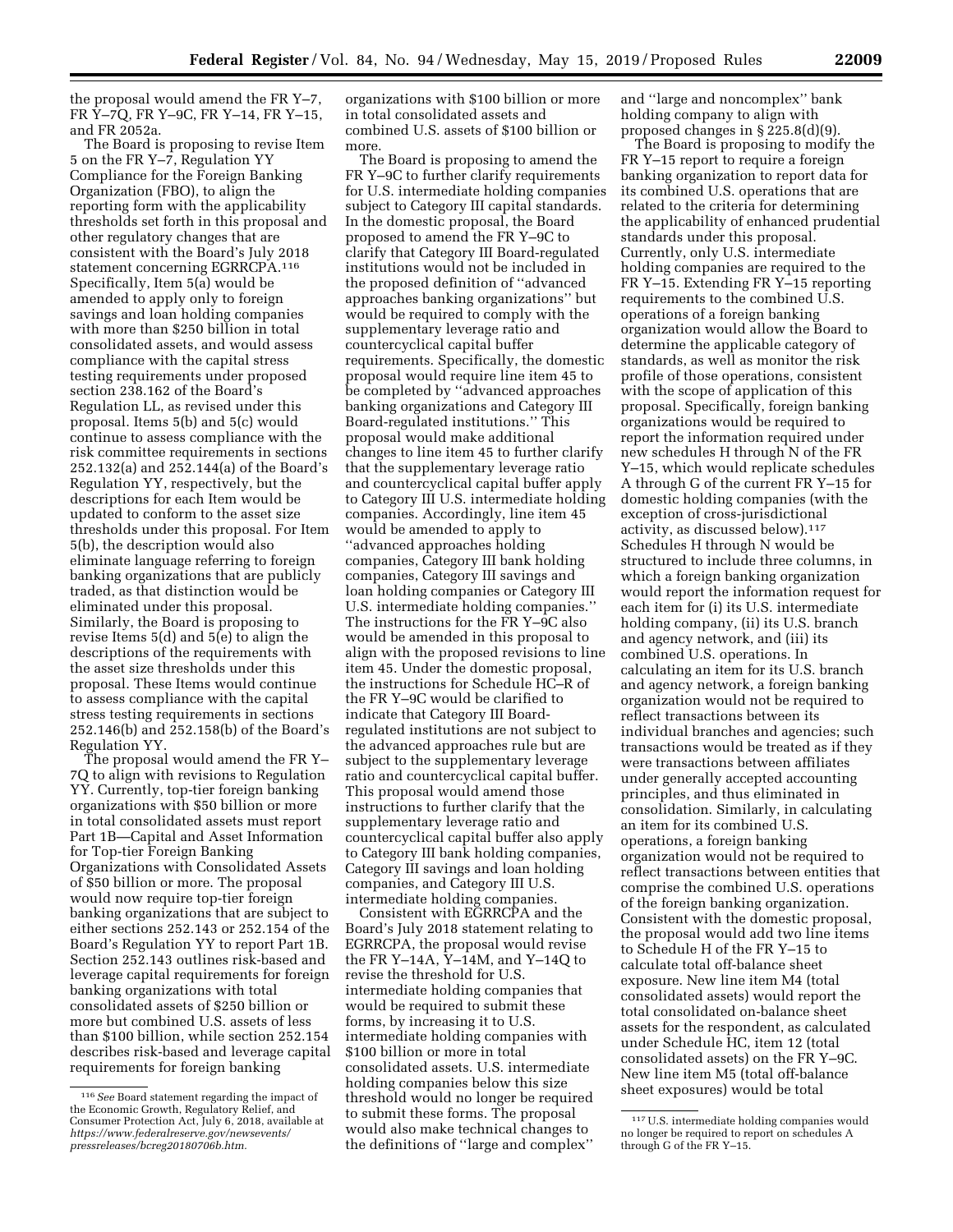the proposal would amend the FR Y–7, FR Y–7Q, FR Y–9C, FR Y–14, FR Y–15, and FR 2052a.

The Board is proposing to revise Item 5 on the FR Y–7, Regulation YY Compliance for the Foreign Banking Organization (FBO), to align the reporting form with the applicability thresholds set forth in this proposal and other regulatory changes that are consistent with the Board's July 2018 statement concerning EGRRCPA.116 Specifically, Item 5(a) would be amended to apply only to foreign savings and loan holding companies with more than \$250 billion in total consolidated assets, and would assess compliance with the capital stress testing requirements under proposed section 238.162 of the Board's Regulation LL, as revised under this proposal. Items 5(b) and 5(c) would continue to assess compliance with the risk committee requirements in sections 252.132(a) and 252.144(a) of the Board's Regulation YY, respectively, but the descriptions for each Item would be updated to conform to the asset size thresholds under this proposal. For Item 5(b), the description would also eliminate language referring to foreign banking organizations that are publicly traded, as that distinction would be eliminated under this proposal. Similarly, the Board is proposing to revise Items 5(d) and 5(e) to align the descriptions of the requirements with the asset size thresholds under this proposal. These Items would continue to assess compliance with the capital stress testing requirements in sections 252.146(b) and 252.158(b) of the Board's Regulation YY.

The proposal would amend the FR Y– 7Q to align with revisions to Regulation YY. Currently, top-tier foreign banking organizations with \$50 billion or more in total consolidated assets must report Part 1B—Capital and Asset Information for Top-tier Foreign Banking Organizations with Consolidated Assets of \$50 billion or more. The proposal would now require top-tier foreign banking organizations that are subject to either sections 252.143 or 252.154 of the Board's Regulation YY to report Part 1B. Section 252.143 outlines risk-based and leverage capital requirements for foreign banking organizations with total consolidated assets of \$250 billion or more but combined U.S. assets of less than \$100 billion, while section 252.154 describes risk-based and leverage capital requirements for foreign banking

organizations with \$100 billion or more in total consolidated assets and combined U.S. assets of \$100 billion or more.

The Board is proposing to amend the FR Y–9C to further clarify requirements for U.S. intermediate holding companies subject to Category III capital standards. In the domestic proposal, the Board proposed to amend the FR Y–9C to clarify that Category III Board-regulated institutions would not be included in the proposed definition of ''advanced approaches banking organizations'' but would be required to comply with the supplementary leverage ratio and countercyclical capital buffer requirements. Specifically, the domestic proposal would require line item 45 to be completed by ''advanced approaches banking organizations and Category III Board-regulated institutions.'' This proposal would make additional changes to line item 45 to further clarify that the supplementary leverage ratio and countercyclical capital buffer apply to Category III U.S. intermediate holding companies. Accordingly, line item 45 would be amended to apply to ''advanced approaches holding companies, Category III bank holding companies, Category III savings and loan holding companies or Category III U.S. intermediate holding companies.'' The instructions for the FR Y–9C also would be amended in this proposal to align with the proposed revisions to line item 45. Under the domestic proposal, the instructions for Schedule HC–R of the FR Y–9C would be clarified to indicate that Category III Boardregulated institutions are not subject to the advanced approaches rule but are subject to the supplementary leverage ratio and countercyclical capital buffer. This proposal would amend those instructions to further clarify that the supplementary leverage ratio and countercyclical capital buffer also apply to Category III bank holding companies, Category III savings and loan holding companies, and Category III U.S. intermediate holding companies.

Consistent with EGRRCPA and the Board's July 2018 statement relating to EGRRCPA, the proposal would revise the FR Y–14A, Y–14M, and Y–14Q to revise the threshold for U.S. intermediate holding companies that would be required to submit these forms, by increasing it to U.S. intermediate holding companies with \$100 billion or more in total consolidated assets. U.S. intermediate holding companies below this size threshold would no longer be required to submit these forms. The proposal would also make technical changes to the definitions of ''large and complex'' and ''large and noncomplex'' bank holding company to align with proposed changes in § 225.8(d)(9).

The Board is proposing to modify the FR Y–15 report to require a foreign banking organization to report data for its combined U.S. operations that are related to the criteria for determining the applicability of enhanced prudential standards under this proposal. Currently, only U.S. intermediate holding companies are required to the FR Y–15. Extending FR Y–15 reporting requirements to the combined U.S. operations of a foreign banking organization would allow the Board to determine the applicable category of standards, as well as monitor the risk profile of those operations, consistent with the scope of application of this proposal. Specifically, foreign banking organizations would be required to report the information required under new schedules H through N of the FR Y–15, which would replicate schedules A through G of the current FR Y–15 for domestic holding companies (with the exception of cross-jurisdictional activity, as discussed below).117 Schedules H through N would be structured to include three columns, in which a foreign banking organization would report the information request for each item for (i) its U.S. intermediate holding company, (ii) its U.S. branch and agency network, and (iii) its combined U.S. operations. In calculating an item for its U.S. branch and agency network, a foreign banking organization would not be required to reflect transactions between its individual branches and agencies; such transactions would be treated as if they were transactions between affiliates under generally accepted accounting principles, and thus eliminated in consolidation. Similarly, in calculating an item for its combined U.S. operations, a foreign banking organization would not be required to reflect transactions between entities that comprise the combined U.S. operations of the foreign banking organization. Consistent with the domestic proposal, the proposal would add two line items to Schedule H of the FR Y–15 to calculate total off-balance sheet exposure. New line item M4 (total consolidated assets) would report the total consolidated on-balance sheet assets for the respondent, as calculated under Schedule HC, item 12 (total consolidated assets) on the FR Y–9C. New line item M5 (total off-balance sheet exposures) would be total

<sup>116</sup>*See* Board statement regarding the impact of the Economic Growth, Regulatory Relief, and Consumer Protection Act, July 6, 2018, available at *[https://www.federalreserve.gov/newsevents/](https://www.federalreserve.gov/newsevents/pressreleases/bcreg20180706b.htm)  [pressreleases/bcreg20180706b.htm.](https://www.federalreserve.gov/newsevents/pressreleases/bcreg20180706b.htm)* 

<sup>117</sup>U.S. intermediate holding companies would no longer be required to report on schedules A through G of the FR Y–15.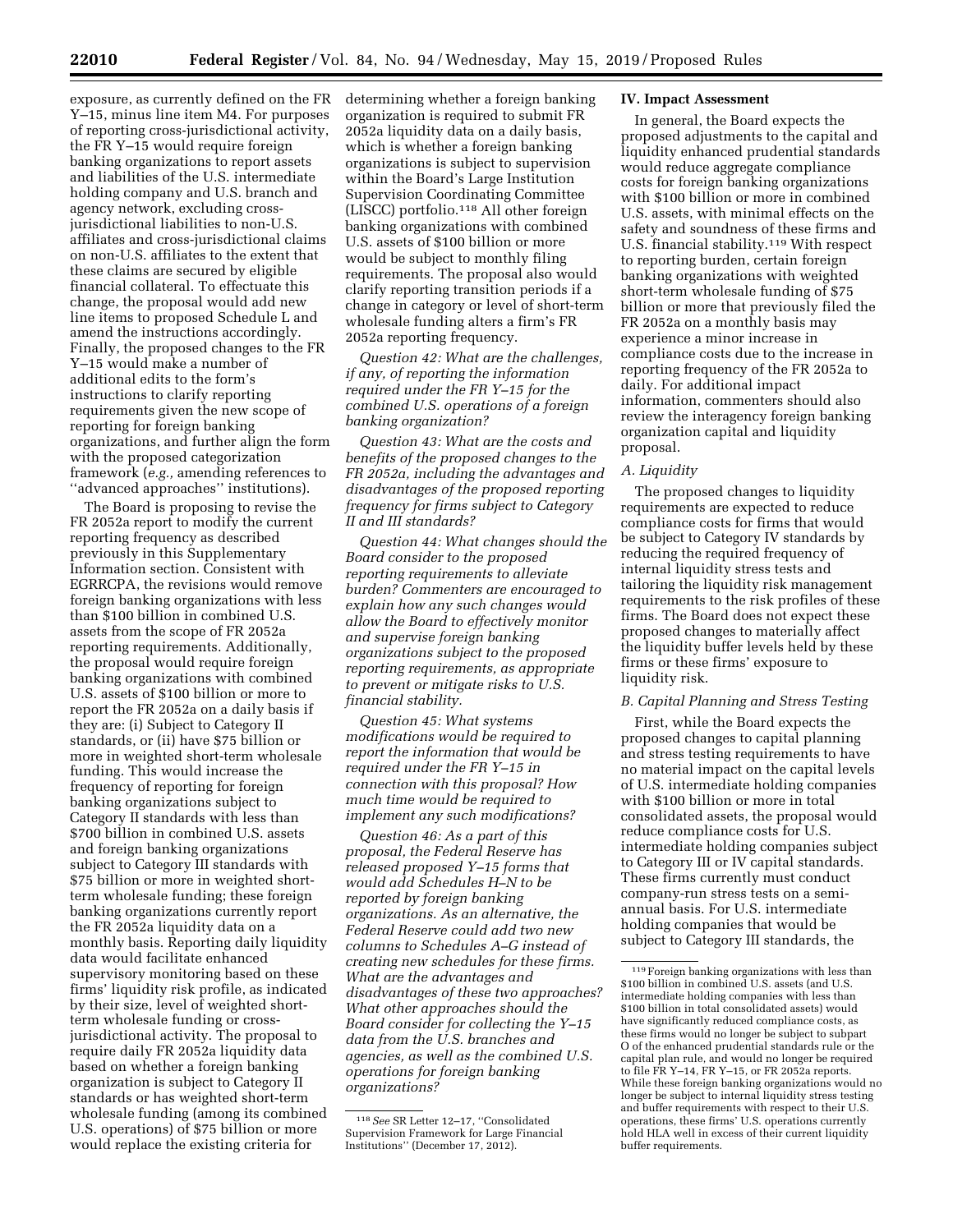exposure, as currently defined on the FR Y–15, minus line item M4. For purposes of reporting cross-jurisdictional activity, the FR Y–15 would require foreign banking organizations to report assets and liabilities of the U.S. intermediate holding company and U.S. branch and agency network, excluding crossjurisdictional liabilities to non-U.S. affiliates and cross-jurisdictional claims on non-U.S. affiliates to the extent that these claims are secured by eligible financial collateral. To effectuate this change, the proposal would add new line items to proposed Schedule L and amend the instructions accordingly. Finally, the proposed changes to the FR Y–15 would make a number of additional edits to the form's instructions to clarify reporting requirements given the new scope of reporting for foreign banking organizations, and further align the form with the proposed categorization framework (*e.g.,* amending references to ''advanced approaches'' institutions).

The Board is proposing to revise the FR 2052a report to modify the current reporting frequency as described previously in this Supplementary Information section. Consistent with EGRRCPA, the revisions would remove foreign banking organizations with less than \$100 billion in combined U.S. assets from the scope of FR 2052a reporting requirements. Additionally, the proposal would require foreign banking organizations with combined U.S. assets of \$100 billion or more to report the FR 2052a on a daily basis if they are: (i) Subject to Category II standards, or (ii) have \$75 billion or more in weighted short-term wholesale funding. This would increase the frequency of reporting for foreign banking organizations subject to Category II standards with less than \$700 billion in combined U.S. assets and foreign banking organizations subject to Category III standards with \$75 billion or more in weighted shortterm wholesale funding; these foreign banking organizations currently report the FR 2052a liquidity data on a monthly basis. Reporting daily liquidity data would facilitate enhanced supervisory monitoring based on these firms' liquidity risk profile, as indicated by their size, level of weighted shortterm wholesale funding or crossjurisdictional activity. The proposal to require daily FR 2052a liquidity data based on whether a foreign banking organization is subject to Category II standards or has weighted short-term wholesale funding (among its combined U.S. operations) of \$75 billion or more would replace the existing criteria for

determining whether a foreign banking organization is required to submit FR 2052a liquidity data on a daily basis, which is whether a foreign banking organizations is subject to supervision within the Board's Large Institution Supervision Coordinating Committee (LISCC) portfolio.118 All other foreign banking organizations with combined U.S. assets of \$100 billion or more would be subject to monthly filing requirements. The proposal also would clarify reporting transition periods if a change in category or level of short-term wholesale funding alters a firm's FR 2052a reporting frequency.

*Question 42: What are the challenges, if any, of reporting the information required under the FR Y–15 for the combined U.S. operations of a foreign banking organization?* 

*Question 43: What are the costs and benefits of the proposed changes to the FR 2052a, including the advantages and disadvantages of the proposed reporting frequency for firms subject to Category II and III standards?* 

*Question 44: What changes should the Board consider to the proposed reporting requirements to alleviate burden? Commenters are encouraged to explain how any such changes would allow the Board to effectively monitor and supervise foreign banking organizations subject to the proposed reporting requirements, as appropriate to prevent or mitigate risks to U.S. financial stability.* 

*Question 45: What systems modifications would be required to report the information that would be required under the FR Y–15 in connection with this proposal? How much time would be required to implement any such modifications?* 

*Question 46: As a part of this proposal, the Federal Reserve has released proposed Y–15 forms that would add Schedules H–N to be reported by foreign banking organizations. As an alternative, the Federal Reserve could add two new columns to Schedules A–G instead of creating new schedules for these firms. What are the advantages and disadvantages of these two approaches? What other approaches should the Board consider for collecting the Y–15 data from the U.S. branches and agencies, as well as the combined U.S. operations for foreign banking organizations?* 

## **IV. Impact Assessment**

In general, the Board expects the proposed adjustments to the capital and liquidity enhanced prudential standards would reduce aggregate compliance costs for foreign banking organizations with \$100 billion or more in combined U.S. assets, with minimal effects on the safety and soundness of these firms and U.S. financial stability.119 With respect to reporting burden, certain foreign banking organizations with weighted short-term wholesale funding of \$75 billion or more that previously filed the FR 2052a on a monthly basis may experience a minor increase in compliance costs due to the increase in reporting frequency of the FR 2052a to daily. For additional impact information, commenters should also review the interagency foreign banking organization capital and liquidity proposal.

### *A. Liquidity*

The proposed changes to liquidity requirements are expected to reduce compliance costs for firms that would be subject to Category IV standards by reducing the required frequency of internal liquidity stress tests and tailoring the liquidity risk management requirements to the risk profiles of these firms. The Board does not expect these proposed changes to materially affect the liquidity buffer levels held by these firms or these firms' exposure to liquidity risk.

### *B. Capital Planning and Stress Testing*

First, while the Board expects the proposed changes to capital planning and stress testing requirements to have no material impact on the capital levels of U.S. intermediate holding companies with \$100 billion or more in total consolidated assets, the proposal would reduce compliance costs for U.S. intermediate holding companies subject to Category III or IV capital standards. These firms currently must conduct company-run stress tests on a semiannual basis. For U.S. intermediate holding companies that would be subject to Category III standards, the

<sup>118</sup>*See* SR Letter 12–17, ''Consolidated Supervision Framework for Large Financial Institutions'' (December 17, 2012).

<sup>119</sup>Foreign banking organizations with less than \$100 billion in combined U.S. assets (and U.S. intermediate holding companies with less than \$100 billion in total consolidated assets) would have significantly reduced compliance costs, as these firms would no longer be subject to subpart O of the enhanced prudential standards rule or the capital plan rule, and would no longer be required to file FR Y–14, FR Y–15, or FR 2052a reports. While these foreign banking organizations would no longer be subject to internal liquidity stress testing and buffer requirements with respect to their U.S. operations, these firms' U.S. operations currently hold HLA well in excess of their current liquidity buffer requirements.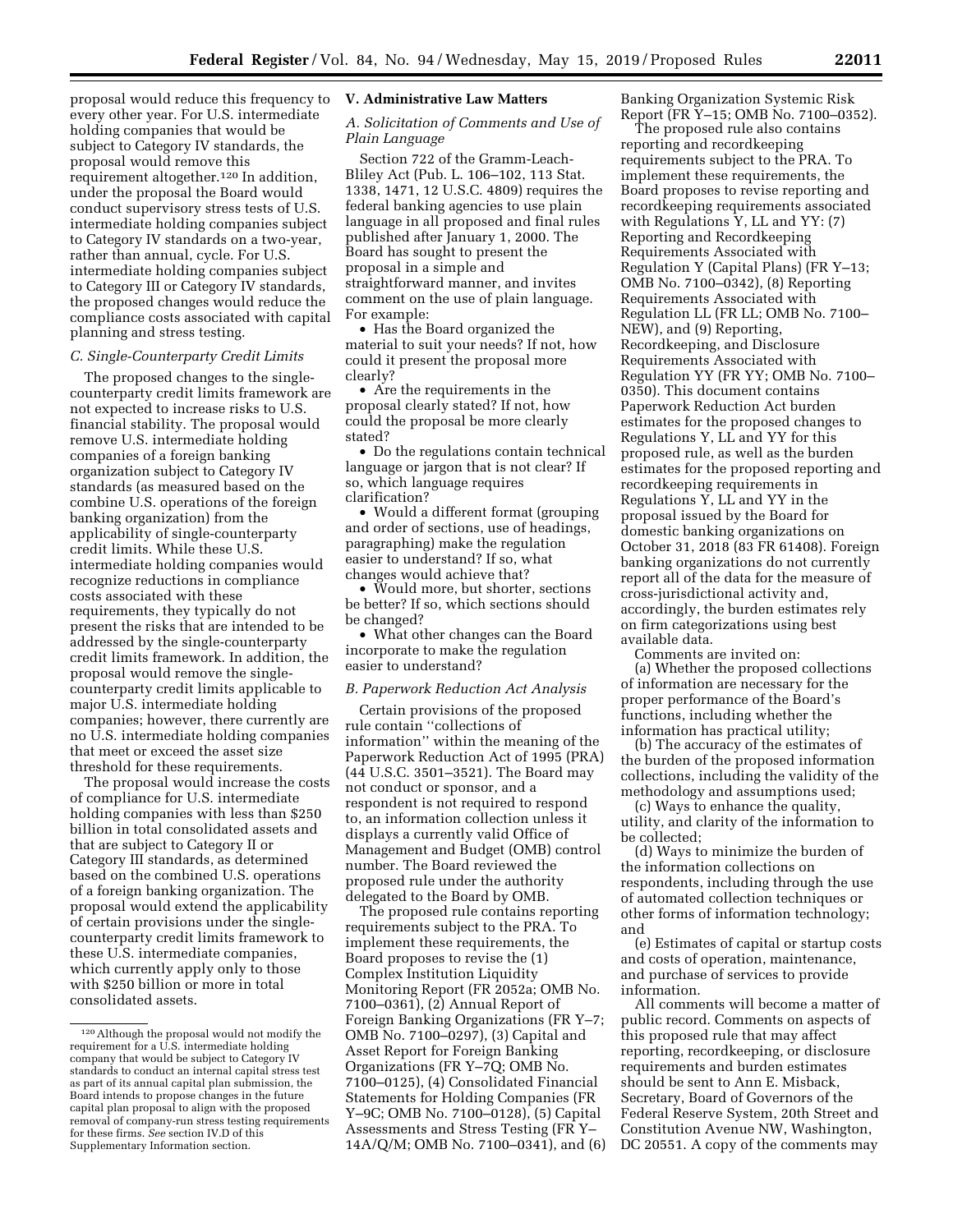proposal would reduce this frequency to every other year. For U.S. intermediate holding companies that would be subject to Category IV standards, the proposal would remove this requirement altogether.120 In addition, under the proposal the Board would conduct supervisory stress tests of U.S. intermediate holding companies subject to Category IV standards on a two-year, rather than annual, cycle. For U.S. intermediate holding companies subject to Category III or Category IV standards, the proposed changes would reduce the compliance costs associated with capital planning and stress testing.

### *C. Single-Counterparty Credit Limits*

The proposed changes to the singlecounterparty credit limits framework are not expected to increase risks to U.S. financial stability. The proposal would remove U.S. intermediate holding companies of a foreign banking organization subject to Category IV standards (as measured based on the combine U.S. operations of the foreign banking organization) from the applicability of single-counterparty credit limits. While these U.S. intermediate holding companies would recognize reductions in compliance costs associated with these requirements, they typically do not present the risks that are intended to be addressed by the single-counterparty credit limits framework. In addition, the proposal would remove the singlecounterparty credit limits applicable to major U.S. intermediate holding companies; however, there currently are no U.S. intermediate holding companies that meet or exceed the asset size threshold for these requirements.

The proposal would increase the costs of compliance for U.S. intermediate holding companies with less than \$250 billion in total consolidated assets and that are subject to Category II or Category III standards, as determined based on the combined U.S. operations of a foreign banking organization. The proposal would extend the applicability of certain provisions under the singlecounterparty credit limits framework to these U.S. intermediate companies, which currently apply only to those with \$250 billion or more in total consolidated assets.

## **V. Administrative Law Matters**

## *A. Solicitation of Comments and Use of Plain Language*

Section 722 of the Gramm-Leach-Bliley Act (Pub. L. 106–102, 113 Stat. 1338, 1471, 12 U.S.C. 4809) requires the federal banking agencies to use plain language in all proposed and final rules published after January 1, 2000. The Board has sought to present the proposal in a simple and straightforward manner, and invites comment on the use of plain language. For example:

• Has the Board organized the material to suit your needs? If not, how could it present the proposal more clearly?

• Are the requirements in the proposal clearly stated? If not, how could the proposal be more clearly stated?

• Do the regulations contain technical language or jargon that is not clear? If so, which language requires clarification?

• Would a different format (grouping and order of sections, use of headings, paragraphing) make the regulation easier to understand? If so, what changes would achieve that?

• Would more, but shorter, sections be better? If so, which sections should be changed?

• What other changes can the Board incorporate to make the regulation easier to understand?

## *B. Paperwork Reduction Act Analysis*

Certain provisions of the proposed rule contain ''collections of information'' within the meaning of the Paperwork Reduction Act of 1995 (PRA) (44 U.S.C. 3501–3521). The Board may not conduct or sponsor, and a respondent is not required to respond to, an information collection unless it displays a currently valid Office of Management and Budget (OMB) control number. The Board reviewed the proposed rule under the authority delegated to the Board by OMB.

The proposed rule contains reporting requirements subject to the PRA. To implement these requirements, the Board proposes to revise the (1) Complex Institution Liquidity Monitoring Report (FR 2052a; OMB No. 7100–0361), (2) Annual Report of Foreign Banking Organizations (FR Y–7; OMB No. 7100–0297), (3) Capital and Asset Report for Foreign Banking Organizations (FR Y–7Q; OMB No. 7100–0125), (4) Consolidated Financial Statements for Holding Companies (FR Y–9C; OMB No. 7100–0128), (5) Capital Assessments and Stress Testing (FR Y– 14A/Q/M; OMB No. 7100–0341), and (6) Banking Organization Systemic Risk Report (FR Y–15; OMB No. 7100–0352).

The proposed rule also contains reporting and recordkeeping requirements subject to the PRA. To implement these requirements, the Board proposes to revise reporting and recordkeeping requirements associated with Regulations Y, LL and YY: (7) Reporting and Recordkeeping Requirements Associated with Regulation Y (Capital Plans) (FR Y–13; OMB No. 7100–0342), (8) Reporting Requirements Associated with Regulation LL (FR LL; OMB No. 7100– NEW), and (9) Reporting, Recordkeeping, and Disclosure Requirements Associated with Regulation YY (FR YY; OMB No. 7100– 0350). This document contains Paperwork Reduction Act burden estimates for the proposed changes to Regulations Y, LL and YY for this proposed rule, as well as the burden estimates for the proposed reporting and recordkeeping requirements in Regulations Y, LL and YY in the proposal issued by the Board for domestic banking organizations on October 31, 2018 (83 FR 61408). Foreign banking organizations do not currently report all of the data for the measure of cross-jurisdictional activity and, accordingly, the burden estimates rely on firm categorizations using best available data.

Comments are invited on: (a) Whether the proposed collections of information are necessary for the proper performance of the Board's functions, including whether the information has practical utility;

(b) The accuracy of the estimates of the burden of the proposed information collections, including the validity of the methodology and assumptions used;

(c) Ways to enhance the quality, utility, and clarity of the information to be collected;

(d) Ways to minimize the burden of the information collections on respondents, including through the use of automated collection techniques or other forms of information technology; and

(e) Estimates of capital or startup costs and costs of operation, maintenance, and purchase of services to provide information.

All comments will become a matter of public record. Comments on aspects of this proposed rule that may affect reporting, recordkeeping, or disclosure requirements and burden estimates should be sent to Ann E. Misback, Secretary, Board of Governors of the Federal Reserve System, 20th Street and Constitution Avenue NW, Washington, DC 20551. A copy of the comments may

<sup>120</sup>Although the proposal would not modify the requirement for a U.S. intermediate holding company that would be subject to Category IV standards to conduct an internal capital stress test as part of its annual capital plan submission, the Board intends to propose changes in the future capital plan proposal to align with the proposed removal of company-run stress testing requirements for these firms. *See* section IV.D of this Supplementary Information section.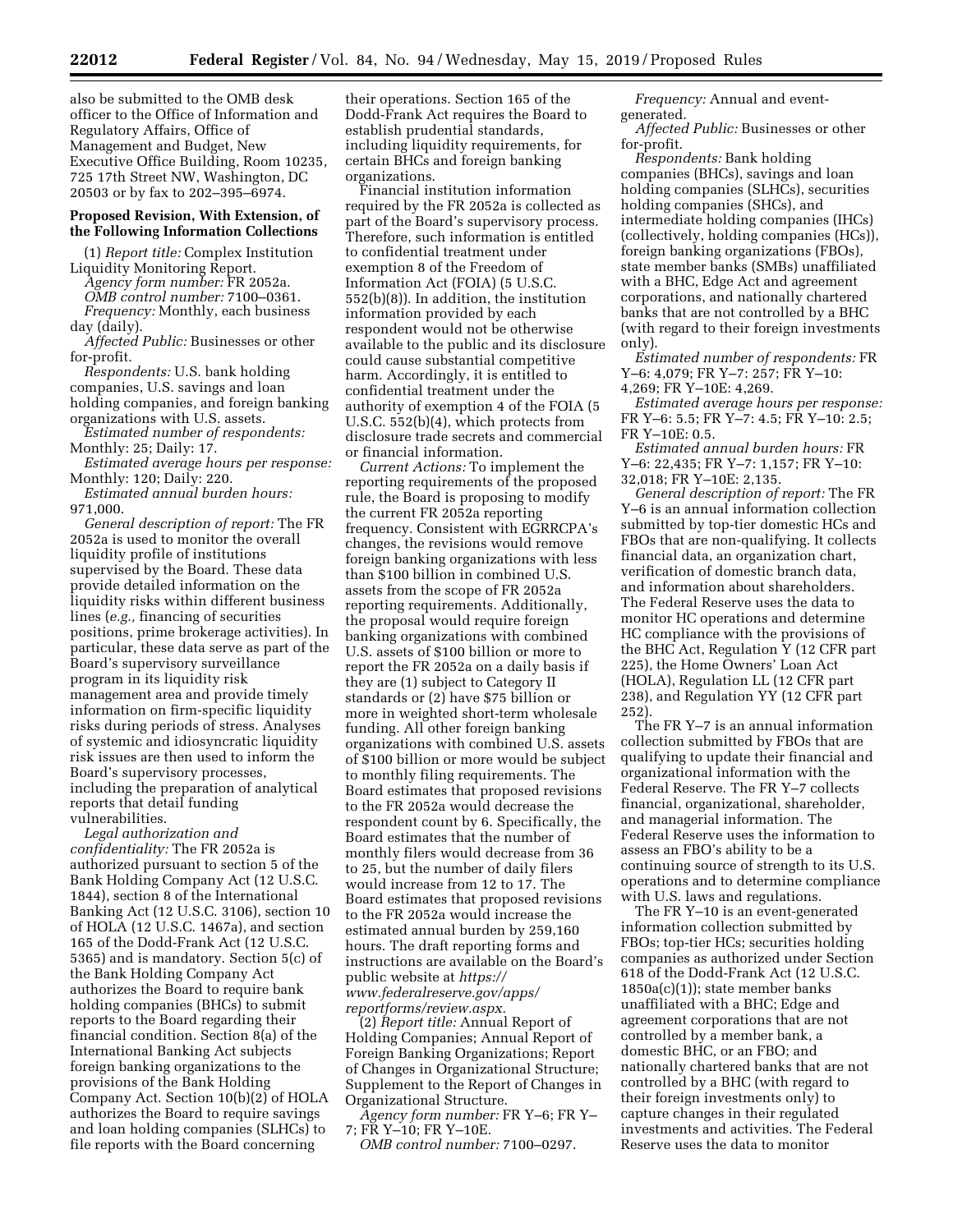also be submitted to the OMB desk officer to the Office of Information and Regulatory Affairs, Office of Management and Budget, New Executive Office Building, Room 10235, 725 17th Street NW, Washington, DC 20503 or by fax to 202–395–6974.

## **Proposed Revision, With Extension, of the Following Information Collections**

(1) *Report title:* Complex Institution Liquidity Monitoring Report. *Agency form number:* FR 2052a.

*OMB control number:* 7100–0361. *Frequency:* Monthly, each business day (daily).

*Affected Public:* Businesses or other for-profit.

*Respondents:* U.S. bank holding companies, U.S. savings and loan holding companies, and foreign banking organizations with U.S. assets.

*Estimated number of respondents:*  Monthly: 25; Daily: 17.

*Estimated average hours per response:*  Monthly: 120; Daily: 220.

*Estimated annual burden hours:*  971,000.

*General description of report:* The FR 2052a is used to monitor the overall liquidity profile of institutions supervised by the Board. These data provide detailed information on the liquidity risks within different business lines (*e.g.,* financing of securities positions, prime brokerage activities). In particular, these data serve as part of the Board's supervisory surveillance program in its liquidity risk management area and provide timely information on firm-specific liquidity risks during periods of stress. Analyses of systemic and idiosyncratic liquidity risk issues are then used to inform the Board's supervisory processes, including the preparation of analytical reports that detail funding vulnerabilities.

*Legal authorization and confidentiality:* The FR 2052a is authorized pursuant to section 5 of the Bank Holding Company Act (12 U.S.C. 1844), section 8 of the International Banking Act (12 U.S.C. 3106), section 10 of HOLA (12 U.S.C. 1467a), and section 165 of the Dodd-Frank Act (12 U.S.C. 5365) and is mandatory. Section 5(c) of the Bank Holding Company Act authorizes the Board to require bank holding companies (BHCs) to submit reports to the Board regarding their financial condition. Section 8(a) of the International Banking Act subjects foreign banking organizations to the provisions of the Bank Holding Company Act. Section 10(b)(2) of HOLA authorizes the Board to require savings and loan holding companies (SLHCs) to file reports with the Board concerning

their operations. Section 165 of the Dodd-Frank Act requires the Board to establish prudential standards, including liquidity requirements, for certain BHCs and foreign banking organizations.

Financial institution information required by the FR 2052a is collected as part of the Board's supervisory process. Therefore, such information is entitled to confidential treatment under exemption 8 of the Freedom of Information Act (FOIA) (5 U.S.C. 552(b)(8)). In addition, the institution information provided by each respondent would not be otherwise available to the public and its disclosure could cause substantial competitive harm. Accordingly, it is entitled to confidential treatment under the authority of exemption 4 of the FOIA (5 U.S.C. 552(b)(4), which protects from disclosure trade secrets and commercial or financial information.

*Current Actions:* To implement the reporting requirements of the proposed rule, the Board is proposing to modify the current FR 2052a reporting frequency. Consistent with EGRRCPA's changes, the revisions would remove foreign banking organizations with less than \$100 billion in combined U.S. assets from the scope of FR 2052a reporting requirements. Additionally, the proposal would require foreign banking organizations with combined U.S. assets of \$100 billion or more to report the FR 2052a on a daily basis if they are (1) subject to Category II standards or (2) have \$75 billion or more in weighted short-term wholesale funding. All other foreign banking organizations with combined U.S. assets of \$100 billion or more would be subject to monthly filing requirements. The Board estimates that proposed revisions to the FR 2052a would decrease the respondent count by 6. Specifically, the Board estimates that the number of monthly filers would decrease from 36 to 25, but the number of daily filers would increase from 12 to 17. The Board estimates that proposed revisions to the FR 2052a would increase the estimated annual burden by 259,160 hours. The draft reporting forms and instructions are available on the Board's public website at *[https://](https://www.federalreserve.gov/apps/reportforms/review.aspx) [www.federalreserve.gov/apps/](https://www.federalreserve.gov/apps/reportforms/review.aspx)  [reportforms/review.aspx.](https://www.federalreserve.gov/apps/reportforms/review.aspx)* 

(2) *Report title:* Annual Report of Holding Companies; Annual Report of Foreign Banking Organizations; Report of Changes in Organizational Structure; Supplement to the Report of Changes in Organizational Structure.

*Agency form number:* FR Y–6; FR Y– 7; FR Y–10; FR Y–10E.

*OMB control number:* 7100–0297.

*Frequency:* Annual and eventgenerated.

*Affected Public:* Businesses or other for-profit.

*Respondents:* Bank holding companies (BHCs), savings and loan holding companies (SLHCs), securities holding companies (SHCs), and intermediate holding companies (IHCs) (collectively, holding companies (HCs)), foreign banking organizations (FBOs), state member banks (SMBs) unaffiliated with a BHC, Edge Act and agreement corporations, and nationally chartered banks that are not controlled by a BHC (with regard to their foreign investments only).

*Estimated number of respondents:* FR Y–6: 4,079; FR Y–7: 257; FR Y–10: 4,269; FR Y–10E: 4,269.

*Estimated average hours per response:*  FR Y–6: 5.5; FR Y–7: 4.5; FR Y–10: 2.5; FR Y–10E: 0.5.

*Estimated annual burden hours:* FR Y–6: 22,435; FR Y–7: 1,157; FR Y–10: 32,018; FR Y–10E: 2,135.

*General description of report:* The FR Y–6 is an annual information collection submitted by top-tier domestic HCs and FBOs that are non-qualifying. It collects financial data, an organization chart, verification of domestic branch data, and information about shareholders. The Federal Reserve uses the data to monitor HC operations and determine HC compliance with the provisions of the BHC Act, Regulation Y (12 CFR part 225), the Home Owners' Loan Act (HOLA), Regulation LL (12 CFR part 238), and Regulation YY (12 CFR part 252).

The FR Y–7 is an annual information collection submitted by FBOs that are qualifying to update their financial and organizational information with the Federal Reserve. The FR Y–7 collects financial, organizational, shareholder, and managerial information. The Federal Reserve uses the information to assess an FBO's ability to be a continuing source of strength to its U.S. operations and to determine compliance with U.S. laws and regulations.

The FR Y–10 is an event-generated information collection submitted by FBOs; top-tier HCs; securities holding companies as authorized under Section 618 of the Dodd-Frank Act (12 U.S.C.  $1850a(c)(1)$ ; state member banks unaffiliated with a BHC; Edge and agreement corporations that are not controlled by a member bank, a domestic BHC, or an FBO; and nationally chartered banks that are not controlled by a BHC (with regard to their foreign investments only) to capture changes in their regulated investments and activities. The Federal Reserve uses the data to monitor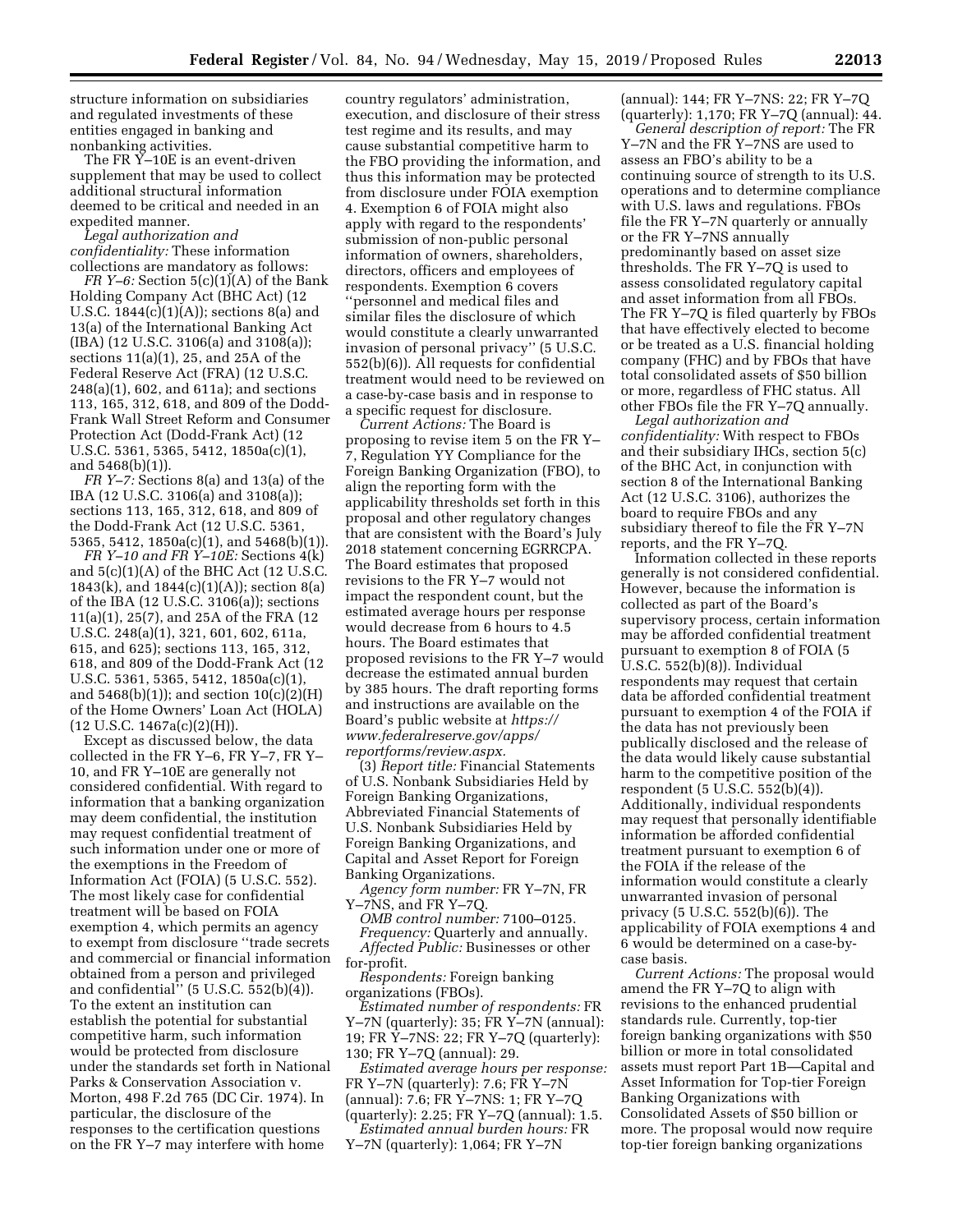structure information on subsidiaries and regulated investments of these entities engaged in banking and nonbanking activities.

The FR Y–10E is an event-driven supplement that may be used to collect additional structural information deemed to be critical and needed in an expedited manner.

*Legal authorization and confidentiality:* These information collections are mandatory as follows:

*FR Y–6:* Section 5(c)(1)(A) of the Bank Holding Company Act (BHC Act) (12 U.S.C. 1844(c)(1)(A)); sections 8(a) and 13(a) of the International Banking Act (IBA) (12 U.S.C. 3106(a) and 3108(a)); sections 11(a)(1), 25, and 25A of the Federal Reserve Act (FRA) (12 U.S.C. 248(a)(1), 602, and 611a); and sections 113, 165, 312, 618, and 809 of the Dodd-Frank Wall Street Reform and Consumer Protection Act (Dodd-Frank Act) (12 U.S.C. 5361, 5365, 5412, 1850a(c)(1), and 5468(b)(1)).

*FR Y–7:* Sections 8(a) and 13(a) of the IBA (12 U.S.C. 3106(a) and 3108(a)); sections 113, 165, 312, 618, and 809 of the Dodd-Frank Act (12 U.S.C. 5361, 5365, 5412, 1850a(c)(1), and 5468(b)(1)).

*FR Y–10 and FR Y–10E:* Sections 4(k) and 5(c)(1)(A) of the BHC Act (12 U.S.C. 1843(k), and 1844(c)(1)(A)); section 8(a) of the IBA (12 U.S.C. 3106(a)); sections 11(a)(1), 25(7), and 25A of the FRA (12 U.S.C. 248(a)(1), 321, 601, 602, 611a, 615, and 625); sections 113, 165, 312, 618, and 809 of the Dodd-Frank Act (12 U.S.C. 5361, 5365, 5412, 1850a(c)(1), and  $5468(b)(1)$ ; and section  $10(c)(2)(H)$ of the Home Owners' Loan Act (HOLA) (12 U.S.C. 1467a(c)(2)(H)).

Except as discussed below, the data collected in the FR Y–6, FR Y–7, FR Y– 10, and FR Y–10E are generally not considered confidential. With regard to information that a banking organization may deem confidential, the institution may request confidential treatment of such information under one or more of the exemptions in the Freedom of Information Act (FOIA) (5 U.S.C. 552). The most likely case for confidential treatment will be based on FOIA exemption 4, which permits an agency to exempt from disclosure ''trade secrets and commercial or financial information obtained from a person and privileged and confidential'' (5 U.S.C. 552(b)(4)). To the extent an institution can establish the potential for substantial competitive harm, such information would be protected from disclosure under the standards set forth in National Parks & Conservation Association v. Morton, 498 F.2d 765 (DC Cir. 1974). In particular, the disclosure of the responses to the certification questions on the FR Y–7 may interfere with home

country regulators' administration, execution, and disclosure of their stress test regime and its results, and may cause substantial competitive harm to the FBO providing the information, and thus this information may be protected from disclosure under FOIA exemption 4. Exemption 6 of FOIA might also apply with regard to the respondents' submission of non-public personal information of owners, shareholders, directors, officers and employees of respondents. Exemption 6 covers ''personnel and medical files and similar files the disclosure of which would constitute a clearly unwarranted invasion of personal privacy'' (5 U.S.C. 552(b)(6)). All requests for confidential treatment would need to be reviewed on a case-by-case basis and in response to a specific request for disclosure.

*Current Actions:* The Board is proposing to revise item 5 on the FR Y– 7, Regulation YY Compliance for the Foreign Banking Organization (FBO), to align the reporting form with the applicability thresholds set forth in this proposal and other regulatory changes that are consistent with the Board's July 2018 statement concerning EGRRCPA. The Board estimates that proposed revisions to the FR Y–7 would not impact the respondent count, but the estimated average hours per response would decrease from 6 hours to 4.5 hours. The Board estimates that proposed revisions to the FR Y–7 would decrease the estimated annual burden by 385 hours. The draft reporting forms and instructions are available on the Board's public website at *[https://](https://www.federalreserve.gov/apps/reportforms/review.aspx) [www.federalreserve.gov/apps/](https://www.federalreserve.gov/apps/reportforms/review.aspx)  [reportforms/review.aspx.](https://www.federalreserve.gov/apps/reportforms/review.aspx)* 

(3) *Report title:* Financial Statements of U.S. Nonbank Subsidiaries Held by Foreign Banking Organizations, Abbreviated Financial Statements of U.S. Nonbank Subsidiaries Held by Foreign Banking Organizations, and Capital and Asset Report for Foreign Banking Organizations.

*Agency form number:* FR Y–7N, FR Y–7NS, and FR Y–7Q.

*OMB control number:* 7100–0125. *Frequency:* Quarterly and annually. *Affected Public:* Businesses or other for-profit.

*Respondents:* Foreign banking organizations (FBOs).

*Estimated number of respondents:* FR Y–7N (quarterly): 35; FR Y–7N (annual): 19; FR Y–7NS: 22; FR Y–7Q (quarterly): 130; FR Y–7Q (annual): 29.

*Estimated average hours per response:*  FR Y–7N (quarterly): 7.6; FR Y–7N (annual): 7.6; FR Y–7NS: 1; FR Y–7Q (quarterly): 2.25; FR Y–7Q (annual): 1.5. *Estimated annual burden hours:* FR

Y–7N (quarterly): 1,064; FR Y–7N

(annual): 144; FR Y–7NS: 22; FR Y–7Q (quarterly): 1,170; FR Y–7Q (annual): 44.

*General description of report:* The FR Y–7N and the FR Y–7NS are used to assess an FBO's ability to be a continuing source of strength to its U.S. operations and to determine compliance with U.S. laws and regulations. FBOs file the FR Y–7N quarterly or annually or the FR Y–7NS annually predominantly based on asset size thresholds. The FR Y–7Q is used to assess consolidated regulatory capital and asset information from all FBOs. The FR Y–7Q is filed quarterly by FBOs that have effectively elected to become or be treated as a U.S. financial holding company (FHC) and by FBOs that have total consolidated assets of \$50 billion or more, regardless of FHC status. All other FBOs file the FR Y–7Q annually.

*Legal authorization and confidentiality:* With respect to FBOs and their subsidiary IHCs, section 5(c) of the BHC Act, in conjunction with section 8 of the International Banking Act (12 U.S.C. 3106), authorizes the board to require FBOs and any subsidiary thereof to file the FR Y–7N reports, and the FR Y–7Q.

Information collected in these reports generally is not considered confidential. However, because the information is collected as part of the Board's supervisory process, certain information may be afforded confidential treatment pursuant to exemption 8 of FOIA (5 U.S.C. 552(b)(8)). Individual respondents may request that certain data be afforded confidential treatment pursuant to exemption 4 of the FOIA if the data has not previously been publically disclosed and the release of the data would likely cause substantial harm to the competitive position of the respondent (5 U.S.C. 552(b)(4)). Additionally, individual respondents may request that personally identifiable information be afforded confidential treatment pursuant to exemption 6 of the FOIA if the release of the information would constitute a clearly unwarranted invasion of personal privacy (5 U.S.C. 552(b)(6)). The applicability of FOIA exemptions 4 and 6 would be determined on a case-bycase basis.

*Current Actions:* The proposal would amend the FR Y–7Q to align with revisions to the enhanced prudential standards rule. Currently, top-tier foreign banking organizations with \$50 billion or more in total consolidated assets must report Part 1B—Capital and Asset Information for Top-tier Foreign Banking Organizations with Consolidated Assets of \$50 billion or more. The proposal would now require top-tier foreign banking organizations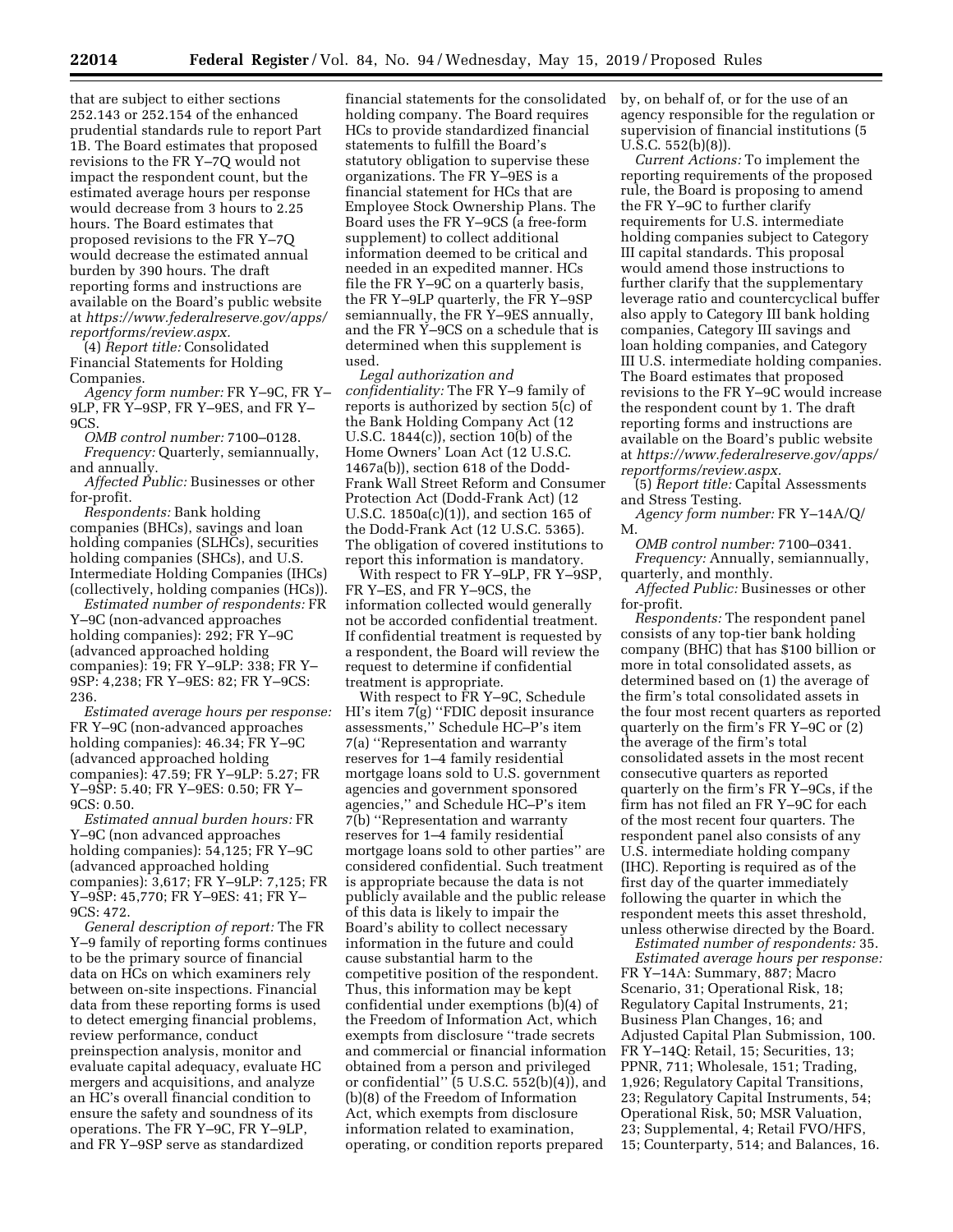that are subject to either sections 252.143 or 252.154 of the enhanced prudential standards rule to report Part 1B. The Board estimates that proposed revisions to the FR Y–7Q would not impact the respondent count, but the estimated average hours per response would decrease from 3 hours to 2.25 hours. The Board estimates that proposed revisions to the FR Y–7Q would decrease the estimated annual burden by 390 hours. The draft reporting forms and instructions are available on the Board's public website at *[https://www.federalreserve.gov/apps/](https://www.federalreserve.gov/apps/reportforms/review.aspx) [reportforms/review.aspx.](https://www.federalreserve.gov/apps/reportforms/review.aspx)* 

(4) *Report title:* Consolidated Financial Statements for Holding Companies.

*Agency form number:* FR Y–9C, FR Y– 9LP, FR Y–9SP, FR Y–9ES, and FR Y– 9CS.

*OMB control number:* 7100–0128.

*Frequency:* Quarterly, semiannually, and annually.

*Affected Public:* Businesses or other for-profit.

*Respondents:* Bank holding companies (BHCs), savings and loan holding companies (SLHCs), securities holding companies (SHCs), and U.S. Intermediate Holding Companies (IHCs) (collectively, holding companies (HCs)).

*Estimated number of respondents:* FR Y–9C (non-advanced approaches holding companies): 292; FR Y–9C (advanced approached holding companies): 19; FR Y–9LP: 338; FR Y– 9SP: 4,238; FR Y–9ES: 82; FR Y–9CS: 236.

*Estimated average hours per response:*  FR Y–9C (non-advanced approaches holding companies): 46.34; FR Y–9C (advanced approached holding companies): 47.59; FR Y–9LP: 5.27; FR Y–9SP: 5.40; FR Y–9ES: 0.50; FR Y– 9CS: 0.50.

*Estimated annual burden hours:* FR Y–9C (non advanced approaches holding companies): 54,125; FR Y–9C (advanced approached holding companies): 3,617; FR Y–9LP: 7,125; FR Y–9SP: 45,770; FR Y–9ES: 41; FR Y–  $9CS: 472.$ 

*General description of report:* The FR Y–9 family of reporting forms continues to be the primary source of financial data on HCs on which examiners rely between on-site inspections. Financial data from these reporting forms is used to detect emerging financial problems, review performance, conduct preinspection analysis, monitor and evaluate capital adequacy, evaluate HC mergers and acquisitions, and analyze an HC's overall financial condition to ensure the safety and soundness of its operations. The FR Y–9C, FR Y–9LP, and FR Y–9SP serve as standardized

financial statements for the consolidated holding company. The Board requires HCs to provide standardized financial statements to fulfill the Board's statutory obligation to supervise these organizations. The FR Y–9ES is a financial statement for HCs that are Employee Stock Ownership Plans. The Board uses the FR Y–9CS (a free-form supplement) to collect additional information deemed to be critical and needed in an expedited manner. HCs file the FR Y–9C on a quarterly basis, the FR Y–9LP quarterly, the FR Y–9SP semiannually, the FR Y–9ES annually, and the FR Y–9CS on a schedule that is determined when this supplement is used.

*Legal authorization and confidentiality:* The FR Y–9 family of reports is authorized by section 5(c) of the Bank Holding Company Act (12 U.S.C. 1844(c)), section 10(b) of the Home Owners' Loan Act (12 U.S.C. 1467a(b)), section 618 of the Dodd-Frank Wall Street Reform and Consumer Protection Act (Dodd-Frank Act) (12 U.S.C. 1850a(c)(1)), and section 165 of the Dodd-Frank Act (12 U.S.C. 5365). The obligation of covered institutions to report this information is mandatory.

With respect to FR Y–9LP, FR Y–9SP, FR Y–ES, and FR Y–9CS, the information collected would generally not be accorded confidential treatment. If confidential treatment is requested by a respondent, the Board will review the request to determine if confidential treatment is appropriate.

With respect to FR Y–9C, Schedule HI's item 7(g) "FDIC deposit insurance assessments,'' Schedule HC–P's item 7(a) ''Representation and warranty reserves for 1–4 family residential mortgage loans sold to U.S. government agencies and government sponsored agencies,'' and Schedule HC–P's item 7(b) ''Representation and warranty reserves for 1–4 family residential mortgage loans sold to other parties'' are considered confidential. Such treatment is appropriate because the data is not publicly available and the public release of this data is likely to impair the Board's ability to collect necessary information in the future and could cause substantial harm to the competitive position of the respondent. Thus, this information may be kept confidential under exemptions (b)(4) of the Freedom of Information Act, which exempts from disclosure ''trade secrets and commercial or financial information obtained from a person and privileged or confidential"  $(5 \text{ U.S.C. } 552(b)(4))$ , and (b)(8) of the Freedom of Information Act, which exempts from disclosure information related to examination, operating, or condition reports prepared

by, on behalf of, or for the use of an agency responsible for the regulation or supervision of financial institutions (5 U.S.C. 552(b)(8)).

*Current Actions:* To implement the reporting requirements of the proposed rule, the Board is proposing to amend the FR Y–9C to further clarify requirements for U.S. intermediate holding companies subject to Category III capital standards. This proposal would amend those instructions to further clarify that the supplementary leverage ratio and countercyclical buffer also apply to Category III bank holding companies, Category III savings and loan holding companies, and Category III U.S. intermediate holding companies. The Board estimates that proposed revisions to the FR Y–9C would increase the respondent count by 1. The draft reporting forms and instructions are available on the Board's public website at *[https://www.federalreserve.gov/apps/](https://www.federalreserve.gov/apps/reportforms/review.aspx) [reportforms/review.aspx.](https://www.federalreserve.gov/apps/reportforms/review.aspx)* 

(5) *Report title:* Capital Assessments and Stress Testing.

*Agency form number:* FR Y–14A/Q/ M.

*OMB control number:* 7100–0341. *Frequency:* Annually, semiannually, quarterly, and monthly.

*Affected Public:* Businesses or other for-profit.

*Respondents:* The respondent panel consists of any top-tier bank holding company (BHC) that has \$100 billion or more in total consolidated assets, as determined based on (1) the average of the firm's total consolidated assets in the four most recent quarters as reported quarterly on the firm's FR Y–9C or (2) the average of the firm's total consolidated assets in the most recent consecutive quarters as reported quarterly on the firm's FR Y–9Cs, if the firm has not filed an FR Y–9C for each of the most recent four quarters. The respondent panel also consists of any U.S. intermediate holding company (IHC). Reporting is required as of the first day of the quarter immediately following the quarter in which the respondent meets this asset threshold, unless otherwise directed by the Board.

*Estimated number of respondents:* 35. *Estimated average hours per response:*  FR Y–14A: Summary, 887; Macro Scenario, 31; Operational Risk, 18; Regulatory Capital Instruments, 21; Business Plan Changes, 16; and Adjusted Capital Plan Submission, 100. FR Y–14Q: Retail, 15; Securities, 13; PPNR, 711; Wholesale, 151; Trading, 1,926; Regulatory Capital Transitions, 23; Regulatory Capital Instruments, 54; Operational Risk, 50; MSR Valuation, 23; Supplemental, 4; Retail FVO/HFS, 15; Counterparty, 514; and Balances, 16.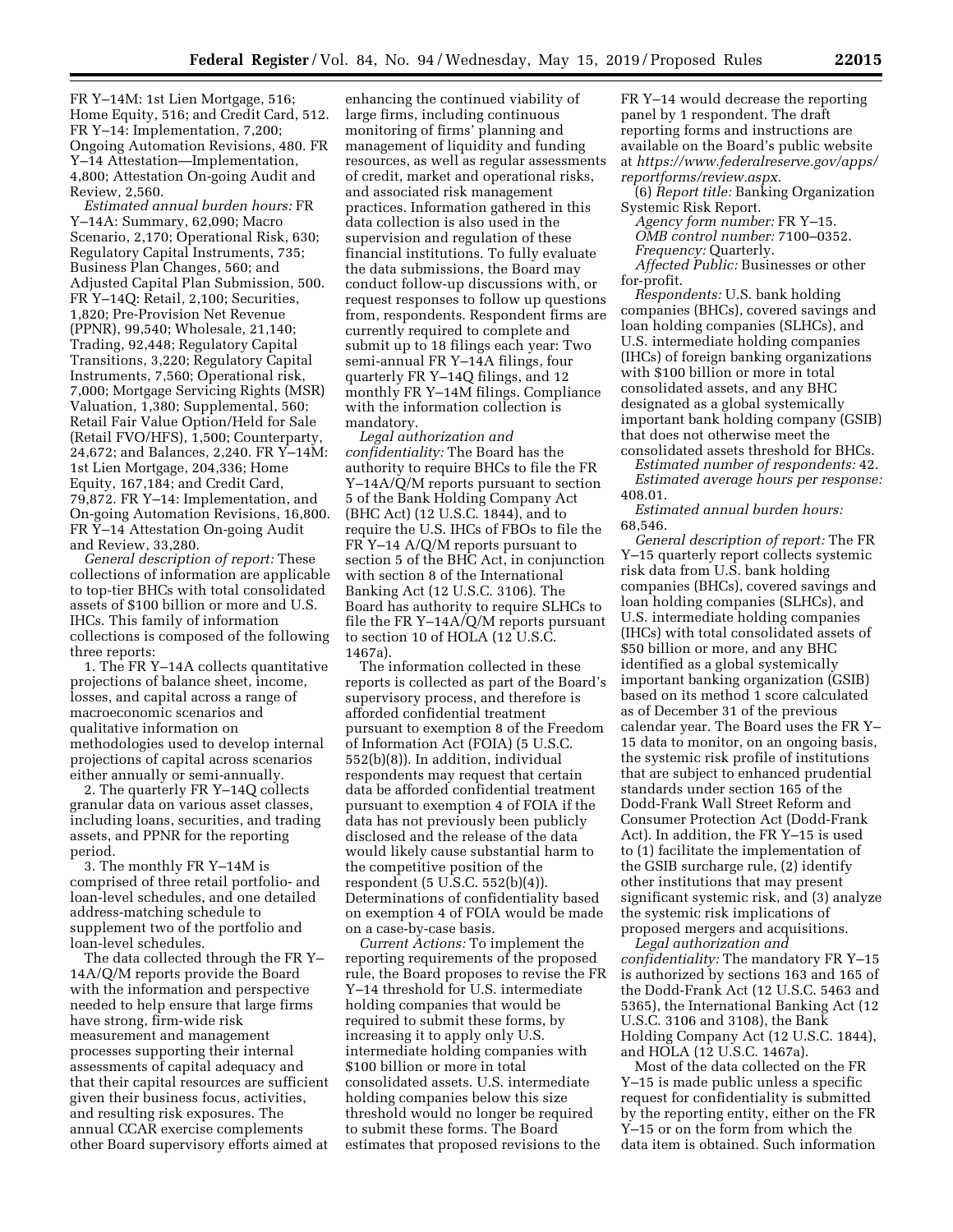FR Y–14M: 1st Lien Mortgage, 516; Home Equity, 516; and Credit Card, 512. FR Y–14: Implementation, 7,200; Ongoing Automation Revisions, 480. FR Y–14 Attestation—Implementation, 4,800; Attestation On-going Audit and Review, 2,560.

*Estimated annual burden hours:* FR Y–14A: Summary, 62,090; Macro Scenario, 2,170; Operational Risk, 630; Regulatory Capital Instruments, 735; Business Plan Changes, 560; and Adjusted Capital Plan Submission, 500. FR Y–14Q: Retail, 2,100; Securities, 1,820; Pre-Provision Net Revenue (PPNR), 99,540; Wholesale, 21,140; Trading, 92,448; Regulatory Capital Transitions, 3,220; Regulatory Capital Instruments, 7,560; Operational risk, 7,000; Mortgage Servicing Rights (MSR) Valuation, 1,380; Supplemental, 560; Retail Fair Value Option/Held for Sale (Retail FVO/HFS), 1,500; Counterparty, 24,672; and Balances, 2,240. FR Y–14M: 1st Lien Mortgage, 204,336; Home Equity, 167,184; and Credit Card, 79,872. FR Y–14: Implementation, and On-going Automation Revisions, 16,800. FR Y–14 Attestation On-going Audit and Review, 33,280.

*General description of report:* These collections of information are applicable to top-tier BHCs with total consolidated assets of \$100 billion or more and U.S. IHCs. This family of information collections is composed of the following three reports:

1. The FR Y–14A collects quantitative projections of balance sheet, income, losses, and capital across a range of macroeconomic scenarios and qualitative information on methodologies used to develop internal projections of capital across scenarios either annually or semi-annually.

2. The quarterly FR Y–14Q collects granular data on various asset classes, including loans, securities, and trading assets, and PPNR for the reporting period.

3. The monthly FR Y–14M is comprised of three retail portfolio- and loan-level schedules, and one detailed address-matching schedule to supplement two of the portfolio and loan-level schedules.

The data collected through the FR Y– 14A/Q/M reports provide the Board with the information and perspective needed to help ensure that large firms have strong, firm-wide risk measurement and management processes supporting their internal assessments of capital adequacy and that their capital resources are sufficient given their business focus, activities, and resulting risk exposures. The annual CCAR exercise complements other Board supervisory efforts aimed at

enhancing the continued viability of large firms, including continuous monitoring of firms' planning and management of liquidity and funding resources, as well as regular assessments of credit, market and operational risks, and associated risk management practices. Information gathered in this data collection is also used in the supervision and regulation of these financial institutions. To fully evaluate the data submissions, the Board may conduct follow-up discussions with, or request responses to follow up questions from, respondents. Respondent firms are currently required to complete and submit up to 18 filings each year: Two semi-annual FR Y–14A filings, four quarterly FR Y–14Q filings, and 12 monthly FR Y–14M filings. Compliance with the information collection is mandatory.

*Legal authorization and confidentiality:* The Board has the authority to require BHCs to file the FR Y–14A/Q/M reports pursuant to section 5 of the Bank Holding Company Act (BHC Act) (12 U.S.C. 1844), and to require the U.S. IHCs of FBOs to file the FR Y–14 A/Q/M reports pursuant to section 5 of the BHC Act, in conjunction with section 8 of the International Banking Act (12 U.S.C. 3106). The Board has authority to require SLHCs to file the FR Y–14A/Q/M reports pursuant to section 10 of HOLA (12 U.S.C. 1467a).

The information collected in these reports is collected as part of the Board's supervisory process, and therefore is afforded confidential treatment pursuant to exemption 8 of the Freedom of Information Act (FOIA) (5 U.S.C. 552(b)(8)). In addition, individual respondents may request that certain data be afforded confidential treatment pursuant to exemption 4 of FOIA if the data has not previously been publicly disclosed and the release of the data would likely cause substantial harm to the competitive position of the respondent (5 U.S.C. 552(b)(4)). Determinations of confidentiality based on exemption 4 of FOIA would be made on a case-by-case basis.

*Current Actions:* To implement the reporting requirements of the proposed rule, the Board proposes to revise the FR Y–14 threshold for U.S. intermediate holding companies that would be required to submit these forms, by increasing it to apply only U.S. intermediate holding companies with \$100 billion or more in total consolidated assets. U.S. intermediate holding companies below this size threshold would no longer be required to submit these forms. The Board estimates that proposed revisions to the

FR Y–14 would decrease the reporting panel by 1 respondent. The draft reporting forms and instructions are available on the Board's public website at *[https://www.federalreserve.gov/apps/](https://www.federalreserve.gov/apps/reportforms/review.aspx) [reportforms/review.aspx.](https://www.federalreserve.gov/apps/reportforms/review.aspx)* 

(6) *Report title:* Banking Organization Systemic Risk Report.

*Agency form number:* FR Y–15.

*OMB control number:* 7100–0352.

*Frequency:* Quarterly. *Affected Public:* Businesses or other for-profit.

*Respondents:* U.S. bank holding companies (BHCs), covered savings and loan holding companies (SLHCs), and U.S. intermediate holding companies (IHCs) of foreign banking organizations with \$100 billion or more in total consolidated assets, and any BHC designated as a global systemically important bank holding company (GSIB) that does not otherwise meet the consolidated assets threshold for BHCs.

*Estimated number of respondents:* 42. *Estimated average hours per response:*  408.01.

*Estimated annual burden hours:*  68,546.

*General description of report:* The FR Y–15 quarterly report collects systemic risk data from U.S. bank holding companies (BHCs), covered savings and loan holding companies (SLHCs), and U.S. intermediate holding companies (IHCs) with total consolidated assets of \$50 billion or more, and any BHC identified as a global systemically important banking organization (GSIB) based on its method 1 score calculated as of December 31 of the previous calendar year. The Board uses the FR Y– 15 data to monitor, on an ongoing basis, the systemic risk profile of institutions that are subject to enhanced prudential standards under section 165 of the Dodd-Frank Wall Street Reform and Consumer Protection Act (Dodd-Frank Act). In addition, the FR Y–15 is used to (1) facilitate the implementation of the GSIB surcharge rule, (2) identify other institutions that may present significant systemic risk, and (3) analyze the systemic risk implications of proposed mergers and acquisitions.

*Legal authorization and confidentiality:* The mandatory FR Y–15 is authorized by sections 163 and 165 of the Dodd-Frank Act (12 U.S.C. 5463 and 5365), the International Banking Act (12 U.S.C. 3106 and 3108), the Bank Holding Company Act (12 U.S.C. 1844), and HOLA (12 U.S.C. 1467a).

Most of the data collected on the FR Y–15 is made public unless a specific request for confidentiality is submitted by the reporting entity, either on the FR Y–15 or on the form from which the data item is obtained. Such information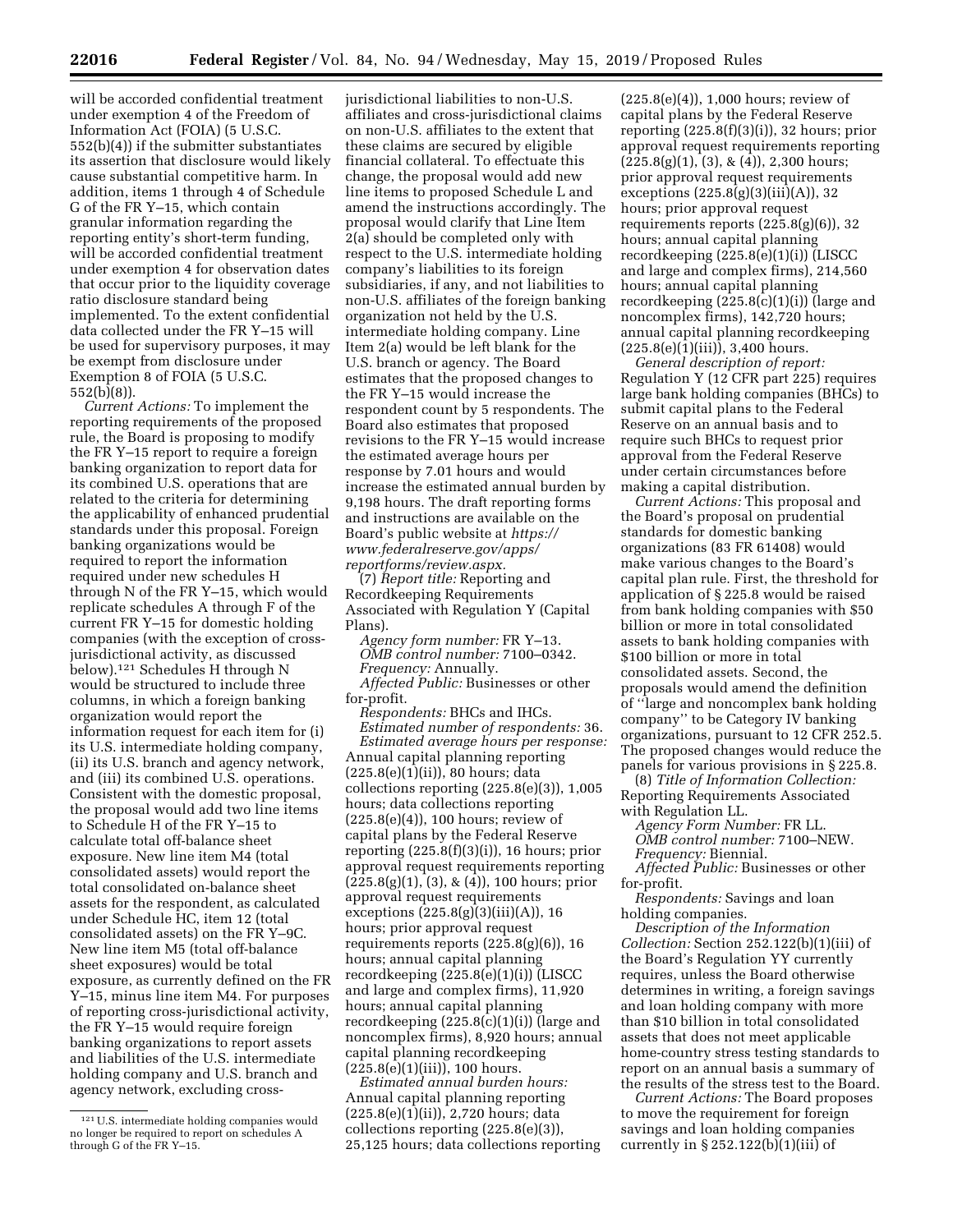will be accorded confidential treatment under exemption 4 of the Freedom of Information Act (FOIA) (5 U.S.C. 552(b)(4)) if the submitter substantiates its assertion that disclosure would likely cause substantial competitive harm. In addition, items 1 through 4 of Schedule G of the FR Y–15, which contain granular information regarding the reporting entity's short-term funding, will be accorded confidential treatment under exemption 4 for observation dates that occur prior to the liquidity coverage ratio disclosure standard being implemented. To the extent confidential data collected under the FR Y–15 will be used for supervisory purposes, it may be exempt from disclosure under Exemption 8 of FOIA (5 U.S.C. 552(b)(8)).

*Current Actions:* To implement the reporting requirements of the proposed rule, the Board is proposing to modify the FR Y–15 report to require a foreign banking organization to report data for its combined U.S. operations that are related to the criteria for determining the applicability of enhanced prudential standards under this proposal. Foreign banking organizations would be required to report the information required under new schedules H through N of the FR Y–15, which would replicate schedules A through F of the current FR Y–15 for domestic holding companies (with the exception of crossjurisdictional activity, as discussed below).121 Schedules H through N would be structured to include three columns, in which a foreign banking organization would report the information request for each item for (i) its U.S. intermediate holding company, (ii) its U.S. branch and agency network, and (iii) its combined U.S. operations. Consistent with the domestic proposal, the proposal would add two line items to Schedule H of the FR Y–15 to calculate total off-balance sheet exposure. New line item M4 (total consolidated assets) would report the total consolidated on-balance sheet assets for the respondent, as calculated under Schedule HC, item 12 (total consolidated assets) on the FR Y–9C. New line item M5 (total off-balance sheet exposures) would be total exposure, as currently defined on the FR Y–15, minus line item M4. For purposes of reporting cross-jurisdictional activity, the FR Y–15 would require foreign banking organizations to report assets and liabilities of the U.S. intermediate holding company and U.S. branch and agency network, excluding cross-

jurisdictional liabilities to non-U.S. affiliates and cross-jurisdictional claims on non-U.S. affiliates to the extent that these claims are secured by eligible financial collateral. To effectuate this change, the proposal would add new line items to proposed Schedule L and amend the instructions accordingly. The proposal would clarify that Line Item 2(a) should be completed only with respect to the U.S. intermediate holding company's liabilities to its foreign subsidiaries, if any, and not liabilities to non-U.S. affiliates of the foreign banking organization not held by the U.S. intermediate holding company. Line Item 2(a) would be left blank for the U.S. branch or agency. The Board estimates that the proposed changes to the FR Y–15 would increase the respondent count by 5 respondents. The Board also estimates that proposed revisions to the FR Y–15 would increase the estimated average hours per response by 7.01 hours and would increase the estimated annual burden by 9,198 hours. The draft reporting forms and instructions are available on the Board's public website at *[https://](https://www.federalreserve.gov/apps/reportforms/review.aspx) [www.federalreserve.gov/apps/](https://www.federalreserve.gov/apps/reportforms/review.aspx)  [reportforms/review.aspx.](https://www.federalreserve.gov/apps/reportforms/review.aspx)* 

(7) *Report title:* Reporting and Recordkeeping Requirements Associated with Regulation Y (Capital Plans).

*Agency form number:* FR Y–13. *OMB control number:* 7100–0342. *Frequency:* Annually.

*Affected Public:* Businesses or other for-profit.

*Respondents:* BHCs and IHCs. *Estimated number of respondents:* 36. *Estimated average hours per response:*  Annual capital planning reporting (225.8(e)(1)(ii)), 80 hours; data collections reporting  $(225.8(e)(3))$ , 1,005 hours; data collections reporting (225.8(e)(4)), 100 hours; review of capital plans by the Federal Reserve reporting  $(225.8(f)(3)(i))$ , 16 hours; prior approval request requirements reporting  $(225.8(g)(1), (3), \& (4))$ , 100 hours; prior approval request requirements exceptions (225.8(g)(3)(iii)(A)), 16 hours; prior approval request requirements reports  $(225.8(g)(6))$ , 16 hours; annual capital planning recordkeeping (225.8(e)(1)(i)) (LISCC and large and complex firms), 11,920

hours; annual capital planning recordkeeping (225.8(c)(1)(i)) (large and noncomplex firms), 8,920 hours; annual capital planning recordkeeping  $(2\bar{2}5.8(e)(1)(iii))$ , 100 hours.

*Estimated annual burden hours:*  Annual capital planning reporting  $(225.8(e)(1)(ii))$ , 2,720 hours; data collections reporting (225.8(e)(3)), 25,125 hours; data collections reporting

 $(225.8(e)(4))$ , 1,000 hours; review of capital plans by the Federal Reserve reporting  $(225.8(f)(3)(i))$ , 32 hours; prior approval request requirements reporting  $(225.8(g)(1), (3), \& (4)), 2,300 hours;$ prior approval request requirements exceptions (225.8(g)(3)(iii)(A)), 32 hours; prior approval request requirements reports  $(225.8(g)(6))$ , 32 hours; annual capital planning recordkeeping (225.8(e)(1)(i)) (LISCC and large and complex firms), 214,560 hours; annual capital planning recordkeeping (225.8(c)(1)(i)) (large and noncomplex firms), 142,720 hours; annual capital planning recordkeeping  $(225.8(e)(1)(iii))$ , 3,400 hours.

*General description of report:*  Regulation Y (12 CFR part 225) requires large bank holding companies (BHCs) to submit capital plans to the Federal Reserve on an annual basis and to require such BHCs to request prior approval from the Federal Reserve under certain circumstances before making a capital distribution.

*Current Actions:* This proposal and the Board's proposal on prudential standards for domestic banking organizations (83 FR 61408) would make various changes to the Board's capital plan rule. First, the threshold for application of § 225.8 would be raised from bank holding companies with \$50 billion or more in total consolidated assets to bank holding companies with \$100 billion or more in total consolidated assets. Second, the proposals would amend the definition of ''large and noncomplex bank holding company'' to be Category IV banking organizations, pursuant to 12 CFR 252.5. The proposed changes would reduce the panels for various provisions in § 225.8.

(8) *Title of Information Collection:*  Reporting Requirements Associated with Regulation LL.

*Agency Form Number:* FR LL. *OMB control number:* 7100–NEW.

*Frequency:* Biennial.

*Affected Public:* Businesses or other for-profit.

*Respondents:* Savings and loan holding companies.

*Description of the Information Collection:* Section 252.122(b)(1)(iii) of the Board's Regulation YY currently requires, unless the Board otherwise determines in writing, a foreign savings and loan holding company with more than \$10 billion in total consolidated assets that does not meet applicable home-country stress testing standards to report on an annual basis a summary of the results of the stress test to the Board.

*Current Actions:* The Board proposes to move the requirement for foreign savings and loan holding companies currently in § 252.122(b)(1)(iii) of

<sup>121</sup>U.S. intermediate holding companies would no longer be required to report on schedules A through G of the FR Y–15.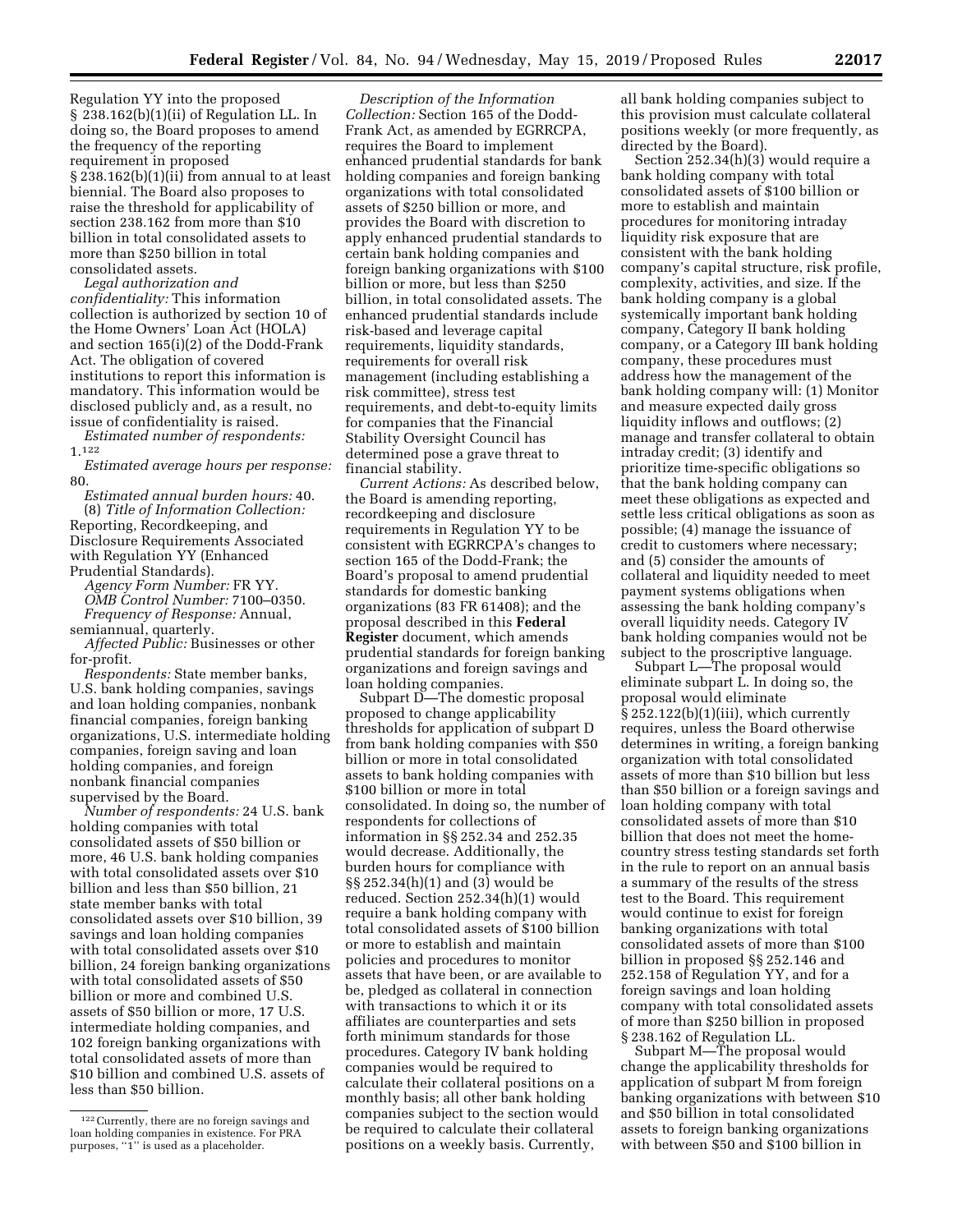Regulation YY into the proposed § 238.162(b)(1)(ii) of Regulation LL. In doing so, the Board proposes to amend the frequency of the reporting requirement in proposed § 238.162(b)(1)(ii) from annual to at least biennial. The Board also proposes to raise the threshold for applicability of section 238.162 from more than \$10 billion in total consolidated assets to more than \$250 billion in total consolidated assets.

*Legal authorization and confidentiality:* This information collection is authorized by section 10 of the Home Owners' Loan Act (HOLA) and section 165(i)(2) of the Dodd-Frank Act. The obligation of covered institutions to report this information is mandatory. This information would be disclosed publicly and, as a result, no issue of confidentiality is raised.

*Estimated number of respondents:*  1.122

*Estimated average hours per response:*  80.

*Estimated annual burden hours:* 40. (8) *Title of Information Collection:*  Reporting, Recordkeeping, and Disclosure Requirements Associated with Regulation YY (Enhanced Prudential Standards).

*Agency Form Number:* FR YY. *OMB Control Number:* 7100–0350. *Frequency of Response:* Annual, semiannual, quarterly.

*Affected Public:* Businesses or other for-profit.

*Respondents:* State member banks, U.S. bank holding companies, savings and loan holding companies, nonbank financial companies, foreign banking organizations, U.S. intermediate holding companies, foreign saving and loan holding companies, and foreign nonbank financial companies supervised by the Board.

*Number of respondents:* 24 U.S. bank holding companies with total consolidated assets of \$50 billion or more, 46 U.S. bank holding companies with total consolidated assets over \$10 billion and less than \$50 billion, 21 state member banks with total consolidated assets over \$10 billion, 39 savings and loan holding companies with total consolidated assets over \$10 billion, 24 foreign banking organizations with total consolidated assets of \$50 billion or more and combined U.S. assets of \$50 billion or more, 17 U.S. intermediate holding companies, and 102 foreign banking organizations with total consolidated assets of more than \$10 billion and combined U.S. assets of less than \$50 billion.

*Description of the Information Collection:* Section 165 of the Dodd-Frank Act, as amended by EGRRCPA, requires the Board to implement enhanced prudential standards for bank holding companies and foreign banking organizations with total consolidated assets of \$250 billion or more, and provides the Board with discretion to apply enhanced prudential standards to certain bank holding companies and foreign banking organizations with \$100 billion or more, but less than \$250 billion, in total consolidated assets. The enhanced prudential standards include risk-based and leverage capital requirements, liquidity standards, requirements for overall risk management (including establishing a risk committee), stress test requirements, and debt-to-equity limits for companies that the Financial Stability Oversight Council has determined pose a grave threat to financial stability.

*Current Actions:* As described below, the Board is amending reporting, recordkeeping and disclosure requirements in Regulation YY to be consistent with EGRRCPA's changes to section 165 of the Dodd-Frank; the Board's proposal to amend prudential standards for domestic banking organizations (83 FR 61408); and the proposal described in this **Federal Register** document, which amends prudential standards for foreign banking organizations and foreign savings and loan holding companies.

Subpart D—The domestic proposal proposed to change applicability thresholds for application of subpart D from bank holding companies with \$50 billion or more in total consolidated assets to bank holding companies with \$100 billion or more in total consolidated. In doing so, the number of respondents for collections of information in §§ 252.34 and 252.35 would decrease. Additionally, the burden hours for compliance with §§ 252.34(h)(1) and (3) would be reduced. Section 252.34(h)(1) would require a bank holding company with total consolidated assets of \$100 billion or more to establish and maintain policies and procedures to monitor assets that have been, or are available to be, pledged as collateral in connection with transactions to which it or its affiliates are counterparties and sets forth minimum standards for those procedures. Category IV bank holding companies would be required to calculate their collateral positions on a monthly basis; all other bank holding companies subject to the section would be required to calculate their collateral positions on a weekly basis. Currently,

all bank holding companies subject to this provision must calculate collateral positions weekly (or more frequently, as directed by the Board).

Section 252.34(h)(3) would require a bank holding company with total consolidated assets of \$100 billion or more to establish and maintain procedures for monitoring intraday liquidity risk exposure that are consistent with the bank holding company's capital structure, risk profile, complexity, activities, and size. If the bank holding company is a global systemically important bank holding company, Category II bank holding company, or a Category III bank holding company, these procedures must address how the management of the bank holding company will: (1) Monitor and measure expected daily gross liquidity inflows and outflows; (2) manage and transfer collateral to obtain intraday credit; (3) identify and prioritize time-specific obligations so that the bank holding company can meet these obligations as expected and settle less critical obligations as soon as possible; (4) manage the issuance of credit to customers where necessary; and (5) consider the amounts of collateral and liquidity needed to meet payment systems obligations when assessing the bank holding company's overall liquidity needs. Category IV bank holding companies would not be subject to the proscriptive language.

Subpart L—The proposal would eliminate subpart L. In doing so, the proposal would eliminate  $\S 252.122(b)(1)(iii)$ , which currently requires, unless the Board otherwise determines in writing, a foreign banking organization with total consolidated assets of more than \$10 billion but less than \$50 billion or a foreign savings and loan holding company with total consolidated assets of more than \$10 billion that does not meet the homecountry stress testing standards set forth in the rule to report on an annual basis a summary of the results of the stress test to the Board. This requirement would continue to exist for foreign banking organizations with total consolidated assets of more than \$100 billion in proposed §§ 252.146 and 252.158 of Regulation YY, and for a foreign savings and loan holding company with total consolidated assets of more than \$250 billion in proposed § 238.162 of Regulation LL.

Subpart M—The proposal would change the applicability thresholds for application of subpart M from foreign banking organizations with between \$10 and \$50 billion in total consolidated assets to foreign banking organizations with between \$50 and \$100 billion in

<sup>122</sup>Currently, there are no foreign savings and loan holding companies in existence. For PRA purposes, ''1'' is used as a placeholder.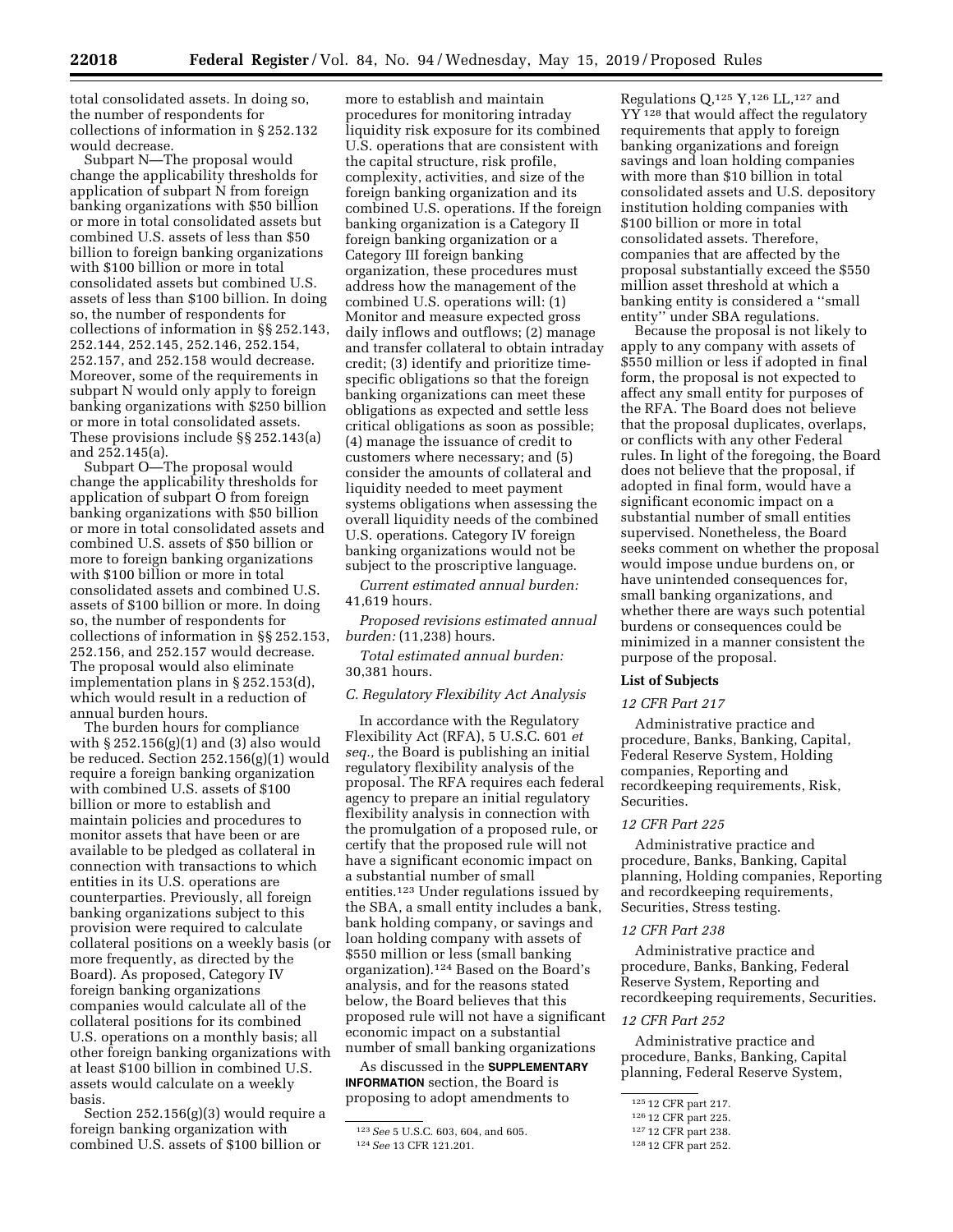total consolidated assets. In doing so, the number of respondents for collections of information in § 252.132 would decrease.

Subpart N—The proposal would change the applicability thresholds for application of subpart N from foreign banking organizations with \$50 billion or more in total consolidated assets but combined U.S. assets of less than \$50 billion to foreign banking organizations with \$100 billion or more in total consolidated assets but combined U.S. assets of less than \$100 billion. In doing so, the number of respondents for collections of information in §§ 252.143, 252.144, 252.145, 252.146, 252.154, 252.157, and 252.158 would decrease. Moreover, some of the requirements in subpart N would only apply to foreign banking organizations with \$250 billion or more in total consolidated assets. These provisions include §§ 252.143(a) and 252.145(a).

Subpart O—The proposal would change the applicability thresholds for application of subpart O from foreign banking organizations with \$50 billion or more in total consolidated assets and combined U.S. assets of \$50 billion or more to foreign banking organizations with \$100 billion or more in total consolidated assets and combined U.S. assets of \$100 billion or more. In doing so, the number of respondents for collections of information in §§ 252.153, 252.156, and 252.157 would decrease. The proposal would also eliminate implementation plans in § 252.153(d), which would result in a reduction of annual burden hours.

The burden hours for compliance with  $\S 252.156(g)(1)$  and (3) also would be reduced. Section 252.156(g)(1) would require a foreign banking organization with combined U.S. assets of \$100 billion or more to establish and maintain policies and procedures to monitor assets that have been or are available to be pledged as collateral in connection with transactions to which entities in its U.S. operations are counterparties. Previously, all foreign banking organizations subject to this provision were required to calculate collateral positions on a weekly basis (or more frequently, as directed by the Board). As proposed, Category IV foreign banking organizations companies would calculate all of the collateral positions for its combined U.S. operations on a monthly basis; all other foreign banking organizations with at least \$100 billion in combined U.S. assets would calculate on a weekly basis.

Section 252.156(g)(3) would require a foreign banking organization with combined U.S. assets of \$100 billion or

more to establish and maintain procedures for monitoring intraday liquidity risk exposure for its combined U.S. operations that are consistent with the capital structure, risk profile, complexity, activities, and size of the foreign banking organization and its combined U.S. operations. If the foreign banking organization is a Category II foreign banking organization or a Category III foreign banking organization, these procedures must address how the management of the combined U.S. operations will: (1) Monitor and measure expected gross daily inflows and outflows; (2) manage and transfer collateral to obtain intraday credit; (3) identify and prioritize timespecific obligations so that the foreign banking organizations can meet these obligations as expected and settle less critical obligations as soon as possible; (4) manage the issuance of credit to customers where necessary; and (5) consider the amounts of collateral and liquidity needed to meet payment systems obligations when assessing the overall liquidity needs of the combined U.S. operations. Category IV foreign banking organizations would not be subject to the proscriptive language.

*Current estimated annual burden:*  41,619 hours.

*Proposed revisions estimated annual burden:* (11,238) hours.

*Total estimated annual burden:*  30,381 hours.

## *C. Regulatory Flexibility Act Analysis*

In accordance with the Regulatory Flexibility Act (RFA), 5 U.S.C. 601 *et seq.,* the Board is publishing an initial regulatory flexibility analysis of the proposal. The RFA requires each federal agency to prepare an initial regulatory flexibility analysis in connection with the promulgation of a proposed rule, or certify that the proposed rule will not have a significant economic impact on a substantial number of small entities.123 Under regulations issued by the SBA, a small entity includes a bank, bank holding company, or savings and loan holding company with assets of \$550 million or less (small banking organization).124 Based on the Board's analysis, and for the reasons stated below, the Board believes that this proposed rule will not have a significant economic impact on a substantial number of small banking organizations

As discussed in the **SUPPLEMENTARY INFORMATION** section, the Board is proposing to adopt amendments to

Regulations  $Q$ ,  $125$  Y,  $126$  LL,  $127$  and YY<sup>128</sup> that would affect the regulatory requirements that apply to foreign banking organizations and foreign savings and loan holding companies with more than \$10 billion in total consolidated assets and U.S. depository institution holding companies with \$100 billion or more in total consolidated assets. Therefore, companies that are affected by the proposal substantially exceed the \$550 million asset threshold at which a banking entity is considered a ''small entity'' under SBA regulations.

Because the proposal is not likely to apply to any company with assets of \$550 million or less if adopted in final form, the proposal is not expected to affect any small entity for purposes of the RFA. The Board does not believe that the proposal duplicates, overlaps, or conflicts with any other Federal rules. In light of the foregoing, the Board does not believe that the proposal, if adopted in final form, would have a significant economic impact on a substantial number of small entities supervised. Nonetheless, the Board seeks comment on whether the proposal would impose undue burdens on, or have unintended consequences for, small banking organizations, and whether there are ways such potential burdens or consequences could be minimized in a manner consistent the purpose of the proposal.

## **List of Subjects**

#### *12 CFR Part 217*

Administrative practice and procedure, Banks, Banking, Capital, Federal Reserve System, Holding companies, Reporting and recordkeeping requirements, Risk, Securities.

### *12 CFR Part 225*

Administrative practice and procedure, Banks, Banking, Capital planning, Holding companies, Reporting and recordkeeping requirements, Securities, Stress testing.

### *12 CFR Part 238*

Administrative practice and procedure, Banks, Banking, Federal Reserve System, Reporting and recordkeeping requirements, Securities.

### *12 CFR Part 252*

Administrative practice and procedure, Banks, Banking, Capital planning, Federal Reserve System,

<sup>123</sup>*See* 5 U.S.C. 603, 604, and 605. 124*See* 13 CFR 121.201.

<sup>125</sup> 12 CFR part 217.

<sup>126</sup> 12 CFR part 225.

<sup>127</sup> 12 CFR part 238.

<sup>128</sup> 12 CFR part 252.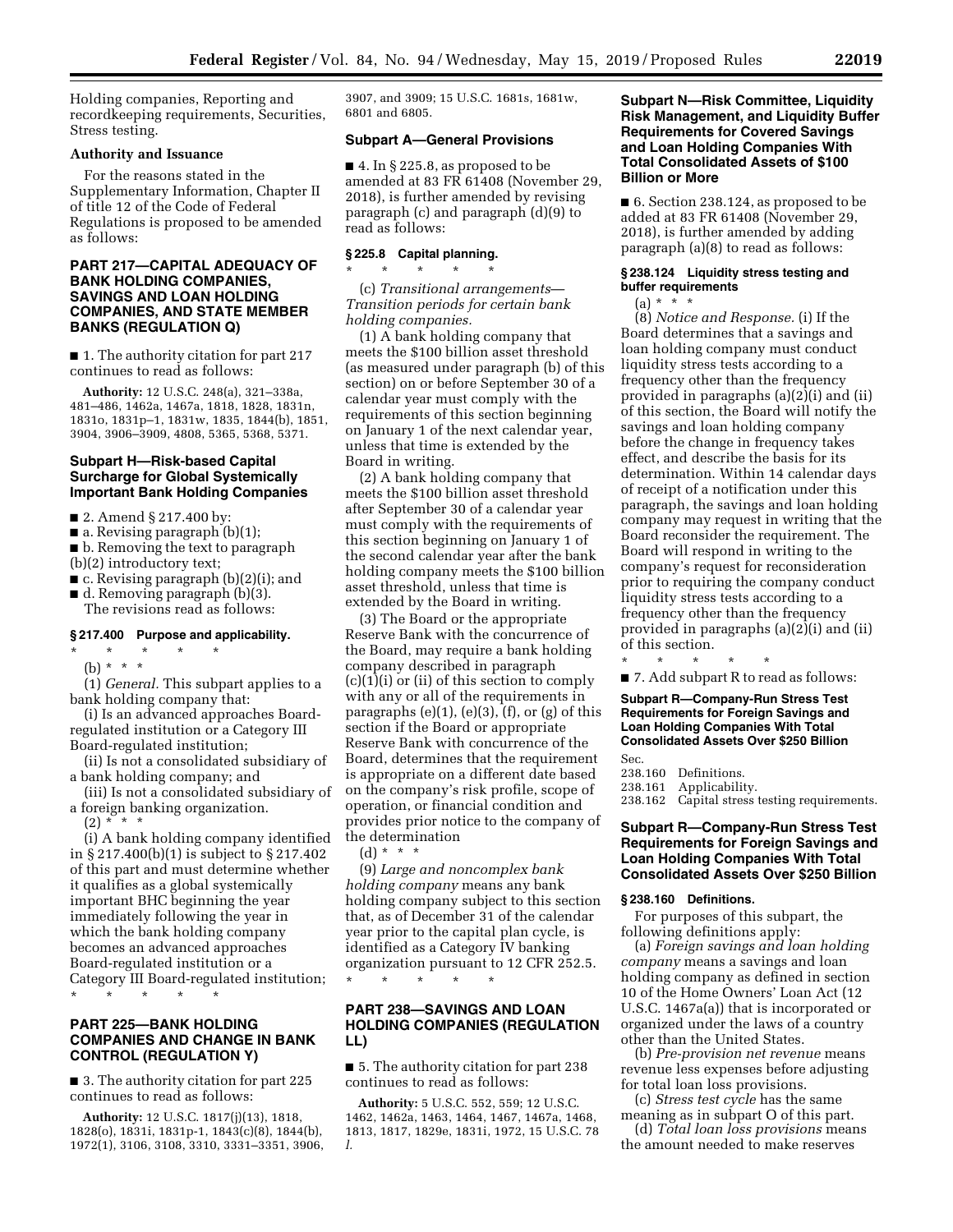Holding companies, Reporting and recordkeeping requirements, Securities, Stress testing.

### **Authority and Issuance**

For the reasons stated in the Supplementary Information, Chapter II of title 12 of the Code of Federal Regulations is proposed to be amended as follows:

## **PART 217—CAPITAL ADEQUACY OF BANK HOLDING COMPANIES, SAVINGS AND LOAN HOLDING COMPANIES, AND STATE MEMBER BANKS (REGULATION Q)**

■ 1. The authority citation for part 217 continues to read as follows:

**Authority:** 12 U.S.C. 248(a), 321–338a, 481–486, 1462a, 1467a, 1818, 1828, 1831n, 1831o, 1831p–1, 1831w, 1835, 1844(b), 1851, 3904, 3906–3909, 4808, 5365, 5368, 5371.

## **Subpart H—Risk-based Capital Surcharge for Global Systemically Important Bank Holding Companies**

■ 2. Amend § 217.400 by:

 $\blacksquare$  a. Revising paragraph (b)(1);

- b. Removing the text to paragraph (b)(2) introductory text;
- c. Revising paragraph (b)(2)(i); and
- d. Removing paragraph (b)(3). The revisions read as follows:

#### **§ 217.400 Purpose and applicability.**

\* \* \* \* \* (b) \* \* \*

(1) *General.* This subpart applies to a bank holding company that:

(i) Is an advanced approaches Boardregulated institution or a Category III Board-regulated institution;

- (ii) Is not a consolidated subsidiary of a bank holding company; and
- (iii) Is not a consolidated subsidiary of a foreign banking organization.
	- $(2) * * * *$

(i) A bank holding company identified in § 217.400(b)(1) is subject to § 217.402 of this part and must determine whether it qualifies as a global systemically important BHC beginning the year immediately following the year in which the bank holding company becomes an advanced approaches Board-regulated institution or a Category III Board-regulated institution;

\* \* \* \* \*

## **PART 225—BANK HOLDING COMPANIES AND CHANGE IN BANK CONTROL (REGULATION Y)**

■ 3. The authority citation for part 225 continues to read as follows:

**Authority:** 12 U.S.C. 1817(j)(13), 1818, 1828(o), 1831i, 1831p-1, 1843(c)(8), 1844(b), 1972(1), 3106, 3108, 3310, 3331–3351, 3906, 3907, and 3909; 15 U.S.C. 1681s, 1681w, 6801 and 6805.

## **Subpart A—General Provisions**

 $\blacksquare$  4. In § 225.8, as proposed to be amended at 83 FR 61408 (November 29, 2018), is further amended by revising paragraph (c) and paragraph (d)(9) to read as follows:

## **§ 225.8 Capital planning.**

\* \* \* \* \*

(c) *Transitional arrangements*— *Transition periods for certain bank holding companies.* 

(1) A bank holding company that meets the \$100 billion asset threshold (as measured under paragraph (b) of this section) on or before September 30 of a calendar year must comply with the requirements of this section beginning on January 1 of the next calendar year, unless that time is extended by the Board in writing.

(2) A bank holding company that meets the \$100 billion asset threshold after September 30 of a calendar year must comply with the requirements of this section beginning on January 1 of the second calendar year after the bank holding company meets the \$100 billion asset threshold, unless that time is extended by the Board in writing.

(3) The Board or the appropriate Reserve Bank with the concurrence of the Board, may require a bank holding company described in paragraph  $(c)(1)(i)$  or  $(ii)$  of this section to comply with any or all of the requirements in paragraphs (e)(1), (e)(3), (f), or (g) of this section if the Board or appropriate Reserve Bank with concurrence of the Board, determines that the requirement is appropriate on a different date based on the company's risk profile, scope of operation, or financial condition and provides prior notice to the company of the determination

(d) \* \* \*

(9) *Large and noncomplex bank holding company* means any bank holding company subject to this section that, as of December 31 of the calendar year prior to the capital plan cycle, is identified as a Category IV banking organization pursuant to 12 CFR 252.5. \* \* \* \* \*

## **PART 238—SAVINGS AND LOAN HOLDING COMPANIES (REGULATION LL)**

■ 5. The authority citation for part 238 continues to read as follows:

**Authority:** 5 U.S.C. 552, 559; 12 U.S.C. 1462, 1462a, 1463, 1464, 1467, 1467a, 1468, 1813, 1817, 1829e, 1831i, 1972, 15 U.S.C. 78 *l.* 

## **Subpart N—Risk Committee, Liquidity Risk Management, and Liquidity Buffer Requirements for Covered Savings and Loan Holding Companies With Total Consolidated Assets of \$100 Billion or More**

■ 6. Section 238.124, as proposed to be added at 83 FR 61408 (November 29, 2018), is further amended by adding paragraph (a)(8) to read as follows:

## **§ 238.124 Liquidity stress testing and buffer requirements**

 $(a) * * * *$ 

(8) *Notice and Response.* (i) If the Board determines that a savings and loan holding company must conduct liquidity stress tests according to a frequency other than the frequency provided in paragraphs (a)(2)(i) and (ii) of this section, the Board will notify the savings and loan holding company before the change in frequency takes effect, and describe the basis for its determination. Within 14 calendar days of receipt of a notification under this paragraph, the savings and loan holding company may request in writing that the Board reconsider the requirement. The Board will respond in writing to the company's request for reconsideration prior to requiring the company conduct liquidity stress tests according to a frequency other than the frequency provided in paragraphs (a)(2)(i) and (ii) of this section.

\* \* \* \* \*

■ 7. Add subpart R to read as follows:

**Subpart R—Company-Run Stress Test Requirements for Foreign Savings and Loan Holding Companies With Total Consolidated Assets Over \$250 Billion** 

Sec. 238.160 Definitions.<br>238.161 Applicabilit Applicability.

238.162 Capital stress testing requirements.

## **Subpart R—Company-Run Stress Test Requirements for Foreign Savings and Loan Holding Companies With Total Consolidated Assets Over \$250 Billion**

# **§ 238.160 Definitions.**

For purposes of this subpart, the following definitions apply:

(a) *Foreign savings and loan holding company* means a savings and loan holding company as defined in section 10 of the Home Owners' Loan Act (12 U.S.C. 1467a(a)) that is incorporated or organized under the laws of a country other than the United States.

(b) *Pre-provision net revenue* means revenue less expenses before adjusting for total loan loss provisions.

(c) *Stress test cycle* has the same meaning as in subpart O of this part.

(d) *Total loan loss provisions* means the amount needed to make reserves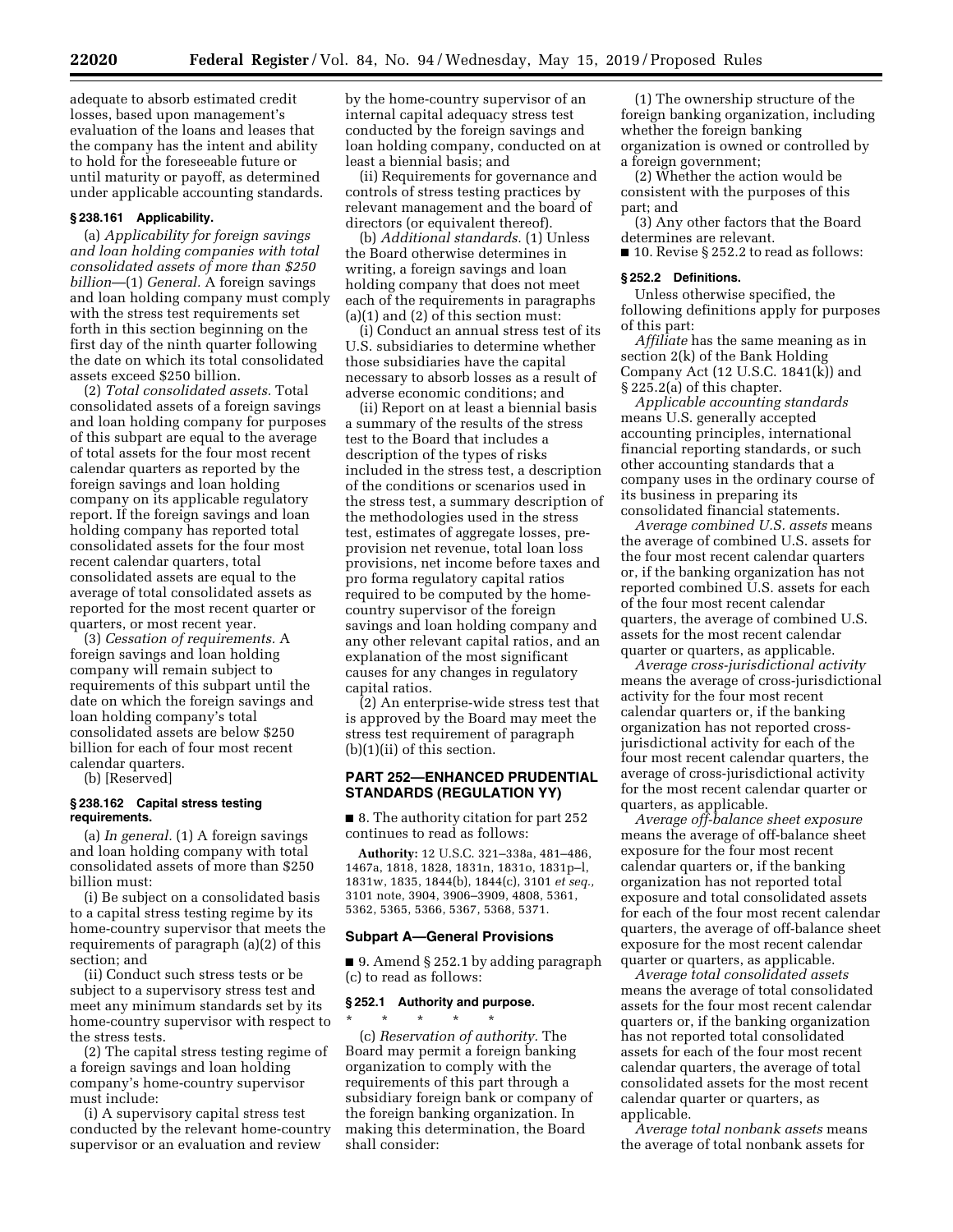adequate to absorb estimated credit losses, based upon management's evaluation of the loans and leases that the company has the intent and ability to hold for the foreseeable future or until maturity or payoff, as determined under applicable accounting standards.

#### **§ 238.161 Applicability.**

(a) *Applicability for foreign savings and loan holding companies with total consolidated assets of more than \$250 billion*—(1) *General.* A foreign savings and loan holding company must comply with the stress test requirements set forth in this section beginning on the first day of the ninth quarter following the date on which its total consolidated assets exceed \$250 billion.

(2) *Total consolidated assets.* Total consolidated assets of a foreign savings and loan holding company for purposes of this subpart are equal to the average of total assets for the four most recent calendar quarters as reported by the foreign savings and loan holding company on its applicable regulatory report. If the foreign savings and loan holding company has reported total consolidated assets for the four most recent calendar quarters, total consolidated assets are equal to the average of total consolidated assets as reported for the most recent quarter or quarters, or most recent year.

(3) *Cessation of requirements.* A foreign savings and loan holding company will remain subject to requirements of this subpart until the date on which the foreign savings and loan holding company's total consolidated assets are below \$250 billion for each of four most recent calendar quarters.

(b) [Reserved]

#### **§ 238.162 Capital stress testing requirements.**

(a) *In general.* (1) A foreign savings and loan holding company with total consolidated assets of more than \$250 billion must:

(i) Be subject on a consolidated basis to a capital stress testing regime by its home-country supervisor that meets the requirements of paragraph (a)(2) of this section; and

(ii) Conduct such stress tests or be subject to a supervisory stress test and meet any minimum standards set by its home-country supervisor with respect to the stress tests.

(2) The capital stress testing regime of a foreign savings and loan holding company's home-country supervisor must include:

(i) A supervisory capital stress test conducted by the relevant home-country supervisor or an evaluation and review

by the home-country supervisor of an internal capital adequacy stress test conducted by the foreign savings and loan holding company, conducted on at least a biennial basis; and

(ii) Requirements for governance and controls of stress testing practices by relevant management and the board of directors (or equivalent thereof).

(b) *Additional standards.* (1) Unless the Board otherwise determines in writing, a foreign savings and loan holding company that does not meet each of the requirements in paragraphs (a)(1) and (2) of this section must:

(i) Conduct an annual stress test of its U.S. subsidiaries to determine whether those subsidiaries have the capital necessary to absorb losses as a result of adverse economic conditions; and

(ii) Report on at least a biennial basis a summary of the results of the stress test to the Board that includes a description of the types of risks included in the stress test, a description of the conditions or scenarios used in the stress test, a summary description of the methodologies used in the stress test, estimates of aggregate losses, preprovision net revenue, total loan loss provisions, net income before taxes and pro forma regulatory capital ratios required to be computed by the homecountry supervisor of the foreign savings and loan holding company and any other relevant capital ratios, and an explanation of the most significant causes for any changes in regulatory capital ratios.

(2) An enterprise-wide stress test that is approved by the Board may meet the stress test requirement of paragraph (b)(1)(ii) of this section.

## **PART 252—ENHANCED PRUDENTIAL STANDARDS (REGULATION YY)**

■ 8. The authority citation for part 252 continues to read as follows:

**Authority:** 12 U.S.C. 321–338a, 481–486, 1467a, 1818, 1828, 1831n, 1831o, 1831p–l, 1831w, 1835, 1844(b), 1844(c), 3101 *et seq.,*  3101 note, 3904, 3906–3909, 4808, 5361, 5362, 5365, 5366, 5367, 5368, 5371.

## **Subpart A—General Provisions**

■ 9. Amend § 252.1 by adding paragraph (c) to read as follows:

### **§ 252.1 Authority and purpose.**

\* \* \* \* \* (c) *Reservation of authority.* The Board may permit a foreign banking organization to comply with the requirements of this part through a subsidiary foreign bank or company of the foreign banking organization. In making this determination, the Board shall consider:

(1) The ownership structure of the foreign banking organization, including whether the foreign banking organization is owned or controlled by a foreign government;

(2) Whether the action would be consistent with the purposes of this part; and

(3) Any other factors that the Board determines are relevant.

■ 10. Revise § 252.2 to read as follows:

#### **§ 252.2 Definitions.**

Unless otherwise specified, the following definitions apply for purposes of this part:

*Affiliate* has the same meaning as in section 2(k) of the Bank Holding Company Act (12 U.S.C. 1841(k)) and § 225.2(a) of this chapter.

*Applicable accounting standards*  means U.S. generally accepted accounting principles, international financial reporting standards, or such other accounting standards that a company uses in the ordinary course of its business in preparing its consolidated financial statements.

*Average combined U.S. assets* means the average of combined U.S. assets for the four most recent calendar quarters or, if the banking organization has not reported combined U.S. assets for each of the four most recent calendar quarters, the average of combined U.S. assets for the most recent calendar quarter or quarters, as applicable.

*Average cross-jurisdictional activity*  means the average of cross-jurisdictional activity for the four most recent calendar quarters or, if the banking organization has not reported crossjurisdictional activity for each of the four most recent calendar quarters, the average of cross-jurisdictional activity for the most recent calendar quarter or quarters, as applicable.

*Average off-balance sheet exposure*  means the average of off-balance sheet exposure for the four most recent calendar quarters or, if the banking organization has not reported total exposure and total consolidated assets for each of the four most recent calendar quarters, the average of off-balance sheet exposure for the most recent calendar quarter or quarters, as applicable.

*Average total consolidated assets*  means the average of total consolidated assets for the four most recent calendar quarters or, if the banking organization has not reported total consolidated assets for each of the four most recent calendar quarters, the average of total consolidated assets for the most recent calendar quarter or quarters, as applicable.

*Average total nonbank assets* means the average of total nonbank assets for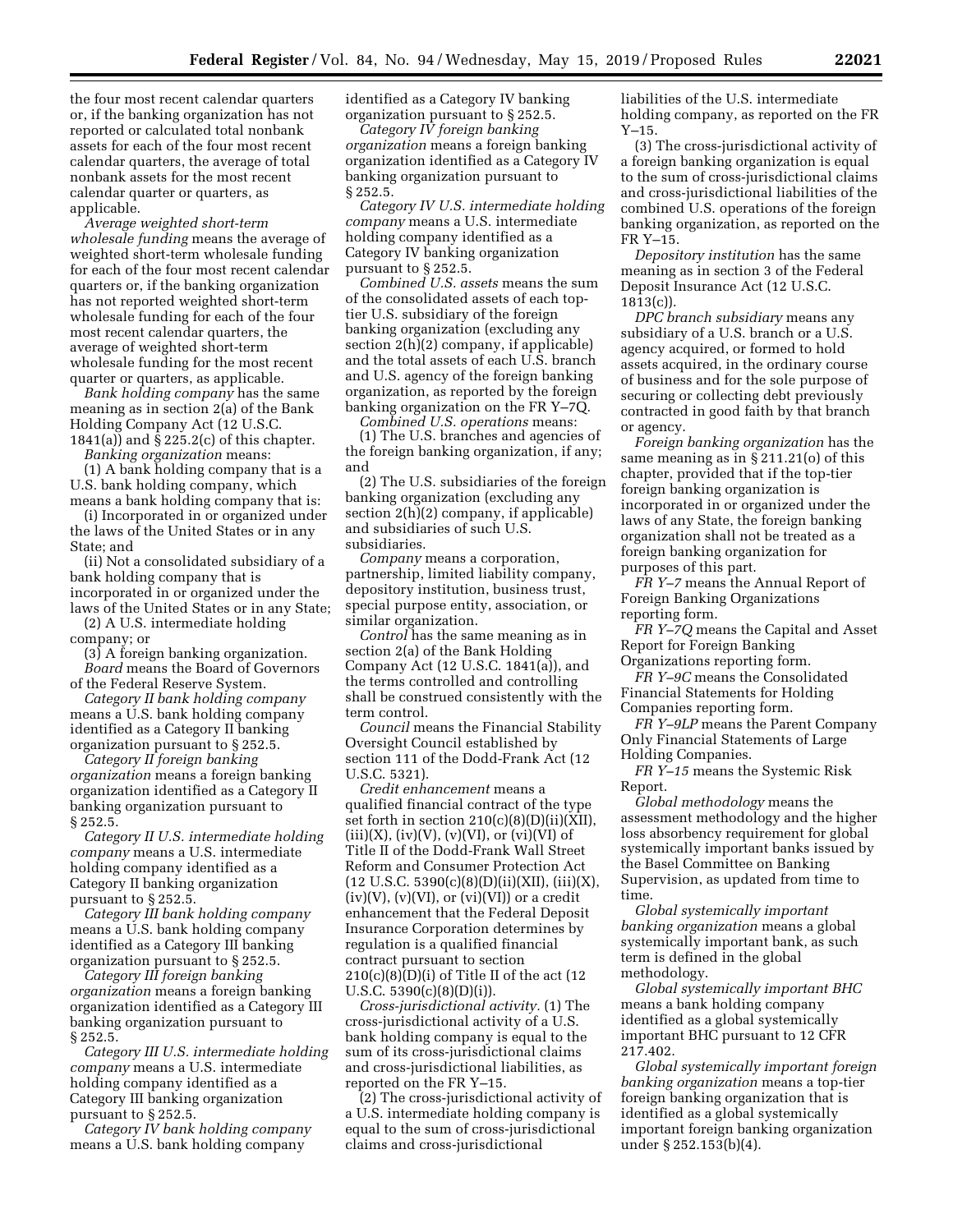the four most recent calendar quarters or, if the banking organization has not reported or calculated total nonbank assets for each of the four most recent calendar quarters, the average of total nonbank assets for the most recent calendar quarter or quarters, as applicable.

*Average weighted short-term wholesale funding* means the average of weighted short-term wholesale funding for each of the four most recent calendar quarters or, if the banking organization has not reported weighted short-term wholesale funding for each of the four most recent calendar quarters, the average of weighted short-term wholesale funding for the most recent quarter or quarters, as applicable.

*Bank holding company* has the same meaning as in section 2(a) of the Bank Holding Company Act (12 U.S.C. 1841(a)) and § 225.2(c) of this chapter.

*Banking organization* means:

(1) A bank holding company that is a U.S. bank holding company, which means a bank holding company that is:

(i) Incorporated in or organized under the laws of the United States or in any State; and

(ii) Not a consolidated subsidiary of a bank holding company that is incorporated in or organized under the laws of the United States or in any State;

(2) A U.S. intermediate holding company; or

(3) A foreign banking organization.

*Board* means the Board of Governors of the Federal Reserve System.

*Category II bank holding company*  means a U.S. bank holding company identified as a Category II banking organization pursuant to § 252.5.

*Category II foreign banking organization* means a foreign banking organization identified as a Category II banking organization pursuant to § 252.5.

*Category II U.S. intermediate holding company* means a U.S. intermediate holding company identified as a Category II banking organization pursuant to § 252.5.

*Category III bank holding company*  means a U.S. bank holding company identified as a Category III banking organization pursuant to § 252.5.

*Category III foreign banking organization* means a foreign banking organization identified as a Category III banking organization pursuant to § 252.5.

*Category III U.S. intermediate holding company* means a U.S. intermediate holding company identified as a Category III banking organization pursuant to § 252.5.

*Category IV bank holding company*  means a U.S. bank holding company

identified as a Category IV banking organization pursuant to § 252.5.

*Category IV foreign banking organization* means a foreign banking organization identified as a Category IV banking organization pursuant to § 252.5.

*Category IV U.S. intermediate holding company* means a U.S. intermediate holding company identified as a Category IV banking organization pursuant to § 252.5.

*Combined U.S. assets* means the sum of the consolidated assets of each toptier U.S. subsidiary of the foreign banking organization (excluding any section 2(h)(2) company, if applicable) and the total assets of each U.S. branch and U.S. agency of the foreign banking organization, as reported by the foreign banking organization on the FR Y–7Q.

*Combined U.S. operations* means: (1) The U.S. branches and agencies of the foreign banking organization, if any; and

(2) The U.S. subsidiaries of the foreign banking organization (excluding any section 2(h)(2) company, if applicable) and subsidiaries of such U.S. subsidiaries.

*Company* means a corporation, partnership, limited liability company, depository institution, business trust, special purpose entity, association, or similar organization.

*Control* has the same meaning as in section 2(a) of the Bank Holding Company Act (12 U.S.C. 1841(a)), and the terms controlled and controlling shall be construed consistently with the term control.

*Council* means the Financial Stability Oversight Council established by section 111 of the Dodd-Frank Act (12 U.S.C. 5321).

*Credit enhancement* means a qualified financial contract of the type set forth in section 210(c)(8)(D)(ii)(XII),  $(iii)(X)$ ,  $(iv)(V)$ ,  $(v)(VI)$ , or  $(vi)(VI)$  of Title II of the Dodd-Frank Wall Street Reform and Consumer Protection Act  $(12 \text{ U.S.C. } 5390(c)(8)(D)(ii)(XII), (iii)(X),$  $(iv)(V)$ ,  $(v)(VI)$ , or  $(vi)(VI)$  or a credit enhancement that the Federal Deposit Insurance Corporation determines by regulation is a qualified financial contract pursuant to section  $210(c)(8)(D)(i)$  of Title II of the act (12 U.S.C.  $5390(c)(8)(D)(i)$ .

*Cross-jurisdictional activity.* (1) The cross-jurisdictional activity of a U.S. bank holding company is equal to the sum of its cross-jurisdictional claims and cross-jurisdictional liabilities, as reported on the FR Y–15.

(2) The cross-jurisdictional activity of a U.S. intermediate holding company is equal to the sum of cross-jurisdictional claims and cross-jurisdictional

liabilities of the U.S. intermediate holding company, as reported on the FR Y–15.

(3) The cross-jurisdictional activity of a foreign banking organization is equal to the sum of cross-jurisdictional claims and cross-jurisdictional liabilities of the combined U.S. operations of the foreign banking organization, as reported on the FR Y–15.

*Depository institution* has the same meaning as in section 3 of the Federal Deposit Insurance Act (12 U.S.C.  $1813(c)$ ).

*DPC branch subsidiary* means any subsidiary of a U.S. branch or a U.S. agency acquired, or formed to hold assets acquired, in the ordinary course of business and for the sole purpose of securing or collecting debt previously contracted in good faith by that branch or agency.

*Foreign banking organization* has the same meaning as in § 211.21(o) of this chapter, provided that if the top-tier foreign banking organization is incorporated in or organized under the laws of any State, the foreign banking organization shall not be treated as a foreign banking organization for purposes of this part.

*FR Y–7* means the Annual Report of Foreign Banking Organizations reporting form.

*FR Y–7Q* means the Capital and Asset Report for Foreign Banking Organizations reporting form.

*FR Y–9C* means the Consolidated Financial Statements for Holding Companies reporting form.

*FR Y–9LP* means the Parent Company Only Financial Statements of Large Holding Companies.

*FR Y–15* means the Systemic Risk Report.

*Global methodology* means the assessment methodology and the higher loss absorbency requirement for global systemically important banks issued by the Basel Committee on Banking Supervision, as updated from time to time.

*Global systemically important banking organization* means a global systemically important bank, as such term is defined in the global methodology.

*Global systemically important BHC*  means a bank holding company identified as a global systemically important BHC pursuant to 12 CFR 217.402.

*Global systemically important foreign banking organization* means a top-tier foreign banking organization that is identified as a global systemically important foreign banking organization under § 252.153(b)(4).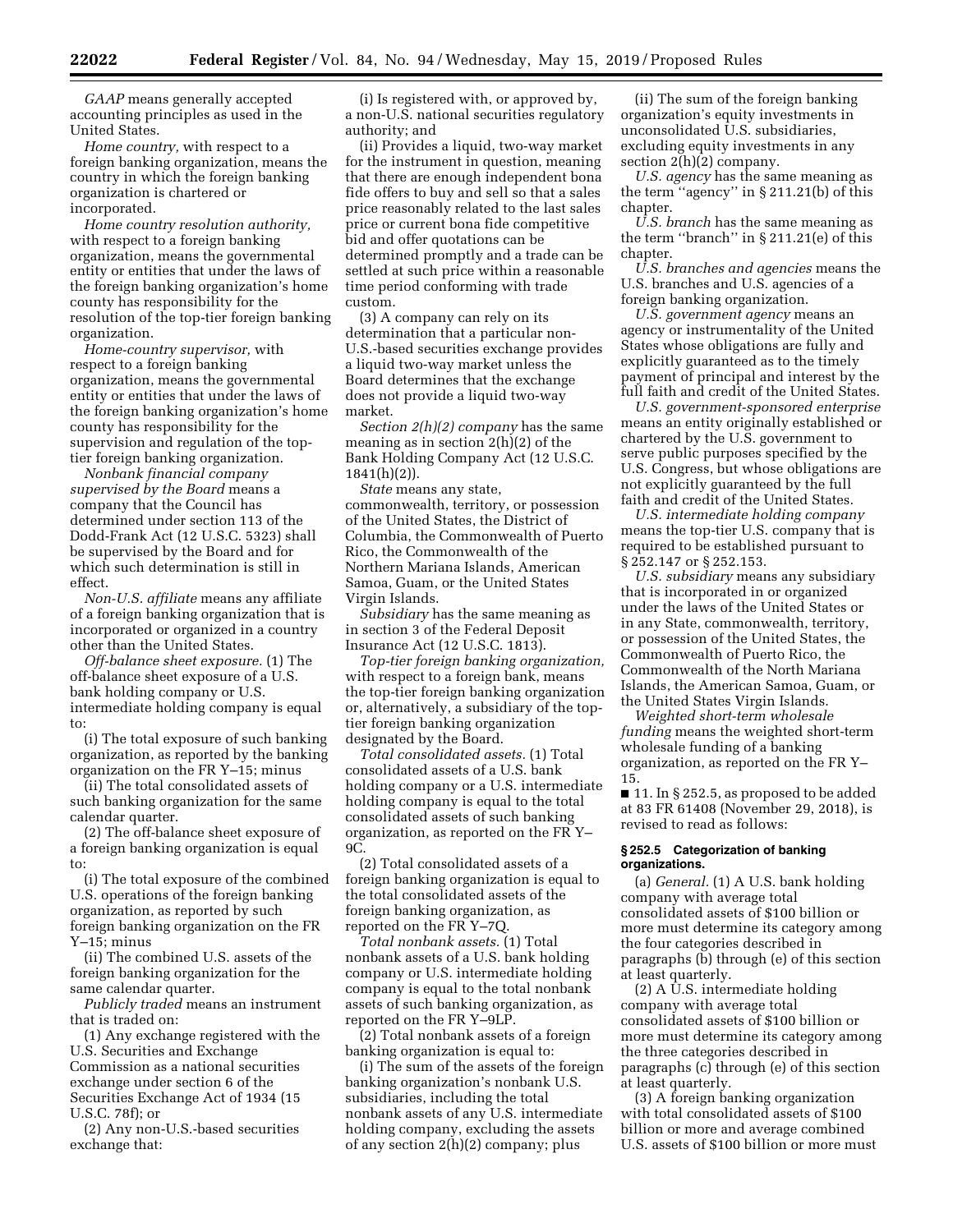*GAAP* means generally accepted accounting principles as used in the United States.

*Home country,* with respect to a foreign banking organization, means the country in which the foreign banking organization is chartered or incorporated.

*Home country resolution authority,*  with respect to a foreign banking organization, means the governmental entity or entities that under the laws of the foreign banking organization's home county has responsibility for the resolution of the top-tier foreign banking organization.

*Home-country supervisor,* with respect to a foreign banking organization, means the governmental entity or entities that under the laws of the foreign banking organization's home county has responsibility for the supervision and regulation of the toptier foreign banking organization.

*Nonbank financial company supervised by the Board* means a company that the Council has determined under section 113 of the Dodd-Frank Act (12 U.S.C. 5323) shall be supervised by the Board and for which such determination is still in effect.

*Non-U.S. affiliate* means any affiliate of a foreign banking organization that is incorporated or organized in a country other than the United States.

*Off-balance sheet exposure.* (1) The off-balance sheet exposure of a U.S. bank holding company or U.S. intermediate holding company is equal to:

(i) The total exposure of such banking organization, as reported by the banking organization on the FR Y–15; minus

(ii) The total consolidated assets of such banking organization for the same calendar quarter.

(2) The off-balance sheet exposure of a foreign banking organization is equal to:

(i) The total exposure of the combined U.S. operations of the foreign banking organization, as reported by such foreign banking organization on the FR Y–15; minus

(ii) The combined U.S. assets of the foreign banking organization for the same calendar quarter.

*Publicly traded* means an instrument that is traded on:

(1) Any exchange registered with the U.S. Securities and Exchange Commission as a national securities exchange under section 6 of the Securities Exchange Act of 1934 (15 U.S.C. 78f); or

(2) Any non-U.S.-based securities exchange that:

(i) Is registered with, or approved by, a non-U.S. national securities regulatory authority; and

(ii) Provides a liquid, two-way market for the instrument in question, meaning that there are enough independent bona fide offers to buy and sell so that a sales price reasonably related to the last sales price or current bona fide competitive bid and offer quotations can be determined promptly and a trade can be settled at such price within a reasonable time period conforming with trade custom.

(3) A company can rely on its determination that a particular non-U.S.-based securities exchange provides a liquid two-way market unless the Board determines that the exchange does not provide a liquid two-way market.

*Section 2(h)(2) company* has the same meaning as in section 2(h)(2) of the Bank Holding Company Act (12 U.S.C. 1841(h)(2)).

*State* means any state, commonwealth, territory, or possession of the United States, the District of Columbia, the Commonwealth of Puerto Rico, the Commonwealth of the Northern Mariana Islands, American Samoa, Guam, or the United States Virgin Islands.

*Subsidiary* has the same meaning as in section 3 of the Federal Deposit Insurance Act (12 U.S.C. 1813).

*Top-tier foreign banking organization,*  with respect to a foreign bank, means the top-tier foreign banking organization or, alternatively, a subsidiary of the toptier foreign banking organization designated by the Board.

*Total consolidated assets.* (1) Total consolidated assets of a U.S. bank holding company or a U.S. intermediate holding company is equal to the total consolidated assets of such banking organization, as reported on the FR Y– 9C.

(2) Total consolidated assets of a foreign banking organization is equal to the total consolidated assets of the foreign banking organization, as reported on the FR Y–7Q.

*Total nonbank assets.* (1) Total nonbank assets of a U.S. bank holding company or U.S. intermediate holding company is equal to the total nonbank assets of such banking organization, as reported on the FR Y–9LP.

(2) Total nonbank assets of a foreign banking organization is equal to:

(i) The sum of the assets of the foreign banking organization's nonbank U.S. subsidiaries, including the total nonbank assets of any U.S. intermediate holding company, excluding the assets of any section 2(h)(2) company; plus

(ii) The sum of the foreign banking organization's equity investments in unconsolidated U.S. subsidiaries, excluding equity investments in any section 2(h)(2) company.

*U.S. agency* has the same meaning as the term ''agency'' in § 211.21(b) of this chapter.

*U.S. branch* has the same meaning as the term ''branch'' in § 211.21(e) of this chapter.

*U.S. branches and agencies* means the U.S. branches and U.S. agencies of a foreign banking organization.

*U.S. government agency* means an agency or instrumentality of the United States whose obligations are fully and explicitly guaranteed as to the timely payment of principal and interest by the full faith and credit of the United States.

*U.S. government-sponsored enterprise*  means an entity originally established or chartered by the U.S. government to serve public purposes specified by the U.S. Congress, but whose obligations are not explicitly guaranteed by the full faith and credit of the United States.

*U.S. intermediate holding company*  means the top-tier U.S. company that is required to be established pursuant to § 252.147 or § 252.153.

*U.S. subsidiary* means any subsidiary that is incorporated in or organized under the laws of the United States or in any State, commonwealth, territory, or possession of the United States, the Commonwealth of Puerto Rico, the Commonwealth of the North Mariana Islands, the American Samoa, Guam, or the United States Virgin Islands.

*Weighted short-term wholesale funding* means the weighted short-term wholesale funding of a banking organization, as reported on the FR Y– 15.

■ 11. In § 252.5, as proposed to be added at 83 FR 61408 (November 29, 2018), is revised to read as follows:

### **§ 252.5 Categorization of banking organizations.**

(a) *General.* (1) A U.S. bank holding company with average total consolidated assets of \$100 billion or more must determine its category among the four categories described in paragraphs (b) through (e) of this section at least quarterly.

(2) A U.S. intermediate holding company with average total consolidated assets of \$100 billion or more must determine its category among the three categories described in paragraphs (c) through (e) of this section at least quarterly.

(3) A foreign banking organization with total consolidated assets of \$100 billion or more and average combined U.S. assets of \$100 billion or more must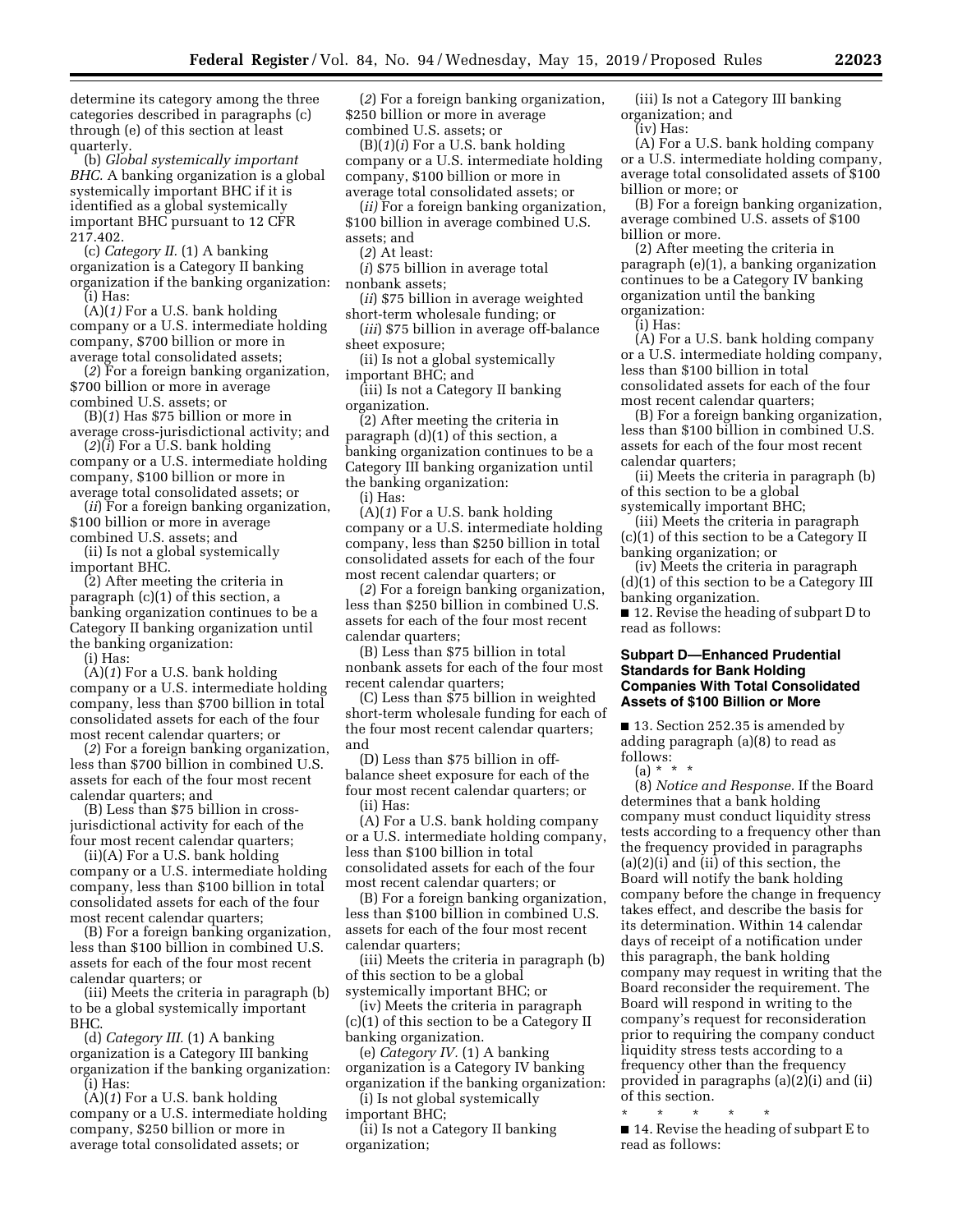determine its category among the three categories described in paragraphs (c) through (e) of this section at least quarterly.

(b) *Global systemically important BHC.* A banking organization is a global systemically important BHC if it is identified as a global systemically important BHC pursuant to 12 CFR 217.402.

(c) *Category II.* (1) A banking organization is a Category II banking organization if the banking organization: (i) Has:

(A)(*1)* For a U.S. bank holding company or a U.S. intermediate holding company, \$700 billion or more in average total consolidated assets;

(*2*) For a foreign banking organization, \$700 billion or more in average combined U.S. assets; or

(B)(*1*) Has \$75 billion or more in average cross-jurisdictional activity; and

(*2*)(*i*) For a U.S. bank holding company or a U.S. intermediate holding company, \$100 billion or more in average total consolidated assets; or

(*ii*) For a foreign banking organization, \$100 billion or more in average combined U.S. assets; and

(ii) Is not a global systemically important BHC.

(2) After meeting the criteria in paragraph (c)(1) of this section, a banking organization continues to be a Category II banking organization until the banking organization:

(i) Has:

(A)(*1*) For a U.S. bank holding company or a U.S. intermediate holding company, less than \$700 billion in total consolidated assets for each of the four most recent calendar quarters; or

(*2*) For a foreign banking organization, less than \$700 billion in combined U.S. assets for each of the four most recent calendar quarters; and

(B) Less than \$75 billion in crossjurisdictional activity for each of the four most recent calendar quarters;

(ii)(A) For a U.S. bank holding company or a U.S. intermediate holding company, less than \$100 billion in total consolidated assets for each of the four most recent calendar quarters;

(B) For a foreign banking organization, less than \$100 billion in combined U.S. assets for each of the four most recent calendar quarters; or

(iii) Meets the criteria in paragraph (b) to be a global systemically important BHC.

(d) *Category III.* (1) A banking organization is a Category III banking organization if the banking organization: (i) Has:

(A)(*1*) For a U.S. bank holding company or a U.S. intermediate holding company, \$250 billion or more in average total consolidated assets; or

(*2*) For a foreign banking organization, \$250 billion or more in average combined U.S. assets; or

(B)(*1*)(*i*) For a U.S. bank holding company or a U.S. intermediate holding company, \$100 billion or more in average total consolidated assets; or

(*ii)* For a foreign banking organization, \$100 billion in average combined U.S. assets; and

(*2*) At least:

(*i*) \$75 billion in average total nonbank assets;

(*ii*) \$75 billion in average weighted short-term wholesale funding; or

(*iii*) \$75 billion in average off-balance sheet exposure;

(ii) Is not a global systemically important BHC; and

(iii) Is not a Category II banking organization.

(2) After meeting the criteria in paragraph  $(d)(1)$  of this section, a banking organization continues to be a Category III banking organization until the banking organization:

(i) Has:

(A)(*1*) For a U.S. bank holding company or a U.S. intermediate holding company, less than \$250 billion in total consolidated assets for each of the four most recent calendar quarters; or

(*2*) For a foreign banking organization, less than \$250 billion in combined U.S. assets for each of the four most recent calendar quarters;

(B) Less than \$75 billion in total nonbank assets for each of the four most recent calendar quarters;

(C) Less than \$75 billion in weighted short-term wholesale funding for each of the four most recent calendar quarters; and

(D) Less than \$75 billion in offbalance sheet exposure for each of the four most recent calendar quarters; or (ii) Has:

(A) For a U.S. bank holding company or a U.S. intermediate holding company, less than \$100 billion in total consolidated assets for each of the four most recent calendar quarters; or

(B) For a foreign banking organization, less than \$100 billion in combined U.S. assets for each of the four most recent calendar quarters;

(iii) Meets the criteria in paragraph (b) of this section to be a global systemically important BHC; or

(iv) Meets the criteria in paragraph (c)(1) of this section to be a Category II banking organization.

(e) *Category IV.* (1) A banking organization is a Category IV banking organization if the banking organization:

(i) Is not global systemically important BHC;

(ii) Is not a Category II banking organization;

(iii) Is not a Category III banking organization; and

(iv) Has:

(A) For a U.S. bank holding company or a U.S. intermediate holding company, average total consolidated assets of \$100 billion or more; or

(B) For a foreign banking organization, average combined U.S. assets of \$100 billion or more.

(2) After meeting the criteria in paragraph (e)(1), a banking organization continues to be a Category IV banking organization until the banking organization:

(i) Has:

(A) For a U.S. bank holding company or a U.S. intermediate holding company, less than \$100 billion in total consolidated assets for each of the four most recent calendar quarters;

(B) For a foreign banking organization, less than \$100 billion in combined U.S. assets for each of the four most recent calendar quarters;

(ii) Meets the criteria in paragraph (b) of this section to be a global

systemically important BHC;

(iii) Meets the criteria in paragraph (c)(1) of this section to be a Category II banking organization; or

(iv) Meets the criteria in paragraph (d)(1) of this section to be a Category III banking organization.

■ 12. Revise the heading of subpart D to read as follows:

## **Subpart D—Enhanced Prudential Standards for Bank Holding Companies With Total Consolidated Assets of \$100 Billion or More**

■ 13. Section 252.35 is amended by adding paragraph (a)(8) to read as follows:

(a) \* \* \*

(8) *Notice and Response.* If the Board determines that a bank holding company must conduct liquidity stress tests according to a frequency other than the frequency provided in paragraphs (a)(2)(i) and (ii) of this section, the Board will notify the bank holding company before the change in frequency takes effect, and describe the basis for its determination. Within 14 calendar days of receipt of a notification under this paragraph, the bank holding company may request in writing that the Board reconsider the requirement. The Board will respond in writing to the company's request for reconsideration prior to requiring the company conduct liquidity stress tests according to a frequency other than the frequency provided in paragraphs (a)(2)(i) and (ii) of this section.

\* \* \* \* \* ■ 14. Revise the heading of subpart E to read as follows: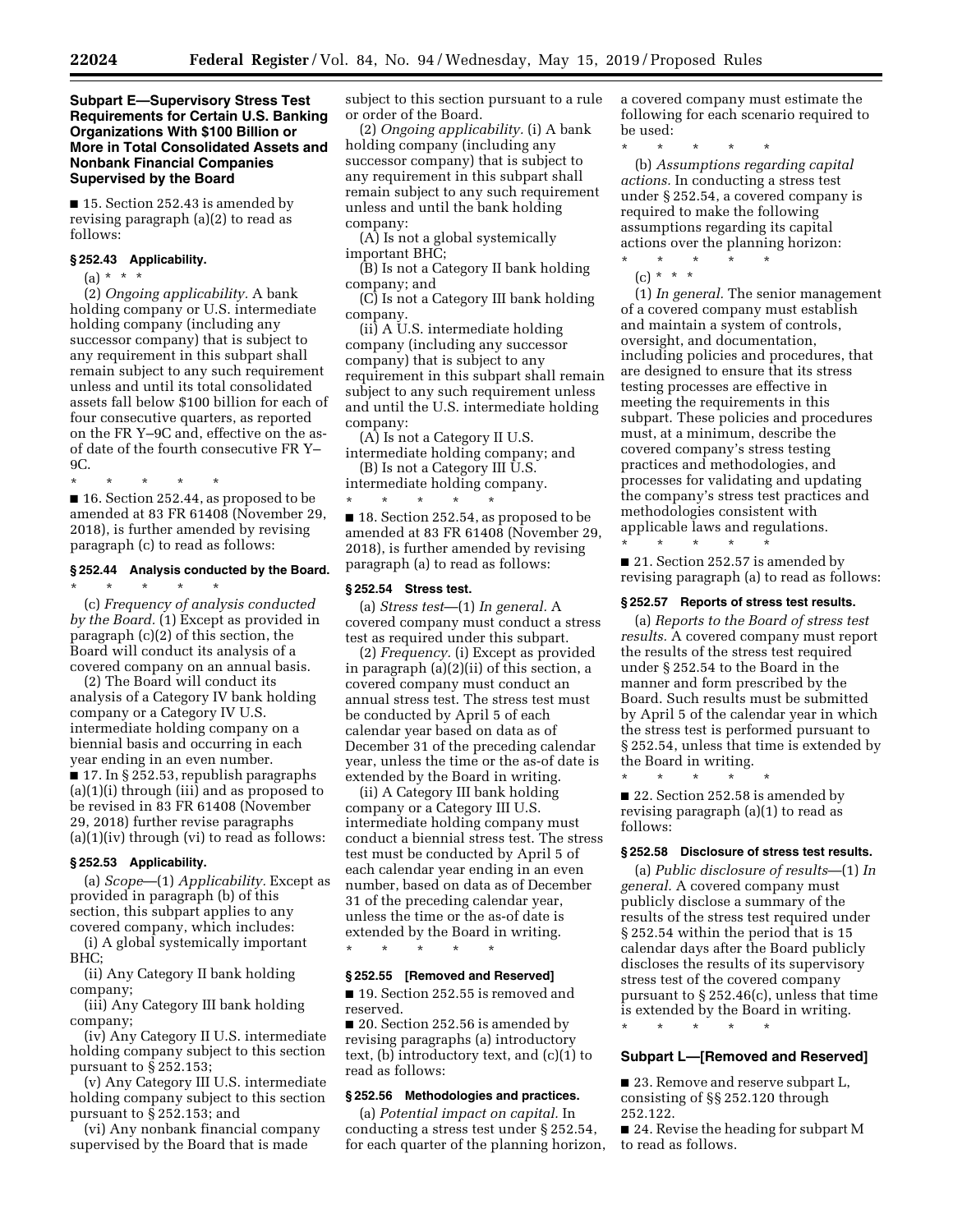## **Subpart E—Supervisory Stress Test Requirements for Certain U.S. Banking Organizations With \$100 Billion or More in Total Consolidated Assets and Nonbank Financial Companies Supervised by the Board**

■ 15. Section 252.43 is amended by revising paragraph (a)(2) to read as follows:

#### **§ 252.43 Applicability.**

(a)  $* * * *$ 

(2) *Ongoing applicability.* A bank holding company or U.S. intermediate holding company (including any successor company) that is subject to any requirement in this subpart shall remain subject to any such requirement unless and until its total consolidated assets fall below \$100 billion for each of four consecutive quarters, as reported on the FR Y–9C and, effective on the asof date of the fourth consecutive FR Y– 9C.

\* \* \* \* \*

■ 16. Section 252.44, as proposed to be amended at 83 FR 61408 (November 29, 2018), is further amended by revising paragraph (c) to read as follows:

## **§ 252.44 Analysis conducted by the Board.**

\* \* \* \* \* (c) *Frequency of analysis conducted by the Board.* (1) Except as provided in paragraph (c)(2) of this section, the Board will conduct its analysis of a covered company on an annual basis.

(2) The Board will conduct its analysis of a Category IV bank holding company or a Category IV U.S. intermediate holding company on a biennial basis and occurring in each year ending in an even number. ■ 17. In § 252.53, republish paragraphs (a)(1)(i) through (iii) and as proposed to be revised in 83 FR 61408 (November 29, 2018) further revise paragraphs (a)(1)(iv) through (vi) to read as follows:

## **§ 252.53 Applicability.**

(a) *Scope*—(1) *Applicability.* Except as provided in paragraph (b) of this section, this subpart applies to any covered company, which includes:

(i) A global systemically important BHC;

(ii) Any Category II bank holding company;

(iii) Any Category III bank holding company;

(iv) Any Category II U.S. intermediate holding company subject to this section pursuant to § 252.153;

(v) Any Category III U.S. intermediate holding company subject to this section pursuant to § 252.153; and

(vi) Any nonbank financial company supervised by the Board that is made

subject to this section pursuant to a rule or order of the Board.

(2) *Ongoing applicability.* (i) A bank holding company (including any successor company) that is subject to any requirement in this subpart shall remain subject to any such requirement unless and until the bank holding company:

(A) Is not a global systemically important BHC;

(B) Is not a Category II bank holding company; and

(C) Is not a Category III bank holding company.

(ii) A U.S. intermediate holding company (including any successor company) that is subject to any requirement in this subpart shall remain subject to any such requirement unless and until the U.S. intermediate holding company:

(A) Is not a Category II U.S. intermediate holding company; and (B) Is not a Category III U.S.

intermediate holding company. \* \* \* \* \*

■ 18. Section 252.54, as proposed to be amended at 83 FR 61408 (November 29, 2018), is further amended by revising paragraph (a) to read as follows:

#### **§ 252.54 Stress test.**

(a) *Stress test*—(1) *In general.* A covered company must conduct a stress test as required under this subpart.

(2) *Frequency.* (i) Except as provided in paragraph (a)(2)(ii) of this section, a covered company must conduct an annual stress test. The stress test must be conducted by April 5 of each calendar year based on data as of December 31 of the preceding calendar year, unless the time or the as-of date is extended by the Board in writing.

(ii) A Category III bank holding company or a Category III U.S. intermediate holding company must conduct a biennial stress test. The stress test must be conducted by April 5 of each calendar year ending in an even number, based on data as of December 31 of the preceding calendar year, unless the time or the as-of date is extended by the Board in writing. \* \* \* \* \*

## **§ 252.55 [Removed and Reserved]**

■ 19. Section 252.55 is removed and reserved.

■ 20. Section 252.56 is amended by revising paragraphs (a) introductory text, (b) introductory text, and (c)(1) to read as follows:

## **§ 252.56 Methodologies and practices.**

(a) *Potential impact on capital.* In conducting a stress test under § 252.54, for each quarter of the planning horizon, a covered company must estimate the following for each scenario required to be used:

\* \* \* \* \* (b) *Assumptions regarding capital actions.* In conducting a stress test under § 252.54, a covered company is required to make the following

assumptions regarding its capital actions over the planning horizon: \* \* \* \* \*

(c) \* \* \*

(1) *In general.* The senior management of a covered company must establish and maintain a system of controls, oversight, and documentation, including policies and procedures, that are designed to ensure that its stress testing processes are effective in meeting the requirements in this subpart. These policies and procedures must, at a minimum, describe the covered company's stress testing practices and methodologies, and processes for validating and updating the company's stress test practices and methodologies consistent with applicable laws and regulations.

■ 21. Section 252.57 is amended by revising paragraph (a) to read as follows:

#### **§ 252.57 Reports of stress test results.**

(a) *Reports to the Board of stress test results.* A covered company must report the results of the stress test required under § 252.54 to the Board in the manner and form prescribed by the Board. Such results must be submitted by April 5 of the calendar year in which the stress test is performed pursuant to § 252.54, unless that time is extended by the Board in writing.

\* \* \* \* \*

\* \* \* \* \*

■ 22. Section 252.58 is amended by revising paragraph (a)(1) to read as follows:

#### **§ 252.58 Disclosure of stress test results.**

(a) *Public disclosure of results*—(1) *In general.* A covered company must publicly disclose a summary of the results of the stress test required under § 252.54 within the period that is 15 calendar days after the Board publicly discloses the results of its supervisory stress test of the covered company pursuant to § 252.46(c), unless that time is extended by the Board in writing.

\* \* \* \* \*

### **Subpart L—[Removed and Reserved]**

■ 23. Remove and reserve subpart L, consisting of §§ 252.120 through 252.122.

■ 24. Revise the heading for subpart M to read as follows.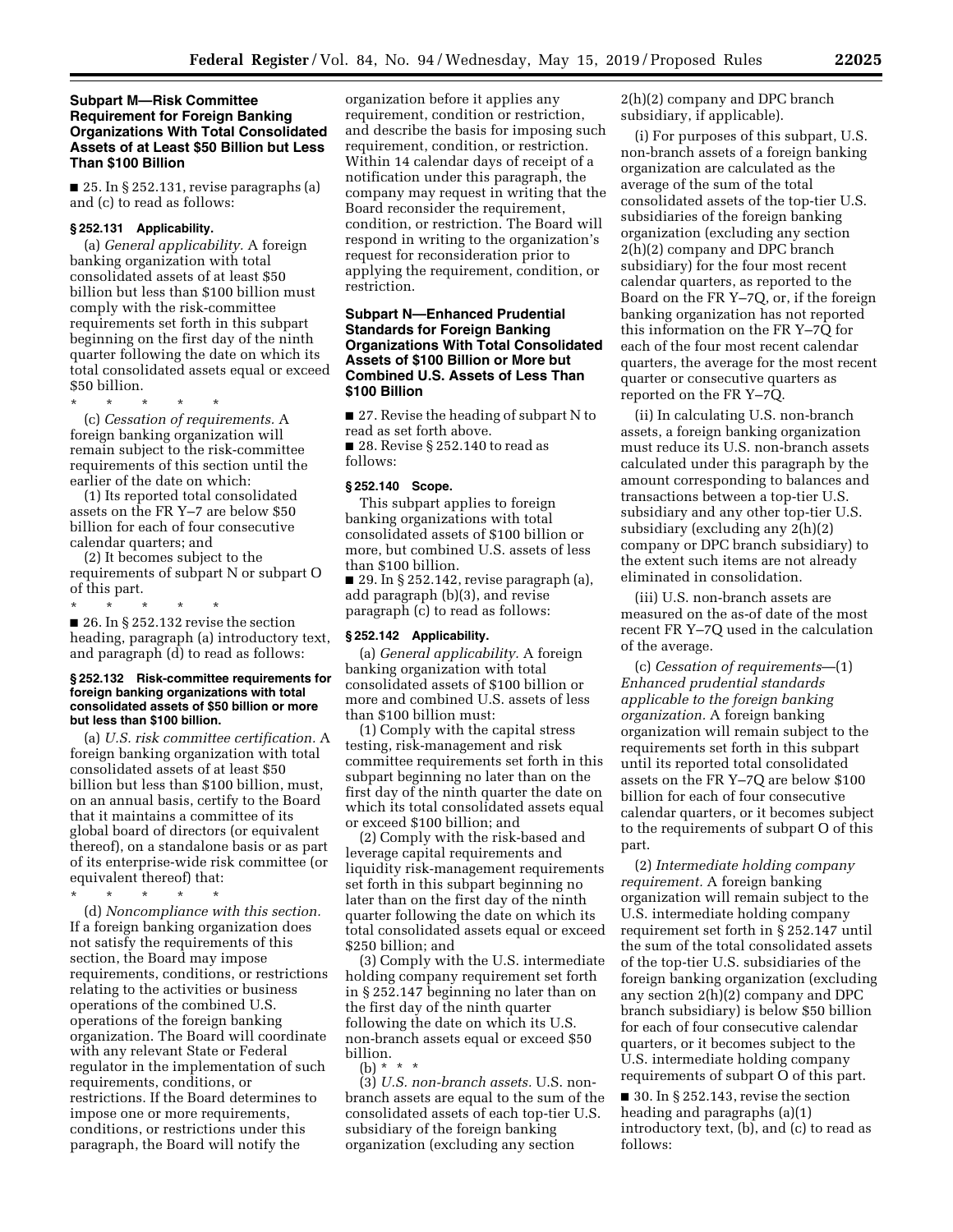## **Subpart M—Risk Committee Requirement for Foreign Banking Organizations With Total Consolidated Assets of at Least \$50 Billion but Less Than \$100 Billion**

■ 25. In § 252.131, revise paragraphs (a) and (c) to read as follows:

# **§ 252.131 Applicability.**

(a) *General applicability.* A foreign banking organization with total consolidated assets of at least \$50 billion but less than \$100 billion must comply with the risk-committee requirements set forth in this subpart beginning on the first day of the ninth quarter following the date on which its total consolidated assets equal or exceed \$50 billion.

\* \* \* \* \*

(c) *Cessation of requirements.* A foreign banking organization will remain subject to the risk-committee requirements of this section until the earlier of the date on which:

(1) Its reported total consolidated assets on the FR Y–7 are below \$50 billion for each of four consecutive calendar quarters; and

(2) It becomes subject to the requirements of subpart N or subpart O of this part.

\* \* \* \* \*  $\blacksquare$  26. In § 252.132 revise the section heading, paragraph (a) introductory text, and paragraph (d) to read as follows:

#### **§ 252.132 Risk-committee requirements for foreign banking organizations with total consolidated assets of \$50 billion or more but less than \$100 billion.**

(a) *U.S. risk committee certification.* A foreign banking organization with total consolidated assets of at least \$50 billion but less than \$100 billion, must, on an annual basis, certify to the Board that it maintains a committee of its global board of directors (or equivalent thereof), on a standalone basis or as part of its enterprise-wide risk committee (or equivalent thereof) that:

\* \* \* \* \*

(d) *Noncompliance with this section.*  If a foreign banking organization does not satisfy the requirements of this section, the Board may impose requirements, conditions, or restrictions relating to the activities or business operations of the combined U.S. operations of the foreign banking organization. The Board will coordinate with any relevant State or Federal regulator in the implementation of such requirements, conditions, or restrictions. If the Board determines to impose one or more requirements, conditions, or restrictions under this paragraph, the Board will notify the

organization before it applies any requirement, condition or restriction, and describe the basis for imposing such requirement, condition, or restriction. Within 14 calendar days of receipt of a notification under this paragraph, the company may request in writing that the Board reconsider the requirement, condition, or restriction. The Board will respond in writing to the organization's request for reconsideration prior to applying the requirement, condition, or restriction.

# **Subpart N—Enhanced Prudential Standards for Foreign Banking Organizations With Total Consolidated Assets of \$100 Billion or More but Combined U.S. Assets of Less Than \$100 Billion**

■ 27. Revise the heading of subpart N to read as set forth above.

■ 28. Revise § 252.140 to read as follows:

## **§ 252.140 Scope.**

This subpart applies to foreign banking organizations with total consolidated assets of \$100 billion or more, but combined U.S. assets of less than \$100 billion.

 $\blacksquare$  29. In § 252.142, revise paragraph (a), add paragraph (b)(3), and revise paragraph (c) to read as follows:

### **§ 252.142 Applicability.**

(a) *General applicability.* A foreign banking organization with total consolidated assets of \$100 billion or more and combined U.S. assets of less than \$100 billion must:

(1) Comply with the capital stress testing, risk-management and risk committee requirements set forth in this subpart beginning no later than on the first day of the ninth quarter the date on which its total consolidated assets equal or exceed \$100 billion; and

(2) Comply with the risk-based and leverage capital requirements and liquidity risk-management requirements set forth in this subpart beginning no later than on the first day of the ninth quarter following the date on which its total consolidated assets equal or exceed \$250 billion; and

(3) Comply with the U.S. intermediate holding company requirement set forth in § 252.147 beginning no later than on the first day of the ninth quarter following the date on which its U.S. non-branch assets equal or exceed \$50 billion.

(b) \* \* \*

(3) *U.S. non-branch assets.* U.S. nonbranch assets are equal to the sum of the consolidated assets of each top-tier U.S. subsidiary of the foreign banking organization (excluding any section

2(h)(2) company and DPC branch subsidiary, if applicable).

(i) For purposes of this subpart, U.S. non-branch assets of a foreign banking organization are calculated as the average of the sum of the total consolidated assets of the top-tier U.S. subsidiaries of the foreign banking organization (excluding any section 2(h)(2) company and DPC branch subsidiary) for the four most recent calendar quarters, as reported to the Board on the FR Y–7Q, or, if the foreign banking organization has not reported this information on the FR Y–7Q for each of the four most recent calendar quarters, the average for the most recent quarter or consecutive quarters as reported on the FR Y–7Q.

(ii) In calculating U.S. non-branch assets, a foreign banking organization must reduce its U.S. non-branch assets calculated under this paragraph by the amount corresponding to balances and transactions between a top-tier U.S. subsidiary and any other top-tier U.S. subsidiary (excluding any 2(h)(2) company or DPC branch subsidiary) to the extent such items are not already eliminated in consolidation.

(iii) U.S. non-branch assets are measured on the as-of date of the most recent FR Y–7Q used in the calculation of the average.

(c) *Cessation of requirements*—(1) *Enhanced prudential standards applicable to the foreign banking organization.* A foreign banking organization will remain subject to the requirements set forth in this subpart until its reported total consolidated assets on the FR Y–7Q are below \$100 billion for each of four consecutive calendar quarters, or it becomes subject to the requirements of subpart O of this part.

(2) *Intermediate holding company requirement.* A foreign banking organization will remain subject to the U.S. intermediate holding company requirement set forth in § 252.147 until the sum of the total consolidated assets of the top-tier U.S. subsidiaries of the foreign banking organization (excluding any section 2(h)(2) company and DPC branch subsidiary) is below \$50 billion for each of four consecutive calendar quarters, or it becomes subject to the U.S. intermediate holding company requirements of subpart O of this part.

 $\blacksquare$  30. In § 252.143, revise the section heading and paragraphs (a)(1) introductory text, (b), and (c) to read as follows: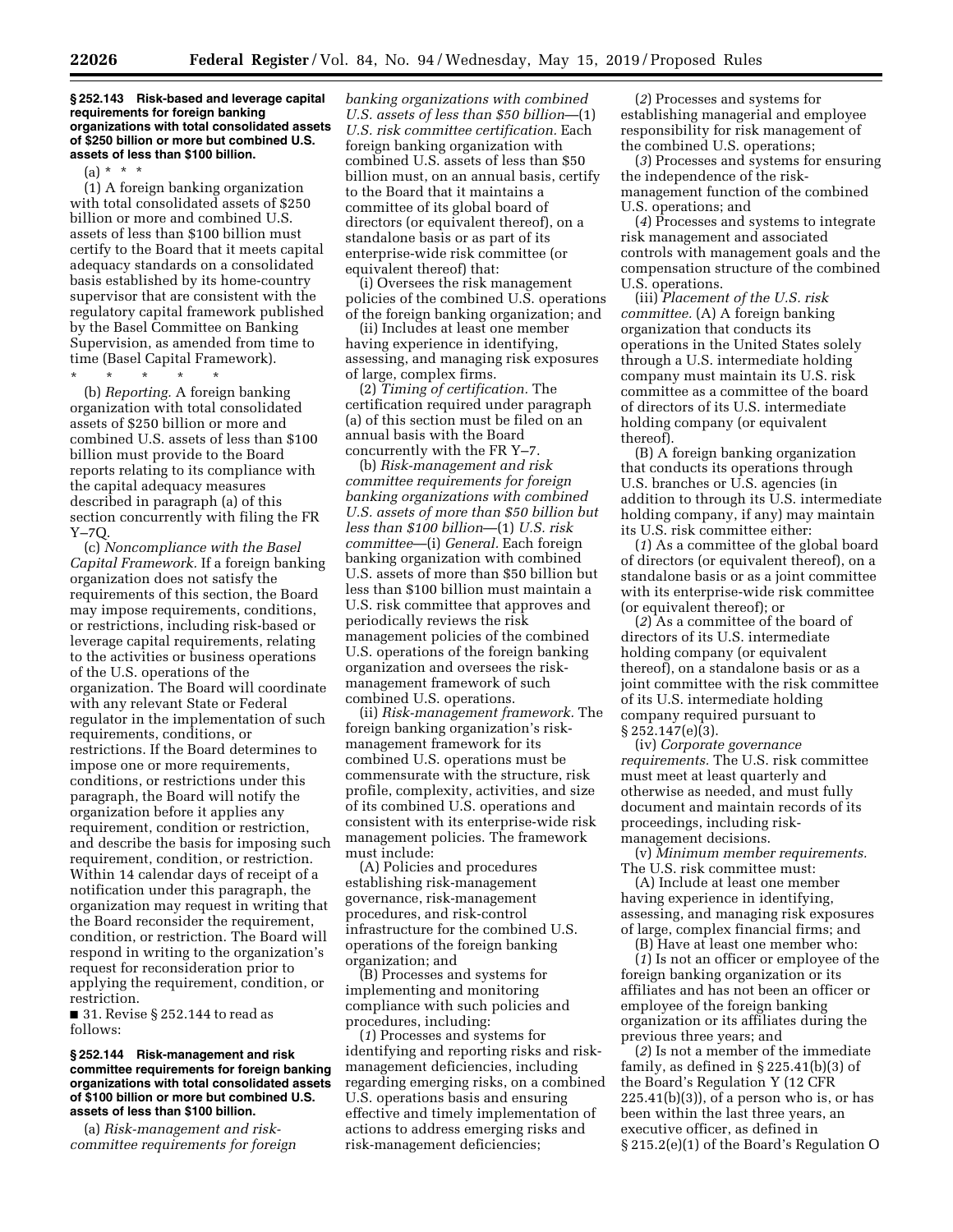### **§ 252.143 Risk-based and leverage capital requirements for foreign banking organizations with total consolidated assets of \$250 billion or more but combined U.S. assets of less than \$100 billion.**

(a) \* \* \*

(1) A foreign banking organization with total consolidated assets of \$250 billion or more and combined U.S. assets of less than \$100 billion must certify to the Board that it meets capital adequacy standards on a consolidated basis established by its home-country supervisor that are consistent with the regulatory capital framework published by the Basel Committee on Banking Supervision, as amended from time to time (Basel Capital Framework).

\* \* \* \* \*

(b) *Reporting.* A foreign banking organization with total consolidated assets of \$250 billion or more and combined U.S. assets of less than \$100 billion must provide to the Board reports relating to its compliance with the capital adequacy measures described in paragraph (a) of this section concurrently with filing the FR Y–7Q.

(c) *Noncompliance with the Basel Capital Framework.* If a foreign banking organization does not satisfy the requirements of this section, the Board may impose requirements, conditions, or restrictions, including risk-based or leverage capital requirements, relating to the activities or business operations of the U.S. operations of the organization. The Board will coordinate with any relevant State or Federal regulator in the implementation of such requirements, conditions, or restrictions. If the Board determines to impose one or more requirements, conditions, or restrictions under this paragraph, the Board will notify the organization before it applies any requirement, condition or restriction, and describe the basis for imposing such requirement, condition, or restriction. Within 14 calendar days of receipt of a notification under this paragraph, the organization may request in writing that the Board reconsider the requirement, condition, or restriction. The Board will respond in writing to the organization's request for reconsideration prior to applying the requirement, condition, or restriction.

■ 31. Revise § 252.144 to read as follows:

### **§ 252.144 Risk-management and risk committee requirements for foreign banking organizations with total consolidated assets of \$100 billion or more but combined U.S. assets of less than \$100 billion.**

(a) *Risk-management and riskcommittee requirements for foreign*  *banking organizations with combined U.S. assets of less than \$50 billion*—(1) *U.S. risk committee certification.* Each foreign banking organization with combined U.S. assets of less than \$50 billion must, on an annual basis, certify to the Board that it maintains a committee of its global board of directors (or equivalent thereof), on a standalone basis or as part of its enterprise-wide risk committee (or equivalent thereof) that:

(i) Oversees the risk management policies of the combined U.S. operations of the foreign banking organization; and

(ii) Includes at least one member having experience in identifying, assessing, and managing risk exposures of large, complex firms.

(2) *Timing of certification.* The certification required under paragraph (a) of this section must be filed on an annual basis with the Board concurrently with the FR Y–7.

(b) *Risk-management and risk committee requirements for foreign banking organizations with combined U.S. assets of more than \$50 billion but less than \$100 billion*—(1) *U.S. risk committee*—(i) *General.* Each foreign banking organization with combined U.S. assets of more than \$50 billion but less than \$100 billion must maintain a U.S. risk committee that approves and periodically reviews the risk management policies of the combined U.S. operations of the foreign banking organization and oversees the riskmanagement framework of such combined U.S. operations.

(ii) *Risk-management framework.* The foreign banking organization's riskmanagement framework for its combined U.S. operations must be commensurate with the structure, risk profile, complexity, activities, and size of its combined U.S. operations and consistent with its enterprise-wide risk management policies. The framework must include:

(A) Policies and procedures establishing risk-management governance, risk-management procedures, and risk-control infrastructure for the combined U.S. operations of the foreign banking organization; and

(B) Processes and systems for implementing and monitoring compliance with such policies and procedures, including:

(*1*) Processes and systems for identifying and reporting risks and riskmanagement deficiencies, including regarding emerging risks, on a combined U.S. operations basis and ensuring effective and timely implementation of actions to address emerging risks and risk-management deficiencies;

(*2*) Processes and systems for establishing managerial and employee responsibility for risk management of the combined U.S. operations;

(*3*) Processes and systems for ensuring the independence of the riskmanagement function of the combined U.S. operations; and

(*4*) Processes and systems to integrate risk management and associated controls with management goals and the compensation structure of the combined U.S. operations.

(iii) *Placement of the U.S. risk committee.* (A) A foreign banking organization that conducts its operations in the United States solely through a U.S. intermediate holding company must maintain its U.S. risk committee as a committee of the board of directors of its U.S. intermediate holding company (or equivalent thereof).

(B) A foreign banking organization that conducts its operations through U.S. branches or U.S. agencies (in addition to through its U.S. intermediate holding company, if any) may maintain its U.S. risk committee either:

(*1*) As a committee of the global board of directors (or equivalent thereof), on a standalone basis or as a joint committee with its enterprise-wide risk committee (or equivalent thereof); or

(*2*) As a committee of the board of directors of its U.S. intermediate holding company (or equivalent thereof), on a standalone basis or as a joint committee with the risk committee of its U.S. intermediate holding company required pursuant to § 252.147(e)(3).

(iv) *Corporate governance requirements.* The U.S. risk committee must meet at least quarterly and otherwise as needed, and must fully document and maintain records of its proceedings, including riskmanagement decisions.

(v) *Minimum member requirements.*  The U.S. risk committee must:

(A) Include at least one member having experience in identifying, assessing, and managing risk exposures of large, complex financial firms; and

(B) Have at least one member who: (*1*) Is not an officer or employee of the foreign banking organization or its affiliates and has not been an officer or employee of the foreign banking organization or its affiliates during the previous three years; and

(*2*) Is not a member of the immediate family, as defined in § 225.41(b)(3) of the Board's Regulation Y (12 CFR  $225.41(b)(3)$ , of a person who is, or has been within the last three years, an executive officer, as defined in § 215.2(e)(1) of the Board's Regulation O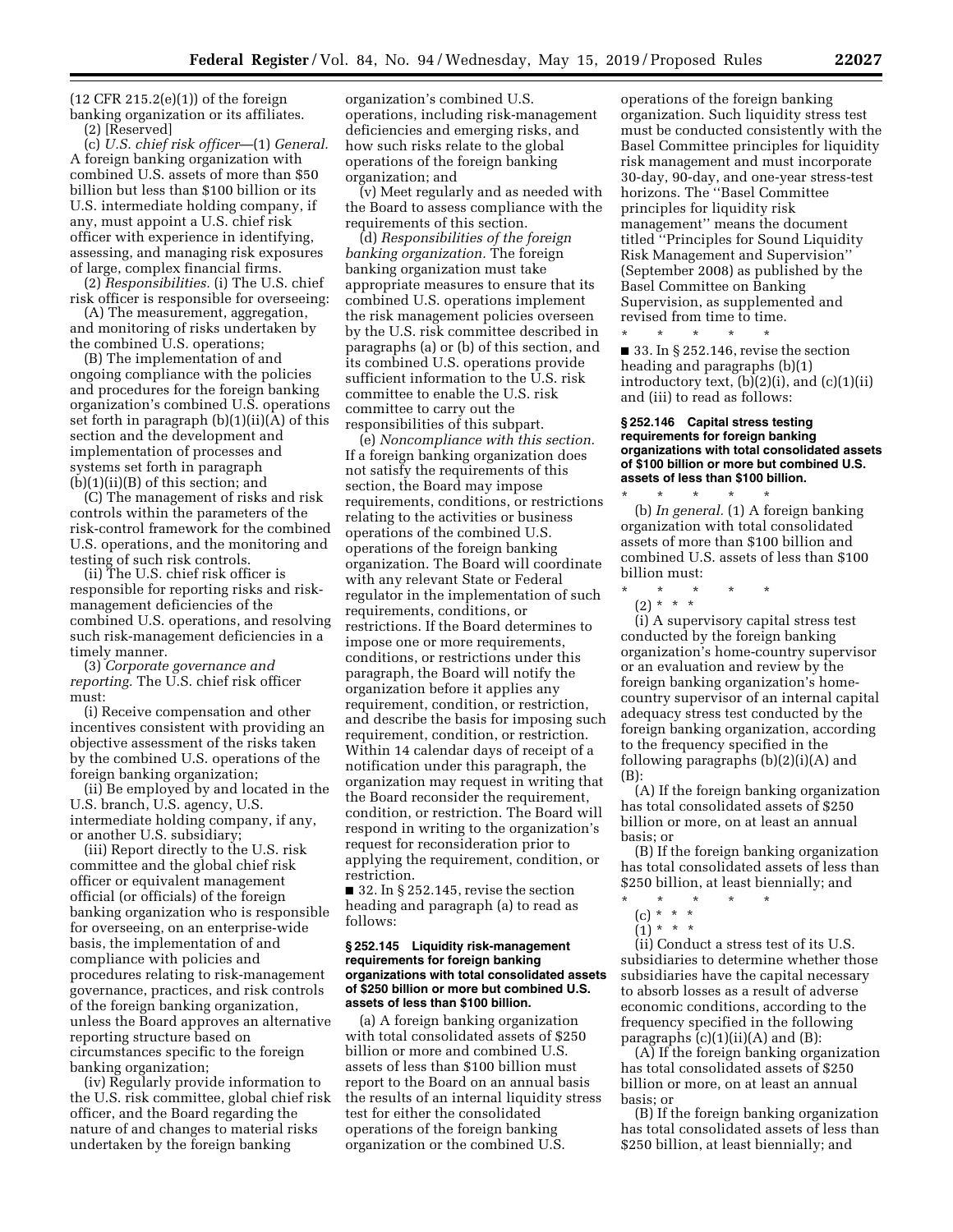$(12$  CFR  $215.2(e)(1)$  of the foreign banking organization or its affiliates. (2) [Reserved]

(c) *U.S. chief risk officer*—(1) *General.*  A foreign banking organization with combined U.S. assets of more than \$50 billion but less than \$100 billion or its U.S. intermediate holding company, if any, must appoint a U.S. chief risk officer with experience in identifying, assessing, and managing risk exposures of large, complex financial firms.

(2) *Responsibilities.* (i) The U.S. chief risk officer is responsible for overseeing:

(A) The measurement, aggregation, and monitoring of risks undertaken by the combined U.S. operations;

(B) The implementation of and ongoing compliance with the policies and procedures for the foreign banking organization's combined U.S. operations set forth in paragraph (b)(1)(ii)(A) of this section and the development and implementation of processes and systems set forth in paragraph (b)(1)(ii)(B) of this section; and

(C) The management of risks and risk controls within the parameters of the risk-control framework for the combined U.S. operations, and the monitoring and testing of such risk controls.

(ii) The U.S. chief risk officer is responsible for reporting risks and riskmanagement deficiencies of the combined U.S. operations, and resolving such risk-management deficiencies in a timely manner.

(3) *Corporate governance and reporting.* The U.S. chief risk officer must:

(i) Receive compensation and other incentives consistent with providing an objective assessment of the risks taken by the combined U.S. operations of the foreign banking organization;

(ii) Be employed by and located in the U.S. branch, U.S. agency, U.S. intermediate holding company, if any, or another U.S. subsidiary;

(iii) Report directly to the U.S. risk committee and the global chief risk officer or equivalent management official (or officials) of the foreign banking organization who is responsible for overseeing, on an enterprise-wide basis, the implementation of and compliance with policies and procedures relating to risk-management governance, practices, and risk controls of the foreign banking organization, unless the Board approves an alternative reporting structure based on circumstances specific to the foreign banking organization;

(iv) Regularly provide information to the U.S. risk committee, global chief risk officer, and the Board regarding the nature of and changes to material risks undertaken by the foreign banking

organization's combined U.S. operations, including risk-management deficiencies and emerging risks, and how such risks relate to the global operations of the foreign banking organization; and

(v) Meet regularly and as needed with the Board to assess compliance with the requirements of this section.

(d) *Responsibilities of the foreign banking organization.* The foreign banking organization must take appropriate measures to ensure that its combined U.S. operations implement the risk management policies overseen by the U.S. risk committee described in paragraphs (a) or (b) of this section, and its combined U.S. operations provide sufficient information to the U.S. risk committee to enable the U.S. risk committee to carry out the responsibilities of this subpart.

(e) *Noncompliance with this section.*  If a foreign banking organization does not satisfy the requirements of this section, the Board may impose requirements, conditions, or restrictions relating to the activities or business operations of the combined U.S. operations of the foreign banking organization. The Board will coordinate with any relevant State or Federal regulator in the implementation of such requirements, conditions, or restrictions. If the Board determines to impose one or more requirements, conditions, or restrictions under this paragraph, the Board will notify the organization before it applies any requirement, condition, or restriction, and describe the basis for imposing such requirement, condition, or restriction. Within 14 calendar days of receipt of a notification under this paragraph, the organization may request in writing that the Board reconsider the requirement, condition, or restriction. The Board will respond in writing to the organization's request for reconsideration prior to applying the requirement, condition, or restriction.

 $\blacksquare$  32. In § 252.145, revise the section heading and paragraph (a) to read as follows:

#### **§ 252.145 Liquidity risk-management requirements for foreign banking organizations with total consolidated assets of \$250 billion or more but combined U.S. assets of less than \$100 billion.**

(a) A foreign banking organization with total consolidated assets of \$250 billion or more and combined U.S. assets of less than \$100 billion must report to the Board on an annual basis the results of an internal liquidity stress test for either the consolidated operations of the foreign banking organization or the combined U.S.

operations of the foreign banking organization. Such liquidity stress test must be conducted consistently with the Basel Committee principles for liquidity risk management and must incorporate 30-day, 90-day, and one-year stress-test horizons. The ''Basel Committee principles for liquidity risk management'' means the document titled ''Principles for Sound Liquidity Risk Management and Supervision'' (September 2008) as published by the Basel Committee on Banking Supervision, as supplemented and revised from time to time. \* \* \* \* \*

 $\blacksquare$  33. In § 252.146, revise the section heading and paragraphs (b)(1) introductory text,  $(b)(2)(i)$ , and  $(c)(1)(ii)$ and (iii) to read as follows:

### **§ 252.146 Capital stress testing requirements for foreign banking organizations with total consolidated assets of \$100 billion or more but combined U.S. assets of less than \$100 billion.**

\* \* \* \* \* (b) *In general.* (1) A foreign banking organization with total consolidated assets of more than \$100 billion and combined U.S. assets of less than \$100 billion must:

- \* \* \* \* \*
- (2) \* \* \*

(i) A supervisory capital stress test conducted by the foreign banking organization's home-country supervisor or an evaluation and review by the foreign banking organization's homecountry supervisor of an internal capital adequacy stress test conducted by the foreign banking organization, according to the frequency specified in the following paragraphs (b)(2)(i)(A) and (B):

(A) If the foreign banking organization has total consolidated assets of \$250 billion or more, on at least an annual basis; or

(B) If the foreign banking organization has total consolidated assets of less than \$250 billion, at least biennially; and

- \* \* \* \* \*
	- (c) \* \* \* (1) \* \* \*

(ii) Conduct a stress test of its U.S. subsidiaries to determine whether those subsidiaries have the capital necessary to absorb losses as a result of adverse economic conditions, according to the frequency specified in the following paragraphs  $(c)(1)(ii)(A)$  and  $(B)$ :

(A) If the foreign banking organization has total consolidated assets of \$250 billion or more, on at least an annual basis; or

(B) If the foreign banking organization has total consolidated assets of less than \$250 billion, at least biennially; and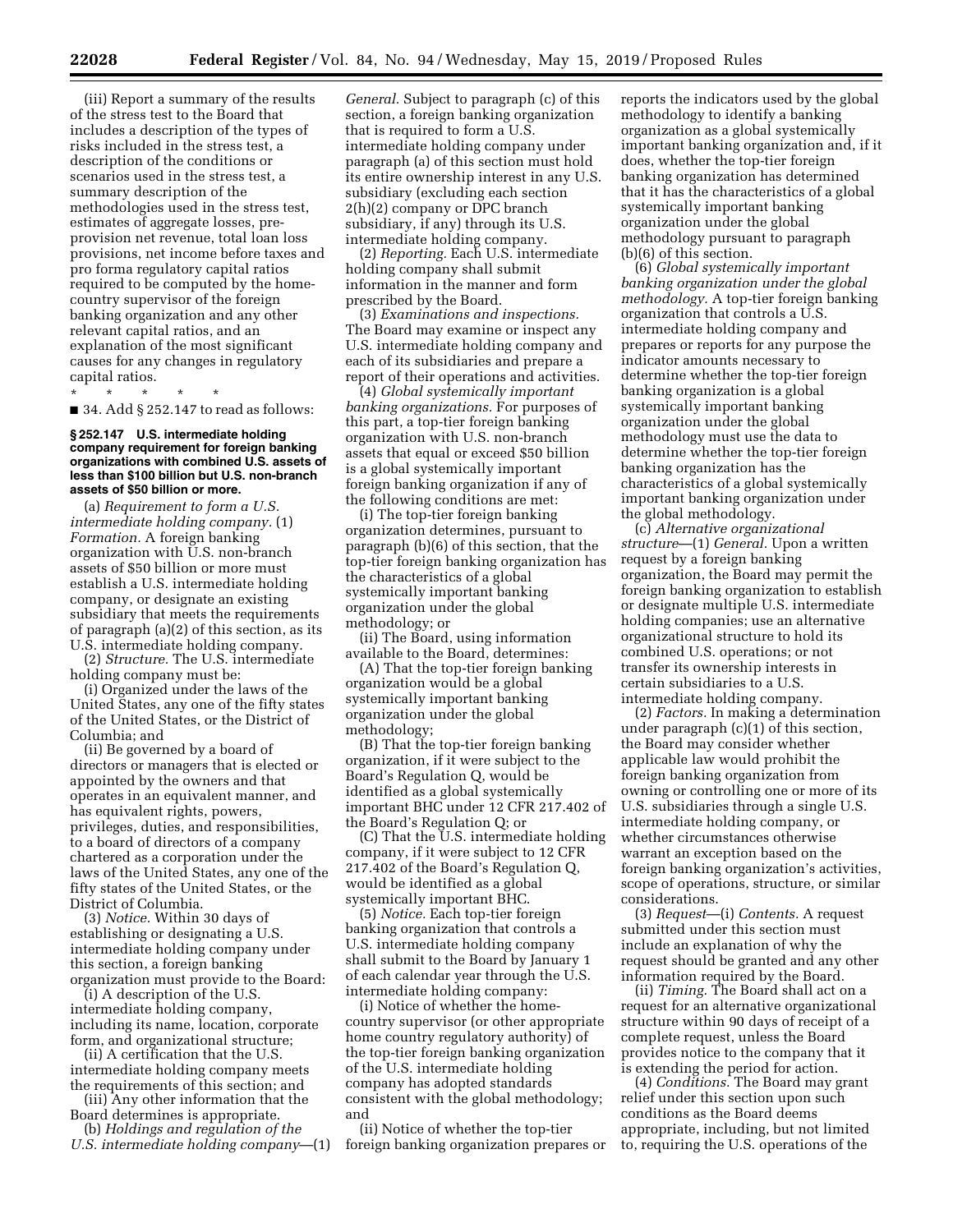(iii) Report a summary of the results of the stress test to the Board that includes a description of the types of risks included in the stress test, a description of the conditions or scenarios used in the stress test, a summary description of the methodologies used in the stress test, estimates of aggregate losses, preprovision net revenue, total loan loss provisions, net income before taxes and pro forma regulatory capital ratios required to be computed by the homecountry supervisor of the foreign banking organization and any other relevant capital ratios, and an explanation of the most significant causes for any changes in regulatory capital ratios.

\* \* \* \* \* ■ 34. Add § 252.147 to read as follows:

#### **§ 252.147 U.S. intermediate holding company requirement for foreign banking organizations with combined U.S. assets of less than \$100 billion but U.S. non-branch assets of \$50 billion or more.**

(a) *Requirement to form a U.S. intermediate holding company.* (1) *Formation.* A foreign banking organization with U.S. non-branch assets of \$50 billion or more must establish a U.S. intermediate holding company, or designate an existing subsidiary that meets the requirements of paragraph (a)(2) of this section, as its U.S. intermediate holding company.

(2) *Structure.* The U.S. intermediate holding company must be:

(i) Organized under the laws of the United States, any one of the fifty states of the United States, or the District of Columbia; and

(ii) Be governed by a board of directors or managers that is elected or appointed by the owners and that operates in an equivalent manner, and has equivalent rights, powers, privileges, duties, and responsibilities, to a board of directors of a company chartered as a corporation under the laws of the United States, any one of the fifty states of the United States, or the District of Columbia.

(3) *Notice.* Within 30 days of establishing or designating a U.S. intermediate holding company under this section, a foreign banking organization must provide to the Board:

(i) A description of the U.S. intermediate holding company, including its name, location, corporate form, and organizational structure;

(ii) A certification that the U.S. intermediate holding company meets

the requirements of this section; and (iii) Any other information that the

Board determines is appropriate. (b) *Holdings and regulation of the* 

*U.S. intermediate holding company*—(1)

*General.* Subject to paragraph (c) of this section, a foreign banking organization that is required to form a U.S. intermediate holding company under paragraph (a) of this section must hold its entire ownership interest in any U.S. subsidiary (excluding each section 2(h)(2) company or DPC branch subsidiary, if any) through its U.S. intermediate holding company.

(2) *Reporting.* Each U.S. intermediate holding company shall submit information in the manner and form prescribed by the Board.

(3) *Examinations and inspections.*  The Board may examine or inspect any U.S. intermediate holding company and each of its subsidiaries and prepare a report of their operations and activities.

(4) *Global systemically important banking organizations.* For purposes of this part, a top-tier foreign banking organization with U.S. non-branch assets that equal or exceed \$50 billion is a global systemically important foreign banking organization if any of the following conditions are met:

(i) The top-tier foreign banking organization determines, pursuant to paragraph (b)(6) of this section, that the top-tier foreign banking organization has the characteristics of a global systemically important banking organization under the global methodology; or

(ii) The Board, using information available to the Board, determines:

(A) That the top-tier foreign banking organization would be a global systemically important banking organization under the global methodology;

(B) That the top-tier foreign banking organization, if it were subject to the Board's Regulation Q, would be identified as a global systemically important BHC under 12 CFR 217.402 of the Board's Regulation Q; or

(C) That the U.S. intermediate holding company, if it were subject to 12 CFR 217.402 of the Board's Regulation Q, would be identified as a global systemically important BHC.

(5) *Notice.* Each top-tier foreign banking organization that controls a U.S. intermediate holding company shall submit to the Board by January 1 of each calendar year through the U.S. intermediate holding company:

(i) Notice of whether the homecountry supervisor (or other appropriate home country regulatory authority) of the top-tier foreign banking organization of the U.S. intermediate holding company has adopted standards consistent with the global methodology; and

(ii) Notice of whether the top-tier foreign banking organization prepares or reports the indicators used by the global methodology to identify a banking organization as a global systemically important banking organization and, if it does, whether the top-tier foreign banking organization has determined that it has the characteristics of a global systemically important banking organization under the global methodology pursuant to paragraph (b)(6) of this section.

(6) *Global systemically important banking organization under the global methodology.* A top-tier foreign banking organization that controls a U.S. intermediate holding company and prepares or reports for any purpose the indicator amounts necessary to determine whether the top-tier foreign banking organization is a global systemically important banking organization under the global methodology must use the data to determine whether the top-tier foreign banking organization has the characteristics of a global systemically important banking organization under the global methodology.

(c) *Alternative organizational structure*—(1) *General.* Upon a written request by a foreign banking organization, the Board may permit the foreign banking organization to establish or designate multiple U.S. intermediate holding companies; use an alternative organizational structure to hold its combined U.S. operations; or not transfer its ownership interests in certain subsidiaries to a U.S. intermediate holding company.

(2) *Factors.* In making a determination under paragraph (c)(1) of this section, the Board may consider whether applicable law would prohibit the foreign banking organization from owning or controlling one or more of its U.S. subsidiaries through a single U.S. intermediate holding company, or whether circumstances otherwise warrant an exception based on the foreign banking organization's activities, scope of operations, structure, or similar considerations.

(3) *Request*—(i) *Contents.* A request submitted under this section must include an explanation of why the request should be granted and any other information required by the Board.

(ii) *Timing.* The Board shall act on a request for an alternative organizational structure within 90 days of receipt of a complete request, unless the Board provides notice to the company that it is extending the period for action.

(4) *Conditions.* The Board may grant relief under this section upon such conditions as the Board deems appropriate, including, but not limited to, requiring the U.S. operations of the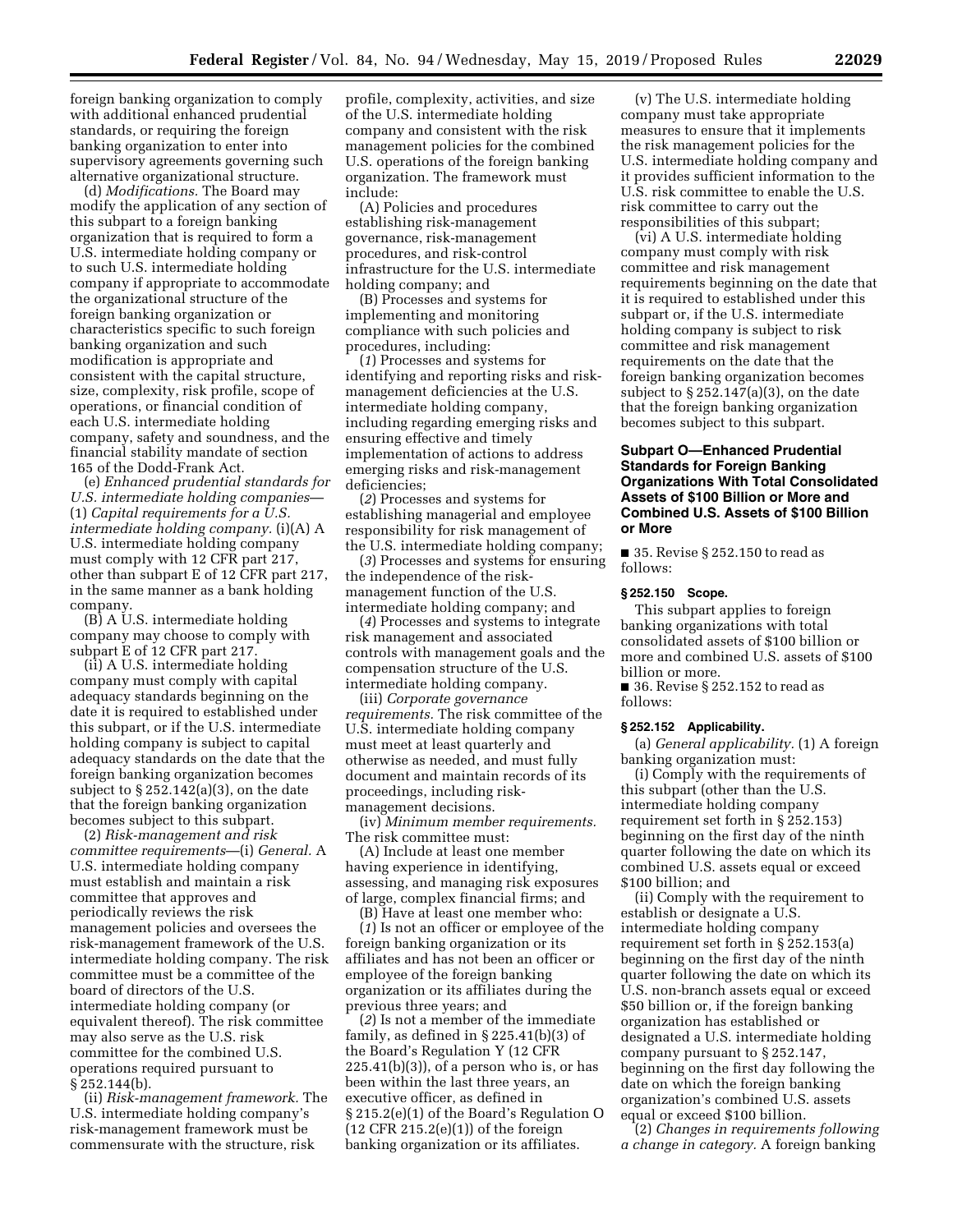foreign banking organization to comply with additional enhanced prudential standards, or requiring the foreign banking organization to enter into supervisory agreements governing such alternative organizational structure.

(d) *Modifications.* The Board may modify the application of any section of this subpart to a foreign banking organization that is required to form a U.S. intermediate holding company or to such U.S. intermediate holding company if appropriate to accommodate the organizational structure of the foreign banking organization or characteristics specific to such foreign banking organization and such modification is appropriate and consistent with the capital structure, size, complexity, risk profile, scope of operations, or financial condition of each U.S. intermediate holding company, safety and soundness, and the financial stability mandate of section 165 of the Dodd-Frank Act.

(e) *Enhanced prudential standards for U.S. intermediate holding companies*— (1) *Capital requirements for a U.S. intermediate holding company.* (i)(A) A U.S. intermediate holding company must comply with 12 CFR part 217, other than subpart E of 12 CFR part 217, in the same manner as a bank holding company.

(B) A U.S. intermediate holding company may choose to comply with subpart E of 12 CFR part 217.

(ii) A U.S. intermediate holding company must comply with capital adequacy standards beginning on the date it is required to established under this subpart, or if the U.S. intermediate holding company is subject to capital adequacy standards on the date that the foreign banking organization becomes subject to § 252.142(a)(3), on the date that the foreign banking organization becomes subject to this subpart.

(2) *Risk-management and risk committee requirements*—(i) *General.* A U.S. intermediate holding company must establish and maintain a risk committee that approves and periodically reviews the risk management policies and oversees the risk-management framework of the U.S. intermediate holding company. The risk committee must be a committee of the board of directors of the U.S. intermediate holding company (or equivalent thereof). The risk committee may also serve as the U.S. risk committee for the combined U.S. operations required pursuant to § 252.144(b).

(ii) *Risk-management framework.* The U.S. intermediate holding company's risk-management framework must be commensurate with the structure, risk

profile, complexity, activities, and size of the U.S. intermediate holding company and consistent with the risk management policies for the combined U.S. operations of the foreign banking organization. The framework must include:

(A) Policies and procedures establishing risk-management governance, risk-management procedures, and risk-control infrastructure for the U.S. intermediate holding company; and

(B) Processes and systems for implementing and monitoring compliance with such policies and procedures, including:

(*1*) Processes and systems for identifying and reporting risks and riskmanagement deficiencies at the U.S. intermediate holding company, including regarding emerging risks and ensuring effective and timely implementation of actions to address emerging risks and risk-management deficiencies;

(*2*) Processes and systems for establishing managerial and employee responsibility for risk management of the U.S. intermediate holding company;

(*3*) Processes and systems for ensuring the independence of the riskmanagement function of the U.S. intermediate holding company; and

(*4*) Processes and systems to integrate risk management and associated controls with management goals and the compensation structure of the U.S. intermediate holding company.

(iii) *Corporate governance requirements.* The risk committee of the U.S. intermediate holding company must meet at least quarterly and otherwise as needed, and must fully document and maintain records of its proceedings, including riskmanagement decisions.

(iv) *Minimum member requirements.*  The risk committee must:

(A) Include at least one member having experience in identifying, assessing, and managing risk exposures of large, complex financial firms; and

(B) Have at least one member who: (*1*) Is not an officer or employee of the foreign banking organization or its affiliates and has not been an officer or employee of the foreign banking organization or its affiliates during the previous three years; and

(*2*) Is not a member of the immediate family, as defined in  $\S 225.41(b)(3)$  of the Board's Regulation Y (12 CFR  $225.41(b)(3)$ , of a person who is, or has been within the last three years, an executive officer, as defined in § 215.2(e)(1) of the Board's Regulation O  $(12$  CFR  $215.2(e)(1)$  of the foreign banking organization or its affiliates.

(v) The U.S. intermediate holding company must take appropriate measures to ensure that it implements the risk management policies for the U.S. intermediate holding company and it provides sufficient information to the U.S. risk committee to enable the U.S. risk committee to carry out the responsibilities of this subpart;

(vi) A U.S. intermediate holding company must comply with risk committee and risk management requirements beginning on the date that it is required to established under this subpart or, if the U.S. intermediate holding company is subject to risk committee and risk management requirements on the date that the foreign banking organization becomes subject to  $\S 252.147(a)(3)$ , on the date that the foreign banking organization becomes subject to this subpart.

## **Subpart O—Enhanced Prudential Standards for Foreign Banking Organizations With Total Consolidated Assets of \$100 Billion or More and Combined U.S. Assets of \$100 Billion or More**

■ 35. Revise § 252.150 to read as follows:

#### **§ 252.150 Scope.**

This subpart applies to foreign banking organizations with total consolidated assets of \$100 billion or more and combined U.S. assets of \$100 billion or more.

■ 36. Revise § 252.152 to read as follows:

## **§ 252.152 Applicability.**

(a) *General applicability.* (1) A foreign banking organization must:

(i) Comply with the requirements of this subpart (other than the U.S. intermediate holding company requirement set forth in § 252.153) beginning on the first day of the ninth quarter following the date on which its combined U.S. assets equal or exceed \$100 billion; and

(ii) Comply with the requirement to establish or designate a U.S. intermediate holding company requirement set forth in § 252.153(a) beginning on the first day of the ninth quarter following the date on which its U.S. non-branch assets equal or exceed \$50 billion or, if the foreign banking organization has established or designated a U.S. intermediate holding company pursuant to § 252.147, beginning on the first day following the date on which the foreign banking organization's combined U.S. assets equal or exceed \$100 billion.

(2) *Changes in requirements following a change in category.* A foreign banking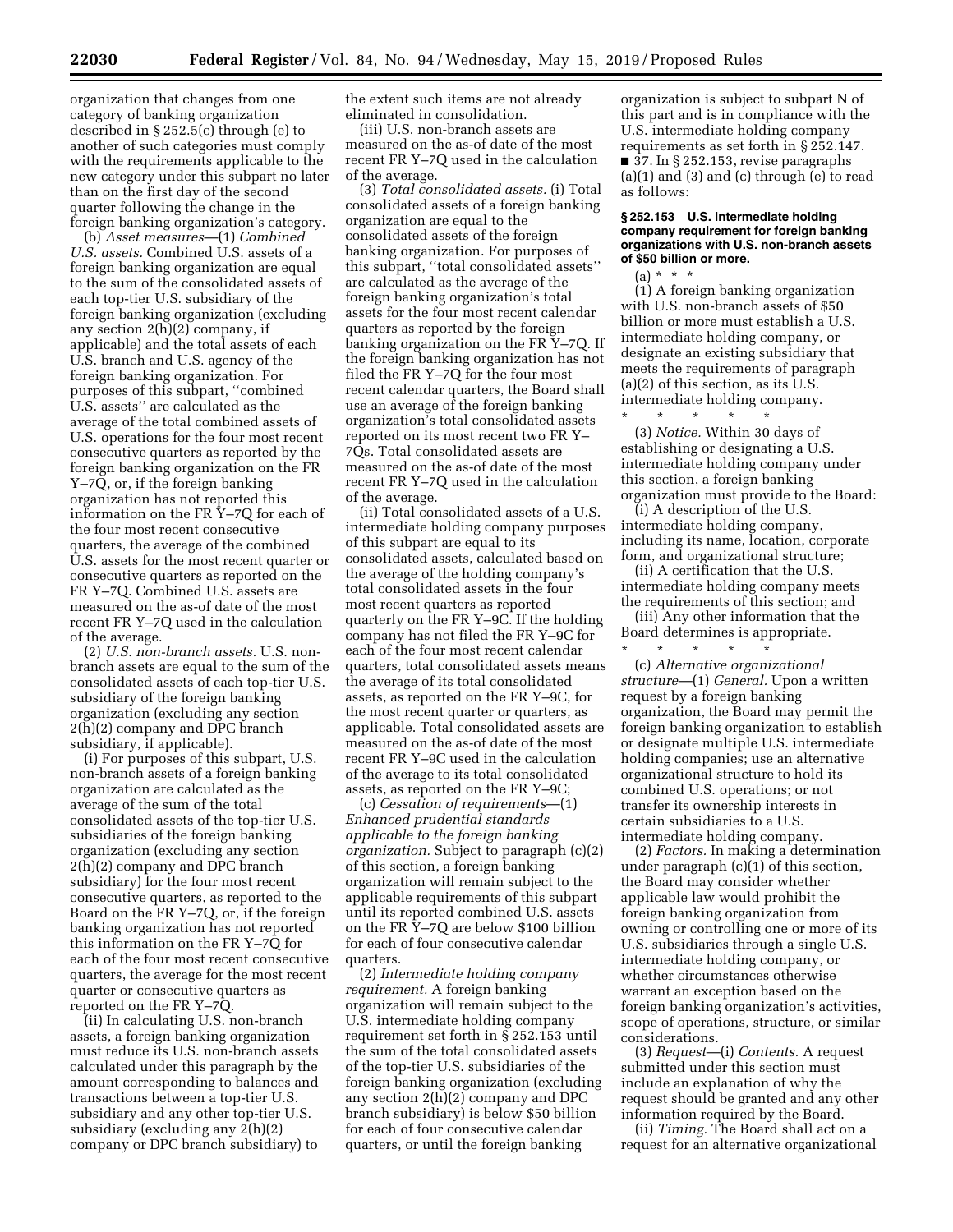organization that changes from one category of banking organization described in § 252.5(c) through (e) to another of such categories must comply with the requirements applicable to the new category under this subpart no later than on the first day of the second quarter following the change in the foreign banking organization's category.

(b) *Asset measures*—(1) *Combined U.S. assets.* Combined U.S. assets of a foreign banking organization are equal to the sum of the consolidated assets of each top-tier U.S. subsidiary of the foreign banking organization (excluding any section 2(h)(2) company, if applicable) and the total assets of each U.S. branch and U.S. agency of the foreign banking organization. For purposes of this subpart, ''combined U.S. assets'' are calculated as the average of the total combined assets of U.S. operations for the four most recent consecutive quarters as reported by the foreign banking organization on the FR Y–7Q, or, if the foreign banking organization has not reported this information on the FR Y–7Q for each of the four most recent consecutive quarters, the average of the combined U.S. assets for the most recent quarter or consecutive quarters as reported on the FR Y–7Q. Combined U.S. assets are measured on the as-of date of the most recent FR Y–7Q used in the calculation of the average.

(2) *U.S. non-branch assets.* U.S. nonbranch assets are equal to the sum of the consolidated assets of each top-tier U.S. subsidiary of the foreign banking organization (excluding any section 2(h)(2) company and DPC branch subsidiary, if applicable).

(i) For purposes of this subpart, U.S. non-branch assets of a foreign banking organization are calculated as the average of the sum of the total consolidated assets of the top-tier U.S. subsidiaries of the foreign banking organization (excluding any section 2(h)(2) company and DPC branch subsidiary) for the four most recent consecutive quarters, as reported to the Board on the FR Y–7Q, or, if the foreign banking organization has not reported this information on the FR Y–7Q for each of the four most recent consecutive quarters, the average for the most recent quarter or consecutive quarters as reported on the FR Y–7Q.

(ii) In calculating U.S. non-branch assets, a foreign banking organization must reduce its U.S. non-branch assets calculated under this paragraph by the amount corresponding to balances and transactions between a top-tier U.S. subsidiary and any other top-tier U.S. subsidiary (excluding any 2(h)(2) company or DPC branch subsidiary) to

the extent such items are not already eliminated in consolidation.

(iii) U.S. non-branch assets are measured on the as-of date of the most recent FR Y–7Q used in the calculation of the average.

(3) *Total consolidated assets.* (i) Total consolidated assets of a foreign banking organization are equal to the consolidated assets of the foreign banking organization. For purposes of this subpart, ''total consolidated assets'' are calculated as the average of the foreign banking organization's total assets for the four most recent calendar quarters as reported by the foreign banking organization on the FR Y–7Q. If the foreign banking organization has not filed the FR Y–7Q for the four most recent calendar quarters, the Board shall use an average of the foreign banking organization's total consolidated assets reported on its most recent two FR Y– 7Qs. Total consolidated assets are measured on the as-of date of the most recent FR Y–7Q used in the calculation of the average.

(ii) Total consolidated assets of a U.S. intermediate holding company purposes of this subpart are equal to its consolidated assets, calculated based on the average of the holding company's total consolidated assets in the four most recent quarters as reported quarterly on the FR Y–9C. If the holding company has not filed the FR Y–9C for each of the four most recent calendar quarters, total consolidated assets means the average of its total consolidated assets, as reported on the FR Y–9C, for the most recent quarter or quarters, as applicable. Total consolidated assets are measured on the as-of date of the most recent FR Y–9C used in the calculation of the average to its total consolidated assets, as reported on the FR Y–9C;

(c) *Cessation of requirements*—(1) *Enhanced prudential standards applicable to the foreign banking organization.* Subject to paragraph (c)(2) of this section, a foreign banking organization will remain subject to the applicable requirements of this subpart until its reported combined U.S. assets on the FR Y–7Q are below \$100 billion for each of four consecutive calendar quarters.

(2) *Intermediate holding company requirement.* A foreign banking organization will remain subject to the U.S. intermediate holding company requirement set forth in § 252.153 until the sum of the total consolidated assets of the top-tier U.S. subsidiaries of the foreign banking organization (excluding any section 2(h)(2) company and DPC branch subsidiary) is below \$50 billion for each of four consecutive calendar quarters, or until the foreign banking

organization is subject to subpart N of this part and is in compliance with the U.S. intermediate holding company requirements as set forth in § 252.147. ■ 37. In § 252.153, revise paragraphs  $(a)(1)$  and  $(3)$  and  $(c)$  through  $(e)$  to read as follows:

### **§ 252.153 U.S. intermediate holding company requirement for foreign banking organizations with U.S. non-branch assets of \$50 billion or more.**

 $(a) * * * *$ (1) A foreign banking organization with U.S. non-branch assets of \$50 billion or more must establish a U.S. intermediate holding company, or designate an existing subsidiary that meets the requirements of paragraph (a)(2) of this section, as its U.S. intermediate holding company.

\* \* \* \* \* (3) *Notice.* Within 30 days of establishing or designating a U.S. intermediate holding company under this section, a foreign banking organization must provide to the Board:

(i) A description of the U.S. intermediate holding company, including its name, location, corporate form, and organizational structure;

(ii) A certification that the U.S. intermediate holding company meets the requirements of this section; and

(iii) Any other information that the Board determines is appropriate.

\* \* \* \* \* (c) *Alternative organizational structure*—(1) *General.* Upon a written request by a foreign banking organization, the Board may permit the foreign banking organization to establish or designate multiple U.S. intermediate holding companies; use an alternative organizational structure to hold its combined U.S. operations; or not transfer its ownership interests in certain subsidiaries to a U.S. intermediate holding company.

(2) *Factors.* In making a determination under paragraph (c)(1) of this section, the Board may consider whether applicable law would prohibit the foreign banking organization from owning or controlling one or more of its U.S. subsidiaries through a single U.S. intermediate holding company, or whether circumstances otherwise warrant an exception based on the foreign banking organization's activities, scope of operations, structure, or similar considerations.

(3) *Request*—(i) *Contents.* A request submitted under this section must include an explanation of why the request should be granted and any other information required by the Board.

(ii) *Timing.* The Board shall act on a request for an alternative organizational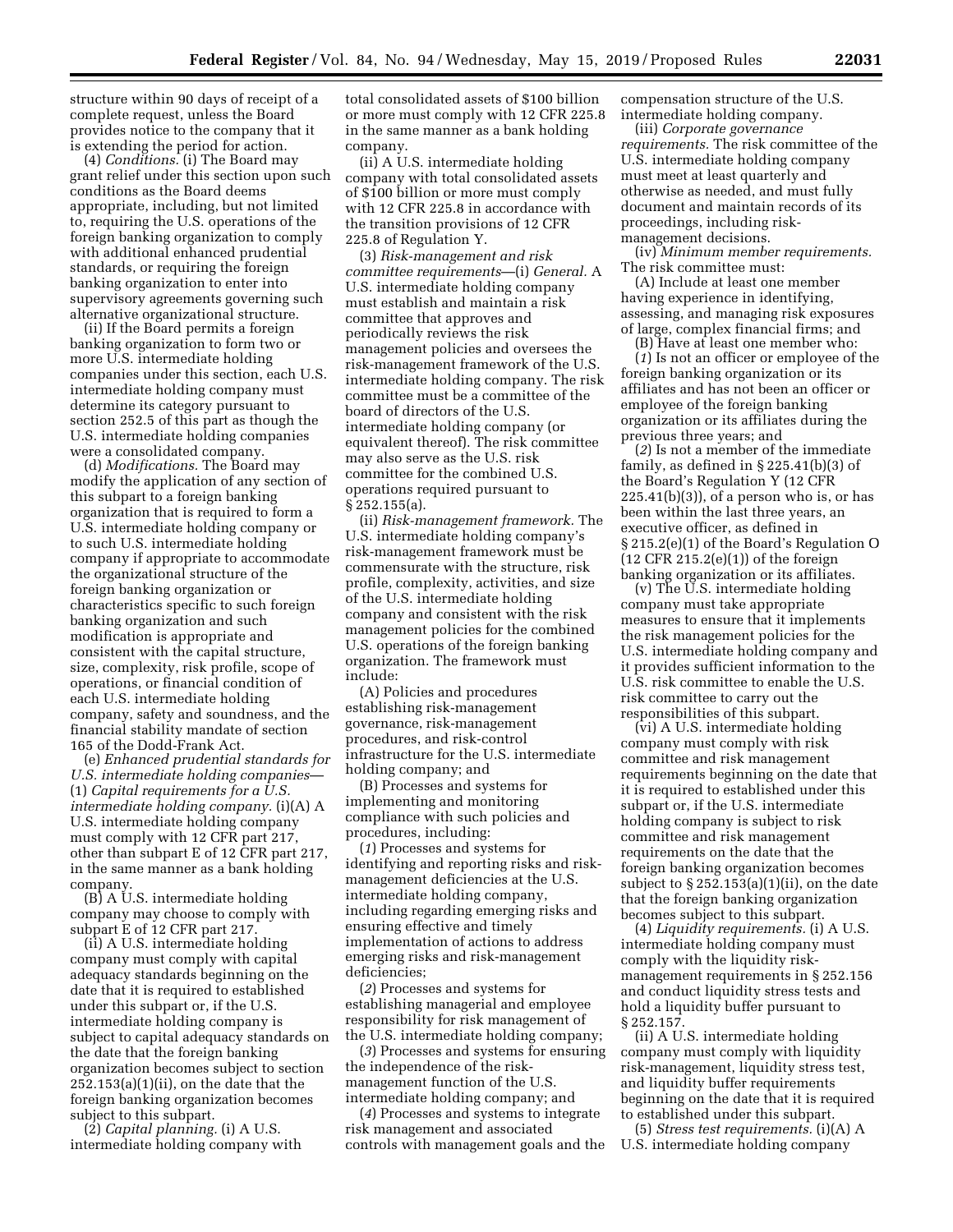structure within 90 days of receipt of a complete request, unless the Board provides notice to the company that it is extending the period for action.

(4) *Conditions.* (i) The Board may grant relief under this section upon such conditions as the Board deems appropriate, including, but not limited to, requiring the U.S. operations of the foreign banking organization to comply with additional enhanced prudential standards, or requiring the foreign banking organization to enter into supervisory agreements governing such alternative organizational structure.

(ii) If the Board permits a foreign banking organization to form two or more U.S. intermediate holding companies under this section, each U.S. intermediate holding company must determine its category pursuant to section 252.5 of this part as though the U.S. intermediate holding companies were a consolidated company.

(d) *Modifications.* The Board may modify the application of any section of this subpart to a foreign banking organization that is required to form a U.S. intermediate holding company or to such U.S. intermediate holding company if appropriate to accommodate the organizational structure of the foreign banking organization or characteristics specific to such foreign banking organization and such modification is appropriate and consistent with the capital structure, size, complexity, risk profile, scope of operations, or financial condition of each U.S. intermediate holding company, safety and soundness, and the financial stability mandate of section 165 of the Dodd-Frank Act.

(e) *Enhanced prudential standards for U.S. intermediate holding companies*— (1) *Capital requirements for a U.S. intermediate holding company.* (i)(A) A U.S. intermediate holding company must comply with 12 CFR part 217, other than subpart E of 12 CFR part 217, in the same manner as a bank holding company.

(B) A U.S. intermediate holding company may choose to comply with subpart E of 12 CFR part 217.

(ii) A U.S. intermediate holding company must comply with capital adequacy standards beginning on the date that it is required to established under this subpart or, if the U.S. intermediate holding company is subject to capital adequacy standards on the date that the foreign banking organization becomes subject to section  $252.153(a)(1)(ii)$ , on the date that the foreign banking organization becomes subject to this subpart.

(2) *Capital planning.* (i) A U.S. intermediate holding company with total consolidated assets of \$100 billion or more must comply with 12 CFR 225.8 in the same manner as a bank holding company.

(ii) A U.S. intermediate holding company with total consolidated assets of \$100 billion or more must comply with 12 CFR 225.8 in accordance with the transition provisions of 12 CFR 225.8 of Regulation Y.

(3) *Risk-management and risk committee requirements*—(i) *General.* A U.S. intermediate holding company must establish and maintain a risk committee that approves and periodically reviews the risk management policies and oversees the risk-management framework of the U.S. intermediate holding company. The risk committee must be a committee of the board of directors of the U.S. intermediate holding company (or equivalent thereof). The risk committee may also serve as the U.S. risk committee for the combined U.S. operations required pursuant to § 252.155(a).

(ii) *Risk-management framework.* The U.S. intermediate holding company's risk-management framework must be commensurate with the structure, risk profile, complexity, activities, and size of the U.S. intermediate holding company and consistent with the risk management policies for the combined U.S. operations of the foreign banking organization. The framework must include:

(A) Policies and procedures establishing risk-management governance, risk-management procedures, and risk-control infrastructure for the U.S. intermediate holding company; and

(B) Processes and systems for implementing and monitoring compliance with such policies and procedures, including:

(*1*) Processes and systems for identifying and reporting risks and riskmanagement deficiencies at the U.S. intermediate holding company, including regarding emerging risks and ensuring effective and timely implementation of actions to address emerging risks and risk-management deficiencies;

(*2*) Processes and systems for establishing managerial and employee responsibility for risk management of the U.S. intermediate holding company;

(*3*) Processes and systems for ensuring the independence of the riskmanagement function of the U.S. intermediate holding company; and

(*4*) Processes and systems to integrate risk management and associated controls with management goals and the compensation structure of the U.S. intermediate holding company.

(iii) *Corporate governance requirements.* The risk committee of the U.S. intermediate holding company must meet at least quarterly and otherwise as needed, and must fully document and maintain records of its proceedings, including riskmanagement decisions.

(iv) *Minimum member requirements.*  The risk committee must:

(A) Include at least one member having experience in identifying, assessing, and managing risk exposures of large, complex financial firms; and

(B) Have at least one member who:

(*1*) Is not an officer or employee of the foreign banking organization or its affiliates and has not been an officer or employee of the foreign banking organization or its affiliates during the previous three years; and

(*2*) Is not a member of the immediate family, as defined in § 225.41(b)(3) of the Board's Regulation Y (12 CFR  $225.41(b)(3)$ , of a person who is, or has been within the last three years, an executive officer, as defined in § 215.2(e)(1) of the Board's Regulation O  $(12$  CFR  $215.2(e)(1)$  of the foreign banking organization or its affiliates.

(v) The U.S. intermediate holding company must take appropriate measures to ensure that it implements the risk management policies for the U.S. intermediate holding company and it provides sufficient information to the U.S. risk committee to enable the U.S. risk committee to carry out the responsibilities of this subpart.

(vi) A U.S. intermediate holding company must comply with risk committee and risk management requirements beginning on the date that it is required to established under this subpart or, if the U.S. intermediate holding company is subject to risk committee and risk management requirements on the date that the foreign banking organization becomes subject to  $\S 252.153(a)(1)(ii)$ , on the date that the foreign banking organization becomes subject to this subpart.

(4) *Liquidity requirements.* (i) A U.S. intermediate holding company must comply with the liquidity riskmanagement requirements in § 252.156 and conduct liquidity stress tests and hold a liquidity buffer pursuant to § 252.157.

(ii) A U.S. intermediate holding company must comply with liquidity risk-management, liquidity stress test, and liquidity buffer requirements beginning on the date that it is required to established under this subpart.

(5) *Stress test requirements.* (i)(A) A U.S. intermediate holding company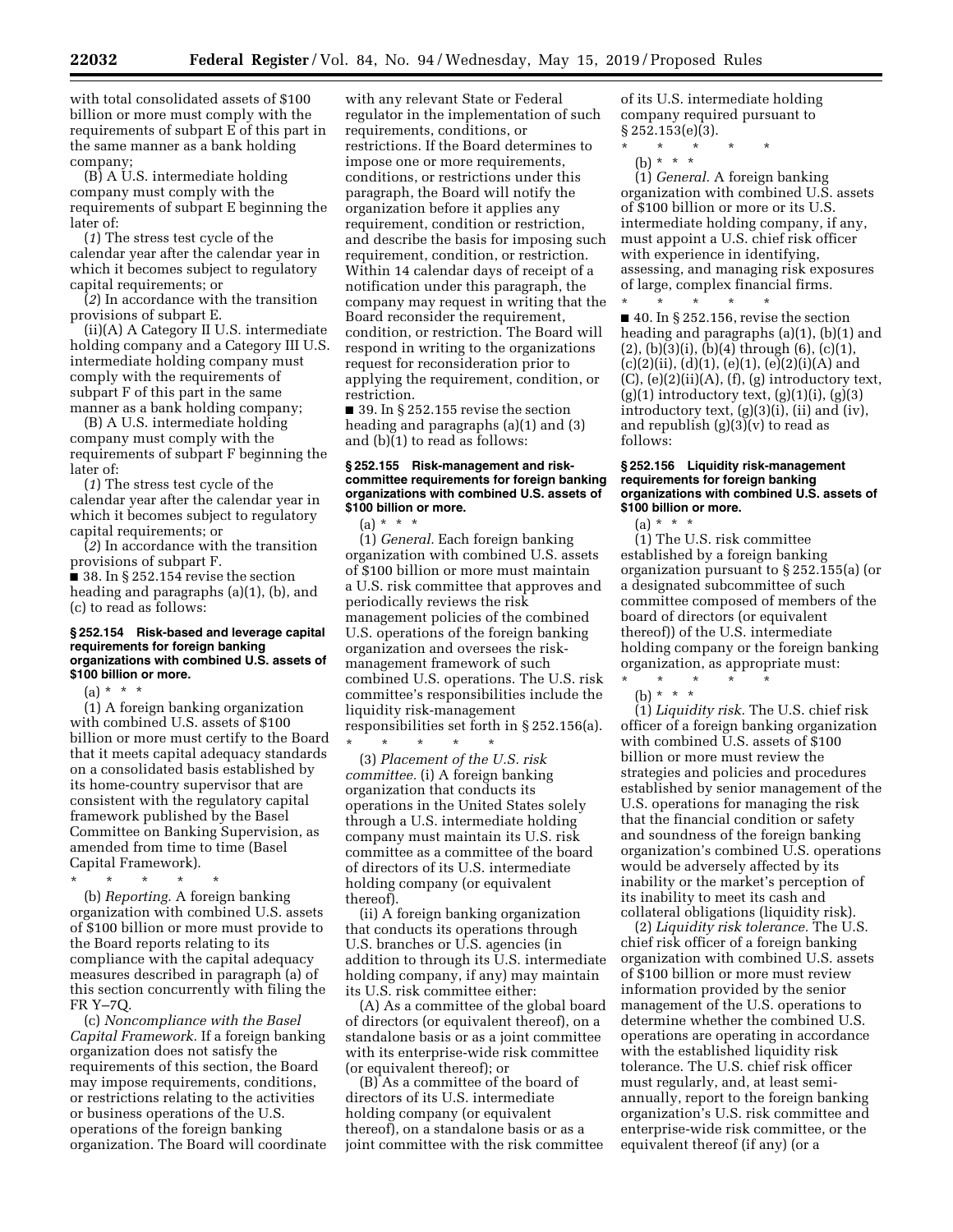with total consolidated assets of \$100 billion or more must comply with the requirements of subpart E of this part in the same manner as a bank holding company;

(B) A U.S. intermediate holding company must comply with the requirements of subpart E beginning the later of:

(*1*) The stress test cycle of the calendar year after the calendar year in which it becomes subject to regulatory capital requirements; or

(*2*) In accordance with the transition provisions of subpart E.

(ii)(A) A Category II U.S. intermediate holding company and a Category III U.S. intermediate holding company must comply with the requirements of subpart F of this part in the same manner as a bank holding company;

(B) A U.S. intermediate holding company must comply with the requirements of subpart F beginning the later of:

(*1*) The stress test cycle of the calendar year after the calendar year in which it becomes subject to regulatory capital requirements; or

(*2*) In accordance with the transition provisions of subpart F.

 $\blacksquare$  38. In § 252.154 revise the section heading and paragraphs (a)(1), (b), and (c) to read as follows:

#### **§ 252.154 Risk-based and leverage capital requirements for foreign banking organizations with combined U.S. assets of \$100 billion or more.**

(a) \* \* \*

(1) A foreign banking organization with combined U.S. assets of \$100 billion or more must certify to the Board that it meets capital adequacy standards on a consolidated basis established by its home-country supervisor that are consistent with the regulatory capital framework published by the Basel Committee on Banking Supervision, as amended from time to time (Basel Capital Framework).

\* \* \* \* \*

(b) *Reporting.* A foreign banking organization with combined U.S. assets of \$100 billion or more must provide to the Board reports relating to its compliance with the capital adequacy measures described in paragraph (a) of this section concurrently with filing the FR Y–7Q.

(c) *Noncompliance with the Basel Capital Framework.* If a foreign banking organization does not satisfy the requirements of this section, the Board may impose requirements, conditions, or restrictions relating to the activities or business operations of the U.S. operations of the foreign banking organization. The Board will coordinate

with any relevant State or Federal regulator in the implementation of such requirements, conditions, or restrictions. If the Board determines to impose one or more requirements, conditions, or restrictions under this paragraph, the Board will notify the organization before it applies any requirement, condition or restriction, and describe the basis for imposing such requirement, condition, or restriction. Within 14 calendar days of receipt of a notification under this paragraph, the company may request in writing that the Board reconsider the requirement, condition, or restriction. The Board will respond in writing to the organizations request for reconsideration prior to applying the requirement, condition, or restriction.

 $\blacksquare$  39. In § 252.155 revise the section heading and paragraphs (a)(1) and (3) and (b)(1) to read as follows:

## **§ 252.155 Risk-management and riskcommittee requirements for foreign banking organizations with combined U.S. assets of \$100 billion or more.**

(a) \* \* \*

(1) *General.* Each foreign banking organization with combined U.S. assets of \$100 billion or more must maintain a U.S. risk committee that approves and periodically reviews the risk management policies of the combined U.S. operations of the foreign banking organization and oversees the riskmanagement framework of such combined U.S. operations. The U.S. risk committee's responsibilities include the liquidity risk-management responsibilities set forth in § 252.156(a).

\* \* \* \* \* (3) *Placement of the U.S. risk committee.* (i) A foreign banking organization that conducts its operations in the United States solely through a U.S. intermediate holding company must maintain its U.S. risk committee as a committee of the board of directors of its U.S. intermediate holding company (or equivalent thereof).

(ii) A foreign banking organization that conducts its operations through U.S. branches or U.S. agencies (in addition to through its U.S. intermediate holding company, if any) may maintain its U.S. risk committee either:

(A) As a committee of the global board of directors (or equivalent thereof), on a standalone basis or as a joint committee with its enterprise-wide risk committee (or equivalent thereof); or

(B) As a committee of the board of directors of its U.S. intermediate holding company (or equivalent thereof), on a standalone basis or as a joint committee with the risk committee of its U.S. intermediate holding company required pursuant to § 252.153(e)(3).

\* \* \* \* \*

\* \* \* \* \*

(b) \* \* \*

(1) *General.* A foreign banking organization with combined U.S. assets of \$100 billion or more or its U.S. intermediate holding company, if any, must appoint a U.S. chief risk officer with experience in identifying, assessing, and managing risk exposures of large, complex financial firms.

 $\blacksquare$  40. In § 252.156, revise the section heading and paragraphs (a)(1), (b)(1) and  $(2)$ ,  $(b)(3)(i)$ ,  $(b)(4)$  through  $(6)$ ,  $(c)(1)$ ,  $(c)(2)(ii)$ ,  $(d)(1)$ ,  $(e)(1)$ ,  $(e)(2)(i)(A)$  and  $(C)$ ,  $(e)(2)(ii)(A)$ ,  $(f)$ ,  $(g)$  introductory text,  $(g)(1)$  introductory text,  $(g)(1)(i)$ ,  $(g)(3)$ introductory text, (g)(3)(i), (ii) and (iv), and republish  $(g)(3)(v)$  to read as follows:

## **§ 252.156 Liquidity risk-management requirements for foreign banking organizations with combined U.S. assets of \$100 billion or more.**

 $(a) * * * *$ 

(1) The U.S. risk committee established by a foreign banking organization pursuant to § 252.155(a) (or a designated subcommittee of such committee composed of members of the board of directors (or equivalent thereof)) of the U.S. intermediate holding company or the foreign banking organization, as appropriate must:

\* \* \* \* \* (b) \* \* \*

(1) *Liquidity risk.* The U.S. chief risk officer of a foreign banking organization with combined U.S. assets of \$100 billion or more must review the strategies and policies and procedures established by senior management of the U.S. operations for managing the risk that the financial condition or safety and soundness of the foreign banking organization's combined U.S. operations would be adversely affected by its inability or the market's perception of its inability to meet its cash and collateral obligations (liquidity risk).

(2) *Liquidity risk tolerance.* The U.S. chief risk officer of a foreign banking organization with combined U.S. assets of \$100 billion or more must review information provided by the senior management of the U.S. operations to determine whether the combined U.S. operations are operating in accordance with the established liquidity risk tolerance. The U.S. chief risk officer must regularly, and, at least semiannually, report to the foreign banking organization's U.S. risk committee and enterprise-wide risk committee, or the equivalent thereof (if any) (or a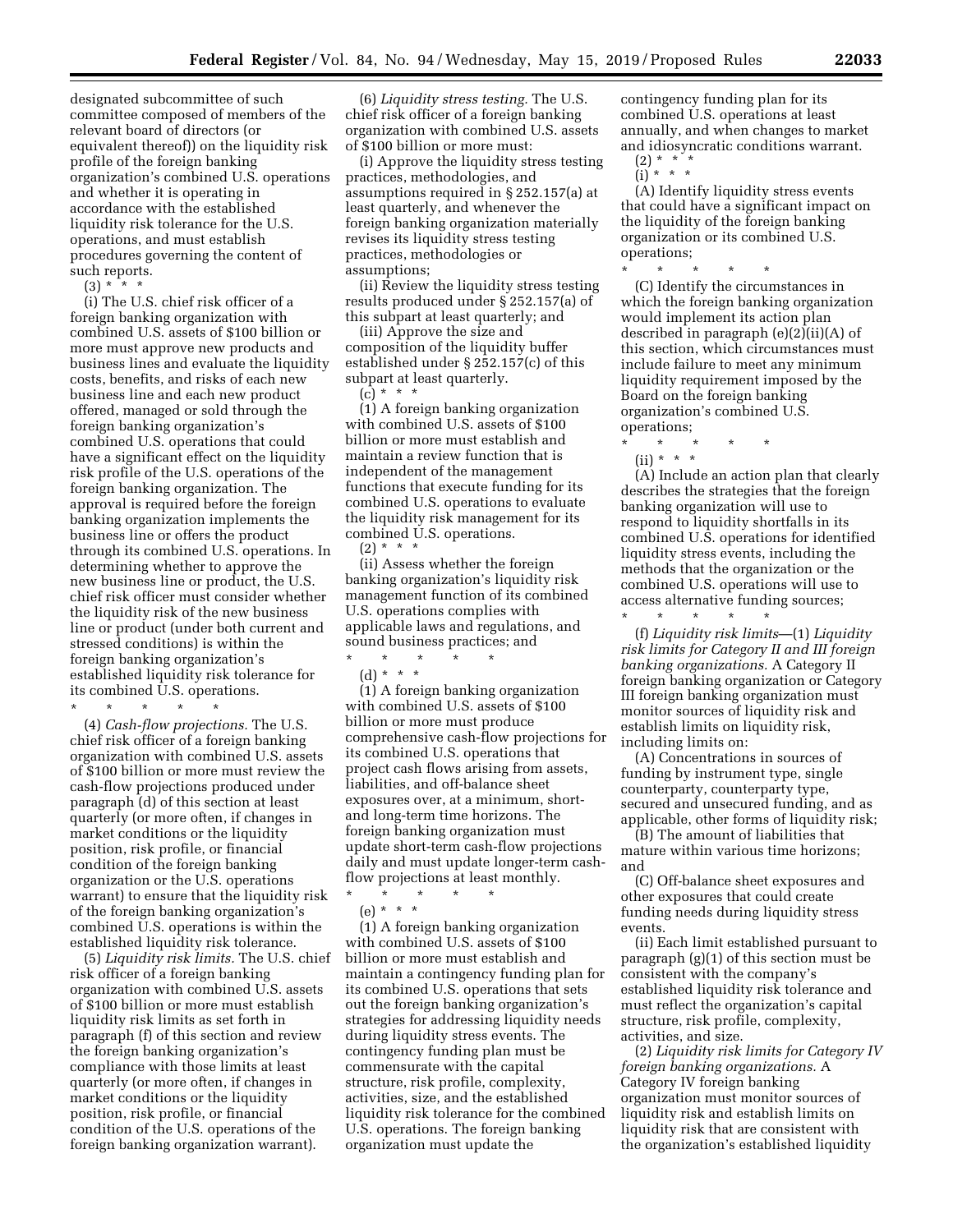designated subcommittee of such committee composed of members of the relevant board of directors (or equivalent thereof)) on the liquidity risk profile of the foreign banking organization's combined U.S. operations and whether it is operating in accordance with the established liquidity risk tolerance for the U.S. operations, and must establish procedures governing the content of such reports.

 $(3) * 3 * 4$ 

(i) The U.S. chief risk officer of a foreign banking organization with combined U.S. assets of \$100 billion or more must approve new products and business lines and evaluate the liquidity costs, benefits, and risks of each new business line and each new product offered, managed or sold through the foreign banking organization's combined U.S. operations that could have a significant effect on the liquidity risk profile of the U.S. operations of the foreign banking organization. The approval is required before the foreign banking organization implements the business line or offers the product through its combined U.S. operations. In determining whether to approve the new business line or product, the U.S. chief risk officer must consider whether the liquidity risk of the new business line or product (under both current and stressed conditions) is within the foreign banking organization's established liquidity risk tolerance for its combined U.S. operations.

\* \* \* \* \* (4) *Cash-flow projections.* The U.S. chief risk officer of a foreign banking organization with combined U.S. assets of \$100 billion or more must review the cash-flow projections produced under paragraph (d) of this section at least quarterly (or more often, if changes in market conditions or the liquidity position, risk profile, or financial condition of the foreign banking organization or the U.S. operations warrant) to ensure that the liquidity risk of the foreign banking organization's combined U.S. operations is within the established liquidity risk tolerance.

(5) *Liquidity risk limits.* The U.S. chief risk officer of a foreign banking organization with combined U.S. assets of \$100 billion or more must establish liquidity risk limits as set forth in paragraph (f) of this section and review the foreign banking organization's compliance with those limits at least quarterly (or more often, if changes in market conditions or the liquidity position, risk profile, or financial condition of the U.S. operations of the foreign banking organization warrant).

(6) *Liquidity stress testing.* The U.S. chief risk officer of a foreign banking organization with combined U.S. assets of \$100 billion or more must:

(i) Approve the liquidity stress testing practices, methodologies, and assumptions required in § 252.157(a) at least quarterly, and whenever the foreign banking organization materially revises its liquidity stress testing practices, methodologies or assumptions;

(ii) Review the liquidity stress testing results produced under § 252.157(a) of this subpart at least quarterly; and

(iii) Approve the size and composition of the liquidity buffer established under § 252.157(c) of this subpart at least quarterly.  $(c) * * * *$ 

(1) A foreign banking organization with combined U.S. assets of \$100 billion or more must establish and maintain a review function that is independent of the management functions that execute funding for its combined U.S. operations to evaluate the liquidity risk management for its combined U.S. operations.  $(2) * * * *$ 

(ii) Assess whether the foreign banking organization's liquidity risk management function of its combined U.S. operations complies with applicable laws and regulations, and sound business practices; and \* \* \* \* \*

(d) \* \* \*

(1) A foreign banking organization with combined U.S. assets of \$100 billion or more must produce comprehensive cash-flow projections for its combined U.S. operations that project cash flows arising from assets, liabilities, and off-balance sheet exposures over, at a minimum, shortand long-term time horizons. The foreign banking organization must update short-term cash-flow projections daily and must update longer-term cashflow projections at least monthly.

\* \* \* \* \*

(e) \* \* \*

(1) A foreign banking organization with combined U.S. assets of \$100 billion or more must establish and maintain a contingency funding plan for its combined U.S. operations that sets out the foreign banking organization's strategies for addressing liquidity needs during liquidity stress events. The contingency funding plan must be commensurate with the capital structure, risk profile, complexity, activities, size, and the established liquidity risk tolerance for the combined U.S. operations. The foreign banking organization must update the

contingency funding plan for its combined U.S. operations at least annually, and when changes to market and idiosyncratic conditions warrant.

- $(2) * * * *$
- $(i) * * * *$

(A) Identify liquidity stress events that could have a significant impact on the liquidity of the foreign banking organization or its combined U.S. operations;

\* \* \* \* \* (C) Identify the circumstances in which the foreign banking organization would implement its action plan described in paragraph (e)(2)(ii)(A) of this section, which circumstances must include failure to meet any minimum liquidity requirement imposed by the Board on the foreign banking organization's combined U.S. operations;

\* \* \* \* \* (ii) \* \* \*

(A) Include an action plan that clearly describes the strategies that the foreign banking organization will use to respond to liquidity shortfalls in its combined U.S. operations for identified liquidity stress events, including the methods that the organization or the combined U.S. operations will use to access alternative funding sources; \* \* \* \* \*

(f) *Liquidity risk limits*—(1) *Liquidity risk limits for Category II and III foreign banking organizations.* A Category II foreign banking organization or Category III foreign banking organization must monitor sources of liquidity risk and establish limits on liquidity risk, including limits on:

(A) Concentrations in sources of funding by instrument type, single counterparty, counterparty type, secured and unsecured funding, and as applicable, other forms of liquidity risk;

(B) The amount of liabilities that mature within various time horizons; and

(C) Off-balance sheet exposures and other exposures that could create funding needs during liquidity stress events.

(ii) Each limit established pursuant to paragraph (g)(1) of this section must be consistent with the company's established liquidity risk tolerance and must reflect the organization's capital structure, risk profile, complexity, activities, and size.

(2) *Liquidity risk limits for Category IV foreign banking organizations.* A Category IV foreign banking organization must monitor sources of liquidity risk and establish limits on liquidity risk that are consistent with the organization's established liquidity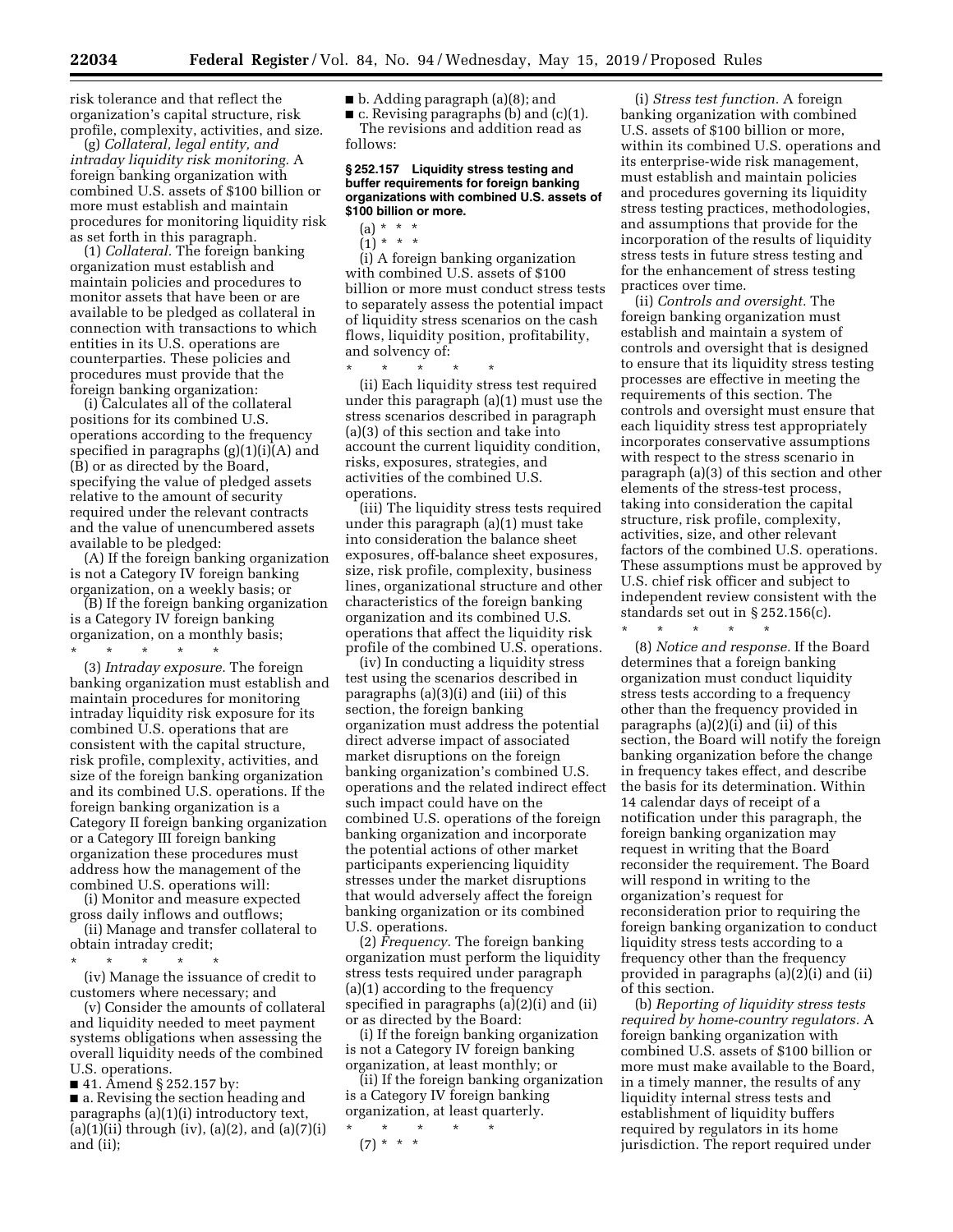risk tolerance and that reflect the organization's capital structure, risk profile, complexity, activities, and size.

(g) *Collateral, legal entity, and intraday liquidity risk monitoring.* A foreign banking organization with combined U.S. assets of \$100 billion or more must establish and maintain procedures for monitoring liquidity risk as set forth in this paragraph.

(1) *Collateral.* The foreign banking organization must establish and maintain policies and procedures to monitor assets that have been or are available to be pledged as collateral in connection with transactions to which entities in its U.S. operations are counterparties. These policies and procedures must provide that the foreign banking organization:

(i) Calculates all of the collateral positions for its combined U.S. operations according to the frequency specified in paragraphs (g)(1)(i)(A) and (B) or as directed by the Board, specifying the value of pledged assets relative to the amount of security required under the relevant contracts and the value of unencumbered assets available to be pledged:

(A) If the foreign banking organization is not a Category IV foreign banking organization, on a weekly basis; or

(B) If the foreign banking organization is a Category IV foreign banking organization, on a monthly basis; \* \* \* \* \*

(3) *Intraday exposure.* The foreign banking organization must establish and maintain procedures for monitoring intraday liquidity risk exposure for its combined U.S. operations that are consistent with the capital structure, risk profile, complexity, activities, and size of the foreign banking organization and its combined U.S. operations. If the foreign banking organization is a Category II foreign banking organization or a Category III foreign banking organization these procedures must address how the management of the combined U.S. operations will:

(i) Monitor and measure expected gross daily inflows and outflows; (ii) Manage and transfer collateral to

obtain intraday credit;  $\star$   $\star$   $\star$ 

(iv) Manage the issuance of credit to customers where necessary; and

(v) Consider the amounts of collateral and liquidity needed to meet payment systems obligations when assessing the overall liquidity needs of the combined U.S. operations.

■ 41. Amend § 252.157 by:

■ a. Revising the section heading and paragraphs (a)(1)(i) introductory text, (a)(1)(ii) through (iv), (a)(2), and (a)(7)(i) and (ii);

■ b. Adding paragraph (a)(8); and

 $\blacksquare$  c. Revising paragraphs (b) and (c)(1). The revisions and addition read as follows:

#### **§ 252.157 Liquidity stress testing and buffer requirements for foreign banking organizations with combined U.S. assets of \$100 billion or more.**

- $(a) * * * *$
- $(1) * * * *$

\* \* \* \* \*

(i) A foreign banking organization with combined U.S. assets of \$100 billion or more must conduct stress tests to separately assess the potential impact of liquidity stress scenarios on the cash flows, liquidity position, profitability, and solvency of:

(ii) Each liquidity stress test required under this paragraph (a)(1) must use the stress scenarios described in paragraph (a)(3) of this section and take into account the current liquidity condition, risks, exposures, strategies, and activities of the combined U.S. operations.

(iii) The liquidity stress tests required under this paragraph (a)(1) must take into consideration the balance sheet exposures, off-balance sheet exposures, size, risk profile, complexity, business lines, organizational structure and other characteristics of the foreign banking organization and its combined U.S. operations that affect the liquidity risk profile of the combined U.S. operations.

(iv) In conducting a liquidity stress test using the scenarios described in paragraphs (a)(3)(i) and (iii) of this section, the foreign banking organization must address the potential direct adverse impact of associated market disruptions on the foreign banking organization's combined U.S. operations and the related indirect effect such impact could have on the combined U.S. operations of the foreign banking organization and incorporate the potential actions of other market participants experiencing liquidity stresses under the market disruptions that would adversely affect the foreign banking organization or its combined U.S. operations.

(2) *Frequency.* The foreign banking organization must perform the liquidity stress tests required under paragraph (a)(1) according to the frequency specified in paragraphs (a)(2)(i) and (ii) or as directed by the Board:

(i) If the foreign banking organization is not a Category IV foreign banking organization, at least monthly; or

(ii) If the foreign banking organization is a Category IV foreign banking organization, at least quarterly.

\* \* \* \* \* (7) \* \* \*

(i) *Stress test function.* A foreign banking organization with combined U.S. assets of \$100 billion or more, within its combined U.S. operations and its enterprise-wide risk management, must establish and maintain policies and procedures governing its liquidity stress testing practices, methodologies, and assumptions that provide for the incorporation of the results of liquidity stress tests in future stress testing and for the enhancement of stress testing practices over time.

(ii) *Controls and oversight.* The foreign banking organization must establish and maintain a system of controls and oversight that is designed to ensure that its liquidity stress testing processes are effective in meeting the requirements of this section. The controls and oversight must ensure that each liquidity stress test appropriately incorporates conservative assumptions with respect to the stress scenario in paragraph (a)(3) of this section and other elements of the stress-test process, taking into consideration the capital structure, risk profile, complexity, activities, size, and other relevant factors of the combined U.S. operations. These assumptions must be approved by U.S. chief risk officer and subject to independent review consistent with the standards set out in § 252.156(c). \* \* \* \* \*

(8) *Notice and response.* If the Board determines that a foreign banking organization must conduct liquidity stress tests according to a frequency other than the frequency provided in paragraphs (a)(2)(i) and (ii) of this section, the Board will notify the foreign banking organization before the change in frequency takes effect, and describe the basis for its determination. Within 14 calendar days of receipt of a notification under this paragraph, the foreign banking organization may request in writing that the Board reconsider the requirement. The Board will respond in writing to the organization's request for reconsideration prior to requiring the foreign banking organization to conduct liquidity stress tests according to a frequency other than the frequency provided in paragraphs (a)(2)(i) and (ii) of this section.

(b) *Reporting of liquidity stress tests required by home-country regulators.* A foreign banking organization with combined U.S. assets of \$100 billion or more must make available to the Board, in a timely manner, the results of any liquidity internal stress tests and establishment of liquidity buffers required by regulators in its home jurisdiction. The report required under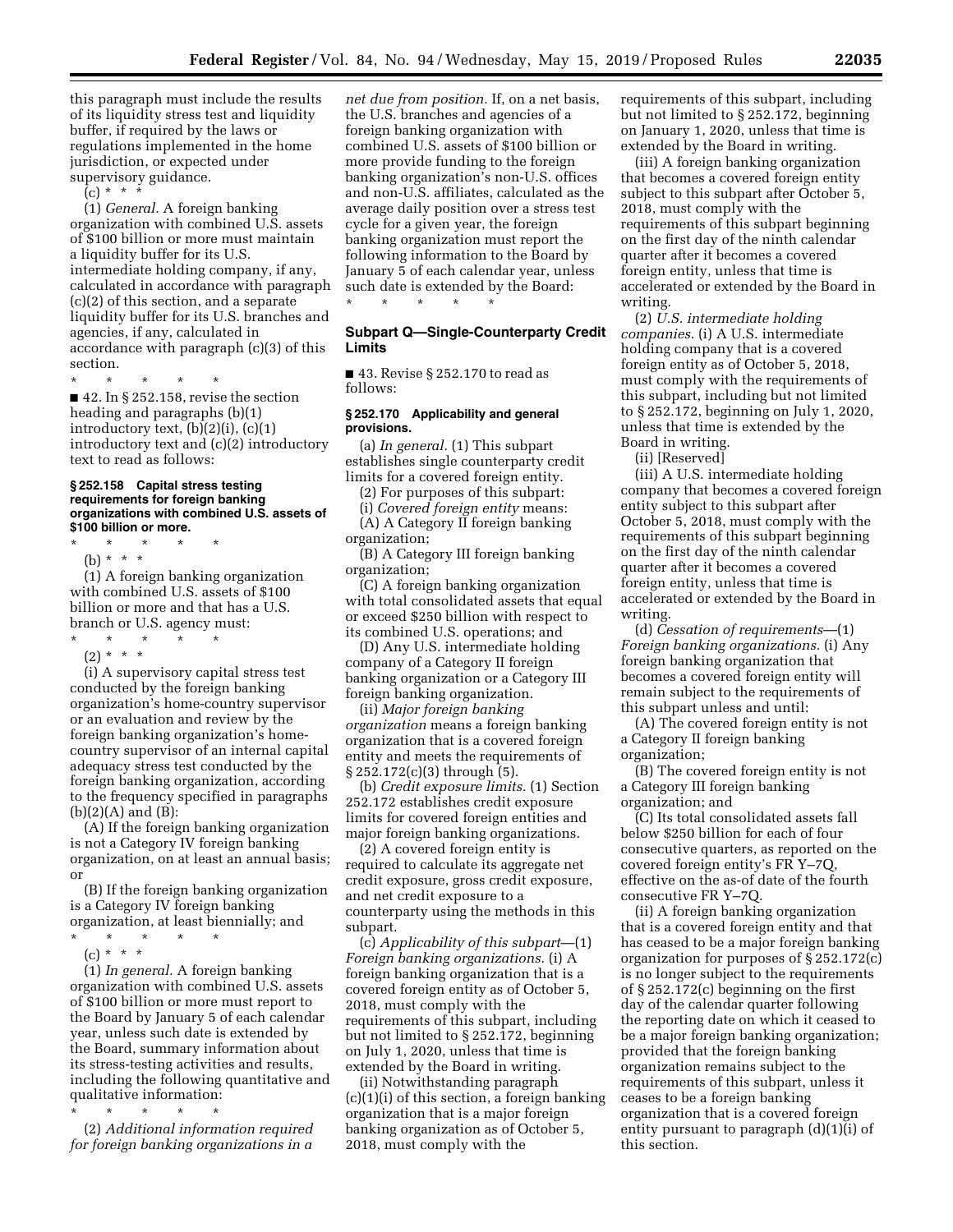this paragraph must include the results of its liquidity stress test and liquidity buffer, if required by the laws or regulations implemented in the home jurisdiction, or expected under supervisory guidance.

 $(c) * * * *$ 

(1) *General.* A foreign banking organization with combined U.S. assets of \$100 billion or more must maintain a liquidity buffer for its U.S. intermediate holding company, if any, calculated in accordance with paragraph (c)(2) of this section, and a separate liquidity buffer for its U.S. branches and agencies, if any, calculated in accordance with paragraph (c)(3) of this section.

\* \* \* \* \*  $\blacksquare$  42. In § 252.158, revise the section heading and paragraphs (b)(1) introductory text, (b)(2)(i), (c)(1) introductory text and (c)(2) introductory text to read as follows:

### **§ 252.158 Capital stress testing requirements for foreign banking organizations with combined U.S. assets of \$100 billion or more.**

- \* \* \* \* \*
- (b) \* \* \*

(1) A foreign banking organization with combined U.S. assets of \$100 billion or more and that has a U.S. branch or U.S. agency must:

\* \* \* \* \*

(2) \* \* \* (i) A supervisory capital stress test conducted by the foreign banking organization's home-country supervisor or an evaluation and review by the foreign banking organization's homecountry supervisor of an internal capital adequacy stress test conducted by the foreign banking organization, according

to the frequency specified in paragraphs (b)(2)(A) and (B): (A) If the foreign banking organization is not a Category IV foreign banking organization, on at least an annual basis; or

(B) If the foreign banking organization is a Category IV foreign banking organization, at least biennially; and

\* \* \* \* \*

(c) \* \* \*

(1) *In general.* A foreign banking organization with combined U.S. assets of \$100 billion or more must report to the Board by January 5 of each calendar year, unless such date is extended by the Board, summary information about its stress-testing activities and results, including the following quantitative and qualitative information:

\* \* \* \* \* (2) *Additional information required for foreign banking organizations in a* 

*net due from position.* If, on a net basis, the U.S. branches and agencies of a foreign banking organization with combined U.S. assets of \$100 billion or more provide funding to the foreign banking organization's non-U.S. offices and non-U.S. affiliates, calculated as the average daily position over a stress test cycle for a given year, the foreign banking organization must report the following information to the Board by January 5 of each calendar year, unless such date is extended by the Board:

\* \* \* \* \*

# **Subpart Q—Single-Counterparty Credit Limits**

■ 43. Revise § 252.170 to read as follows:

#### **§ 252.170 Applicability and general provisions.**

(a) *In general.* (1) This subpart establishes single counterparty credit limits for a covered foreign entity.

(2) For purposes of this subpart:

(i) *Covered foreign entity* means: (A) A Category II foreign banking organization;

(B) A Category III foreign banking organization;

(C) A foreign banking organization with total consolidated assets that equal or exceed \$250 billion with respect to its combined U.S. operations; and

(D) Any U.S. intermediate holding company of a Category II foreign banking organization or a Category III foreign banking organization.

(ii) *Major foreign banking organization* means a foreign banking organization that is a covered foreign entity and meets the requirements of § 252.172(c)(3) through (5).

(b) *Credit exposure limits.* (1) Section 252.172 establishes credit exposure limits for covered foreign entities and major foreign banking organizations.

(2) A covered foreign entity is required to calculate its aggregate net credit exposure, gross credit exposure, and net credit exposure to a counterparty using the methods in this subpart.

(c) *Applicability of this subpart*—(1) *Foreign banking organizations.* (i) A foreign banking organization that is a covered foreign entity as of October 5, 2018, must comply with the requirements of this subpart, including but not limited to § 252.172, beginning on July 1, 2020, unless that time is extended by the Board in writing.

(ii) Notwithstanding paragraph (c)(1)(i) of this section, a foreign banking organization that is a major foreign banking organization as of October 5, 2018, must comply with the

requirements of this subpart, including but not limited to § 252.172, beginning on January 1, 2020, unless that time is extended by the Board in writing.

(iii) A foreign banking organization that becomes a covered foreign entity subject to this subpart after October 5, 2018, must comply with the requirements of this subpart beginning on the first day of the ninth calendar quarter after it becomes a covered foreign entity, unless that time is accelerated or extended by the Board in writing.

(2) *U.S. intermediate holding companies.* (i) A U.S. intermediate holding company that is a covered foreign entity as of October 5, 2018, must comply with the requirements of this subpart, including but not limited to § 252.172, beginning on July 1, 2020, unless that time is extended by the Board in writing.

(ii) [Reserved]

(iii) A U.S. intermediate holding company that becomes a covered foreign entity subject to this subpart after October 5, 2018, must comply with the requirements of this subpart beginning on the first day of the ninth calendar quarter after it becomes a covered foreign entity, unless that time is accelerated or extended by the Board in writing.

(d) *Cessation of requirements*—(1) *Foreign banking organizations.* (i) Any foreign banking organization that becomes a covered foreign entity will remain subject to the requirements of this subpart unless and until:

(A) The covered foreign entity is not a Category II foreign banking organization;

(B) The covered foreign entity is not a Category III foreign banking organization; and

(C) Its total consolidated assets fall below \$250 billion for each of four consecutive quarters, as reported on the covered foreign entity's FR Y–7Q, effective on the as-of date of the fourth consecutive FR Y–7Q.

(ii) A foreign banking organization that is a covered foreign entity and that has ceased to be a major foreign banking organization for purposes of § 252.172(c) is no longer subject to the requirements of § 252.172(c) beginning on the first day of the calendar quarter following the reporting date on which it ceased to be a major foreign banking organization; provided that the foreign banking organization remains subject to the requirements of this subpart, unless it ceases to be a foreign banking organization that is a covered foreign entity pursuant to paragraph (d)(1)(i) of this section.